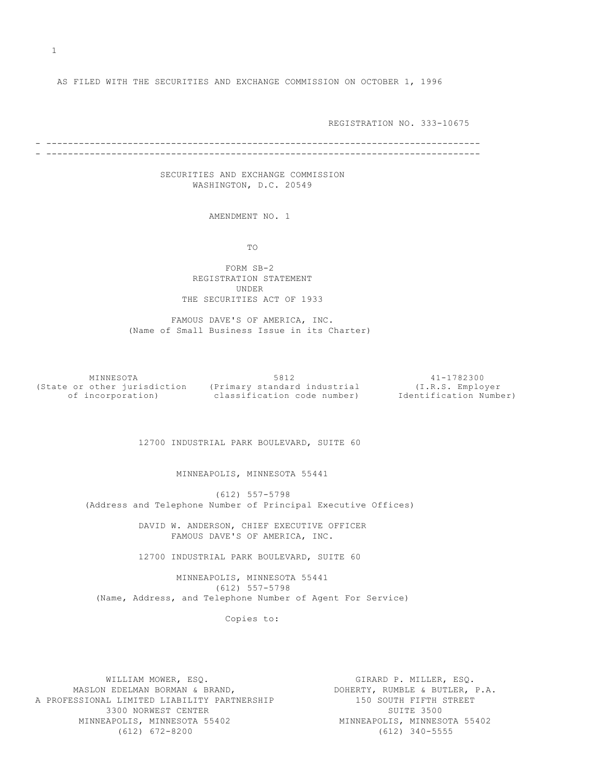AS FILED WITH THE SECURITIES AND EXCHANGE COMMISSION ON OCTOBER 1, 1996

REGISTRATION NO. 333-10675

- -------------------------------------------------------------------------------- - --------------------------------------------------------------------------------

> SECURITIES AND EXCHANGE COMMISSION WASHINGTON, D.C. 20549

> > AMENDMENT NO. 1

TO

 FORM SB-2 REGISTRATION STATEMENT UNDER THE SECURITIES ACT OF 1933

 FAMOUS DAVE'S OF AMERICA, INC. (Name of Small Business Issue in its Charter)

 MINNESOTA 5812 41-1782300 (State or other jurisdiction (Primary standard industrial (I.R.S. Employer of incorporation) classification code number) Identification Number)

12700 INDUSTRIAL PARK BOULEVARD, SUITE 60

MINNEAPOLIS, MINNESOTA 55441

 (612) 557-5798 (Address and Telephone Number of Principal Executive Offices)

> DAVID W. ANDERSON, CHIEF EXECUTIVE OFFICER FAMOUS DAVE'S OF AMERICA, INC.

12700 INDUSTRIAL PARK BOULEVARD, SUITE 60

 MINNEAPOLIS, MINNESOTA 55441 (612) 557-5798 (Name, Address, and Telephone Number of Agent For Service)

Copies to:

WILLIAM MOWER, ESQ. THE SECOND SIRARD P. MILLER, ESQ. MASLON EDELMAN BORMAN & BRAND, THE ROOM BOHERTY, RUMBLE & BUTLER, P.A. A PROFESSIONAL LIMITED LIABILITY PARTNERSHIP 150 SOUTH FIFTH STREET 3300 NORWEST CENTER<br>EAPOLIS, MINNESOTA 55402 SUITE MINNEAPOLIS, MINNESOTA 55402 MINNEAPOLIS, MINNESOTA 55402<br>(612) 672-8200

 $(612) 340 - 5555$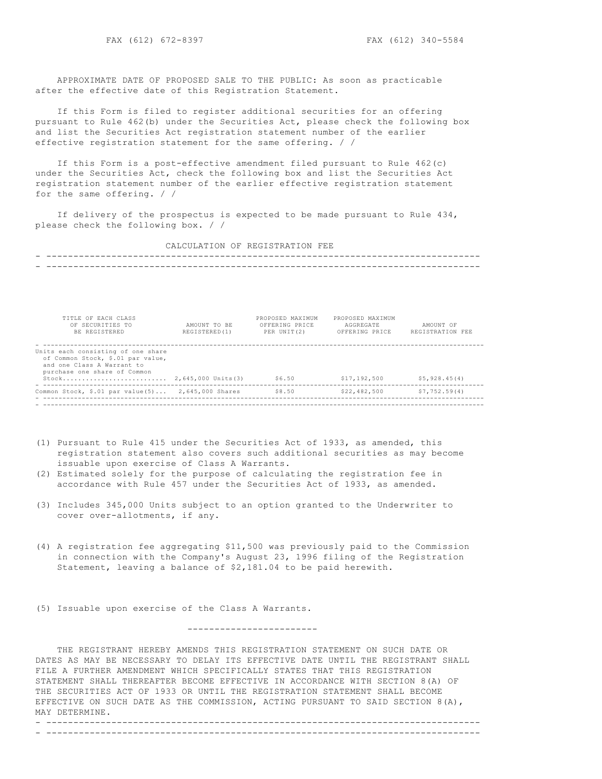APPROXIMATE DATE OF PROPOSED SALE TO THE PUBLIC: As soon as practicable after the effective date of this Registration Statement.

 If this Form is filed to register additional securities for an offering pursuant to Rule 462(b) under the Securities Act, please check the following box and list the Securities Act registration statement number of the earlier effective registration statement for the same offering. / /

 If this Form is a post-effective amendment filed pursuant to Rule 462(c) under the Securities Act, check the following box and list the Securities Act registration statement number of the earlier effective registration statement for the same offering. / /

 If delivery of the prospectus is expected to be made pursuant to Rule 434, please check the following box. / /

CALCULATION OF REGISTRATION FEE

- -------------------------------------------------------------------------------- - --------------------------------------------------------------------------------

| TITLE OF EACH CLASS<br>OF SECURITIES TO<br>BE REGISTERED                                                                              | AMOUNT TO BE<br>REGISTERED(1) | PROPOSED MAXIMUM<br>OFFERING PRICE<br>PER UNIT(2) | PROPOSED MAXIMUM<br>AGGREGATE<br>OFFERING PRICE | AMOUNT OF<br>REGISTRATION FEE |
|---------------------------------------------------------------------------------------------------------------------------------------|-------------------------------|---------------------------------------------------|-------------------------------------------------|-------------------------------|
| Units each consisting of one share<br>of Common Stock, \$.01 par value,<br>and one Class A Warrant to<br>purchase one share of Common |                               | \$6.50                                            | \$17,192,500                                    | \$5,928.45(4)                 |
| Common Stock, $$.01$ par value(5)                                                                                                     | 2,645,000 Shares              | \$8.50                                            | \$22,482,500                                    | \$7,752.59(4)                 |

- ------------------------------------------------------------------------------------------------------------------

- (1) Pursuant to Rule 415 under the Securities Act of 1933, as amended, this registration statement also covers such additional securities as may become issuable upon exercise of Class A Warrants.
- (2) Estimated solely for the purpose of calculating the registration fee in accordance with Rule 457 under the Securities Act of 1933, as amended.
- (3) Includes 345,000 Units subject to an option granted to the Underwriter to cover over-allotments, if any.
- (4) A registration fee aggregating \$11,500 was previously paid to the Commission in connection with the Company's August 23, 1996 filing of the Registration Statement, leaving a balance of \$2,181.04 to be paid herewith.

(5) Issuable upon exercise of the Class A Warrants.

 THE REGISTRANT HEREBY AMENDS THIS REGISTRATION STATEMENT ON SUCH DATE OR DATES AS MAY BE NECESSARY TO DELAY ITS EFFECTIVE DATE UNTIL THE REGISTRANT SHALL FILE A FURTHER AMENDMENT WHICH SPECIFICALLY STATES THAT THIS REGISTRATION STATEMENT SHALL THEREAFTER BECOME EFFECTIVE IN ACCORDANCE WITH SECTION 8(A) OF THE SECURITIES ACT OF 1933 OR UNTIL THE REGISTRATION STATEMENT SHALL BECOME EFFECTIVE ON SUCH DATE AS THE COMMISSION, ACTING PURSUANT TO SAID SECTION 8(A), MAY DETERMINE.

------------------------

- -------------------------------------------------------------------------------- - --------------------------------------------------------------------------------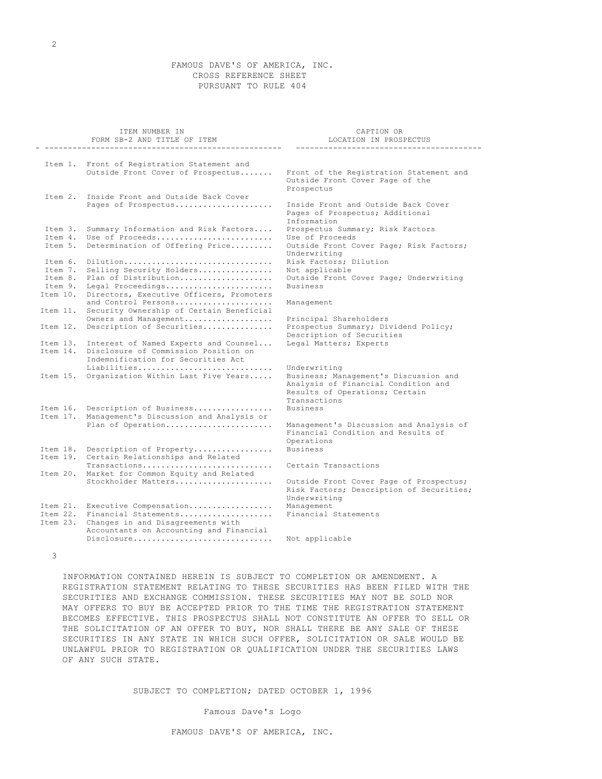# FAMOUS DAVE'S OF AMERICA, INC. CROSS REFERENCE SHEET PURSUANT TO RULE 404

|                                  | ITEM NUMBER IN<br>FORM SB-2 AND TITLE OF ITEM                                                                                  | CAPTION OR<br>LOCATION IN PROSPECTUS                                                                                                           |
|----------------------------------|--------------------------------------------------------------------------------------------------------------------------------|------------------------------------------------------------------------------------------------------------------------------------------------|
|                                  |                                                                                                                                |                                                                                                                                                |
|                                  | Item 1. Front of Registration Statement and<br>Outside Front Cover of Prospectus                                               | Front of the Registration Statement and<br>Outside Front Cover Page of the<br>Prospectus                                                       |
| Item 2.                          | Inside Front and Outside Back Cover<br>Pages of Prospectus                                                                     | Inside Front and Outside Back Cover                                                                                                            |
| Item 3.                          | Summary Information and Risk Factors                                                                                           | Pages of Prospectus; Additional<br>Information<br>Prospectus Summary; Risk Factors                                                             |
| Item 4.<br>Item 5.               | Use of Proceeds<br>Determination of Offering Price                                                                             | Use of Proceeds<br>Outside Front Cover Page; Risk Factors;<br>Underwriting                                                                     |
| Item 6.<br>Item 7.               | Dilution<br>Selling Security Holders                                                                                           | Risk Factors; Dilution<br>Not applicable                                                                                                       |
| Item 8.<br>Item 9.<br>Item 10.   | Plan of Distribution<br>Legal Proceedings<br>Directors, Executive Officers, Promoters                                          | Outside Front Cover Page; Underwriting<br><b>Business</b>                                                                                      |
| Item 11.                         | and Control Persons<br>Security Ownership of Certain Beneficial<br>Owners and Management                                       | Management                                                                                                                                     |
| Item 12.                         | Description of Securities                                                                                                      | Principal Shareholders<br>Prospectus Summary; Dividend Policy;<br>Description of Securities                                                    |
| Item 14.                         | Item 13. Interest of Named Experts and Counsel<br>Disclosure of Commission Position on<br>Indemnification for Securities Act   | Legal Matters; Experts                                                                                                                         |
| Item 15.                         | Liabilities<br>Organization Within Last Five Years                                                                             | Underwriting<br>Business; Management's Discussion and<br>Analysis of Financial Condition and<br>Results of Operations; Certain<br>Transactions |
| Item 16.<br>Item 17.             | Description of Business<br>Management's Discussion and Analysis or                                                             | <b>Business</b>                                                                                                                                |
|                                  | Plan of Operation                                                                                                              | Management's Discussion and Analysis of<br>Financial Condition and Results of<br>Operations                                                    |
| Item 18.<br>Item 19.             | Description of Property<br>Certain Relationships and Related                                                                   | <b>Business</b>                                                                                                                                |
| Item 20.                         | Transactions<br>Market for Common Equity and Related<br>Stockholder Matters                                                    | Certain Transactions<br>Outside Front Cover Page of Prospectus;                                                                                |
|                                  |                                                                                                                                | Risk Factors; Description of Securities;<br>Underwriting                                                                                       |
| Item 21.<br>Item 22.<br>Item 23. | Executive Compensation<br>Financial Statements<br>Changes in and Disagreements with<br>Accountants on Accounting and Financial | Management<br>Financial Statements                                                                                                             |
|                                  | Disclosure                                                                                                                     | Not applicable                                                                                                                                 |

3

 INFORMATION CONTAINED HEREIN IS SUBJECT TO COMPLETION OR AMENDMENT. A REGISTRATION STATEMENT RELATING TO THESE SECURITIES HAS BEEN FILED WITH THE SECURITIES AND EXCHANGE COMMISSION. THESE SECURITIES MAY NOT BE SOLD NOR MAY OFFERS TO BUY BE ACCEPTED PRIOR TO THE TIME THE REGISTRATION STATEMENT BECOMES EFFECTIVE. THIS PROSPECTUS SHALL NOT CONSTITUTE AN OFFER TO SELL OR THE SOLICITATION OF AN OFFER TO BUY, NOR SHALL THERE BE ANY SALE OF THESE SECURITIES IN ANY STATE IN WHICH SUCH OFFER, SOLICITATION OR SALE WOULD BE UNLAWFUL PRIOR TO REGISTRATION OR QUALIFICATION UNDER THE SECURITIES LAWS OF ANY SUCH STATE.

SUBJECT TO COMPLETION; DATED OCTOBER 1, 1996

Famous Dave's Logo

FAMOUS DAVE'S OF AMERICA, INC.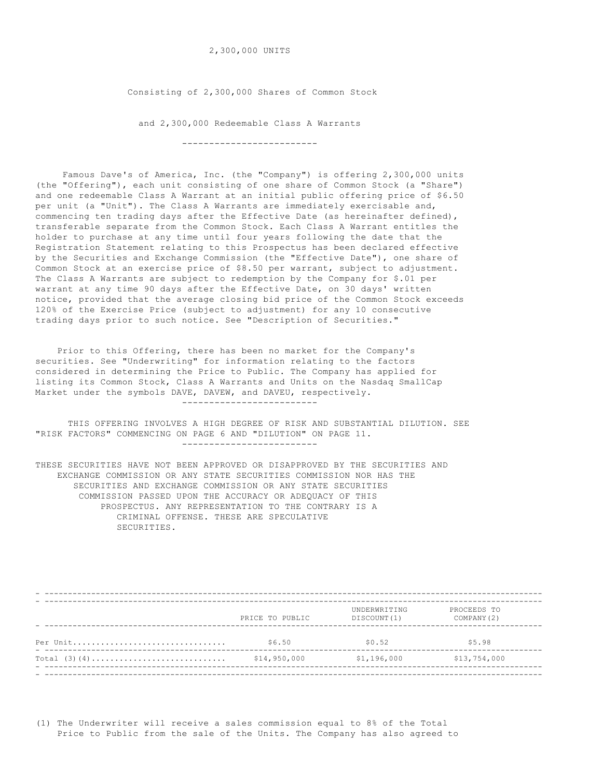# 2,300,000 UNITS

Consisting of 2,300,000 Shares of Common Stock

 and 2,300,000 Redeemable Class A Warrants -------------------------

 Famous Dave's of America, Inc. (the "Company") is offering 2,300,000 units (the "Offering"), each unit consisting of one share of Common Stock (a "Share") and one redeemable Class A Warrant at an initial public offering price of \$6.50 per unit (a "Unit"). The Class A Warrants are immediately exercisable and, commencing ten trading days after the Effective Date (as hereinafter defined), transferable separate from the Common Stock. Each Class A Warrant entitles the holder to purchase at any time until four years following the date that the Registration Statement relating to this Prospectus has been declared effective by the Securities and Exchange Commission (the "Effective Date"), one share of Common Stock at an exercise price of \$8.50 per warrant, subject to adjustment. The Class A Warrants are subject to redemption by the Company for \$.01 per warrant at any time 90 days after the Effective Date, on 30 days' written notice, provided that the average closing bid price of the Common Stock exceeds 120% of the Exercise Price (subject to adjustment) for any 10 consecutive trading days prior to such notice. See "Description of Securities."

 Prior to this Offering, there has been no market for the Company's securities. See "Underwriting" for information relating to the factors considered in determining the Price to Public. The Company has applied for listing its Common Stock, Class A Warrants and Units on the Nasdaq SmallCap Market under the symbols DAVE, DAVEW, and DAVEU, respectively. -------------------------

 THIS OFFERING INVOLVES A HIGH DEGREE OF RISK AND SUBSTANTIAL DILUTION. SEE "RISK FACTORS" COMMENCING ON PAGE 6 AND "DILUTION" ON PAGE 11. -------------------------

THESE SECURITIES HAVE NOT BEEN APPROVED OR DISAPPROVED BY THE SECURITIES AND EXCHANGE COMMISSION OR ANY STATE SECURITIES COMMISSION NOR HAS THE SECURITIES AND EXCHANGE COMMISSION OR ANY STATE SECURITIES COMMISSION PASSED UPON THE ACCURACY OR ADEQUACY OF THIS PROSPECTUS. ANY REPRESENTATION TO THE CONTRARY IS A CRIMINAL OFFENSE. THESE ARE SPECULATIVE SECURITIES.

|                | PRICE TO PUBLIC | UNDERWRITING<br>DISCOUNT (1) | PROCEEDS TO<br>COMPANY (2) |
|----------------|-----------------|------------------------------|----------------------------|
| Per Unit       | \$6.50          | \$0.52                       | \$5.98                     |
| Total $(3)(4)$ | \$14,950,000    | \$1,196,000                  | \$13,754,000               |
|                |                 |                              |                            |

(1) The Underwriter will receive a sales commission equal to 8% of the Total Price to Public from the sale of the Units. The Company has also agreed to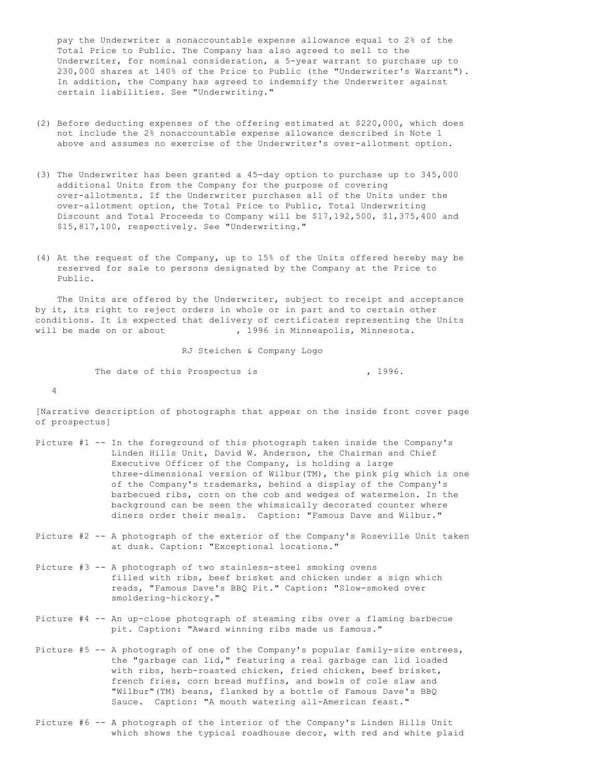pay the Underwriter a nonaccountable expense allowance equal to 2% of the Total Price to Public. The Company has also agreed to sell to the Underwriter, for nominal consideration, a 5-year warrant to purchase up to 230,000 shares at 140% of the Price to Public (the "Underwriter's Warrant"). In addition, the Company has agreed to indemnify the Underwriter against certain liabilities. See "Underwriting."

- (2) Before deducting expenses of the offering estimated at \$220,000, which does not include the 2% nonaccountable expense allowance described in Note 1 above and assumes no exercise of the Underwriter's over-allotment option.
- (3) The Underwriter has been granted a 45-day option to purchase up to 345,000 additional Units from the Company for the purpose of covering over-allotments. If the Underwriter purchases all of the Units under the over-allotment option, the Total Price to Public, Total Underwriting Discount and Total Proceeds to Company will be \$17,192,500, \$1,375,400 and \$15,817,100, respectively. See "Underwriting."
- (4) At the request of the Company, up to 15% of the Units offered hereby may be reserved for sale to persons designated by the Company at the Price to Public.

 The Units are offered by the Underwriter, subject to receipt and acceptance by it, its right to reject orders in whole or in part and to certain other conditions. It is expected that delivery of certificates representing the Units will be made on or about , 1996 in Minneapolis, Minnesota.

 RJ Steichen & Company Logo The date of this Prospectus is  $\overline{1996}$ . 4

[Narrative description of photographs that appear on the inside front cover page of prospectus]

- Picture #1 -- In the foreground of this photograph taken inside the Company's Linden Hills Unit, David W. Anderson, the Chairman and Chief Executive Officer of the Company, is holding a large three-dimensional version of Wilbur(TM), the pink pig which is one of the Company's trademarks, behind a display of the Company's barbecued ribs, corn on the cob and wedges of watermelon. In the background can be seen the whimsically decorated counter where diners order their meals. Caption: "Famous Dave and Wilbur."
- Picture #2 -- A photograph of the exterior of the Company's Roseville Unit taken at dusk. Caption: "Exceptional locations."
- Picture #3 -- A photograph of two stainless-steel smoking ovens filled with ribs, beef brisket and chicken under a sign which reads, "Famous Dave's BBQ Pit." Caption: "Slow-smoked over smoldering-hickory."
- Picture #4 -- An up-close photograph of steaming ribs over a flaming barbecue pit. Caption: "Award winning ribs made us famous."
- Picture #5 -- A photograph of one of the Company's popular family-size entrees, the "garbage can lid," featuring a real garbage can lid loaded with ribs, herb-roasted chicken, fried chicken, beef brisket, french fries, corn bread muffins, and bowls of cole slaw and "Wilbur"(TM) beans, flanked by a bottle of Famous Dave's BBQ Sauce. Caption: "A mouth watering all-American feast."
- Picture #6 -- A photograph of the interior of the Company's Linden Hills Unit which shows the typical roadhouse decor, with red and white plaid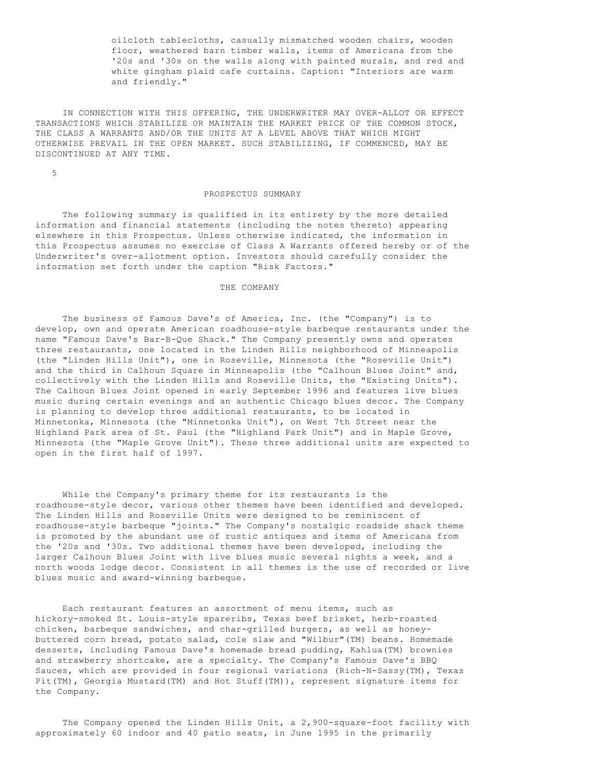oilcloth tablecloths, casually mismatched wooden chairs, wooden floor, weathered barn timber walls, items of Americana from the '20s and '30s on the walls along with painted murals, and red and white gingham plaid cafe curtains. Caption: "Interiors are warm and friendly."

 IN CONNECTION WITH THIS OFFERING, THE UNDERWRITER MAY OVER-ALLOT OR EFFECT TRANSACTIONS WHICH STABILIZE OR MAINTAIN THE MARKET PRICE OF THE COMMON STOCK, THE CLASS A WARRANTS AND/OR THE UNITS AT A LEVEL ABOVE THAT WHICH MIGHT OTHERWISE PREVAIL IN THE OPEN MARKET. SUCH STABILIZING, IF COMMENCED, MAY BE DISCONTINUED AT ANY TIME.

5

#### PROSPECTUS SUMMARY

 The following summary is qualified in its entirety by the more detailed information and financial statements (including the notes thereto) appearing elsewhere in this Prospectus. Unless otherwise indicated, the information in this Prospectus assumes no exercise of Class A Warrants offered hereby or of the Underwriter's over-allotment option. Investors should carefully consider the information set forth under the caption "Risk Factors."

# THE COMPANY

 The business of Famous Dave's of America, Inc. (the "Company") is to develop, own and operate American roadhouse-style barbeque restaurants under the name "Famous Dave's Bar-B-Que Shack." The Company presently owns and operates three restaurants, one located in the Linden Hills neighborhood of Minneapolis (the "Linden Hills Unit"), one in Roseville, Minnesota (the "Roseville Unit") and the third in Calhoun Square in Minneapolis (the "Calhoun Blues Joint" and, collectively with the Linden Hills and Roseville Units, the "Existing Units"). The Calhoun Blues Joint opened in early September 1996 and features live blues music during certain evenings and an authentic Chicago blues decor. The Company is planning to develop three additional restaurants, to be located in Minnetonka, Minnesota (the "Minnetonka Unit"), on West 7th Street near the Highland Park area of St. Paul (the "Highland Park Unit") and in Maple Grove, Minnesota (the "Maple Grove Unit"). These three additional units are expected to open in the first half of 1997.

 While the Company's primary theme for its restaurants is the roadhouse-style decor, various other themes have been identified and developed. The Linden Hills and Roseville Units were designed to be reminiscent of roadhouse-style barbeque "joints." The Company's nostalgic roadside shack theme is promoted by the abundant use of rustic antiques and items of Americana from the '20s and '30s. Two additional themes have been developed, including the larger Calhoun Blues Joint with live blues music several nights a week, and a north woods lodge decor. Consistent in all themes is the use of recorded or live blues music and award-winning barbeque.

 Each restaurant features an assortment of menu items, such as hickory-smoked St. Louis-style spareribs, Texas beef brisket, herb-roasted chicken, barbeque sandwiches, and char-grilled burgers, as well as honeybuttered corn bread, potato salad, cole slaw and "Wilbur"(TM) beans. Homemade desserts, including Famous Dave's homemade bread pudding, Kahlua(TM) brownies and strawberry shortcake, are a specialty. The Company's Famous Dave's BBQ Sauces, which are provided in four regional variations (Rich-N-Sassy(TM), Texas Pit(TM), Georgia Mustard(TM) and Hot Stuff(TM)), represent signature items for the Company.

 The Company opened the Linden Hills Unit, a 2,900-square-foot facility with approximately 60 indoor and 40 patio seats, in June 1995 in the primarily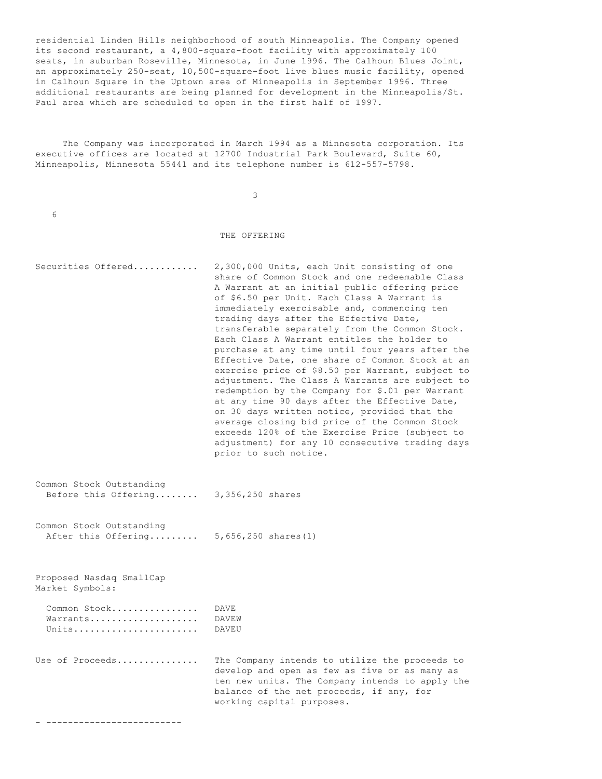residential Linden Hills neighborhood of south Minneapolis. The Company opened its second restaurant, a 4,800-square-foot facility with approximately 100 seats, in suburban Roseville, Minnesota, in June 1996. The Calhoun Blues Joint, an approximately 250-seat, 10,500-square-foot live blues music facility, opened in Calhoun Square in the Uptown area of Minneapolis in September 1996. Three additional restaurants are being planned for development in the Minneapolis/St. Paul area which are scheduled to open in the first half of 1997.

 The Company was incorporated in March 1994 as a Minnesota corporation. Its executive offices are located at 12700 Industrial Park Boulevard, Suite 60, Minneapolis, Minnesota 55441 and its telephone number is 612-557-5798.

3

#### THE OFFERING

- Securities Offered............ 2,300,000 Units, each Unit consisting of one share of Common Stock and one redeemable Class A Warrant at an initial public offering price of \$6.50 per Unit. Each Class A Warrant is immediately exercisable and, commencing ten trading days after the Effective Date, transferable separately from the Common Stock. Each Class A Warrant entitles the holder to purchase at any time until four years after the Effective Date, one share of Common Stock at an exercise price of \$8.50 per Warrant, subject to adjustment. The Class A Warrants are subject to redemption by the Company for \$.01 per Warrant at any time 90 days after the Effective Date, on 30 days written notice, provided that the average closing bid price of the Common Stock exceeds 120% of the Exercise Price (subject to adjustment) for any 10 consecutive trading days prior to such notice.
- Common Stock Outstanding Before this Offering........ 3,356,250 shares
- Common Stock Outstanding After this Offering......... 5,656,250 shares(1)

Proposed Nasdaq SmallCap Market Symbols:

6

| Common Stock | DAVE.        |
|--------------|--------------|
| Warrants     | <b>DAVEM</b> |
| Units        | DAVEU        |

Use of Proceeds............... The Company intends to utilize the proceeds to develop and open as few as five or as many as ten new units. The Company intends to apply the balance of the net proceeds, if any, for working capital purposes.

- -------------------------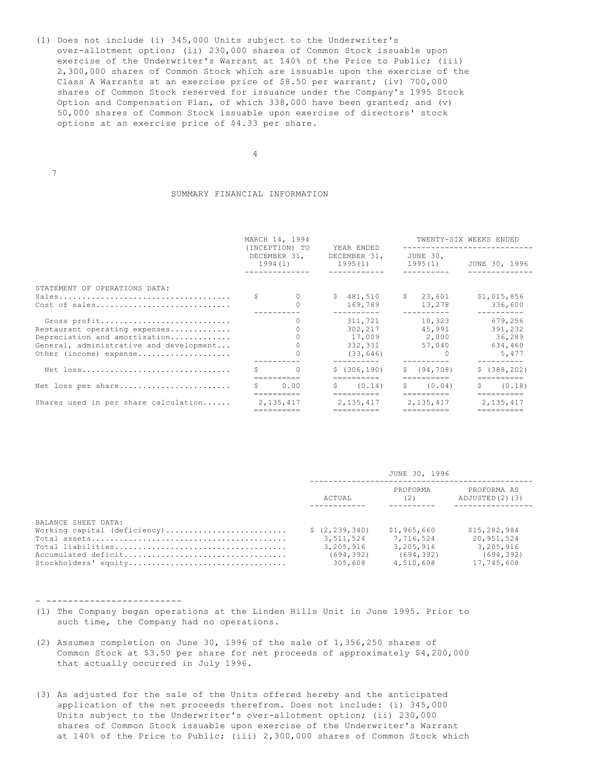(1) Does not include (i) 345,000 Units subject to the Underwriter's over-allotment option; (ii) 230,000 shares of Common Stock issuable upon exercise of the Underwriter's Warrant at 140% of the Price to Public; (iii) 2,300,000 shares of Common Stock which are issuable upon the exercise of the Class A Warrants at an exercise price of \$8.50 per warrant; (iv) 700,000 shares of Common Stock reserved for issuance under the Company's 1995 Stock Option and Compensation Plan, of which 338,000 have been granted; and (v) 50,000 shares of Common Stock issuable upon exercise of directors' stock options at an exercise price of \$4.33 per share.

4

7

### SUMMARY FINANCIAL INFORMATION

|                                                                                                                                                     | MARCH 14, 1994<br>(INCEPTION) TO<br>YEAR ENDED |                         |  | TWENTY-SIX WEEKS ENDED                                                                          |  |                                                                                              |  |                                                  |  |
|-----------------------------------------------------------------------------------------------------------------------------------------------------|------------------------------------------------|-------------------------|--|-------------------------------------------------------------------------------------------------|--|----------------------------------------------------------------------------------------------|--|--------------------------------------------------|--|
|                                                                                                                                                     |                                                | DECEMBER 31,<br>1994(1) |  | DECEMBER 31,<br>1995(1)                                                                         |  | JUNE 30,<br>1995(1)                                                                          |  | JUNE 30, 1996<br>-----------                     |  |
| STATEMENT OF OPERATIONS DATA:<br>Cost of sales                                                                                                      | S                                              | $\circ$                 |  | \$481,510<br>169.789                                                                            |  | \$23,601<br>13,278                                                                           |  | \$1,015,856<br>336,600                           |  |
| Gross profit<br>Restaurant operating expenses<br>Depreciation and amortization<br>General, administrative and development<br>Other (income) expense |                                                | $\Omega$                |  | 311,721<br>302,217<br>17,009 2,000<br>332,331<br>(33, 646)                                      |  | 10,323<br>45,991<br>57,040                                                                   |  | 679,256<br>391,232<br>36,289<br>634,460<br>5,477 |  |
| Net loss                                                                                                                                            | Š.                                             | $\Omega$                |  | \$(306, 190)<br>$=$ = = = = = = = = =                                                           |  | \$ (94, 708)<br>==========                                                                   |  | \$(388, 202)<br>==========                       |  |
| Net loss per share                                                                                                                                  |                                                | 0.00<br>==========      |  | $S \t(0.14)$<br>$\begin{array}{cccccccccc} = & = & = & = & = & = & = & = & = & = & \end{array}$ |  | \$ (0.04)<br>$\begin{array}{cccccccccc} = & = & = & = & = & = & = & = & = & = & \end{array}$ |  | \$ (0.18)<br>$=$ = = = = = = = = =               |  |
| Shares used in per share calculation                                                                                                                | 2,135,417                                      |                         |  | 2,135,417<br>==========                                                                         |  | 2,135,417<br>==========                                                                      |  | 2, 135, 417<br>==========                        |  |

|                              | JUNE 30, 1996   |                 |                               |  |
|------------------------------|-----------------|-----------------|-------------------------------|--|
|                              | ACTUAL          | PROFORMA<br>(2) | PROFORMA AS<br>ADJUSTED(2)(3) |  |
| BALANCE SHEET DATA:          |                 |                 |                               |  |
| Working capital (deficiency) | \$(2, 239, 340) | \$1,965,660     | \$15,282,984                  |  |
|                              | 3,511,524       | 7.716.524       | 20,951,524                    |  |
|                              | 3,205,916       | 3,205,916       | 3,205,916                     |  |
|                              | (694, 392)      | (694.392)       | (694, 392)                    |  |
| Stockholders' equity         | 305,608         | 4,510,608       | 17,745,608                    |  |

- -------------------------

- (1) The Company began operations at the Linden Hills Unit in June 1995. Prior to such time, the Company had no operations.
- (2) Assumes completion on June 30, 1996 of the sale of 1,356,250 shares of Common Stock at \$3.50 per share for net proceeds of approximately \$4,200,000 that actually occurred in July 1996.
- (3) As adjusted for the sale of the Units offered hereby and the anticipated application of the net proceeds therefrom. Does not include: (i) 345,000 Units subject to the Underwriter's over-allotment option; (ii) 230,000 shares of Common Stock issuable upon exercise of the Underwriter's Warrant at 140% of the Price to Public; (iii) 2,300,000 shares of Common Stock which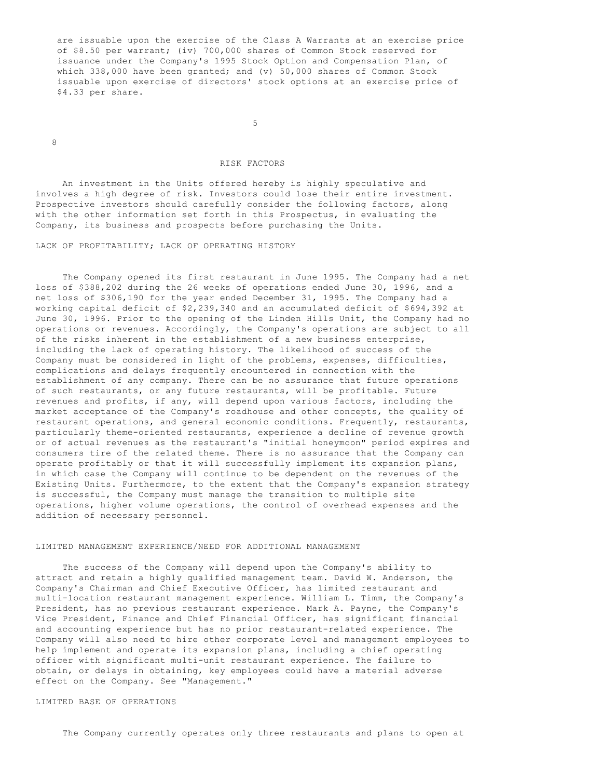are issuable upon the exercise of the Class A Warrants at an exercise price of \$8.50 per warrant; (iv) 700,000 shares of Common Stock reserved for issuance under the Company's 1995 Stock Option and Compensation Plan, of which 338,000 have been granted; and (v) 50,000 shares of Common Stock issuable upon exercise of directors' stock options at an exercise price of \$4.33 per share.

 $\sim$  5

8

# RISK FACTORS

 An investment in the Units offered hereby is highly speculative and involves a high degree of risk. Investors could lose their entire investment. Prospective investors should carefully consider the following factors, along with the other information set forth in this Prospectus, in evaluating the Company, its business and prospects before purchasing the Units.

LACK OF PROFITABILITY; LACK OF OPERATING HISTORY

 The Company opened its first restaurant in June 1995. The Company had a net loss of \$388,202 during the 26 weeks of operations ended June 30, 1996, and a net loss of \$306,190 for the year ended December 31, 1995. The Company had a working capital deficit of \$2,239,340 and an accumulated deficit of \$694,392 at June 30, 1996. Prior to the opening of the Linden Hills Unit, the Company had no operations or revenues. Accordingly, the Company's operations are subject to all of the risks inherent in the establishment of a new business enterprise, including the lack of operating history. The likelihood of success of the Company must be considered in light of the problems, expenses, difficulties, complications and delays frequently encountered in connection with the establishment of any company. There can be no assurance that future operations of such restaurants, or any future restaurants, will be profitable. Future revenues and profits, if any, will depend upon various factors, including the market acceptance of the Company's roadhouse and other concepts, the quality of restaurant operations, and general economic conditions. Frequently, restaurants, particularly theme-oriented restaurants, experience a decline of revenue growth or of actual revenues as the restaurant's "initial honeymoon" period expires and consumers tire of the related theme. There is no assurance that the Company can operate profitably or that it will successfully implement its expansion plans, in which case the Company will continue to be dependent on the revenues of the Existing Units. Furthermore, to the extent that the Company's expansion strategy is successful, the Company must manage the transition to multiple site operations, higher volume operations, the control of overhead expenses and the addition of necessary personnel.

### LIMITED MANAGEMENT EXPERIENCE/NEED FOR ADDITIONAL MANAGEMENT

 The success of the Company will depend upon the Company's ability to attract and retain a highly qualified management team. David W. Anderson, the Company's Chairman and Chief Executive Officer, has limited restaurant and multi-location restaurant management experience. William L. Timm, the Company's President, has no previous restaurant experience. Mark A. Payne, the Company's Vice President, Finance and Chief Financial Officer, has significant financial and accounting experience but has no prior restaurant-related experience. The Company will also need to hire other corporate level and management employees to help implement and operate its expansion plans, including a chief operating officer with significant multi-unit restaurant experience. The failure to obtain, or delays in obtaining, key employees could have a material adverse effect on the Company. See "Management."

# LIMITED BASE OF OPERATIONS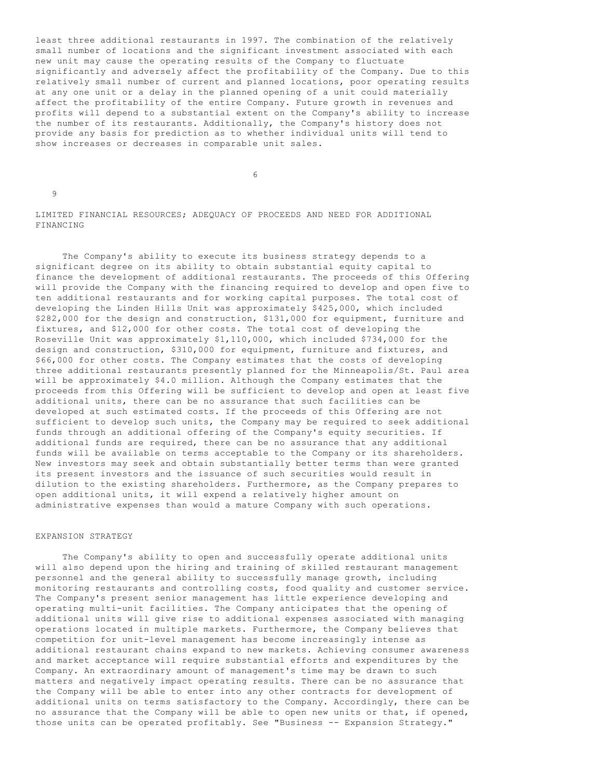least three additional restaurants in 1997. The combination of the relatively small number of locations and the significant investment associated with each new unit may cause the operating results of the Company to fluctuate significantly and adversely affect the profitability of the Company. Due to this relatively small number of current and planned locations, poor operating results at any one unit or a delay in the planned opening of a unit could materially affect the profitability of the entire Company. Future growth in revenues and profits will depend to a substantial extent on the Company's ability to increase the number of its restaurants. Additionally, the Company's history does not provide any basis for prediction as to whether individual units will tend to show increases or decreases in comparable unit sales.

 $\sim$  6

9

LIMITED FINANCIAL RESOURCES; ADEQUACY OF PROCEEDS AND NEED FOR ADDITIONAL FINANCING

 The Company's ability to execute its business strategy depends to a significant degree on its ability to obtain substantial equity capital to finance the development of additional restaurants. The proceeds of this Offering will provide the Company with the financing required to develop and open five to ten additional restaurants and for working capital purposes. The total cost of developing the Linden Hills Unit was approximately \$425,000, which included \$282,000 for the design and construction, \$131,000 for equipment, furniture and fixtures, and \$12,000 for other costs. The total cost of developing the Roseville Unit was approximately \$1,110,000, which included \$734,000 for the design and construction, \$310,000 for equipment, furniture and fixtures, and \$66,000 for other costs. The Company estimates that the costs of developing three additional restaurants presently planned for the Minneapolis/St. Paul area will be approximately \$4.0 million. Although the Company estimates that the proceeds from this Offering will be sufficient to develop and open at least five additional units, there can be no assurance that such facilities can be developed at such estimated costs. If the proceeds of this Offering are not sufficient to develop such units, the Company may be required to seek additional funds through an additional offering of the Company's equity securities. If additional funds are required, there can be no assurance that any additional funds will be available on terms acceptable to the Company or its shareholders. New investors may seek and obtain substantially better terms than were granted its present investors and the issuance of such securities would result in dilution to the existing shareholders. Furthermore, as the Company prepares to open additional units, it will expend a relatively higher amount on administrative expenses than would a mature Company with such operations.

# EXPANSION STRATEGY

 The Company's ability to open and successfully operate additional units will also depend upon the hiring and training of skilled restaurant management personnel and the general ability to successfully manage growth, including monitoring restaurants and controlling costs, food quality and customer service. The Company's present senior management has little experience developing and operating multi-unit facilities. The Company anticipates that the opening of additional units will give rise to additional expenses associated with managing operations located in multiple markets. Furthermore, the Company believes that competition for unit-level management has become increasingly intense as additional restaurant chains expand to new markets. Achieving consumer awareness and market acceptance will require substantial efforts and expenditures by the Company. An extraordinary amount of management's time may be drawn to such matters and negatively impact operating results. There can be no assurance that the Company will be able to enter into any other contracts for development of additional units on terms satisfactory to the Company. Accordingly, there can be no assurance that the Company will be able to open new units or that, if opened, those units can be operated profitably. See "Business -- Expansion Strategy."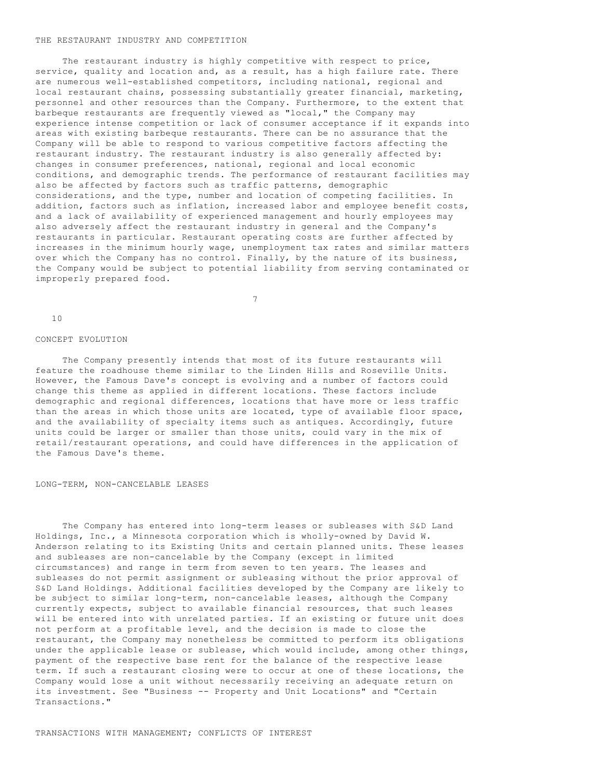### THE RESTAURANT INDUSTRY AND COMPETITION

 The restaurant industry is highly competitive with respect to price, service, quality and location and, as a result, has a high failure rate. There are numerous well-established competitors, including national, regional and local restaurant chains, possessing substantially greater financial, marketing, personnel and other resources than the Company. Furthermore, to the extent that barbeque restaurants are frequently viewed as "local," the Company may experience intense competition or lack of consumer acceptance if it expands into areas with existing barbeque restaurants. There can be no assurance that the Company will be able to respond to various competitive factors affecting the restaurant industry. The restaurant industry is also generally affected by: changes in consumer preferences, national, regional and local economic conditions, and demographic trends. The performance of restaurant facilities may also be affected by factors such as traffic patterns, demographic considerations, and the type, number and location of competing facilities. In addition, factors such as inflation, increased labor and employee benefit costs, and a lack of availability of experienced management and hourly employees may also adversely affect the restaurant industry in general and the Company's restaurants in particular. Restaurant operating costs are further affected by increases in the minimum hourly wage, unemployment tax rates and similar matters over which the Company has no control. Finally, by the nature of its business, the Company would be subject to potential liability from serving contaminated or improperly prepared food.

7

#### CONCEPT EVOLUTION

10

 The Company presently intends that most of its future restaurants will feature the roadhouse theme similar to the Linden Hills and Roseville Units. However, the Famous Dave's concept is evolving and a number of factors could change this theme as applied in different locations. These factors include demographic and regional differences, locations that have more or less traffic than the areas in which those units are located, type of available floor space, and the availability of specialty items such as antiques. Accordingly, future units could be larger or smaller than those units, could vary in the mix of retail/restaurant operations, and could have differences in the application of the Famous Dave's theme.

#### LONG-TERM, NON-CANCELABLE LEASES

 The Company has entered into long-term leases or subleases with S&D Land Holdings, Inc., a Minnesota corporation which is wholly-owned by David W. Anderson relating to its Existing Units and certain planned units. These leases and subleases are non-cancelable by the Company (except in limited circumstances) and range in term from seven to ten years. The leases and subleases do not permit assignment or subleasing without the prior approval of S&D Land Holdings. Additional facilities developed by the Company are likely to be subject to similar long-term, non-cancelable leases, although the Company currently expects, subject to available financial resources, that such leases will be entered into with unrelated parties. If an existing or future unit does not perform at a profitable level, and the decision is made to close the restaurant, the Company may nonetheless be committed to perform its obligations under the applicable lease or sublease, which would include, among other things, payment of the respective base rent for the balance of the respective lease term. If such a restaurant closing were to occur at one of these locations, the Company would lose a unit without necessarily receiving an adequate return on its investment. See "Business -- Property and Unit Locations" and "Certain Transactions."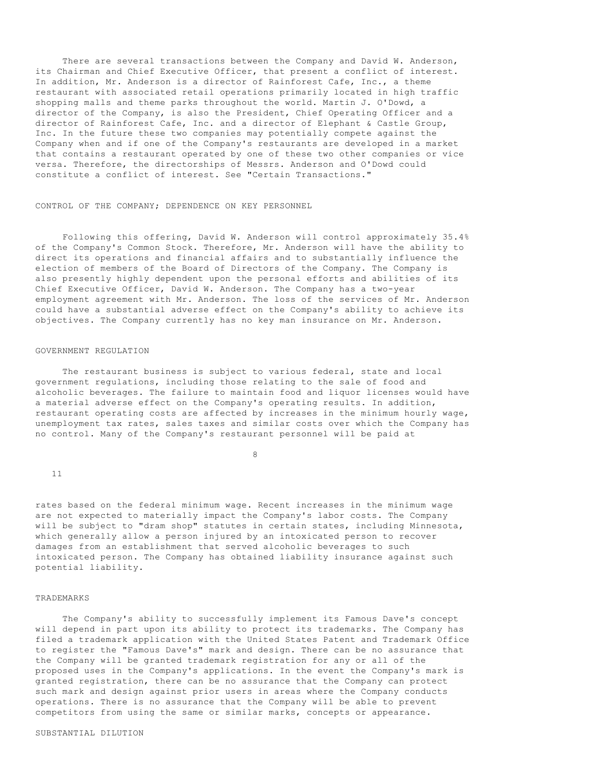There are several transactions between the Company and David W. Anderson, its Chairman and Chief Executive Officer, that present a conflict of interest. In addition, Mr. Anderson is a director of Rainforest Cafe, Inc., a theme restaurant with associated retail operations primarily located in high traffic shopping malls and theme parks throughout the world. Martin J. O'Dowd, a director of the Company, is also the President, Chief Operating Officer and a director of Rainforest Cafe, Inc. and a director of Elephant & Castle Group, Inc. In the future these two companies may potentially compete against the Company when and if one of the Company's restaurants are developed in a market that contains a restaurant operated by one of these two other companies or vice versa. Therefore, the directorships of Messrs. Anderson and O'Dowd could constitute a conflict of interest. See "Certain Transactions."

### CONTROL OF THE COMPANY; DEPENDENCE ON KEY PERSONNEL

 Following this offering, David W. Anderson will control approximately 35.4% of the Company's Common Stock. Therefore, Mr. Anderson will have the ability to direct its operations and financial affairs and to substantially influence the election of members of the Board of Directors of the Company. The Company is also presently highly dependent upon the personal efforts and abilities of its Chief Executive Officer, David W. Anderson. The Company has a two-year employment agreement with Mr. Anderson. The loss of the services of Mr. Anderson could have a substantial adverse effect on the Company's ability to achieve its objectives. The Company currently has no key man insurance on Mr. Anderson.

## GOVERNMENT REGULATION

 The restaurant business is subject to various federal, state and local government regulations, including those relating to the sale of food and alcoholic beverages. The failure to maintain food and liquor licenses would have a material adverse effect on the Company's operating results. In addition, restaurant operating costs are affected by increases in the minimum hourly wage, unemployment tax rates, sales taxes and similar costs over which the Company has no control. Many of the Company's restaurant personnel will be paid at

8

11

rates based on the federal minimum wage. Recent increases in the minimum wage are not expected to materially impact the Company's labor costs. The Company will be subject to "dram shop" statutes in certain states, including Minnesota, which generally allow a person injured by an intoxicated person to recover damages from an establishment that served alcoholic beverages to such intoxicated person. The Company has obtained liability insurance against such potential liability.

#### TRADEMARKS

 The Company's ability to successfully implement its Famous Dave's concept will depend in part upon its ability to protect its trademarks. The Company has filed a trademark application with the United States Patent and Trademark Office to register the "Famous Dave's" mark and design. There can be no assurance that the Company will be granted trademark registration for any or all of the proposed uses in the Company's applications. In the event the Company's mark is granted registration, there can be no assurance that the Company can protect such mark and design against prior users in areas where the Company conducts operations. There is no assurance that the Company will be able to prevent competitors from using the same or similar marks, concepts or appearance.

### SUBSTANTIAL DILUTION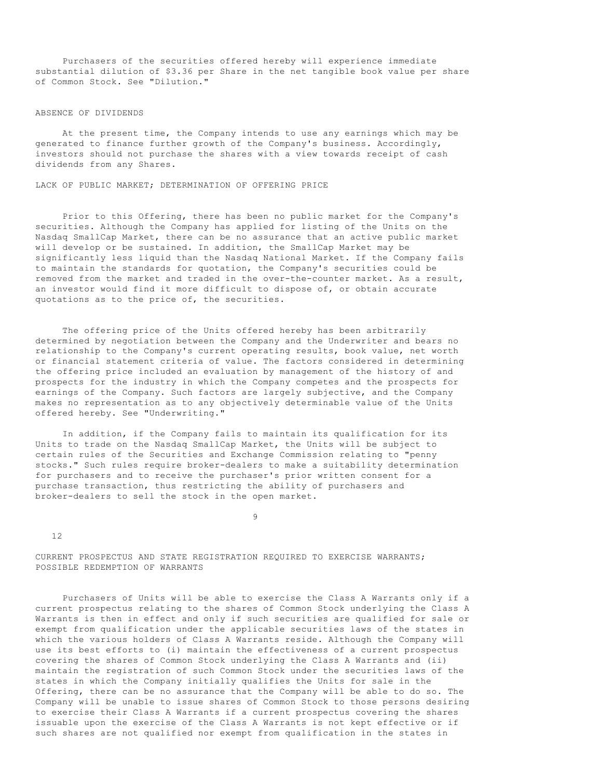Purchasers of the securities offered hereby will experience immediate substantial dilution of \$3.36 per Share in the net tangible book value per share of Common Stock. See "Dilution."

### ABSENCE OF DIVIDENDS

 At the present time, the Company intends to use any earnings which may be generated to finance further growth of the Company's business. Accordingly, investors should not purchase the shares with a view towards receipt of cash dividends from any Shares.

LACK OF PUBLIC MARKET; DETERMINATION OF OFFERING PRICE

 Prior to this Offering, there has been no public market for the Company's securities. Although the Company has applied for listing of the Units on the Nasdaq SmallCap Market, there can be no assurance that an active public market will develop or be sustained. In addition, the SmallCap Market may be significantly less liquid than the Nasdaq National Market. If the Company fails to maintain the standards for quotation, the Company's securities could be removed from the market and traded in the over-the-counter market. As a result, an investor would find it more difficult to dispose of, or obtain accurate quotations as to the price of, the securities.

 The offering price of the Units offered hereby has been arbitrarily determined by negotiation between the Company and the Underwriter and bears no relationship to the Company's current operating results, book value, net worth or financial statement criteria of value. The factors considered in determining the offering price included an evaluation by management of the history of and prospects for the industry in which the Company competes and the prospects for earnings of the Company. Such factors are largely subjective, and the Company makes no representation as to any objectively determinable value of the Units offered hereby. See "Underwriting."

 In addition, if the Company fails to maintain its qualification for its Units to trade on the Nasdaq SmallCap Market, the Units will be subject to certain rules of the Securities and Exchange Commission relating to "penny stocks." Such rules require broker-dealers to make a suitability determination for purchasers and to receive the purchaser's prior written consent for a purchase transaction, thus restricting the ability of purchasers and broker-dealers to sell the stock in the open market.

9

12

CURRENT PROSPECTUS AND STATE REGISTRATION REQUIRED TO EXERCISE WARRANTS; POSSIBLE REDEMPTION OF WARRANTS

 Purchasers of Units will be able to exercise the Class A Warrants only if a current prospectus relating to the shares of Common Stock underlying the Class A Warrants is then in effect and only if such securities are qualified for sale or exempt from qualification under the applicable securities laws of the states in which the various holders of Class A Warrants reside. Although the Company will use its best efforts to (i) maintain the effectiveness of a current prospectus covering the shares of Common Stock underlying the Class A Warrants and (ii) maintain the registration of such Common Stock under the securities laws of the states in which the Company initially qualifies the Units for sale in the Offering, there can be no assurance that the Company will be able to do so. The Company will be unable to issue shares of Common Stock to those persons desiring to exercise their Class A Warrants if a current prospectus covering the shares issuable upon the exercise of the Class A Warrants is not kept effective or if such shares are not qualified nor exempt from qualification in the states in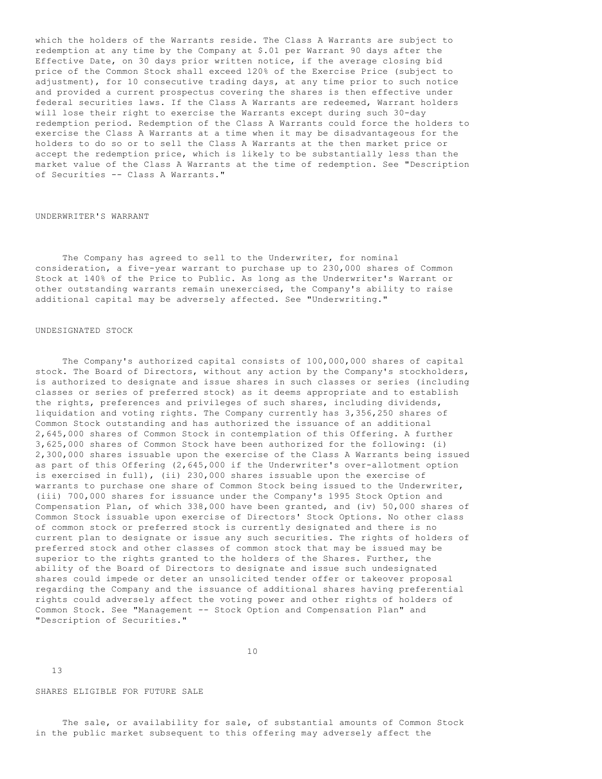which the holders of the Warrants reside. The Class A Warrants are subject to redemption at any time by the Company at \$.01 per Warrant 90 days after the Effective Date, on 30 days prior written notice, if the average closing bid price of the Common Stock shall exceed 120% of the Exercise Price (subject to adjustment), for 10 consecutive trading days, at any time prior to such notice and provided a current prospectus covering the shares is then effective under federal securities laws. If the Class A Warrants are redeemed, Warrant holders will lose their right to exercise the Warrants except during such 30-day redemption period. Redemption of the Class A Warrants could force the holders to exercise the Class A Warrants at a time when it may be disadvantageous for the holders to do so or to sell the Class A Warrants at the then market price or accept the redemption price, which is likely to be substantially less than the market value of the Class A Warrants at the time of redemption. See "Description of Securities -- Class A Warrants."

# UNDERWRITER'S WARRANT

 The Company has agreed to sell to the Underwriter, for nominal consideration, a five-year warrant to purchase up to 230,000 shares of Common Stock at 140% of the Price to Public. As long as the Underwriter's Warrant or other outstanding warrants remain unexercised, the Company's ability to raise additional capital may be adversely affected. See "Underwriting."

## UNDESIGNATED STOCK

 The Company's authorized capital consists of 100,000,000 shares of capital stock. The Board of Directors, without any action by the Company's stockholders, is authorized to designate and issue shares in such classes or series (including classes or series of preferred stock) as it deems appropriate and to establish the rights, preferences and privileges of such shares, including dividends, liquidation and voting rights. The Company currently has 3,356,250 shares of Common Stock outstanding and has authorized the issuance of an additional 2,645,000 shares of Common Stock in contemplation of this Offering. A further 3,625,000 shares of Common Stock have been authorized for the following: (i) 2,300,000 shares issuable upon the exercise of the Class A Warrants being issued as part of this Offering (2,645,000 if the Underwriter's over-allotment option is exercised in full), (ii) 230,000 shares issuable upon the exercise of warrants to purchase one share of Common Stock being issued to the Underwriter, (iii) 700,000 shares for issuance under the Company's 1995 Stock Option and Compensation Plan, of which 338,000 have been granted, and (iv) 50,000 shares of Common Stock issuable upon exercise of Directors' Stock Options. No other class of common stock or preferred stock is currently designated and there is no current plan to designate or issue any such securities. The rights of holders of preferred stock and other classes of common stock that may be issued may be superior to the rights granted to the holders of the Shares. Further, the ability of the Board of Directors to designate and issue such undesignated shares could impede or deter an unsolicited tender offer or takeover proposal regarding the Company and the issuance of additional shares having preferential rights could adversely affect the voting power and other rights of holders of Common Stock. See "Management -- Stock Option and Compensation Plan" and "Description of Securities."

10

13

SHARES ELIGIBLE FOR FUTURE SALE

 The sale, or availability for sale, of substantial amounts of Common Stock in the public market subsequent to this offering may adversely affect the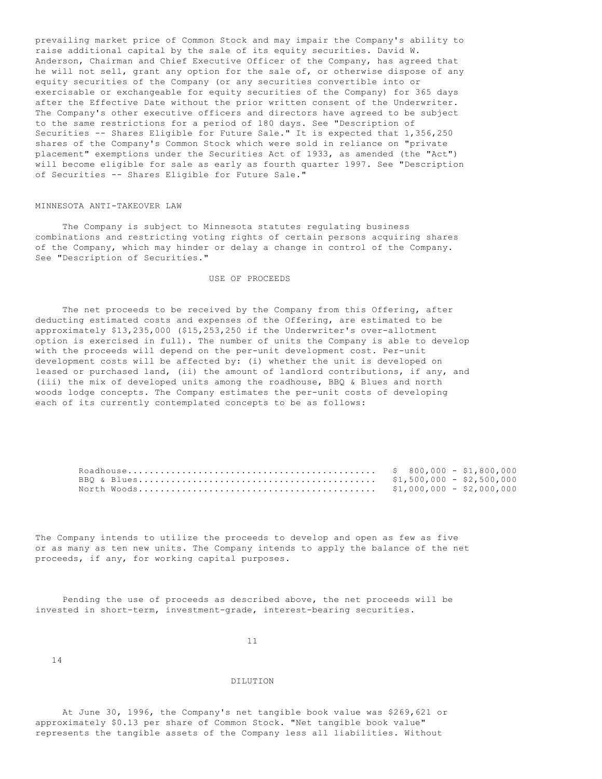prevailing market price of Common Stock and may impair the Company's ability to raise additional capital by the sale of its equity securities. David W. Anderson, Chairman and Chief Executive Officer of the Company, has agreed that he will not sell, grant any option for the sale of, or otherwise dispose of any equity securities of the Company (or any securities convertible into or exercisable or exchangeable for equity securities of the Company) for 365 days after the Effective Date without the prior written consent of the Underwriter. The Company's other executive officers and directors have agreed to be subject to the same restrictions for a period of 180 days. See "Description of Securities -- Shares Eligible for Future Sale." It is expected that 1,356,250 shares of the Company's Common Stock which were sold in reliance on "private placement" exemptions under the Securities Act of 1933, as amended (the "Act") will become eligible for sale as early as fourth quarter 1997. See "Description of Securities -- Shares Eligible for Future Sale."

### MINNESOTA ANTI-TAKEOVER LAW

 The Company is subject to Minnesota statutes regulating business combinations and restricting voting rights of certain persons acquiring shares of the Company, which may hinder or delay a change in control of the Company. See "Description of Securities."

### USE OF PROCEEDS

 The net proceeds to be received by the Company from this Offering, after deducting estimated costs and expenses of the Offering, are estimated to be approximately \$13,235,000 (\$15,253,250 if the Underwriter's over-allotment option is exercised in full). The number of units the Company is able to develop with the proceeds will depend on the per-unit development cost. Per-unit development costs will be affected by: (i) whether the unit is developed on leased or purchased land, (ii) the amount of landlord contributions, if any, and (iii) the mix of developed units among the roadhouse, BBQ & Blues and north woods lodge concepts. The Company estimates the per-unit costs of developing each of its currently contemplated concepts to be as follows:

|  |  |  | $$1,000,000 - $2,000,000$ |  |
|--|--|--|---------------------------|--|

The Company intends to utilize the proceeds to develop and open as few as five or as many as ten new units. The Company intends to apply the balance of the net proceeds, if any, for working capital purposes.

 Pending the use of proceeds as described above, the net proceeds will be invested in short-term, investment-grade, interest-bearing securities.

#### 11

14

### DILUTION

 At June 30, 1996, the Company's net tangible book value was \$269,621 or approximately \$0.13 per share of Common Stock. "Net tangible book value" represents the tangible assets of the Company less all liabilities. Without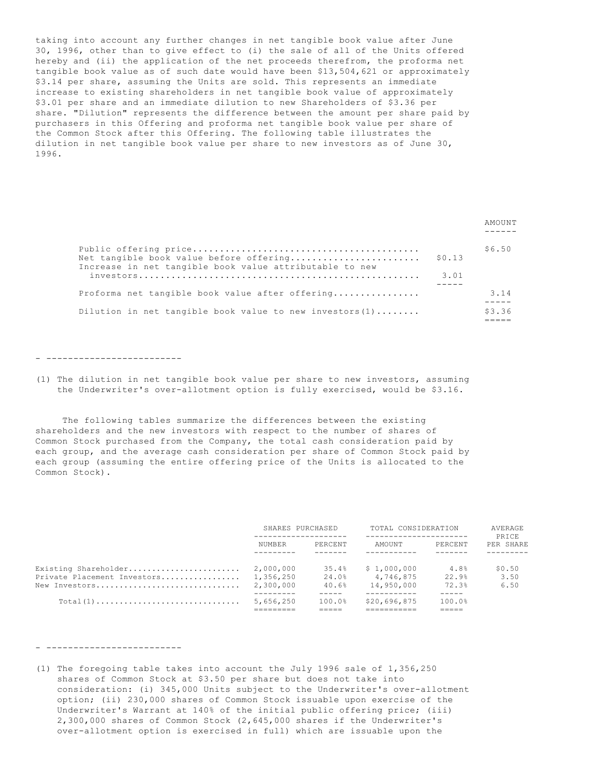taking into account any further changes in net tangible book value after June 30, 1996, other than to give effect to (i) the sale of all of the Units offered hereby and (ii) the application of the net proceeds therefrom, the proforma net tangible book value as of such date would have been \$13,504,621 or approximately \$3.14 per share, assuming the Units are sold. This represents an immediate increase to existing shareholders in net tangible book value of approximately \$3.01 per share and an immediate dilution to new Shareholders of \$3.36 per share. "Dilution" represents the difference between the amount per share paid by purchasers in this Offering and proforma net tangible book value per share of the Common Stock after this Offering. The following table illustrates the dilution in net tangible book value per share to new investors as of June 30, 1996.

|                                                                                                    |        | <b>AMOUNT</b> |
|----------------------------------------------------------------------------------------------------|--------|---------------|
| Net tangible book value before offering<br>Increase in net tangible book value attributable to new | \$0.13 | \$6.50        |
|                                                                                                    | 3.01   |               |
| Proforma net tangible book value after offering                                                    |        | 3.14          |
| Dilution in net tangible book value to new investors $(1)$                                         |        | \$3.36        |

- -------------------------

(1) The dilution in net tangible book value per share to new investors, assuming the Underwriter's over-allotment option is fully exercised, would be \$3.16.

 The following tables summarize the differences between the existing shareholders and the new investors with respect to the number of shares of Common Stock purchased from the Company, the total cash consideration paid by each group, and the average cash consideration per share of Common Stock paid by each group (assuming the entire offering price of the Units is allocated to the Common Stock).

|                                                                      | SHARES PURCHASED                    |                         | TOTAL CONSIDERATION<br>--------------------- |                        | AVERAGE<br>PRICE       |  |
|----------------------------------------------------------------------|-------------------------------------|-------------------------|----------------------------------------------|------------------------|------------------------|--|
|                                                                      | NUMBER                              | PERCENT                 | AMOUNT                                       | PERCENT                | PER SHARE              |  |
| Existing Shareholder<br>Private Placement Investors<br>New Investors | 2,000,000<br>1,356,250<br>2,300,000 | 35.4%<br>24.0%<br>40.6% | \$1,000,000<br>4,746,875<br>14,950,000       | 4.8%<br>22.9%<br>72.3% | \$0.50<br>3.50<br>6.50 |  |
| $Total(1)$                                                           | 5,656,250                           | 100.0%                  | \$20,696,875                                 | 100.0%                 |                        |  |

- -------------------------

(1) The foregoing table takes into account the July 1996 sale of 1,356,250 shares of Common Stock at \$3.50 per share but does not take into consideration: (i) 345,000 Units subject to the Underwriter's over-allotment option; (ii) 230,000 shares of Common Stock issuable upon exercise of the Underwriter's Warrant at 140% of the initial public offering price; (iii) 2,300,000 shares of Common Stock (2,645,000 shares if the Underwriter's over-allotment option is exercised in full) which are issuable upon the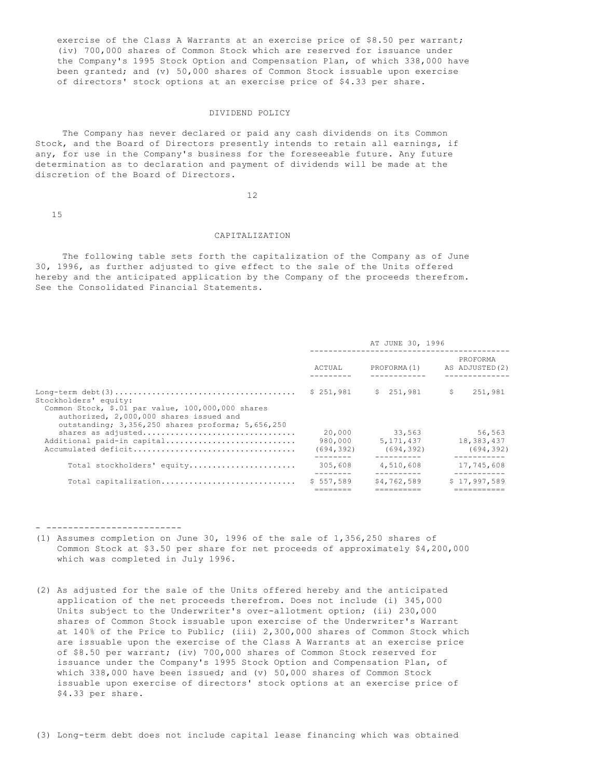exercise of the Class A Warrants at an exercise price of \$8.50 per warrant; (iv) 700,000 shares of Common Stock which are reserved for issuance under the Company's 1995 Stock Option and Compensation Plan, of which 338,000 have been granted; and (v) 50,000 shares of Common Stock issuable upon exercise of directors' stock options at an exercise price of \$4.33 per share.

## DIVIDEND POLICY

 The Company has never declared or paid any cash dividends on its Common Stock, and the Board of Directors presently intends to retain all earnings, if any, for use in the Company's business for the foreseeable future. Any future determination as to declaration and payment of dividends will be made at the discretion of the Board of Directors.

12

15

- -------------------------

#### CAPITALIZATION

 The following table sets forth the capitalization of the Company as of June 30, 1996, as further adjusted to give effect to the sale of the Units offered hereby and the anticipated application by the Company of the proceeds therefrom. See the Consolidated Financial Statements.

|                                                                                                                                                                            |                                 | AT JUNE 30, 1996                  |                                    |
|----------------------------------------------------------------------------------------------------------------------------------------------------------------------------|---------------------------------|-----------------------------------|------------------------------------|
|                                                                                                                                                                            | ACTUAL                          | PROFORMA(1)                       | PROFORMA<br>AS ADJUSTED (2)        |
| Stockholders' equity:<br>Common Stock, \$.01 par value, 100,000,000 shares<br>authorized, 2,000,000 shares issued and<br>outstanding; 3,356,250 shares proforma; 5,656,250 | \$251,981                       | \$251,981                         | -S<br>251,981                      |
| shares as adjusted<br>Additional paid-in capital                                                                                                                           | 20,000<br>980,000<br>(694, 392) | 33,563<br>5,171,437<br>(694, 392) | 56,563<br>18,383,437<br>(694, 392) |
| Total stockholders' equity                                                                                                                                                 | 305,608                         | 4,510,608                         | 17,745,608                         |
| Total capitalization                                                                                                                                                       | \$557.589                       | \$4,762,589                       | \$17.997.589                       |

(1) Assumes completion on June 30, 1996 of the sale of 1,356,250 shares of Common Stock at \$3.50 per share for net proceeds of approximately \$4,200,000 which was completed in July 1996.

(2) As adjusted for the sale of the Units offered hereby and the anticipated application of the net proceeds therefrom. Does not include (i) 345,000 Units subject to the Underwriter's over-allotment option; (ii) 230,000 shares of Common Stock issuable upon exercise of the Underwriter's Warrant at 140% of the Price to Public; (iii) 2,300,000 shares of Common Stock which are issuable upon the exercise of the Class A Warrants at an exercise price of \$8.50 per warrant; (iv) 700,000 shares of Common Stock reserved for issuance under the Company's 1995 Stock Option and Compensation Plan, of which  $338,000$  have been issued; and (v)  $50,000$  shares of Common Stock issuable upon exercise of directors' stock options at an exercise price of \$4.33 per share.

(3) Long-term debt does not include capital lease financing which was obtained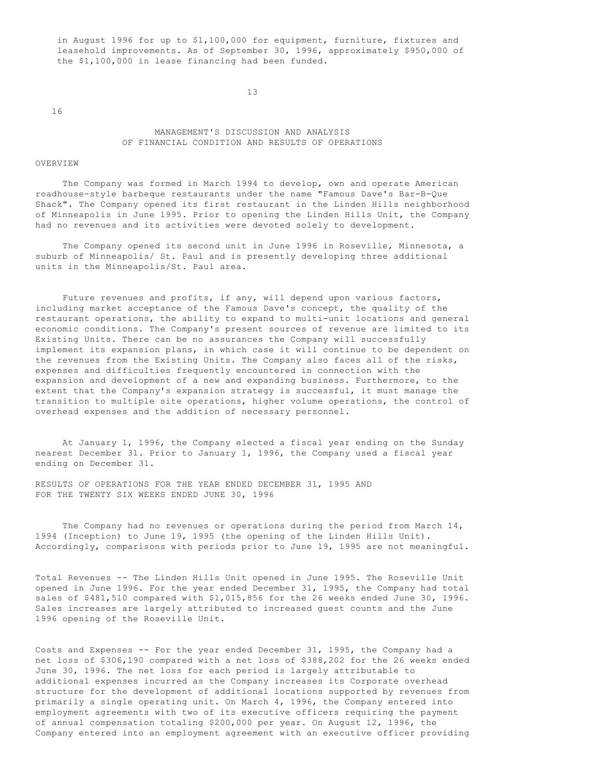in August 1996 for up to \$1,100,000 for equipment, furniture, fixtures and leasehold improvements. As of September 30, 1996, approximately \$950,000 of the \$1,100,000 in lease financing had been funded.

13

16

# MANAGEMENT'S DISCUSSION AND ANALYSIS OF FINANCIAL CONDITION AND RESULTS OF OPERATIONS

#### OVERVIEW

 The Company was formed in March 1994 to develop, own and operate American roadhouse-style barbeque restaurants under the name "Famous Dave's Bar-B-Que Shack". The Company opened its first restaurant in the Linden Hills neighborhood of Minneapolis in June 1995. Prior to opening the Linden Hills Unit, the Company had no revenues and its activities were devoted solely to development.

 The Company opened its second unit in June 1996 in Roseville, Minnesota, a suburb of Minneapolis/ St. Paul and is presently developing three additional units in the Minneapolis/St. Paul area.

 Future revenues and profits, if any, will depend upon various factors, including market acceptance of the Famous Dave's concept, the quality of the restaurant operations, the ability to expand to multi-unit locations and general economic conditions. The Company's present sources of revenue are limited to its Existing Units. There can be no assurances the Company will successfully implement its expansion plans, in which case it will continue to be dependent on the revenues from the Existing Units. The Company also faces all of the risks, expenses and difficulties frequently encountered in connection with the expansion and development of a new and expanding business. Furthermore, to the extent that the Company's expansion strategy is successful, it must manage the transition to multiple site operations, higher volume operations, the control of overhead expenses and the addition of necessary personnel.

 At January 1, 1996, the Company elected a fiscal year ending on the Sunday nearest December 31. Prior to January 1, 1996, the Company used a fiscal year ending on December 31.

RESULTS OF OPERATIONS FOR THE YEAR ENDED DECEMBER 31, 1995 AND FOR THE TWENTY SIX WEEKS ENDED JUNE 30, 1996

 The Company had no revenues or operations during the period from March 14, 1994 (Inception) to June 19, 1995 (the opening of the Linden Hills Unit). Accordingly, comparisons with periods prior to June 19, 1995 are not meaningful.

Total Revenues -- The Linden Hills Unit opened in June 1995. The Roseville Unit opened in June 1996. For the year ended December 31, 1995, the Company had total sales of \$481,510 compared with \$1,015,856 for the 26 weeks ended June 30, 1996. Sales increases are largely attributed to increased guest counts and the June 1996 opening of the Roseville Unit.

Costs and Expenses -- For the year ended December 31, 1995, the Company had a net loss of \$306,190 compared with a net loss of \$388,202 for the 26 weeks ended June 30, 1996. The net loss for each period is largely attributable to additional expenses incurred as the Company increases its Corporate overhead structure for the development of additional locations supported by revenues from primarily a single operating unit. On March 4, 1996, the Company entered into employment agreements with two of its executive officers requiring the payment of annual compensation totaling \$200,000 per year. On August 12, 1996, the Company entered into an employment agreement with an executive officer providing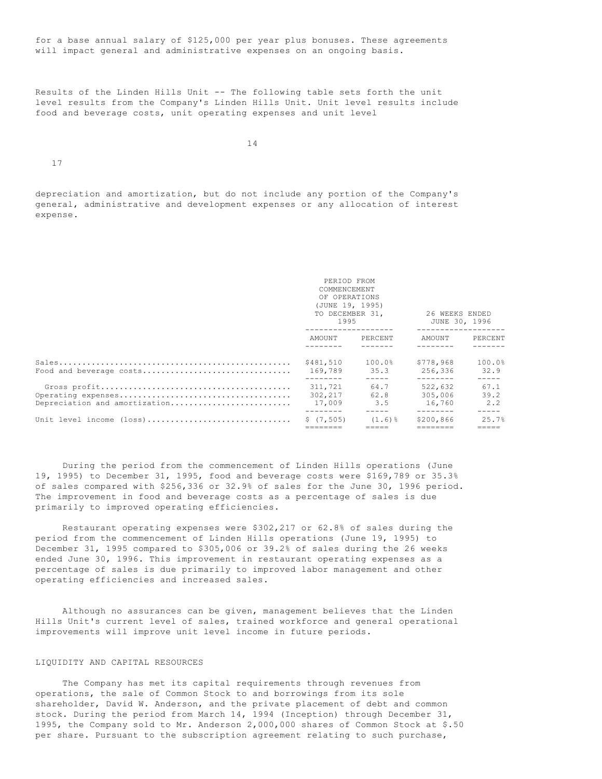for a base annual salary of \$125,000 per year plus bonuses. These agreements will impact general and administrative expenses on an ongoing basis.

Results of the Linden Hills Unit -- The following table sets forth the unit level results from the Company's Linden Hills Unit. Unit level results include food and beverage costs, unit operating expenses and unit level

14

17

depreciation and amortization, but do not include any portion of the Company's general, administrative and development expenses or any allocation of interest expense.

|                                                | PERIOD FROM<br>COMMENCEMENT<br>OF OPERATIONS<br>(JUNE 19, 1995)<br>1995 | TO DECEMBER 31,                    | 26 WEEKS ENDED<br>JUNE 30, 1996           |                                      |
|------------------------------------------------|-------------------------------------------------------------------------|------------------------------------|-------------------------------------------|--------------------------------------|
|                                                | AMOUNT PERCENT                                                          |                                    | AMOUNT                                    | PERCENT                              |
| Food and beverage costs                        | \$481,510<br>169.789<br>--------                                        | $100.0\%$<br>35.3<br>$- - - - - -$ | \$778.968<br>256,336<br>$- - - - - - - -$ | 100.0%<br>32.9<br>$- - - - -$        |
| Depreciation and amortization                  | 311,721<br>302,217<br>17,009                                            | 64.7<br>62.8<br>3.5                | 522,632<br>305,006<br>16,760              | 67.1<br>39.2<br>2.2<br>$- - - - - -$ |
| Unit level income $(\text{loss})$ \$ $(7,505)$ |                                                                         | $(1.6)$ %                          | \$200,866                                 | 25.7%                                |

 During the period from the commencement of Linden Hills operations (June 19, 1995) to December 31, 1995, food and beverage costs were \$169,789 or 35.3% of sales compared with \$256,336 or 32.9% of sales for the June 30, 1996 period. The improvement in food and beverage costs as a percentage of sales is due primarily to improved operating efficiencies.

 Restaurant operating expenses were \$302,217 or 62.8% of sales during the period from the commencement of Linden Hills operations (June 19, 1995) to December 31, 1995 compared to \$305,006 or 39.2% of sales during the 26 weeks ended June 30, 1996. This improvement in restaurant operating expenses as a percentage of sales is due primarily to improved labor management and other operating efficiencies and increased sales.

 Although no assurances can be given, management believes that the Linden Hills Unit's current level of sales, trained workforce and general operational improvements will improve unit level income in future periods.

# LIQUIDITY AND CAPITAL RESOURCES

 The Company has met its capital requirements through revenues from operations, the sale of Common Stock to and borrowings from its sole shareholder, David W. Anderson, and the private placement of debt and common stock. During the period from March 14, 1994 (Inception) through December 31, 1995, the Company sold to Mr. Anderson 2,000,000 shares of Common Stock at \$.50 per share. Pursuant to the subscription agreement relating to such purchase,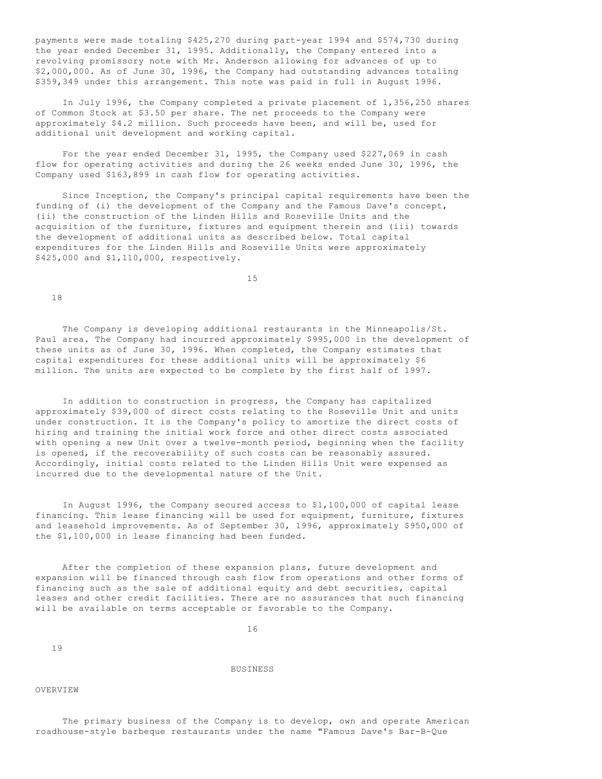payments were made totaling \$425,270 during part-year 1994 and \$574,730 during the year ended December 31, 1995. Additionally, the Company entered into a revolving promissory note with Mr. Anderson allowing for advances of up to \$2,000,000. As of June 30, 1996, the Company had outstanding advances totaling \$359,349 under this arrangement. This note was paid in full in August 1996.

 In July 1996, the Company completed a private placement of 1,356,250 shares of Common Stock at \$3.50 per share. The net proceeds to the Company were approximately \$4.2 million. Such proceeds have been, and will be, used for additional unit development and working capital.

 For the year ended December 31, 1995, the Company used \$227,069 in cash flow for operating activities and during the 26 weeks ended June 30, 1996, the Company used \$163,899 in cash flow for operating activities.

 Since Inception, the Company's principal capital requirements have been the funding of (i) the development of the Company and the Famous Dave's concept, (ii) the construction of the Linden Hills and Roseville Units and the acquisition of the furniture, fixtures and equipment therein and (iii) towards the development of additional units as described below. Total capital expenditures for the Linden Hills and Roseville Units were approximately \$425,000 and \$1,110,000, respectively.

15

18

 The Company is developing additional restaurants in the Minneapolis/St. Paul area. The Company had incurred approximately \$995,000 in the development of these units as of June 30, 1996. When completed, the Company estimates that capital expenditures for these additional units will be approximately \$6 million. The units are expected to be complete by the first half of 1997.

 In addition to construction in progress, the Company has capitalized approximately \$39,000 of direct costs relating to the Roseville Unit and units under construction. It is the Company's policy to amortize the direct costs of hiring and training the initial work force and other direct costs associated with opening a new Unit over a twelve-month period, beginning when the facility is opened, if the recoverability of such costs can be reasonably assured. Accordingly, initial costs related to the Linden Hills Unit were expensed as incurred due to the developmental nature of the Unit.

 In August 1996, the Company secured access to \$1,100,000 of capital lease financing. This lease financing will be used for equipment, furniture, fixtures and leasehold improvements. As of September 30, 1996, approximately \$950,000 of the \$1,100,000 in lease financing had been funded.

 After the completion of these expansion plans, future development and expansion will be financed through cash flow from operations and other forms of financing such as the sale of additional equity and debt securities, capital leases and other credit facilities. There are no assurances that such financing will be available on terms acceptable or favorable to the Company.

16

19

BUSINESS

#### **OVERVIEW**

 The primary business of the Company is to develop, own and operate American roadhouse-style barbeque restaurants under the name "Famous Dave's Bar-B-Que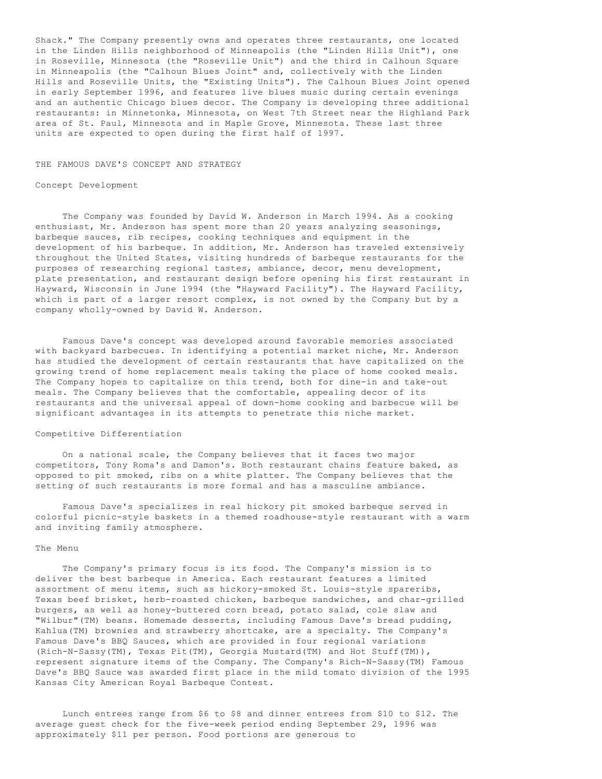Shack." The Company presently owns and operates three restaurants, one located in the Linden Hills neighborhood of Minneapolis (the "Linden Hills Unit"), one in Roseville, Minnesota (the "Roseville Unit") and the third in Calhoun Square in Minneapolis (the "Calhoun Blues Joint" and, collectively with the Linden Hills and Roseville Units, the "Existing Units"). The Calhoun Blues Joint opened in early September 1996, and features live blues music during certain evenings and an authentic Chicago blues decor. The Company is developing three additional restaurants: in Minnetonka, Minnesota, on West 7th Street near the Highland Park area of St. Paul, Minnesota and in Maple Grove, Minnesota. These last three units are expected to open during the first half of 1997.

### THE FAMOUS DAVE'S CONCEPT AND STRATEGY

### Concept Development

 The Company was founded by David W. Anderson in March 1994. As a cooking enthusiast, Mr. Anderson has spent more than 20 years analyzing seasonings, barbeque sauces, rib recipes, cooking techniques and equipment in the development of his barbeque. In addition, Mr. Anderson has traveled extensively throughout the United States, visiting hundreds of barbeque restaurants for the purposes of researching regional tastes, ambiance, decor, menu development, plate presentation, and restaurant design before opening his first restaurant in Hayward, Wisconsin in June 1994 (the "Hayward Facility"). The Hayward Facility, which is part of a larger resort complex, is not owned by the Company but by a company wholly-owned by David W. Anderson.

 Famous Dave's concept was developed around favorable memories associated with backyard barbecues. In identifying a potential market niche, Mr. Anderson has studied the development of certain restaurants that have capitalized on the growing trend of home replacement meals taking the place of home cooked meals. The Company hopes to capitalize on this trend, both for dine-in and take-out meals. The Company believes that the comfortable, appealing decor of its restaurants and the universal appeal of down-home cooking and barbecue will be significant advantages in its attempts to penetrate this niche market.

# Competitive Differentiation

 On a national scale, the Company believes that it faces two major competitors, Tony Roma's and Damon's. Both restaurant chains feature baked, as opposed to pit smoked, ribs on a white platter. The Company believes that the setting of such restaurants is more formal and has a masculine ambiance.

 Famous Dave's specializes in real hickory pit smoked barbeque served in colorful picnic-style baskets in a themed roadhouse-style restaurant with a warm and inviting family atmosphere.

#### The Menu

 The Company's primary focus is its food. The Company's mission is to deliver the best barbeque in America. Each restaurant features a limited assortment of menu items, such as hickory-smoked St. Louis-style spareribs, Texas beef brisket, herb-roasted chicken, barbeque sandwiches, and char-grilled burgers, as well as honey-buttered corn bread, potato salad, cole slaw and "Wilbur"(TM) beans. Homemade desserts, including Famous Dave's bread pudding, Kahlua(TM) brownies and strawberry shortcake, are a specialty. The Company's Famous Dave's BBQ Sauces, which are provided in four regional variations (Rich-N-Sassy(TM), Texas Pit(TM), Georgia Mustard(TM) and Hot Stuff(TM)), represent signature items of the Company. The Company's Rich-N-Sassy(TM) Famous Dave's BBQ Sauce was awarded first place in the mild tomato division of the 1995 Kansas City American Royal Barbeque Contest.

 Lunch entrees range from \$6 to \$8 and dinner entrees from \$10 to \$12. The average guest check for the five-week period ending September 29, 1996 was approximately \$11 per person. Food portions are generous to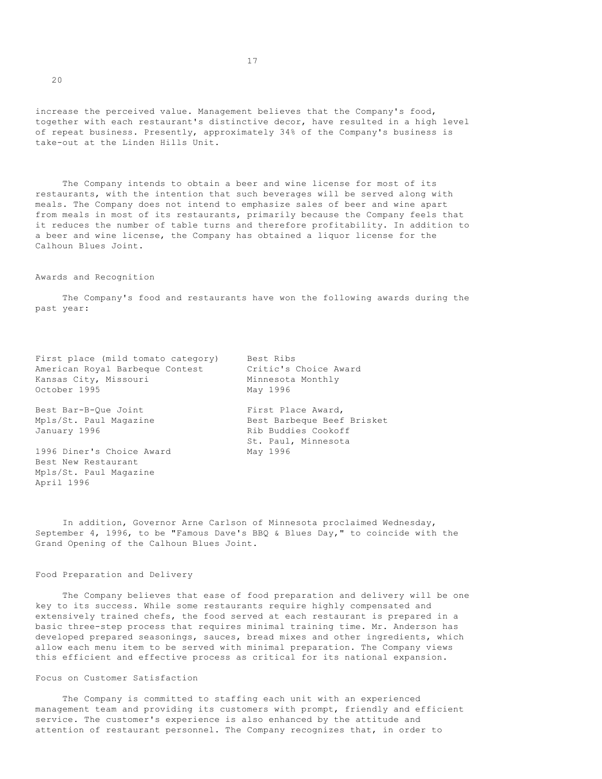increase the perceived value. Management believes that the Company's food, together with each restaurant's distinctive decor, have resulted in a high level of repeat business. Presently, approximately 34% of the Company's business is take-out at the Linden Hills Unit.

 The Company intends to obtain a beer and wine license for most of its restaurants, with the intention that such beverages will be served along with meals. The Company does not intend to emphasize sales of beer and wine apart from meals in most of its restaurants, primarily because the Company feels that it reduces the number of table turns and therefore profitability. In addition to a beer and wine license, the Company has obtained a liquor license for the Calhoun Blues Joint.

#### Awards and Recognition

 The Company's food and restaurants have won the following awards during the past year:

First place (mild tomato category) Best Ribs American Royal Barbeque Contest Critic's Choice Award Kansas City, Missouri Minnesota Monthly October 1995 May 1996

January 1996 **Rib Buddies Cookoff** 

1996 Diner's Choice Award May 1996 Best New Restaurant Mpls/St. Paul Magazine April 1996

Best Bar-B-Que Joint First Place Award, Mpls/St. Paul Magazine Best Barbeque Beef Brisket St. Paul, Minnesota

 In addition, Governor Arne Carlson of Minnesota proclaimed Wednesday, September 4, 1996, to be "Famous Dave's BBQ & Blues Day," to coincide with the Grand Opening of the Calhoun Blues Joint.

### Food Preparation and Delivery

 The Company believes that ease of food preparation and delivery will be one key to its success. While some restaurants require highly compensated and extensively trained chefs, the food served at each restaurant is prepared in a basic three-step process that requires minimal training time. Mr. Anderson has developed prepared seasonings, sauces, bread mixes and other ingredients, which allow each menu item to be served with minimal preparation. The Company views this efficient and effective process as critical for its national expansion.

Focus on Customer Satisfaction

 The Company is committed to staffing each unit with an experienced management team and providing its customers with prompt, friendly and efficient service. The customer's experience is also enhanced by the attitude and attention of restaurant personnel. The Company recognizes that, in order to

 $20$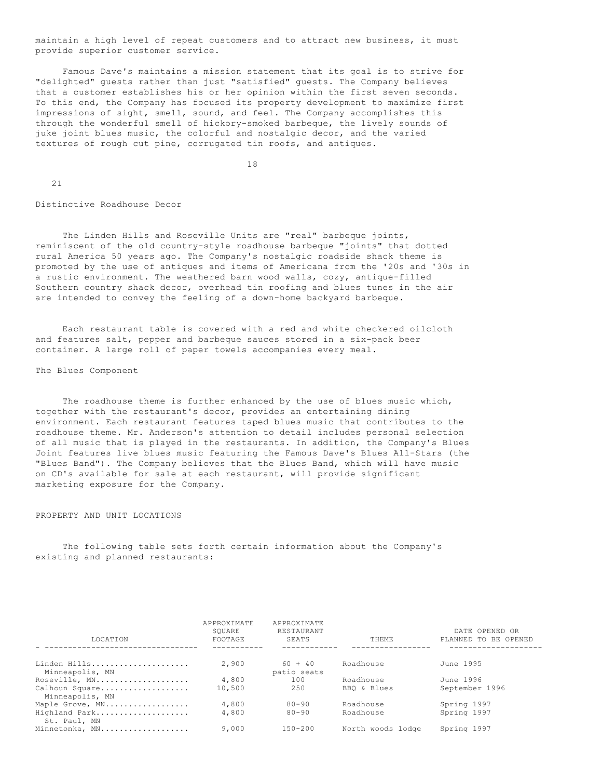maintain a high level of repeat customers and to attract new business, it must provide superior customer service.

 Famous Dave's maintains a mission statement that its goal is to strive for "delighted" guests rather than just "satisfied" guests. The Company believes that a customer establishes his or her opinion within the first seven seconds. To this end, the Company has focused its property development to maximize first impressions of sight, smell, sound, and feel. The Company accomplishes this through the wonderful smell of hickory-smoked barbeque, the lively sounds of juke joint blues music, the colorful and nostalgic decor, and the varied textures of rough cut pine, corrugated tin roofs, and antiques.

18

21

Distinctive Roadhouse Decor

 The Linden Hills and Roseville Units are "real" barbeque joints, reminiscent of the old country-style roadhouse barbeque "joints" that dotted rural America 50 years ago. The Company's nostalgic roadside shack theme is promoted by the use of antiques and items of Americana from the '20s and '30s in a rustic environment. The weathered barn wood walls, cozy, antique-filled Southern country shack decor, overhead tin roofing and blues tunes in the air are intended to convey the feeling of a down-home backyard barbeque.

 Each restaurant table is covered with a red and white checkered oilcloth and features salt, pepper and barbeque sauces stored in a six-pack beer container. A large roll of paper towels accompanies every meal.

The Blues Component

 The roadhouse theme is further enhanced by the use of blues music which, together with the restaurant's decor, provides an entertaining dining environment. Each restaurant features taped blues music that contributes to the roadhouse theme. Mr. Anderson's attention to detail includes personal selection of all music that is played in the restaurants. In addition, the Company's Blues Joint features live blues music featuring the Famous Dave's Blues All-Stars (the "Blues Band"). The Company believes that the Blues Band, which will have music on CD's available for sale at each restaurant, will provide significant marketing exposure for the Company.

# PROPERTY AND UNIT LOCATIONS

 The following table sets forth certain information about the Company's existing and planned restaurants:

| <b>LOCATION</b>                   | APPROXIMATE<br>SOUARE<br>FOOTAGE | APPROXIMATE<br>RESTAURANT<br><b>SEATS</b> | <b>THEME</b>      | DATE OPENED OR<br>PLANNED TO BE OPENED |
|-----------------------------------|----------------------------------|-------------------------------------------|-------------------|----------------------------------------|
| Linden Hills                      | 2,900                            | $60 + 40$                                 | Roadhouse         | June 1995                              |
| Minneapolis, MN                   |                                  | patio seats                               |                   |                                        |
| Roseville, MN                     | 4,800                            | 100                                       | Roadhouse         | June 1996                              |
| Calhoun Square<br>Minneapolis, MN | 10,500                           | 250                                       | BBO & Blues       | September 1996                         |
| Maple Grove, MN                   | 4,800                            | $80 - 90$                                 | Roadhouse         | Spring 1997                            |
| Highland Park<br>St. Paul, MN     | 4,800                            | $80 - 90$                                 | Roadhouse         | Spring 1997                            |
| Minnetonka, MN                    | 9,000                            | $150 - 200$                               | North woods lodge | Spring 1997                            |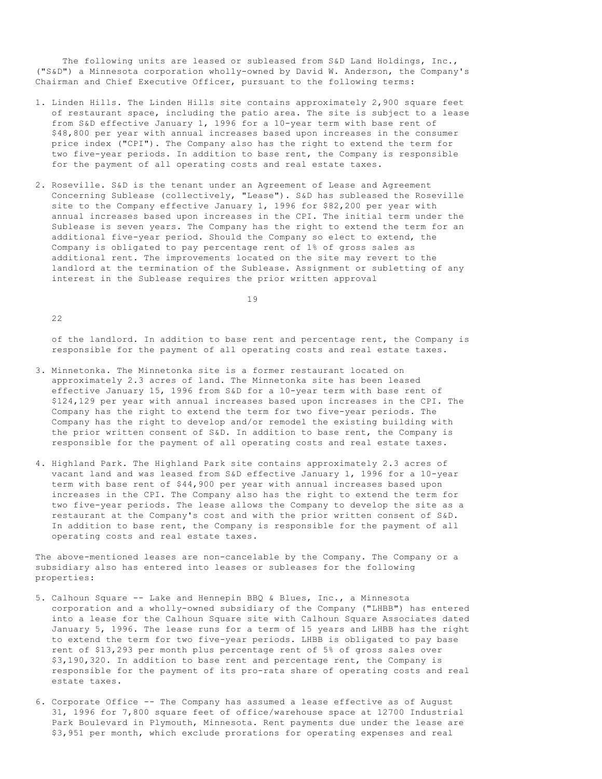The following units are leased or subleased from S&D Land Holdings, Inc., ("S&D") a Minnesota corporation wholly-owned by David W. Anderson, the Company's Chairman and Chief Executive Officer, pursuant to the following terms:

- 1. Linden Hills. The Linden Hills site contains approximately 2,900 square feet of restaurant space, including the patio area. The site is subject to a lease from S&D effective January 1, 1996 for a 10-year term with base rent of \$48,800 per year with annual increases based upon increases in the consumer price index ("CPI"). The Company also has the right to extend the term for two five-year periods. In addition to base rent, the Company is responsible for the payment of all operating costs and real estate taxes.
- 2. Roseville. S&D is the tenant under an Agreement of Lease and Agreement Concerning Sublease (collectively, "Lease"). S&D has subleased the Roseville site to the Company effective January 1, 1996 for \$82,200 per year with annual increases based upon increases in the CPI. The initial term under the Sublease is seven years. The Company has the right to extend the term for an additional five-year period. Should the Company so elect to extend, the Company is obligated to pay percentage rent of 1% of gross sales as additional rent. The improvements located on the site may revert to the landlord at the termination of the Sublease. Assignment or subletting of any interest in the Sublease requires the prior written approval

19

 $22$ 

 of the landlord. In addition to base rent and percentage rent, the Company is responsible for the payment of all operating costs and real estate taxes.

- 3. Minnetonka. The Minnetonka site is a former restaurant located on approximately 2.3 acres of land. The Minnetonka site has been leased effective January 15, 1996 from S&D for a 10-year term with base rent of \$124,129 per year with annual increases based upon increases in the CPI. The Company has the right to extend the term for two five-year periods. The Company has the right to develop and/or remodel the existing building with the prior written consent of S&D. In addition to base rent, the Company is responsible for the payment of all operating costs and real estate taxes.
- 4. Highland Park. The Highland Park site contains approximately 2.3 acres of vacant land and was leased from S&D effective January 1, 1996 for a 10-year term with base rent of \$44,900 per year with annual increases based upon increases in the CPI. The Company also has the right to extend the term for two five-year periods. The lease allows the Company to develop the site as a restaurant at the Company's cost and with the prior written consent of S&D. In addition to base rent, the Company is responsible for the payment of all operating costs and real estate taxes.

The above-mentioned leases are non-cancelable by the Company. The Company or a subsidiary also has entered into leases or subleases for the following properties:

- 5. Calhoun Square -- Lake and Hennepin BBQ & Blues, Inc., a Minnesota corporation and a wholly-owned subsidiary of the Company ("LHBB") has entered into a lease for the Calhoun Square site with Calhoun Square Associates dated January 5, 1996. The lease runs for a term of 15 years and LHBB has the right to extend the term for two five-year periods. LHBB is obligated to pay base rent of \$13,293 per month plus percentage rent of 5% of gross sales over \$3,190,320. In addition to base rent and percentage rent, the Company is responsible for the payment of its pro-rata share of operating costs and real estate taxes.
- 6. Corporate Office -- The Company has assumed a lease effective as of August 31, 1996 for 7,800 square feet of office/warehouse space at 12700 Industrial Park Boulevard in Plymouth, Minnesota. Rent payments due under the lease are \$3,951 per month, which exclude prorations for operating expenses and real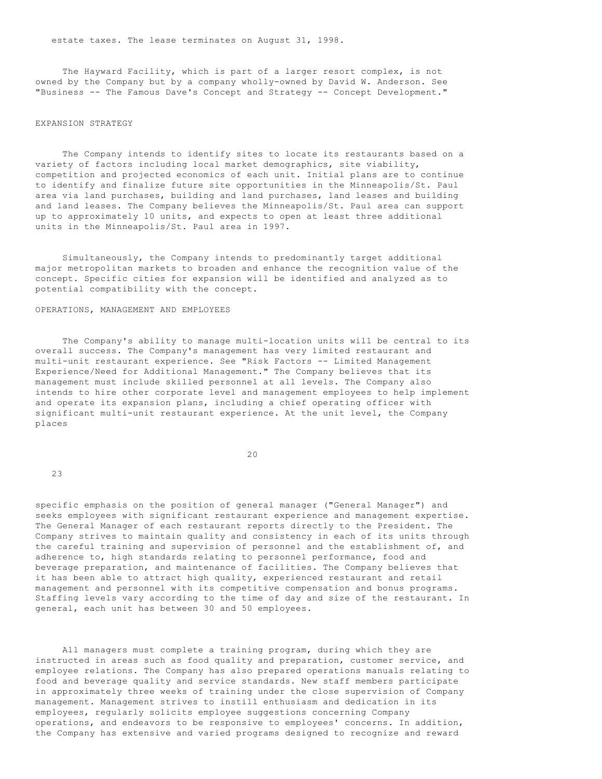estate taxes. The lease terminates on August 31, 1998.

 The Hayward Facility, which is part of a larger resort complex, is not owned by the Company but by a company wholly-owned by David W. Anderson. See "Business -- The Famous Dave's Concept and Strategy -- Concept Development."

## EXPANSION STRATEGY

 The Company intends to identify sites to locate its restaurants based on a variety of factors including local market demographics, site viability, competition and projected economics of each unit. Initial plans are to continue to identify and finalize future site opportunities in the Minneapolis/St. Paul area via land purchases, building and land purchases, land leases and building and land leases. The Company believes the Minneapolis/St. Paul area can support up to approximately 10 units, and expects to open at least three additional units in the Minneapolis/St. Paul area in 1997.

 Simultaneously, the Company intends to predominantly target additional major metropolitan markets to broaden and enhance the recognition value of the concept. Specific cities for expansion will be identified and analyzed as to potential compatibility with the concept.

# OPERATIONS, MANAGEMENT AND EMPLOYEES

 The Company's ability to manage multi-location units will be central to its overall success. The Company's management has very limited restaurant and multi-unit restaurant experience. See "Risk Factors -- Limited Management Experience/Need for Additional Management." The Company believes that its management must include skilled personnel at all levels. The Company also intends to hire other corporate level and management employees to help implement and operate its expansion plans, including a chief operating officer with significant multi-unit restaurant experience. At the unit level, the Company places

20

23

specific emphasis on the position of general manager ("General Manager") and seeks employees with significant restaurant experience and management expertise. The General Manager of each restaurant reports directly to the President. The Company strives to maintain quality and consistency in each of its units through the careful training and supervision of personnel and the establishment of, and adherence to, high standards relating to personnel performance, food and beverage preparation, and maintenance of facilities. The Company believes that it has been able to attract high quality, experienced restaurant and retail management and personnel with its competitive compensation and bonus programs. Staffing levels vary according to the time of day and size of the restaurant. In general, each unit has between 30 and 50 employees.

 All managers must complete a training program, during which they are instructed in areas such as food quality and preparation, customer service, and employee relations. The Company has also prepared operations manuals relating to food and beverage quality and service standards. New staff members participate in approximately three weeks of training under the close supervision of Company management. Management strives to instill enthusiasm and dedication in its employees, regularly solicits employee suggestions concerning Company operations, and endeavors to be responsive to employees' concerns. In addition, the Company has extensive and varied programs designed to recognize and reward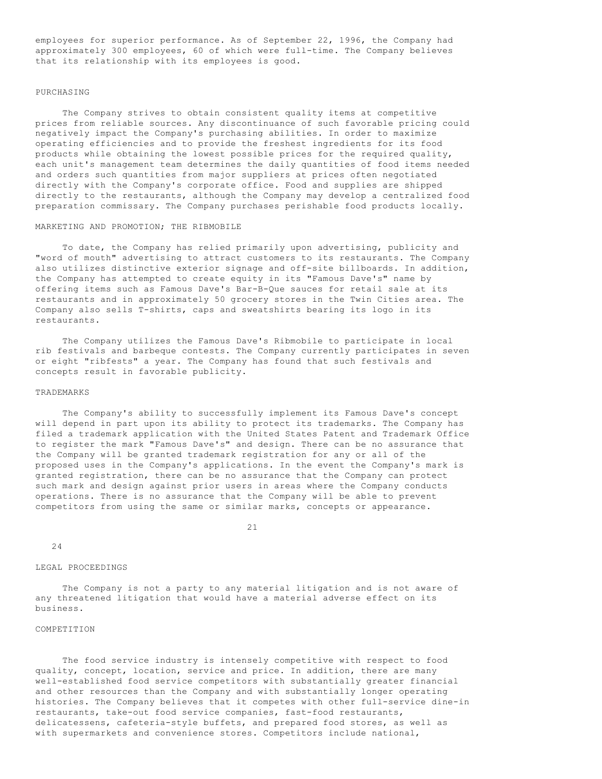employees for superior performance. As of September 22, 1996, the Company had approximately 300 employees, 60 of which were full-time. The Company believes that its relationship with its employees is good.

# PURCHASING

 The Company strives to obtain consistent quality items at competitive prices from reliable sources. Any discontinuance of such favorable pricing could negatively impact the Company's purchasing abilities. In order to maximize operating efficiencies and to provide the freshest ingredients for its food products while obtaining the lowest possible prices for the required quality, each unit's management team determines the daily quantities of food items needed and orders such quantities from major suppliers at prices often negotiated directly with the Company's corporate office. Food and supplies are shipped directly to the restaurants, although the Company may develop a centralized food preparation commissary. The Company purchases perishable food products locally.

# MARKETING AND PROMOTION; THE RIBMOBILE

 To date, the Company has relied primarily upon advertising, publicity and "word of mouth" advertising to attract customers to its restaurants. The Company also utilizes distinctive exterior signage and off-site billboards. In addition, the Company has attempted to create equity in its "Famous Dave's" name by offering items such as Famous Dave's Bar-B-Que sauces for retail sale at its restaurants and in approximately 50 grocery stores in the Twin Cities area. The Company also sells T-shirts, caps and sweatshirts bearing its logo in its restaurants.

 The Company utilizes the Famous Dave's Ribmobile to participate in local rib festivals and barbeque contests. The Company currently participates in seven or eight "ribfests" a year. The Company has found that such festivals and concepts result in favorable publicity.

## TRADEMARKS

 The Company's ability to successfully implement its Famous Dave's concept will depend in part upon its ability to protect its trademarks. The Company has filed a trademark application with the United States Patent and Trademark Office to register the mark "Famous Dave's" and design. There can be no assurance that the Company will be granted trademark registration for any or all of the proposed uses in the Company's applications. In the event the Company's mark is granted registration, there can be no assurance that the Company can protect such mark and design against prior users in areas where the Company conducts operations. There is no assurance that the Company will be able to prevent competitors from using the same or similar marks, concepts or appearance.

21

24

# LEGAL PROCEEDINGS

 The Company is not a party to any material litigation and is not aware of any threatened litigation that would have a material adverse effect on its business.

### COMPETITION

 The food service industry is intensely competitive with respect to food quality, concept, location, service and price. In addition, there are many well-established food service competitors with substantially greater financial and other resources than the Company and with substantially longer operating histories. The Company believes that it competes with other full-service dine-in restaurants, take-out food service companies, fast-food restaurants, delicatessens, cafeteria-style buffets, and prepared food stores, as well as with supermarkets and convenience stores. Competitors include national,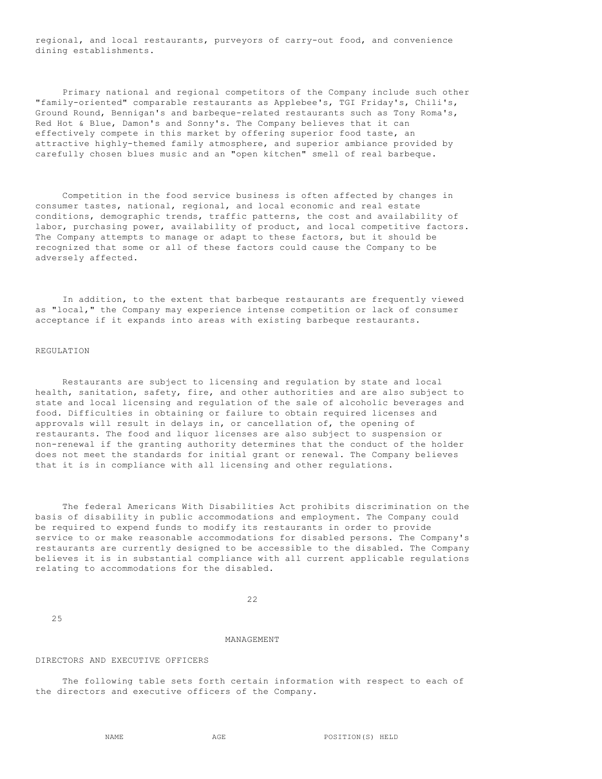regional, and local restaurants, purveyors of carry-out food, and convenience dining establishments.

 Primary national and regional competitors of the Company include such other "family-oriented" comparable restaurants as Applebee's, TGI Friday's, Chili's, Ground Round, Bennigan's and barbeque-related restaurants such as Tony Roma's, Red Hot & Blue, Damon's and Sonny's. The Company believes that it can effectively compete in this market by offering superior food taste, an attractive highly-themed family atmosphere, and superior ambiance provided by carefully chosen blues music and an "open kitchen" smell of real barbeque.

 Competition in the food service business is often affected by changes in consumer tastes, national, regional, and local economic and real estate conditions, demographic trends, traffic patterns, the cost and availability of labor, purchasing power, availability of product, and local competitive factors. The Company attempts to manage or adapt to these factors, but it should be recognized that some or all of these factors could cause the Company to be adversely affected.

 In addition, to the extent that barbeque restaurants are frequently viewed as "local," the Company may experience intense competition or lack of consumer acceptance if it expands into areas with existing barbeque restaurants.

# REGULATION

 Restaurants are subject to licensing and regulation by state and local health, sanitation, safety, fire, and other authorities and are also subject to state and local licensing and regulation of the sale of alcoholic beverages and food. Difficulties in obtaining or failure to obtain required licenses and approvals will result in delays in, or cancellation of, the opening of restaurants. The food and liquor licenses are also subject to suspension or non-renewal if the granting authority determines that the conduct of the holder does not meet the standards for initial grant or renewal. The Company believes that it is in compliance with all licensing and other regulations.

 The federal Americans With Disabilities Act prohibits discrimination on the basis of disability in public accommodations and employment. The Company could be required to expend funds to modify its restaurants in order to provide service to or make reasonable accommodations for disabled persons. The Company's restaurants are currently designed to be accessible to the disabled. The Company believes it is in substantial compliance with all current applicable regulations relating to accommodations for the disabled.

22

25

## MANAGEMENT

# DIRECTORS AND EXECUTIVE OFFICERS

 The following table sets forth certain information with respect to each of the directors and executive officers of the Company.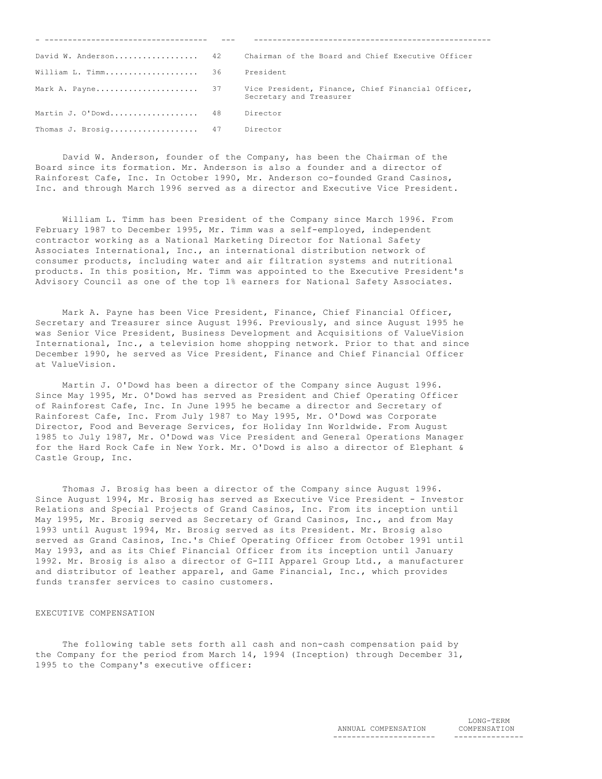|                              | David W. Anderson 42 Chairman of the Board and Chief Executive Officer |
|------------------------------|------------------------------------------------------------------------|
| William L. Timm 36           | President                                                              |
|                              | Secretary and Treasurer                                                |
| Martin J. O'Dowd 48          | Director                                                               |
| Thomas J. Brosig 47 Director |                                                                        |

 David W. Anderson, founder of the Company, has been the Chairman of the Board since its formation. Mr. Anderson is also a founder and a director of Rainforest Cafe, Inc. In October 1990, Mr. Anderson co-founded Grand Casinos, Inc. and through March 1996 served as a director and Executive Vice President.

 William L. Timm has been President of the Company since March 1996. From February 1987 to December 1995, Mr. Timm was a self-employed, independent contractor working as a National Marketing Director for National Safety Associates International, Inc., an international distribution network of consumer products, including water and air filtration systems and nutritional products. In this position, Mr. Timm was appointed to the Executive President's Advisory Council as one of the top 1% earners for National Safety Associates.

 Mark A. Payne has been Vice President, Finance, Chief Financial Officer, Secretary and Treasurer since August 1996. Previously, and since August 1995 he was Senior Vice President, Business Development and Acquisitions of ValueVision International, Inc., a television home shopping network. Prior to that and since December 1990, he served as Vice President, Finance and Chief Financial Officer at ValueVision.

 Martin J. O'Dowd has been a director of the Company since August 1996. Since May 1995, Mr. O'Dowd has served as President and Chief Operating Officer of Rainforest Cafe, Inc. In June 1995 he became a director and Secretary of Rainforest Cafe, Inc. From July 1987 to May 1995, Mr. O'Dowd was Corporate Director, Food and Beverage Services, for Holiday Inn Worldwide. From August 1985 to July 1987, Mr. O'Dowd was Vice President and General Operations Manager for the Hard Rock Cafe in New York. Mr. O'Dowd is also a director of Elephant & Castle Group, Inc.

 Thomas J. Brosig has been a director of the Company since August 1996. Since August 1994, Mr. Brosig has served as Executive Vice President - Investor Relations and Special Projects of Grand Casinos, Inc. From its inception until May 1995, Mr. Brosig served as Secretary of Grand Casinos, Inc., and from May 1993 until August 1994, Mr. Brosig served as its President. Mr. Brosig also served as Grand Casinos, Inc.'s Chief Operating Officer from October 1991 until May 1993, and as its Chief Financial Officer from its inception until January 1992. Mr. Brosig is also a director of G-III Apparel Group Ltd., a manufacturer and distributor of leather apparel, and Game Financial, Inc., which provides funds transfer services to casino customers.

### EXECUTIVE COMPENSATION

 The following table sets forth all cash and non-cash compensation paid by the Company for the period from March 14, 1994 (Inception) through December 31, 1995 to the Company's executive officer: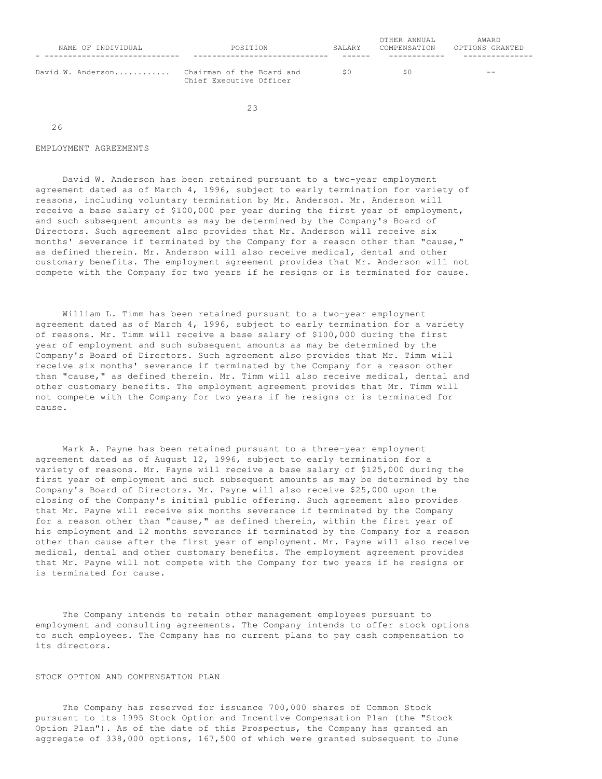| NAME OF INDIVIDUAL | POSITION                                             | SALARY |    | AWARD<br>OPTIONS GRANTED |  |
|--------------------|------------------------------------------------------|--------|----|--------------------------|--|
| David W. Anderson  | Chairman of the Board and<br>Chief Executive Officer | SΩ     | SΩ | $ -$                     |  |

23

26

#### EMPLOYMENT AGREEMENTS

 David W. Anderson has been retained pursuant to a two-year employment agreement dated as of March 4, 1996, subject to early termination for variety of reasons, including voluntary termination by Mr. Anderson. Mr. Anderson will receive a base salary of \$100,000 per year during the first year of employment, and such subsequent amounts as may be determined by the Company's Board of Directors. Such agreement also provides that Mr. Anderson will receive six months' severance if terminated by the Company for a reason other than "cause," as defined therein. Mr. Anderson will also receive medical, dental and other customary benefits. The employment agreement provides that Mr. Anderson will not compete with the Company for two years if he resigns or is terminated for cause.

 William L. Timm has been retained pursuant to a two-year employment agreement dated as of March 4, 1996, subject to early termination for a variety of reasons. Mr. Timm will receive a base salary of \$100,000 during the first year of employment and such subsequent amounts as may be determined by the Company's Board of Directors. Such agreement also provides that Mr. Timm will receive six months' severance if terminated by the Company for a reason other than "cause," as defined therein. Mr. Timm will also receive medical, dental and other customary benefits. The employment agreement provides that Mr. Timm will not compete with the Company for two years if he resigns or is terminated for cause.

 Mark A. Payne has been retained pursuant to a three-year employment agreement dated as of August 12, 1996, subject to early termination for a variety of reasons. Mr. Payne will receive a base salary of \$125,000 during the first year of employment and such subsequent amounts as may be determined by the Company's Board of Directors. Mr. Payne will also receive \$25,000 upon the closing of the Company's initial public offering. Such agreement also provides that Mr. Payne will receive six months severance if terminated by the Company for a reason other than "cause," as defined therein, within the first year of his employment and 12 months severance if terminated by the Company for a reason other than cause after the first year of employment. Mr. Payne will also receive medical, dental and other customary benefits. The employment agreement provides that Mr. Payne will not compete with the Company for two years if he resigns or is terminated for cause.

 The Company intends to retain other management employees pursuant to employment and consulting agreements. The Company intends to offer stock options to such employees. The Company has no current plans to pay cash compensation to its directors.

# STOCK OPTION AND COMPENSATION PLAN

 The Company has reserved for issuance 700,000 shares of Common Stock pursuant to its 1995 Stock Option and Incentive Compensation Plan (the "Stock Option Plan"). As of the date of this Prospectus, the Company has granted an aggregate of 338,000 options, 167,500 of which were granted subsequent to June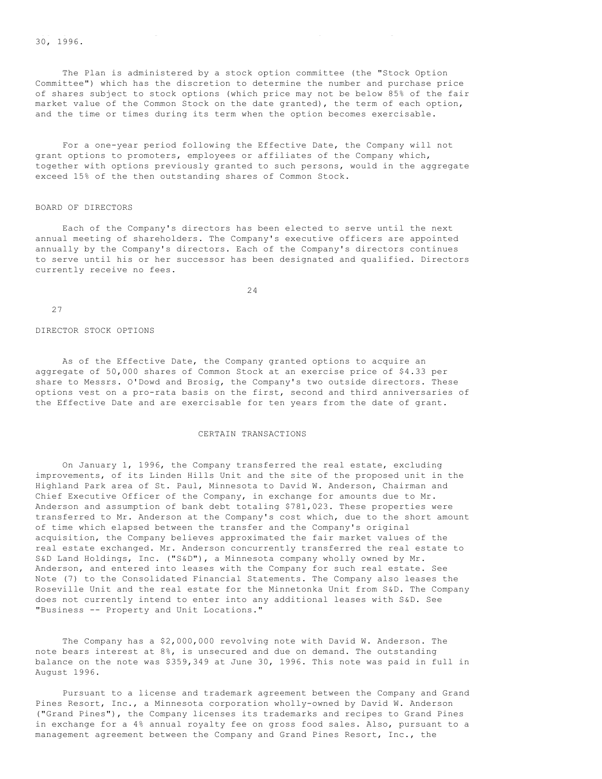30, 1996.

 The Plan is administered by a stock option committee (the "Stock Option Committee") which has the discretion to determine the number and purchase price of shares subject to stock options (which price may not be below 85% of the fair market value of the Common Stock on the date granted), the term of each option, and the time or times during its term when the option becomes exercisable.

aggregate of 338,000 options, 167,500 options, 167,500 options, 167,500 of which were granted subsequent to Ju

 For a one-year period following the Effective Date, the Company will not grant options to promoters, employees or affiliates of the Company which, together with options previously granted to such persons, would in the aggregate exceed 15% of the then outstanding shares of Common Stock.

#### BOARD OF DIRECTORS

 Each of the Company's directors has been elected to serve until the next annual meeting of shareholders. The Company's executive officers are appointed annually by the Company's directors. Each of the Company's directors continues to serve until his or her successor has been designated and qualified. Directors currently receive no fees.

24

27

# DIRECTOR STOCK OPTIONS

 As of the Effective Date, the Company granted options to acquire an aggregate of 50,000 shares of Common Stock at an exercise price of \$4.33 per share to Messrs. O'Dowd and Brosig, the Company's two outside directors. These options vest on a pro-rata basis on the first, second and third anniversaries of the Effective Date and are exercisable for ten years from the date of grant.

# CERTAIN TRANSACTIONS

 On January 1, 1996, the Company transferred the real estate, excluding improvements, of its Linden Hills Unit and the site of the proposed unit in the Highland Park area of St. Paul, Minnesota to David W. Anderson, Chairman and Chief Executive Officer of the Company, in exchange for amounts due to Mr. Anderson and assumption of bank debt totaling \$781,023. These properties were transferred to Mr. Anderson at the Company's cost which, due to the short amount of time which elapsed between the transfer and the Company's original acquisition, the Company believes approximated the fair market values of the real estate exchanged. Mr. Anderson concurrently transferred the real estate to S&D Land Holdings, Inc. ("S&D"), a Minnesota company wholly owned by Mr. Anderson, and entered into leases with the Company for such real estate. See Note (7) to the Consolidated Financial Statements. The Company also leases the Roseville Unit and the real estate for the Minnetonka Unit from S&D. The Company does not currently intend to enter into any additional leases with S&D. See "Business -- Property and Unit Locations."

 The Company has a \$2,000,000 revolving note with David W. Anderson. The note bears interest at 8%, is unsecured and due on demand. The outstanding balance on the note was \$359,349 at June 30, 1996. This note was paid in full in August 1996.

 Pursuant to a license and trademark agreement between the Company and Grand Pines Resort, Inc., a Minnesota corporation wholly-owned by David W. Anderson ("Grand Pines"), the Company licenses its trademarks and recipes to Grand Pines in exchange for a 4% annual royalty fee on gross food sales. Also, pursuant to a management agreement between the Company and Grand Pines Resort, Inc., the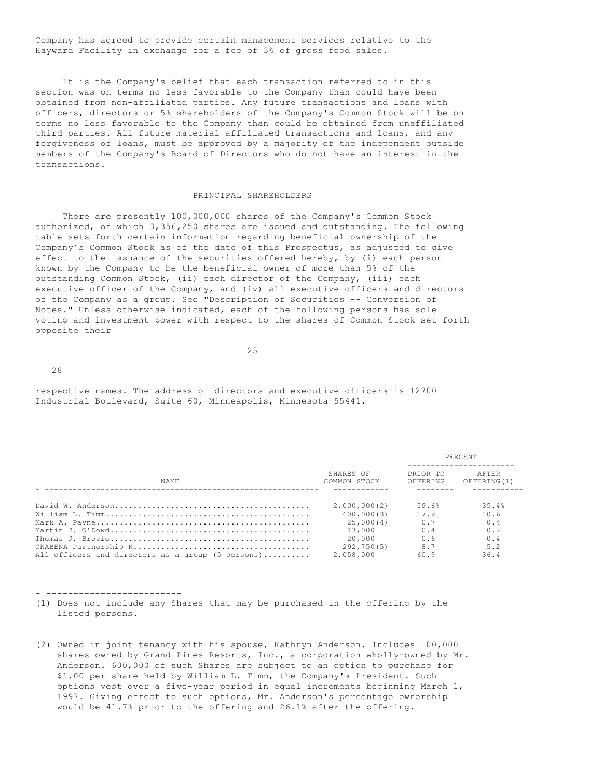Company has agreed to provide certain management services relative to the Hayward Facility in exchange for a fee of 3% of gross food sales.

 It is the Company's belief that each transaction referred to in this section was on terms no less favorable to the Company than could have been obtained from non-affiliated parties. Any future transactions and loans with officers, directors or 5% shareholders of the Company's Common Stock will be on terms no less favorable to the Company than could be obtained from unaffiliated third parties. All future material affiliated transactions and loans, and any forgiveness of loans, must be approved by a majority of the independent outside members of the Company's Board of Directors who do not have an interest in the transactions.

## PRINCIPAL SHAREHOLDERS

 There are presently 100,000,000 shares of the Company's Common Stock authorized, of which 3,356,250 shares are issued and outstanding. The following table sets forth certain information regarding beneficial ownership of the Company's Common Stock as of the date of this Prospectus, as adjusted to give effect to the issuance of the securities offered hereby, by (i) each person known by the Company to be the beneficial owner of more than 5% of the outstanding Common Stock, (ii) each director of the Company, (iii) each executive officer of the Company, and (iv) all executive officers and directors of the Company as a group. See "Description of Securities -- Conversion of Notes." Unless otherwise indicated, each of the following persons has sole voting and investment power with respect to the shares of Common Stock set forth opposite their

25

28

respective names. The address of directors and executive officers is 12700 Industrial Boulevard, Suite 60, Minneapolis, Minnesota 55441.

|                                                   |                           | PERCENT              |                      |  |
|---------------------------------------------------|---------------------------|----------------------|----------------------|--|
| <b>NAME</b>                                       | SHARES OF<br>COMMON STOCK | PRIOR TO<br>OFFERING | AFTER<br>OFFERING(1) |  |
|                                                   |                           |                      |                      |  |
|                                                   | 2,000,000(2)              | 59.6%                | 35.4%                |  |
|                                                   | 600,000(3)                | 17.9                 | 10.6                 |  |
|                                                   | 25,000(4)                 | 0.7                  | 0.4                  |  |
|                                                   | 13,000                    | 0.4                  | 0.2                  |  |
|                                                   | 20.000                    | 0.6                  | 0.4                  |  |
|                                                   | 292,750(5)                | 8.7                  | 5.2                  |  |
| All officers and directors as a group (5 persons) | 2,058,000                 | 60.9                 | 36.4                 |  |

#### - -------------------------

- (1) Does not include any Shares that may be purchased in the offering by the listed persons.
- (2) Owned in joint tenancy with his spouse, Kathryn Anderson. Includes 100,000 shares owned by Grand Pines Resorts, Inc., a corporation wholly-owned by Mr. Anderson. 600,000 of such Shares are subject to an option to purchase for \$1.00 per share held by William L. Timm, the Company's President. Such options vest over a five-year period in equal increments beginning March 1, 1997. Giving effect to such options, Mr. Anderson's percentage ownership would be 41.7% prior to the offering and 26.1% after the offering.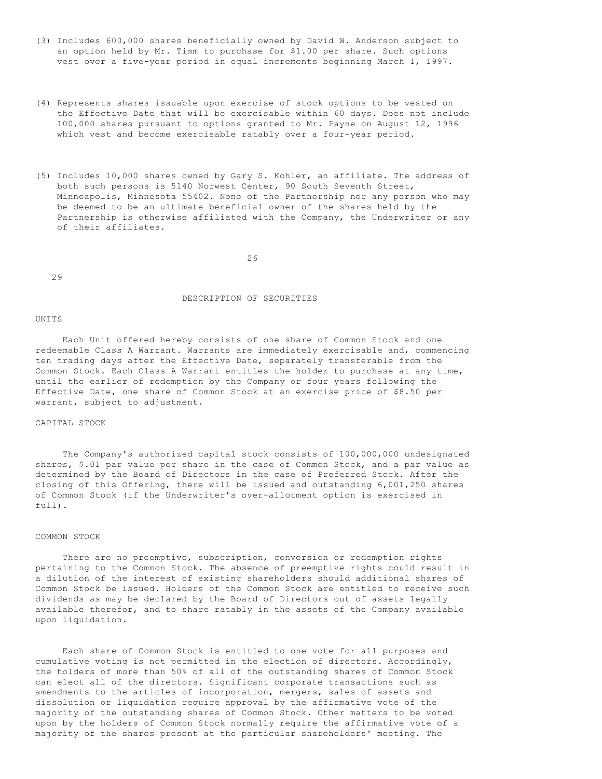- (3) Includes 600,000 shares beneficially owned by David W. Anderson subject to an option held by Mr. Timm to purchase for \$1.00 per share. Such options vest over a five-year period in equal increments beginning March 1, 1997.
- (4) Represents shares issuable upon exercise of stock options to be vested on the Effective Date that will be exercisable within 60 days. Does not include 100,000 shares pursuant to options granted to Mr. Payne on August 12, 1996 which vest and become exercisable ratably over a four-year period.
- (5) Includes 10,000 shares owned by Gary S. Kohler, an affiliate. The address of both such persons is 5140 Norwest Center, 90 South Seventh Street, Minneapolis, Minnesota 55402. None of the Partnership nor any person who may be deemed to be an ultimate beneficial owner of the shares held by the Partnership is otherwise affiliated with the Company, the Underwriter or any of their affiliates.

26

29

## DESCRIPTION OF SECURITIES

#### UNITS

 Each Unit offered hereby consists of one share of Common Stock and one redeemable Class A Warrant. Warrants are immediately exercisable and, commencing ten trading days after the Effective Date, separately transferable from the Common Stock. Each Class A Warrant entitles the holder to purchase at any time, until the earlier of redemption by the Company or four years following the Effective Date, one share of Common Stock at an exercise price of \$8.50 per warrant, subject to adjustment.

# CAPITAL STOCK

 The Company's authorized capital stock consists of 100,000,000 undesignated shares, \$.01 par value per share in the case of Common Stock, and a par value as determined by the Board of Directors in the case of Preferred Stock. After the closing of this Offering, there will be issued and outstanding 6,001,250 shares of Common Stock (if the Underwriter's over-allotment option is exercised in full).

#### COMMON STOCK

 There are no preemptive, subscription, conversion or redemption rights pertaining to the Common Stock. The absence of preemptive rights could result in a dilution of the interest of existing shareholders should additional shares of Common Stock be issued. Holders of the Common Stock are entitled to receive such dividends as may be declared by the Board of Directors out of assets legally available therefor, and to share ratably in the assets of the Company available upon liquidation.

 Each share of Common Stock is entitled to one vote for all purposes and cumulative voting is not permitted in the election of directors. Accordingly, the holders of more than 50% of all of the outstanding shares of Common Stock can elect all of the directors. Significant corporate transactions such as amendments to the articles of incorporation, mergers, sales of assets and dissolution or liquidation require approval by the affirmative vote of the majority of the outstanding shares of Common Stock. Other matters to be voted upon by the holders of Common Stock normally require the affirmative vote of a majority of the shares present at the particular shareholders' meeting. The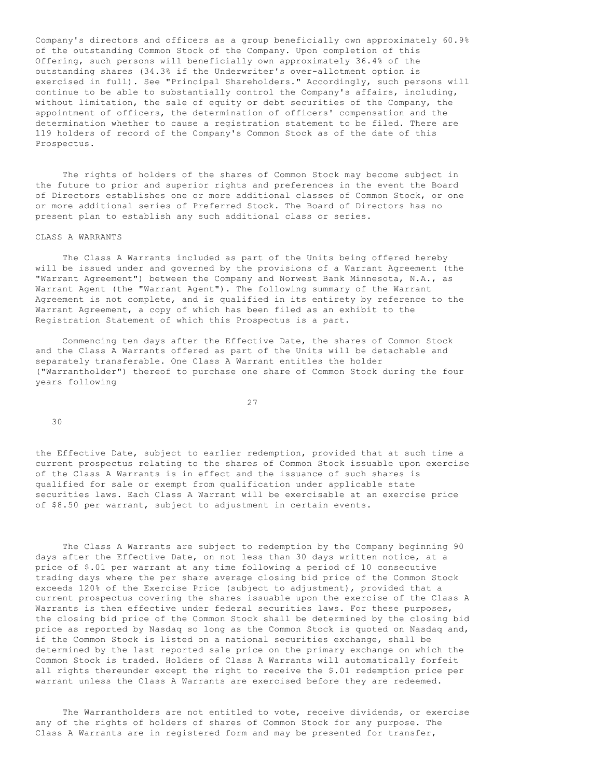Company's directors and officers as a group beneficially own approximately 60.9% of the outstanding Common Stock of the Company. Upon completion of this Offering, such persons will beneficially own approximately 36.4% of the outstanding shares (34.3% if the Underwriter's over-allotment option is exercised in full). See "Principal Shareholders." Accordingly, such persons will continue to be able to substantially control the Company's affairs, including, without limitation, the sale of equity or debt securities of the Company, the appointment of officers, the determination of officers' compensation and the determination whether to cause a registration statement to be filed. There are 119 holders of record of the Company's Common Stock as of the date of this Prospectus.

 The rights of holders of the shares of Common Stock may become subject in the future to prior and superior rights and preferences in the event the Board of Directors establishes one or more additional classes of Common Stock, or one or more additional series of Preferred Stock. The Board of Directors has no present plan to establish any such additional class or series.

#### CLASS A WARRANTS

 The Class A Warrants included as part of the Units being offered hereby will be issued under and governed by the provisions of a Warrant Agreement (the "Warrant Agreement") between the Company and Norwest Bank Minnesota, N.A., as Warrant Agent (the "Warrant Agent"). The following summary of the Warrant Agreement is not complete, and is qualified in its entirety by reference to the Warrant Agreement, a copy of which has been filed as an exhibit to the Registration Statement of which this Prospectus is a part.

 Commencing ten days after the Effective Date, the shares of Common Stock and the Class A Warrants offered as part of the Units will be detachable and separately transferable. One Class A Warrant entitles the holder ("Warrantholder") thereof to purchase one share of Common Stock during the four years following

27

30

the Effective Date, subject to earlier redemption, provided that at such time a current prospectus relating to the shares of Common Stock issuable upon exercise of the Class A Warrants is in effect and the issuance of such shares is qualified for sale or exempt from qualification under applicable state securities laws. Each Class A Warrant will be exercisable at an exercise price of \$8.50 per warrant, subject to adjustment in certain events.

 The Class A Warrants are subject to redemption by the Company beginning 90 days after the Effective Date, on not less than 30 days written notice, at a price of \$.01 per warrant at any time following a period of 10 consecutive trading days where the per share average closing bid price of the Common Stock exceeds 120% of the Exercise Price (subject to adjustment), provided that a current prospectus covering the shares issuable upon the exercise of the Class A Warrants is then effective under federal securities laws. For these purposes, the closing bid price of the Common Stock shall be determined by the closing bid price as reported by Nasdaq so long as the Common Stock is quoted on Nasdaq and, if the Common Stock is listed on a national securities exchange, shall be determined by the last reported sale price on the primary exchange on which the Common Stock is traded. Holders of Class A Warrants will automatically forfeit all rights thereunder except the right to receive the \$.01 redemption price per warrant unless the Class A Warrants are exercised before they are redeemed.

 The Warrantholders are not entitled to vote, receive dividends, or exercise any of the rights of holders of shares of Common Stock for any purpose. The Class A Warrants are in registered form and may be presented for transfer,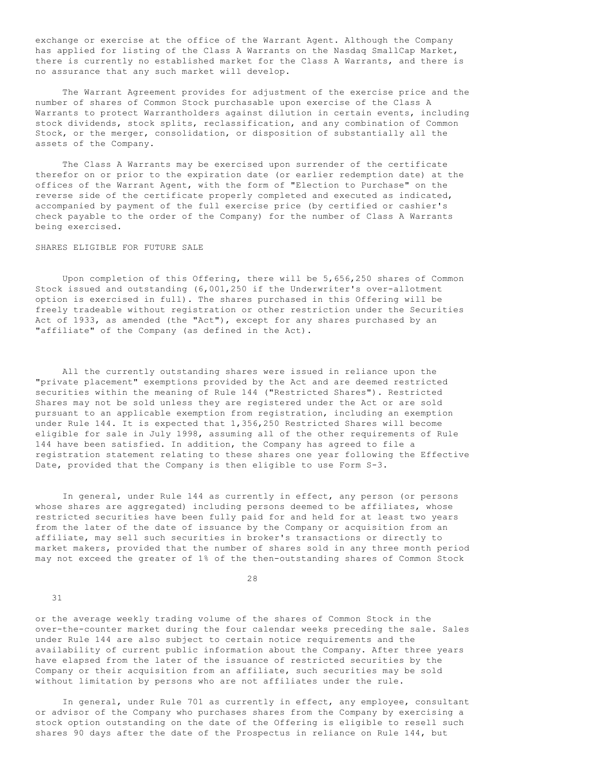exchange or exercise at the office of the Warrant Agent. Although the Company has applied for listing of the Class A Warrants on the Nasdaq SmallCap Market, there is currently no established market for the Class A Warrants, and there is no assurance that any such market will develop.

 The Warrant Agreement provides for adjustment of the exercise price and the number of shares of Common Stock purchasable upon exercise of the Class A Warrants to protect Warrantholders against dilution in certain events, including stock dividends, stock splits, reclassification, and any combination of Common Stock, or the merger, consolidation, or disposition of substantially all the assets of the Company.

 The Class A Warrants may be exercised upon surrender of the certificate therefor on or prior to the expiration date (or earlier redemption date) at the offices of the Warrant Agent, with the form of "Election to Purchase" on the reverse side of the certificate properly completed and executed as indicated, accompanied by payment of the full exercise price (by certified or cashier's check payable to the order of the Company) for the number of Class A Warrants being exercised.

# SHARES ELIGIBLE FOR FUTURE SALE

 Upon completion of this Offering, there will be 5,656,250 shares of Common Stock issued and outstanding (6,001,250 if the Underwriter's over-allotment option is exercised in full). The shares purchased in this Offering will be freely tradeable without registration or other restriction under the Securities Act of 1933, as amended (the "Act"), except for any shares purchased by an "affiliate" of the Company (as defined in the Act).

 All the currently outstanding shares were issued in reliance upon the "private placement" exemptions provided by the Act and are deemed restricted securities within the meaning of Rule 144 ("Restricted Shares"). Restricted Shares may not be sold unless they are registered under the Act or are sold pursuant to an applicable exemption from registration, including an exemption under Rule 144. It is expected that 1,356,250 Restricted Shares will become eligible for sale in July 1998, assuming all of the other requirements of Rule 144 have been satisfied. In addition, the Company has agreed to file a registration statement relating to these shares one year following the Effective Date, provided that the Company is then eligible to use Form S-3.

 In general, under Rule 144 as currently in effect, any person (or persons whose shares are aggregated) including persons deemed to be affiliates, whose restricted securities have been fully paid for and held for at least two years from the later of the date of issuance by the Company or acquisition from an affiliate, may sell such securities in broker's transactions or directly to market makers, provided that the number of shares sold in any three month period may not exceed the greater of 1% of the then-outstanding shares of Common Stock

28

31

or the average weekly trading volume of the shares of Common Stock in the over-the-counter market during the four calendar weeks preceding the sale. Sales under Rule 144 are also subject to certain notice requirements and the availability of current public information about the Company. After three years have elapsed from the later of the issuance of restricted securities by the Company or their acquisition from an affiliate, such securities may be sold without limitation by persons who are not affiliates under the rule.

 In general, under Rule 701 as currently in effect, any employee, consultant or advisor of the Company who purchases shares from the Company by exercising a stock option outstanding on the date of the Offering is eligible to resell such shares 90 days after the date of the Prospectus in reliance on Rule 144, but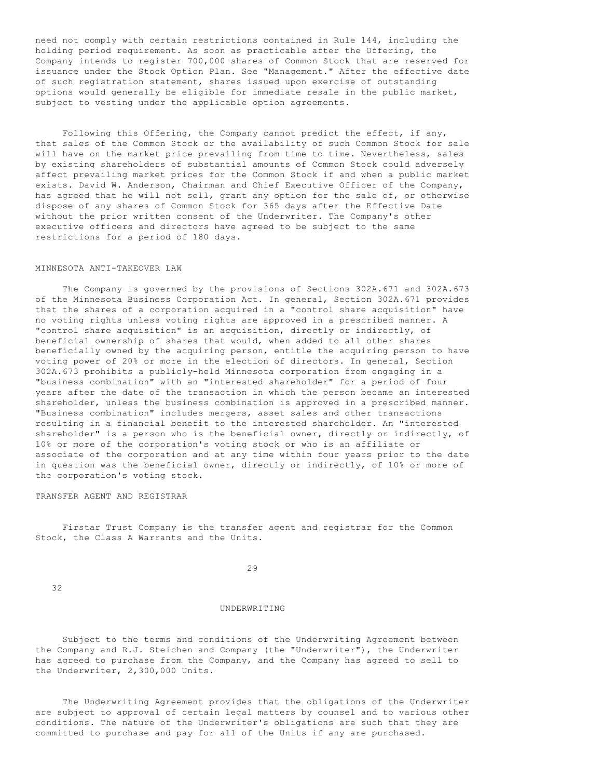need not comply with certain restrictions contained in Rule 144, including the holding period requirement. As soon as practicable after the Offering, the Company intends to register 700,000 shares of Common Stock that are reserved for issuance under the Stock Option Plan. See "Management." After the effective date of such registration statement, shares issued upon exercise of outstanding options would generally be eligible for immediate resale in the public market, subject to vesting under the applicable option agreements.

 Following this Offering, the Company cannot predict the effect, if any, that sales of the Common Stock or the availability of such Common Stock for sale will have on the market price prevailing from time to time. Nevertheless, sales by existing shareholders of substantial amounts of Common Stock could adversely affect prevailing market prices for the Common Stock if and when a public market exists. David W. Anderson, Chairman and Chief Executive Officer of the Company, has agreed that he will not sell, grant any option for the sale of, or otherwise dispose of any shares of Common Stock for 365 days after the Effective Date without the prior written consent of the Underwriter. The Company's other executive officers and directors have agreed to be subject to the same restrictions for a period of 180 days.

# MINNESOTA ANTI-TAKEOVER LAW

 The Company is governed by the provisions of Sections 302A.671 and 302A.673 of the Minnesota Business Corporation Act. In general, Section 302A.671 provides that the shares of a corporation acquired in a "control share acquisition" have no voting rights unless voting rights are approved in a prescribed manner. A "control share acquisition" is an acquisition, directly or indirectly, of beneficial ownership of shares that would, when added to all other shares beneficially owned by the acquiring person, entitle the acquiring person to have voting power of 20% or more in the election of directors. In general, Section 302A.673 prohibits a publicly-held Minnesota corporation from engaging in a "business combination" with an "interested shareholder" for a period of four years after the date of the transaction in which the person became an interested shareholder, unless the business combination is approved in a prescribed manner. "Business combination" includes mergers, asset sales and other transactions resulting in a financial benefit to the interested shareholder. An "interested shareholder" is a person who is the beneficial owner, directly or indirectly, of 10% or more of the corporation's voting stock or who is an affiliate or associate of the corporation and at any time within four years prior to the date in question was the beneficial owner, directly or indirectly, of 10% or more of the corporation's voting stock.

### TRANSFER AGENT AND REGISTRAR

 Firstar Trust Company is the transfer agent and registrar for the Common Stock, the Class A Warrants and the Units.

29

32

#### UNDERWRITING

 Subject to the terms and conditions of the Underwriting Agreement between the Company and R.J. Steichen and Company (the "Underwriter"), the Underwriter has agreed to purchase from the Company, and the Company has agreed to sell to the Underwriter, 2,300,000 Units.

 The Underwriting Agreement provides that the obligations of the Underwriter are subject to approval of certain legal matters by counsel and to various other conditions. The nature of the Underwriter's obligations are such that they are committed to purchase and pay for all of the Units if any are purchased.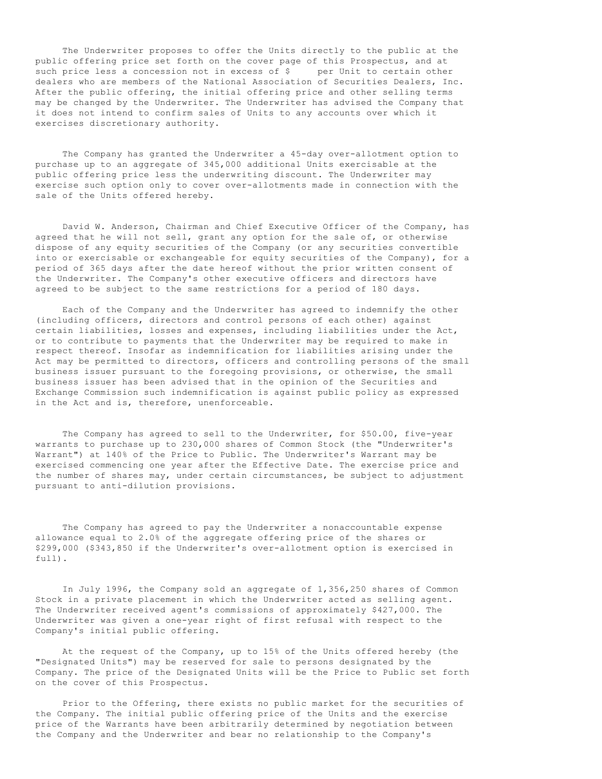The Underwriter proposes to offer the Units directly to the public at the public offering price set forth on the cover page of this Prospectus, and at such price less a concession not in excess of \$ per Unit to certain other dealers who are members of the National Association of Securities Dealers, Inc. After the public offering, the initial offering price and other selling terms may be changed by the Underwriter. The Underwriter has advised the Company that it does not intend to confirm sales of Units to any accounts over which it exercises discretionary authority.

 The Company has granted the Underwriter a 45-day over-allotment option to purchase up to an aggregate of 345,000 additional Units exercisable at the public offering price less the underwriting discount. The Underwriter may exercise such option only to cover over-allotments made in connection with the sale of the Units offered hereby.

 David W. Anderson, Chairman and Chief Executive Officer of the Company, has agreed that he will not sell, grant any option for the sale of, or otherwise dispose of any equity securities of the Company (or any securities convertible into or exercisable or exchangeable for equity securities of the Company), for a period of 365 days after the date hereof without the prior written consent of the Underwriter. The Company's other executive officers and directors have agreed to be subject to the same restrictions for a period of 180 days.

 Each of the Company and the Underwriter has agreed to indemnify the other (including officers, directors and control persons of each other) against certain liabilities, losses and expenses, including liabilities under the Act, or to contribute to payments that the Underwriter may be required to make in respect thereof. Insofar as indemnification for liabilities arising under the Act may be permitted to directors, officers and controlling persons of the small business issuer pursuant to the foregoing provisions, or otherwise, the small business issuer has been advised that in the opinion of the Securities and Exchange Commission such indemnification is against public policy as expressed in the Act and is, therefore, unenforceable.

 The Company has agreed to sell to the Underwriter, for \$50.00, five-year warrants to purchase up to 230,000 shares of Common Stock (the "Underwriter's Warrant") at 140% of the Price to Public. The Underwriter's Warrant may be exercised commencing one year after the Effective Date. The exercise price and the number of shares may, under certain circumstances, be subject to adjustment pursuant to anti-dilution provisions.

 The Company has agreed to pay the Underwriter a nonaccountable expense allowance equal to 2.0% of the aggregate offering price of the shares or \$299,000 (\$343,850 if the Underwriter's over-allotment option is exercised in full).

 In July 1996, the Company sold an aggregate of 1,356,250 shares of Common Stock in a private placement in which the Underwriter acted as selling agent. The Underwriter received agent's commissions of approximately \$427,000. The Underwriter was given a one-year right of first refusal with respect to the Company's initial public offering.

 At the request of the Company, up to 15% of the Units offered hereby (the "Designated Units") may be reserved for sale to persons designated by the Company. The price of the Designated Units will be the Price to Public set forth on the cover of this Prospectus.

 Prior to the Offering, there exists no public market for the securities of the Company. The initial public offering price of the Units and the exercise price of the Warrants have been arbitrarily determined by negotiation between the Company and the Underwriter and bear no relationship to the Company's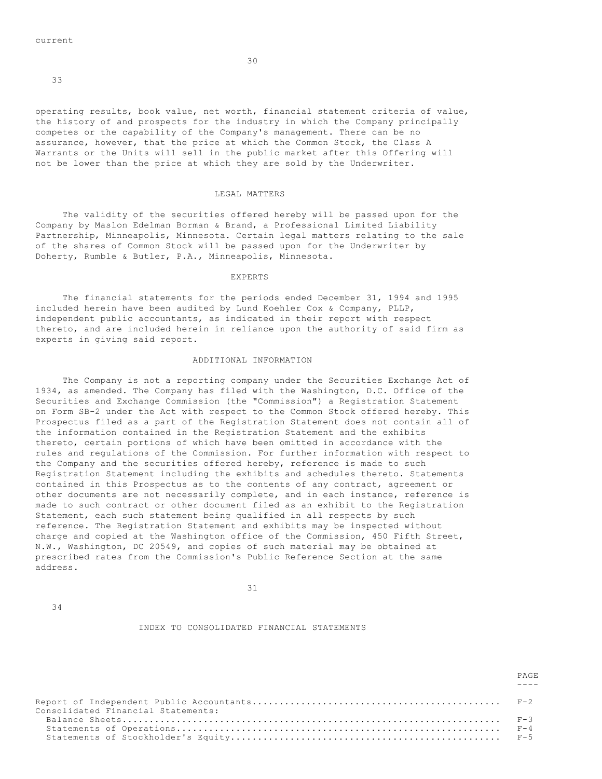30

33

operating results, book value, net worth, financial statement criteria of value, the history of and prospects for the industry in which the Company principally competes or the capability of the Company's management. There can be no assurance, however, that the price at which the Common Stock, the Class A Warrants or the Units will sell in the public market after this Offering will not be lower than the price at which they are sold by the Underwriter.

### LEGAL MATTERS

 The validity of the securities offered hereby will be passed upon for the Company by Maslon Edelman Borman & Brand, a Professional Limited Liability Partnership, Minneapolis, Minnesota. Certain legal matters relating to the sale of the shares of Common Stock will be passed upon for the Underwriter by Doherty, Rumble & Butler, P.A., Minneapolis, Minnesota.

### EXPERTS

 The financial statements for the periods ended December 31, 1994 and 1995 included herein have been audited by Lund Koehler Cox & Company, PLLP, independent public accountants, as indicated in their report with respect thereto, and are included herein in reliance upon the authority of said firm as experts in giving said report.

#### ADDITIONAL INFORMATION

 The Company is not a reporting company under the Securities Exchange Act of 1934, as amended. The Company has filed with the Washington, D.C. Office of the Securities and Exchange Commission (the "Commission") a Registration Statement on Form SB-2 under the Act with respect to the Common Stock offered hereby. This Prospectus filed as a part of the Registration Statement does not contain all of the information contained in the Registration Statement and the exhibits thereto, certain portions of which have been omitted in accordance with the rules and regulations of the Commission. For further information with respect to the Company and the securities offered hereby, reference is made to such Registration Statement including the exhibits and schedules thereto. Statements contained in this Prospectus as to the contents of any contract, agreement or other documents are not necessarily complete, and in each instance, reference is made to such contract or other document filed as an exhibit to the Registration Statement, each such statement being qualified in all respects by such reference. The Registration Statement and exhibits may be inspected without charge and copied at the Washington office of the Commission, 450 Fifth Street, N.W., Washington, DC 20549, and copies of such material may be obtained at prescribed rates from the Commission's Public Reference Section at the same address.

31

34

## INDEX TO CONSOLIDATED FINANCIAL STATEMENTS

| Consolidated Financial Statements: |  |
|------------------------------------|--|
|                                    |  |
|                                    |  |

PAGE **PAGE**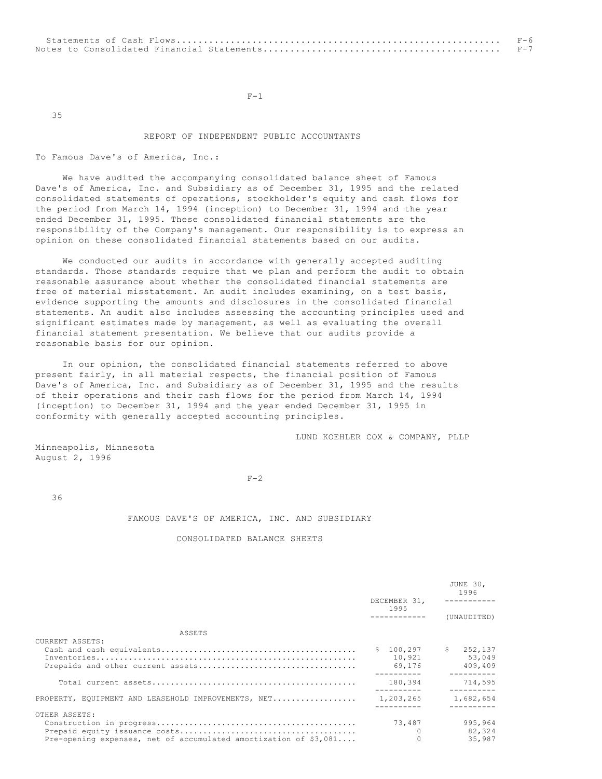$F-1$ 

35

## REPORT OF INDEPENDENT PUBLIC ACCOUNTANTS

To Famous Dave's of America, Inc.:

 We have audited the accompanying consolidated balance sheet of Famous Dave's of America, Inc. and Subsidiary as of December 31, 1995 and the related consolidated statements of operations, stockholder's equity and cash flows for the period from March 14, 1994 (inception) to December 31, 1994 and the year ended December 31, 1995. These consolidated financial statements are the responsibility of the Company's management. Our responsibility is to express an opinion on these consolidated financial statements based on our audits.

 We conducted our audits in accordance with generally accepted auditing standards. Those standards require that we plan and perform the audit to obtain reasonable assurance about whether the consolidated financial statements are free of material misstatement. An audit includes examining, on a test basis, evidence supporting the amounts and disclosures in the consolidated financial statements. An audit also includes assessing the accounting principles used and significant estimates made by management, as well as evaluating the overall financial statement presentation. We believe that our audits provide a reasonable basis for our opinion.

 In our opinion, the consolidated financial statements referred to above present fairly, in all material respects, the financial position of Famous Dave's of America, Inc. and Subsidiary as of December 31, 1995 and the results of their operations and their cash flows for the period from March 14, 1994 (inception) to December 31, 1994 and the year ended December 31, 1995 in conformity with generally accepted accounting principles.

LUND KOEHLER COX & COMPANY, PLLP

Minneapolis, Minnesota August 2, 1996

 $F-2$ 

36

## FAMOUS DAVE'S OF AMERICA, INC. AND SUBSIDIARY

## CONSOLIDATED BALANCE SHEETS

|                                                                                    | DECEMBER 31.<br>1995           | JUNE 30.<br>1996               |  |
|------------------------------------------------------------------------------------|--------------------------------|--------------------------------|--|
|                                                                                    | -------------                  | (UNAUDITED)                    |  |
| ASSETS                                                                             |                                |                                |  |
| CURRENT ASSETS:                                                                    | \$100, 297<br>10,921<br>69,176 | \$252,137<br>53.049<br>409,409 |  |
|                                                                                    | 180,394                        | 714,595                        |  |
| PROPERTY, EQUIPMENT AND LEASEHOLD IMPROVEMENTS, NET                                | 1,203,265                      | 1,682,654<br>---------         |  |
| OTHER ASSETS:<br>Pre-opening expenses, net of accumulated amortization of $$3,081$ | 73,487<br>$\Omega$             | 995,964<br>82,324<br>35,987    |  |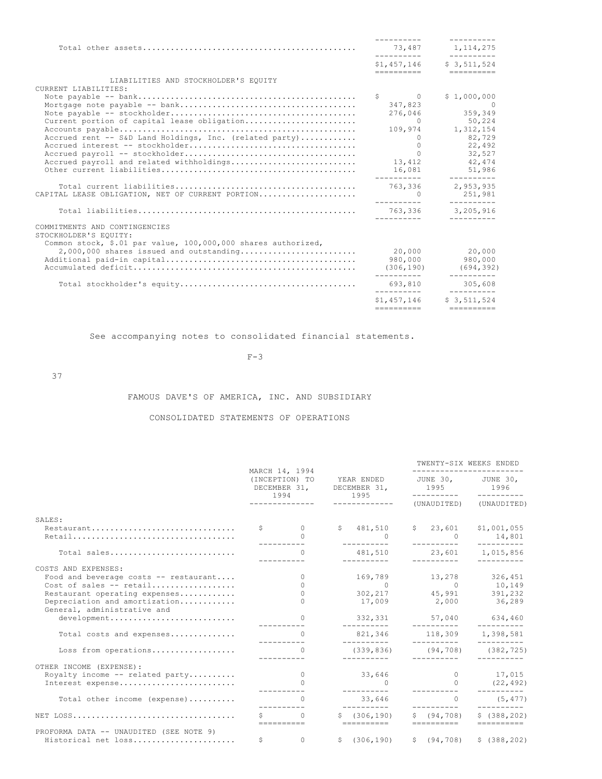|                                                               |                            | ----------                |
|---------------------------------------------------------------|----------------------------|---------------------------|
|                                                               | 73,487<br>__________       | 1, 114, 275               |
|                                                               | ==========                 | \$1,457,146 \$3,511,524   |
| LIABILITIES AND STOCKHOLDER'S EOUITY                          |                            |                           |
| CURRENT LIABILITIES:                                          |                            |                           |
|                                                               | $S \qquad \qquad 0$        | \$1,000,000               |
|                                                               | 347.823                    | $\sim$ 0                  |
|                                                               | 276,046                    | 359,349                   |
| Current portion of capital lease obligation                   | $\bigcirc$                 | 50,224                    |
|                                                               | 109,974                    | 1,312,154                 |
| Accrued rent -- S&D Land Holdings, Inc. (related party)       | $\overline{0}$             | 82,729                    |
|                                                               | $\Omega$                   | 22,492                    |
|                                                               | $\bigcap$                  | 32,527                    |
| Accrued payroll and related withholdings                      | 13,412                     | 42,474                    |
|                                                               | 16,081                     | 51,986<br>____________    |
|                                                               | 763.336                    | 2,953,935                 |
| CAPITAL LEASE OBLIGATION, NET OF CURRENT PORTION              | $\sim$ 0                   | 251,981                   |
|                                                               | 763.336 3.205.916          |                           |
|                                                               | __________                 | __________                |
| COMMITMENTS AND CONTINGENCIES                                 |                            |                           |
| STOCKHOLDER'S EQUITY:                                         |                            |                           |
| Common stock, \$.01 par value, 100,000,000 shares authorized, |                            |                           |
| $2,000,000$ shares issued and outstanding                     | 20,000                     | 20,000                    |
|                                                               | 980,000                    | 980,000                   |
|                                                               | (306, 190)                 | (694, 392)                |
|                                                               | 693,810                    | 305,608                   |
|                                                               | ___________<br>\$1.457.146 | __________<br>\$3.511.524 |
|                                                               | ==========                 |                           |

See accompanying notes to consolidated financial statements.

#### $F-3$

37

# FAMOUS DAVE'S OF AMERICA, INC. AND SUBSIDIARY

# CONSOLIDATED STATEMENTS OF OPERATIONS

|                                                                                               |             |                                                                                 |  |                                       |                            | TWENTY-SIX WEEKS ENDED                                             |
|-----------------------------------------------------------------------------------------------|-------------|---------------------------------------------------------------------------------|--|---------------------------------------|----------------------------|--------------------------------------------------------------------|
|                                                                                               |             | MARCH 14, 1994<br>(INCEPTION) TO<br>DECEMBER 31, DECEMBER 31, 1995 1996<br>1994 |  | YEAR ENDED JUNE 30, JUNE 30,<br>1995  | ___________                | __________                                                         |
|                                                                                               |             | ______________                                                                  |  | -------------                         | (UNAUDITED)                | (UNAUDITED)                                                        |
| SALES:                                                                                        |             |                                                                                 |  |                                       |                            |                                                                    |
| Restaurant                                                                                    |             | $\zeta$ 0<br>$\cap$                                                             |  | \$481,510<br>$\bigcap$<br>----------- | $\sim$ 0<br>-----------    | $$23,601$ $$1,001,055$<br>14,801                                   |
| Total sales                                                                                   |             | $\bigcap$                                                                       |  | 481,510                               | __________                 | 23,601 1,015,856                                                   |
| COSTS AND EXPENSES:<br>Food and beverage costs $--$ restaurant<br>Cost of sales $--$ retail   |             | $\Omega$<br>$\Omega$                                                            |  | $\overline{0}$                        |                            | 169,789 13,278 326,451                                             |
| Restaurant operating expenses<br>Depreciation and amortization<br>General, administrative and |             | $\Omega$<br>$\cap$                                                              |  |                                       |                            | $0 \t 10, 149$<br>302, 217 45, 991 391, 232<br>17,009 2,000 36,289 |
| development                                                                                   |             |                                                                                 |  | __________                            | ___________                | 332,331 57,040 634,460<br>__________                               |
| Total costs and expenses                                                                      |             | $\cap$                                                                          |  | ___________                           | ___________                | 821,346 118,309 1,398,581                                          |
| Loss from operations                                                                          |             | $\Omega$                                                                        |  | (339, 836)                            | (94, 708)                  | (382, 725)                                                         |
| OTHER INCOME (EXPENSE):<br>Royalty income $--$ related party<br>Interest expense              |             | $\overline{0}$                                                                  |  | __________<br>33,646<br>__________    | __________<br>-----------  | 0 17,015<br>(22, 492)                                              |
| Total other income (expense)                                                                  |             | $\cap$                                                                          |  | 33,646                                | $\cap$                     | (5, 477)                                                           |
|                                                                                               |             | $\Omega$<br>==========                                                          |  | \$(306, 190)<br>==========            | \$ (94, 708)<br>========== | \$(388, 202)<br>$=$ $=$ $=$ $=$ $=$ $=$ $=$ $=$ $=$                |
| PROFORMA DATA -- UNAUDITED (SEE NOTE 9)<br>Historical net loss                                | $S$ and $S$ | $\circ$                                                                         |  |                                       |                            | $\text{S}$ (306.190) $\text{S}$ (94.708) $\text{S}$ (388.202)      |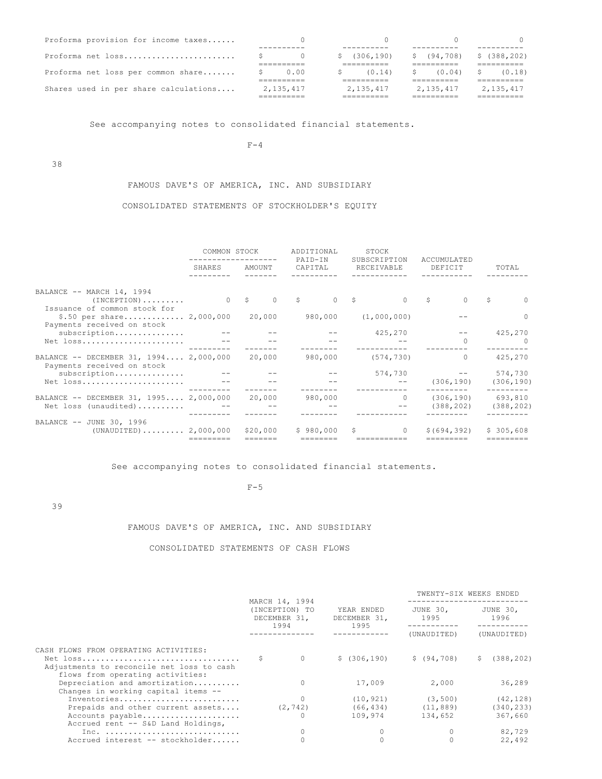| Proforma provision for income taxes   |             |             |              |              |
|---------------------------------------|-------------|-------------|--------------|--------------|
| Proforma net loss                     |             | (306, 190)  | \$ (94, 708) | \$(388, 202) |
|                                       |             |             |              |              |
| Proforma net loss per common share    | 0.00        | (0.14)      | (0.04)       | (0.18)       |
|                                       | ________    |             |              |              |
| Shares used in per share calculations | 2, 135, 417 | 2, 135, 417 | 2,135,417    | 2, 135, 417  |
|                                       |             |             |              |              |

See accompanying notes to consolidated financial statements.

 $F-4$ 

38

FAMOUS DAVE'S OF AMERICA, INC. AND SUBSIDIARY

# CONSOLIDATED STATEMENTS OF STOCKHOLDER'S EQUITY

|                                                                                         | COMMON STOCK |          | ADDITIONAL<br>PAID-IN | STOCK<br>SUBSCRIPTION | ACCUMULATED                        |                       |  |
|-----------------------------------------------------------------------------------------|--------------|----------|-----------------------|-----------------------|------------------------------------|-----------------------|--|
|                                                                                         | SHARES       | AMOUNT   | CAPITAL               | RECEIVABLE            | DEFICIT                            | TOTAL                 |  |
| BALANCE -- MARCH 14, 1994<br>$(INCEPTION) \ldots \ldots$                                |              | $0$ \$   | 0 S<br>S              | $\Omega$              | $\Omega$                           | S<br>$\Omega$         |  |
| Issuance of common stock for<br>\$.50 per share 2,000,000<br>Payments received on stock |              | 20,000   | 980,000               | (1,000,000)           |                                    | $\Omega$              |  |
| subscription<br>Net loss                                                                |              |          |                       | 425,270               | $\Omega$                           | 425,270<br>$\Omega$   |  |
| BALANCE -- DECEMBER 31, 1994 2,000,000<br>Payments received on stock                    |              | 20,000   | 980,000               | (574, 730)            | $\Omega$                           | 425,270               |  |
| subscription<br>Net loss                                                                |              |          |                       | 574,730               | (306, 190)                         | 574,730<br>(306, 190) |  |
| BALANCE -- DECEMBER 31, 1995 2,000,000 20,000<br>Net loss (unaudited)                   |              |          | 980,000               | $\Omega$              | $(306, 190)$ 693,810<br>(388, 202) | (388, 202)            |  |
| BALANCE -- JUNE 30, 1996<br>$(UNAUDITED)$ 2,000,000                                     | =========    | \$20,000 | \$980.000             | $\Omega$              | \$ (694, 392)                      | \$305.608             |  |

See accompanying notes to consolidated financial statements.

#### $F-5$

39

# FAMOUS DAVE'S OF AMERICA, INC. AND SUBSIDIARY

# CONSOLIDATED STATEMENTS OF CASH FLOWS

|                                                                               |                                                          |          | TWENTY-SIX WEEKS ENDED             |                  |             |                  |
|-------------------------------------------------------------------------------|----------------------------------------------------------|----------|------------------------------------|------------------|-------------|------------------|
|                                                                               | MARCH 14, 1994<br>(INCEPTION) TO<br>DECEMBER 31,<br>1994 |          | YEAR ENDED<br>DECEMBER 31,<br>1995 | JUNE 30.<br>1995 |             | JUNE 30,<br>1996 |
|                                                                               |                                                          |          |                                    | (UNAUDITED)      | (UNAUDITED) |                  |
| CASH FLOWS FROM OPERATING ACTIVITIES:                                         |                                                          |          |                                    |                  |             |                  |
| Adjustments to reconcile net loss to cash<br>flows from operating activities: |                                                          | $\Omega$ | \$(306, 190)                       | \$(94,708)       | S.          | (388, 202)       |
| Depreciation and amortization<br>Changes in working capital items --          |                                                          | 0        | 17,009                             | 2,000            |             | 36,289           |
| Inventories                                                                   |                                                          |          | (10, 921)                          | (3, 500)         |             | (42, 128)        |
| Prepaids and other current assets                                             |                                                          | (2, 742) | (66, 434)                          | (11, 889)        |             | (340, 233)       |
| Accounts payable<br>Accrued rent -- S&D Land Holdings,                        |                                                          |          | 109,974                            | 134,652          |             | 367,660          |
| Inc.                                                                          |                                                          |          |                                    |                  |             | 82,729           |
| Accrued interest -- stockholder                                               |                                                          |          |                                    |                  |             | 22,492           |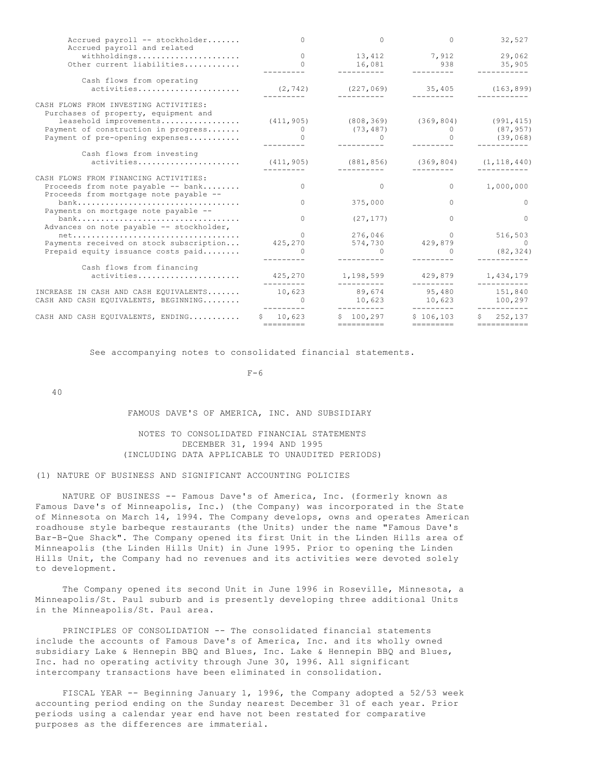| Accrued payroll -- stockholder<br>Accrued payroll and related                                                                                                                     | 0                                        | $\cap$                                                          | $\Omega$                      | 32,527                            |
|-----------------------------------------------------------------------------------------------------------------------------------------------------------------------------------|------------------------------------------|-----------------------------------------------------------------|-------------------------------|-----------------------------------|
| withholdings<br>Other current liabilities                                                                                                                                         | $\Omega$<br>$\Omega$                     | 13,412<br>16,081<br>__________                                  | 7,912<br>$938$                | 29,062<br>35,905                  |
| Cash flows from operating<br>activities                                                                                                                                           | (2, 742)                                 | (227, 069)<br>-----------                                       | 35,405                        | (163, 899)                        |
| CASH FLOWS FROM INVESTING ACTIVITIES:<br>Purchases of property, equipment and<br>leasehold improvements<br>Payment of construction in progress<br>Payment of pre-opening expenses | (411, 905)<br>$\overline{0}$<br>$\sim$ 0 | $(808, 369)$ $(369, 804)$ $(991, 415)$<br>(73, 487)<br>$\Omega$ | $\Omega$                      | (87, 957)<br>(39,068)             |
| Cash flows from investing<br>activities                                                                                                                                           | (411, 905)                               | (881, 856)                                                      | (369, 804)                    | (1, 118, 440)                     |
| CASH FLOWS FROM FINANCING ACTIVITIES:<br>Proceeds from note payable -- bank<br>Proceeds from mortgage note payable --                                                             | $\bigcap$                                | $\Omega$                                                        | $\Omega$                      | 1,000,000                         |
| Payments on mortgage note payable --                                                                                                                                              | $\Omega$                                 | 375,000                                                         | $\Omega$                      | $\Omega$                          |
| Advances on note payable -- stockholder,                                                                                                                                          | $\bigcap$                                | (27, 177)                                                       | $\Omega$                      | $\Omega$                          |
| $net \ldots \ldots \ldots \ldots \ldots \ldots \ldots \ldots \ldots \ldots \ldots$<br>Payments received on stock subscription<br>Prepaid equity issuance costs paid               | $\bigcap$<br>425,270                     | 276,046<br>574,730                                              | $\Omega$<br>429,879           | 516,503<br>$\sim$ 0<br>(82, 324)  |
| Cash flows from financing<br>activities                                                                                                                                           | 425,270<br>_________                     | 1,198,599<br>----------                                         | 429,879<br>---------          | 1,434,179<br>-----------          |
| INCREASE IN CASH AND CASH EOUIVALENTS<br>CASH AND CASH EQUIVALENTS, BEGINNING                                                                                                     | 10,623<br>$\sim$ 0                       | 89,674<br>10,623<br>__________                                  | 95,480<br>10,623<br>_________ | 151,840<br>100,297<br>___________ |
| CASH AND CASH EQUIVALENTS, ENDING                                                                                                                                                 | \$10.623<br>=========                    | \$100.297                                                       | \$106.103                     | \$252.137<br>===========          |

See accompanying notes to consolidated financial statements.

 $F-6$ 

40

## FAMOUS DAVE'S OF AMERICA, INC. AND SUBSIDIARY

# NOTES TO CONSOLIDATED FINANCIAL STATEMENTS DECEMBER 31, 1994 AND 1995 (INCLUDING DATA APPLICABLE TO UNAUDITED PERIODS)

## (1) NATURE OF BUSINESS AND SIGNIFICANT ACCOUNTING POLICIES

 NATURE OF BUSINESS -- Famous Dave's of America, Inc. (formerly known as Famous Dave's of Minneapolis, Inc.) (the Company) was incorporated in the State of Minnesota on March 14, 1994. The Company develops, owns and operates American roadhouse style barbeque restaurants (the Units) under the name "Famous Dave's Bar-B-Que Shack". The Company opened its first Unit in the Linden Hills area of Minneapolis (the Linden Hills Unit) in June 1995. Prior to opening the Linden Hills Unit, the Company had no revenues and its activities were devoted solely to development.

 The Company opened its second Unit in June 1996 in Roseville, Minnesota, a Minneapolis/St. Paul suburb and is presently developing three additional Units in the Minneapolis/St. Paul area.

 PRINCIPLES OF CONSOLIDATION -- The consolidated financial statements include the accounts of Famous Dave's of America, Inc. and its wholly owned subsidiary Lake & Hennepin BBQ and Blues, Inc. Lake & Hennepin BBQ and Blues, Inc. had no operating activity through June 30, 1996. All significant intercompany transactions have been eliminated in consolidation.

 FISCAL YEAR -- Beginning January 1, 1996, the Company adopted a 52/53 week accounting period ending on the Sunday nearest December 31 of each year. Prior periods using a calendar year end have not been restated for comparative purposes as the differences are immaterial.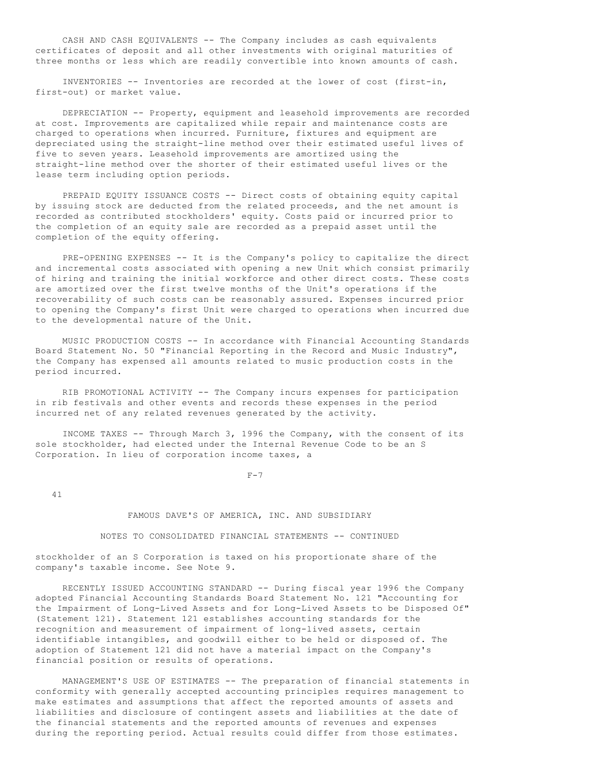CASH AND CASH EQUIVALENTS -- The Company includes as cash equivalents certificates of deposit and all other investments with original maturities of three months or less which are readily convertible into known amounts of cash.

 INVENTORIES -- Inventories are recorded at the lower of cost (first-in, first-out) or market value.

 DEPRECIATION -- Property, equipment and leasehold improvements are recorded at cost. Improvements are capitalized while repair and maintenance costs are charged to operations when incurred. Furniture, fixtures and equipment are depreciated using the straight-line method over their estimated useful lives of five to seven years. Leasehold improvements are amortized using the straight-line method over the shorter of their estimated useful lives or the lease term including option periods.

 PREPAID EQUITY ISSUANCE COSTS -- Direct costs of obtaining equity capital by issuing stock are deducted from the related proceeds, and the net amount is recorded as contributed stockholders' equity. Costs paid or incurred prior to the completion of an equity sale are recorded as a prepaid asset until the completion of the equity offering.

 PRE-OPENING EXPENSES -- It is the Company's policy to capitalize the direct and incremental costs associated with opening a new Unit which consist primarily of hiring and training the initial workforce and other direct costs. These costs are amortized over the first twelve months of the Unit's operations if the recoverability of such costs can be reasonably assured. Expenses incurred prior to opening the Company's first Unit were charged to operations when incurred due to the developmental nature of the Unit.

 MUSIC PRODUCTION COSTS -- In accordance with Financial Accounting Standards Board Statement No. 50 "Financial Reporting in the Record and Music Industry", the Company has expensed all amounts related to music production costs in the period incurred.

 RIB PROMOTIONAL ACTIVITY -- The Company incurs expenses for participation in rib festivals and other events and records these expenses in the period incurred net of any related revenues generated by the activity.

 INCOME TAXES -- Through March 3, 1996 the Company, with the consent of its sole stockholder, had elected under the Internal Revenue Code to be an S Corporation. In lieu of corporation income taxes, a

 $F-7$ 

41

## FAMOUS DAVE'S OF AMERICA, INC. AND SUBSIDIARY

## NOTES TO CONSOLIDATED FINANCIAL STATEMENTS -- CONTINUED

stockholder of an S Corporation is taxed on his proportionate share of the company's taxable income. See Note 9.

 RECENTLY ISSUED ACCOUNTING STANDARD -- During fiscal year 1996 the Company adopted Financial Accounting Standards Board Statement No. 121 "Accounting for the Impairment of Long-Lived Assets and for Long-Lived Assets to be Disposed Of" (Statement 121). Statement 121 establishes accounting standards for the recognition and measurement of impairment of long-lived assets, certain identifiable intangibles, and goodwill either to be held or disposed of. The adoption of Statement 121 did not have a material impact on the Company's financial position or results of operations.

 MANAGEMENT'S USE OF ESTIMATES -- The preparation of financial statements in conformity with generally accepted accounting principles requires management to make estimates and assumptions that affect the reported amounts of assets and liabilities and disclosure of contingent assets and liabilities at the date of the financial statements and the reported amounts of revenues and expenses during the reporting period. Actual results could differ from those estimates.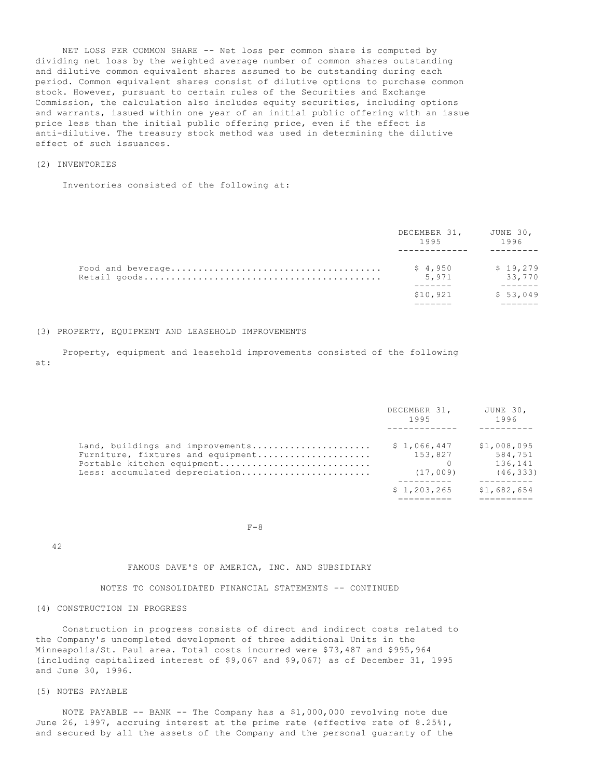NET LOSS PER COMMON SHARE -- Net loss per common share is computed by dividing net loss by the weighted average number of common shares outstanding and dilutive common equivalent shares assumed to be outstanding during each period. Common equivalent shares consist of dilutive options to purchase common stock. However, pursuant to certain rules of the Securities and Exchange Commission, the calculation also includes equity securities, including options and warrants, issued within one year of an initial public offering with an issue price less than the initial public offering price, even if the effect is anti-dilutive. The treasury stock method was used in determining the dilutive effect of such issuances.

## (2) INVENTORIES

Inventories consisted of the following at:

| DECEMBER 31, JUNE 30,<br>1995 | 1996               |
|-------------------------------|--------------------|
| \$4,950<br>5,971              | \$19,279<br>33,770 |
| \$10,921                      | \$53,049           |

## (3) PROPERTY, EQUIPMENT AND LEASEHOLD IMPROVEMENTS

 Property, equipment and leasehold improvements consisted of the following at:

|                                                                                                                                       | DECEMBER 31,<br>1995               | JUNE 30,<br>1996                               |
|---------------------------------------------------------------------------------------------------------------------------------------|------------------------------------|------------------------------------------------|
| Land, buildings and improvements<br>Furniture, fixtures and equipment<br>Portable kitchen equipment<br>Less: accumulated depreciation | \$1,066,447<br>153,827<br>(17,009) | \$1,008,095<br>584,751<br>136,141<br>(46, 333) |
|                                                                                                                                       | \$1,203,265                        | \$1,682,654                                    |

 $F-8$ 

### FAMOUS DAVE'S OF AMERICA, INC. AND SUBSIDIARY

NOTES TO CONSOLIDATED FINANCIAL STATEMENTS -- CONTINUED

# (4) CONSTRUCTION IN PROGRESS

 Construction in progress consists of direct and indirect costs related to the Company's uncompleted development of three additional Units in the Minneapolis/St. Paul area. Total costs incurred were \$73,487 and \$995,964 (including capitalized interest of \$9,067 and \$9,067) as of December 31, 1995 and June 30, 1996.

### (5) NOTES PAYABLE

42

 NOTE PAYABLE -- BANK -- The Company has a \$1,000,000 revolving note due June 26, 1997, accruing interest at the prime rate (effective rate of 8.25%), and secured by all the assets of the Company and the personal guaranty of the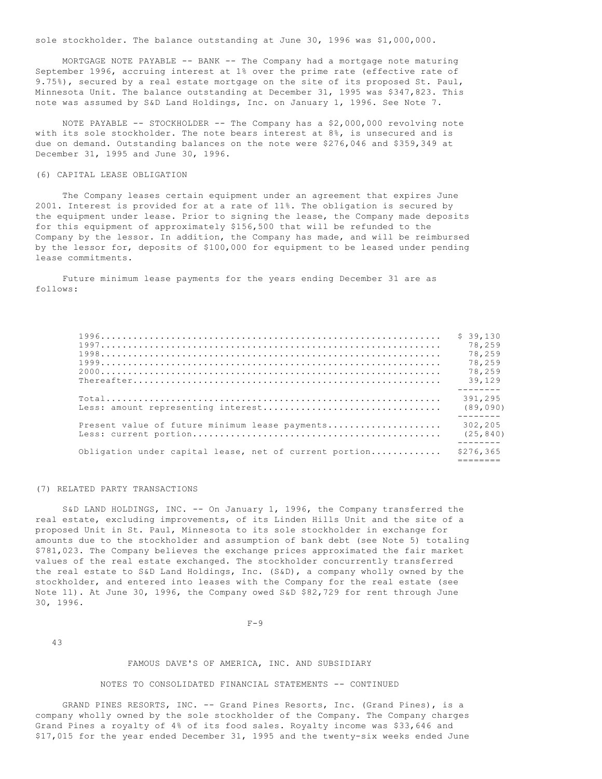sole stockholder. The balance outstanding at June 30, 1996 was \$1,000,000.

 MORTGAGE NOTE PAYABLE -- BANK -- The Company had a mortgage note maturing September 1996, accruing interest at 1% over the prime rate (effective rate of 9.75%), secured by a real estate mortgage on the site of its proposed St. Paul, Minnesota Unit. The balance outstanding at December 31, 1995 was \$347,823. This note was assumed by S&D Land Holdings, Inc. on January 1, 1996. See Note 7.

 NOTE PAYABLE -- STOCKHOLDER -- The Company has a \$2,000,000 revolving note with its sole stockholder. The note bears interest at 8%, is unsecured and is due on demand. Outstanding balances on the note were \$276,046 and \$359,349 at December 31, 1995 and June 30, 1996.

### (6) CAPITAL LEASE OBLIGATION

 The Company leases certain equipment under an agreement that expires June 2001. Interest is provided for at a rate of 11%. The obligation is secured by the equipment under lease. Prior to signing the lease, the Company made deposits for this equipment of approximately \$156,500 that will be refunded to the Company by the lessor. In addition, the Company has made, and will be reimbursed by the lessor for, deposits of \$100,000 for equipment to be leased under pending lease commitments.

 Future minimum lease payments for the years ending December 31 are as follows:

|                                                        | \$39.130<br>78,259<br>78,259<br>78,259<br>78,259<br>39,129 |
|--------------------------------------------------------|------------------------------------------------------------|
|                                                        | 391,295<br>(89,090)                                        |
| Present value of future minimum lease payments         | 302,205<br>(25, 840)                                       |
| Obligation under capital lease, net of current portion | \$276,365                                                  |

#### (7) RELATED PARTY TRANSACTIONS

 S&D LAND HOLDINGS, INC. -- On January 1, 1996, the Company transferred the real estate, excluding improvements, of its Linden Hills Unit and the site of a proposed Unit in St. Paul, Minnesota to its sole stockholder in exchange for amounts due to the stockholder and assumption of bank debt (see Note 5) totaling \$781,023. The Company believes the exchange prices approximated the fair market values of the real estate exchanged. The stockholder concurrently transferred the real estate to S&D Land Holdings, Inc. (S&D), a company wholly owned by the stockholder, and entered into leases with the Company for the real estate (see Note 11). At June 30, 1996, the Company owed S&D \$82,729 for rent through June 30, 1996.

 $F-9$ 

43

## FAMOUS DAVE'S OF AMERICA, INC. AND SUBSIDIARY

## NOTES TO CONSOLIDATED FINANCIAL STATEMENTS -- CONTINUED

 GRAND PINES RESORTS, INC. -- Grand Pines Resorts, Inc. (Grand Pines), is a company wholly owned by the sole stockholder of the Company. The Company charges Grand Pines a royalty of 4% of its food sales. Royalty income was \$33,646 and \$17,015 for the year ended December 31, 1995 and the twenty-six weeks ended June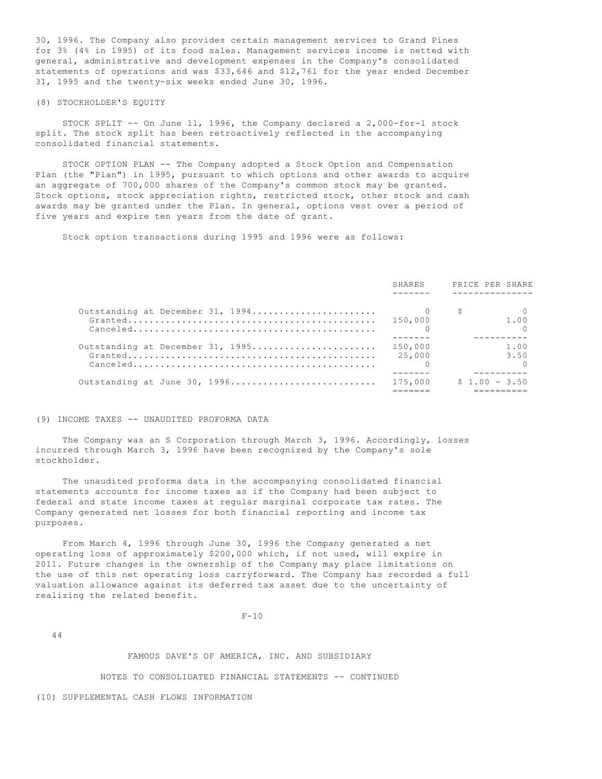30, 1996. The Company also provides certain management services to Grand Pines for 3% (4% in 1995) of its food sales. Management services income is netted with general, administrative and development expenses in the Company's consolidated statements of operations and was \$33,646 and \$12,761 for the year ended December 31, 1995 and the twenty-six weeks ended June 30, 1996.

### (8) STOCKHOLDER'S EQUITY

 STOCK SPLIT -- On June 11, 1996, the Company declared a 2,000-for-1 stock split. The stock split has been retroactively reflected in the accompanying consolidated financial statements.

 STOCK OPTION PLAN -- The Company adopted a Stock Option and Compensation Plan (the "Plan") in 1995, pursuant to which options and other awards to acquire an aggregate of 700,000 shares of the Company's common stock may be granted. Stock options, stock appreciation rights, restricted stock, other stock and cash awards may be granted under the Plan. In general, options vest over a period of five years and expire ten years from the date of grant.

Stock option transactions during 1995 and 1996 were as follows:

|                                      | SHARES            | PRICE PER SHARE |
|--------------------------------------|-------------------|-----------------|
|                                      |                   | S<br>1.00       |
| Outstanding at December 31, 1995     | 150,000<br>25,000 | 1.00<br>3.50    |
| Outstanding at June 30, 1996 175,000 |                   | $$1.00 - 3.50$  |

#### (9) INCOME TAXES -- UNAUDITED PROFORMA DATA

 The Company was an S Corporation through March 3, 1996. Accordingly, losses incurred through March 3, 1996 have been recognized by the Company's sole stockholder.

 The unaudited proforma data in the accompanying consolidated financial statements accounts for income taxes as if the Company had been subject to federal and state income taxes at regular marginal corporate tax rates. The Company generated net losses for both financial reporting and income tax purposes.

 From March 4, 1996 through June 30, 1996 the Company generated a net operating loss of approximately \$200,000 which, if not used, will expire in 2011. Future changes in the ownership of the Company may place limitations on the use of this net operating loss carryforward. The Company has recorded a full valuation allowance against its deferred tax asset due to the uncertainty of realizing the related benefit.

 $F-10$ 

44

### FAMOUS DAVE'S OF AMERICA, INC. AND SUBSIDIARY

NOTES TO CONSOLIDATED FINANCIAL STATEMENTS -- CONTINUED

(10) SUPPLEMENTAL CASH FLOWS INFORMATION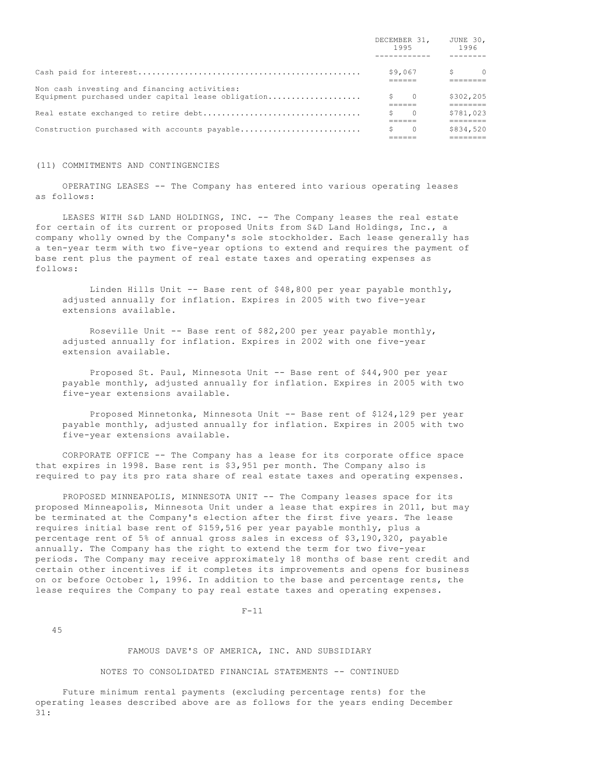|                                                                                                    | 1995         | DECEMBER 31, JUNE 30, | 1996      |  |
|----------------------------------------------------------------------------------------------------|--------------|-----------------------|-----------|--|
|                                                                                                    |              |                       |           |  |
|                                                                                                    |              | \$9,067               | $S$ 0     |  |
| Non cash investing and financing activities:<br>Equipment purchased under capital lease obligation | $S \qquad 0$ |                       | \$302,205 |  |
|                                                                                                    |              | $\cap$                | \$781,023 |  |
| Construction purchased with accounts payable                                                       |              | $\Omega$              | \$834,520 |  |

#### (11) COMMITMENTS AND CONTINGENCIES

 OPERATING LEASES -- The Company has entered into various operating leases as follows:

LEASES WITH S&D LAND HOLDINGS, INC. -- The Company leases the real estate for certain of its current or proposed Units from S&D Land Holdings, Inc., a company wholly owned by the Company's sole stockholder. Each lease generally has a ten-year term with two five-year options to extend and requires the payment of base rent plus the payment of real estate taxes and operating expenses as follows:

 Linden Hills Unit -- Base rent of \$48,800 per year payable monthly, adjusted annually for inflation. Expires in 2005 with two five-year extensions available.

Roseville Unit -- Base rent of  $$82,200$  per year payable monthly, adjusted annually for inflation. Expires in 2002 with one five-year extension available.

 Proposed St. Paul, Minnesota Unit -- Base rent of \$44,900 per year payable monthly, adjusted annually for inflation. Expires in 2005 with two five-year extensions available.

 Proposed Minnetonka, Minnesota Unit -- Base rent of \$124,129 per year payable monthly, adjusted annually for inflation. Expires in 2005 with two five-year extensions available.

 CORPORATE OFFICE -- The Company has a lease for its corporate office space that expires in 1998. Base rent is \$3,951 per month. The Company also is required to pay its pro rata share of real estate taxes and operating expenses.

PROPOSED MINNEAPOLIS, MINNESOTA UNIT -- The Company leases space for its proposed Minneapolis, Minnesota Unit under a lease that expires in 2011, but may be terminated at the Company's election after the first five years. The lease requires initial base rent of \$159,516 per year payable monthly, plus a percentage rent of 5% of annual gross sales in excess of \$3,190,320, payable annually. The Company has the right to extend the term for two five-year periods. The Company may receive approximately 18 months of base rent credit and certain other incentives if it completes its improvements and opens for business on or before October 1, 1996. In addition to the base and percentage rents, the lease requires the Company to pay real estate taxes and operating expenses.

#### $F-11$

45

#### FAMOUS DAVE'S OF AMERICA, INC. AND SUBSIDIARY

### NOTES TO CONSOLIDATED FINANCIAL STATEMENTS -- CONTINUED

 Future minimum rental payments (excluding percentage rents) for the operating leases described above are as follows for the years ending December 31: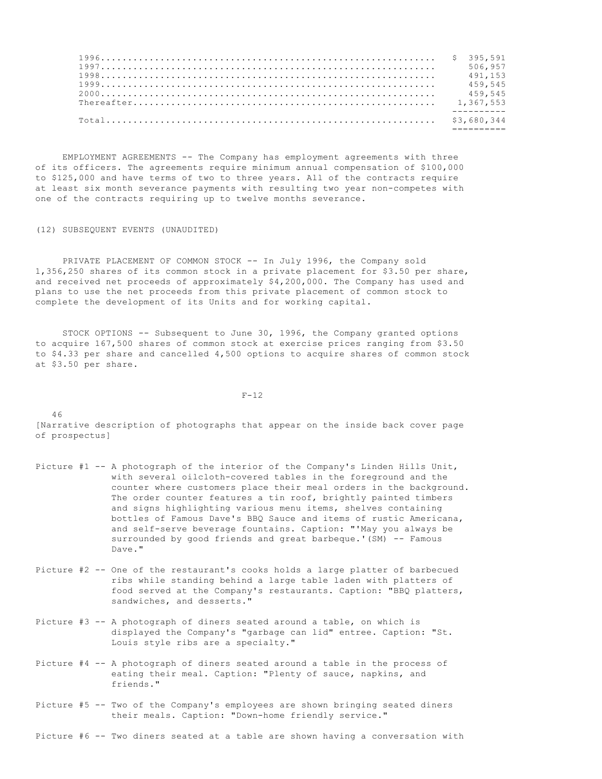| 506.957 |
|---------|
| 491.153 |
| 459,545 |
| 459,545 |
|         |
|         |
|         |
|         |

 EMPLOYMENT AGREEMENTS -- The Company has employment agreements with three of its officers. The agreements require minimum annual compensation of \$100,000 to \$125,000 and have terms of two to three years. All of the contracts require at least six month severance payments with resulting two year non-competes with one of the contracts requiring up to twelve months severance.

(12) SUBSEQUENT EVENTS (UNAUDITED)

PRIVATE PLACEMENT OF COMMON STOCK -- In July 1996, the Company sold 1,356,250 shares of its common stock in a private placement for \$3.50 per share, and received net proceeds of approximately \$4,200,000. The Company has used and plans to use the net proceeds from this private placement of common stock to complete the development of its Units and for working capital.

 STOCK OPTIONS -- Subsequent to June 30, 1996, the Company granted options to acquire 167,500 shares of common stock at exercise prices ranging from \$3.50 to \$4.33 per share and cancelled 4,500 options to acquire shares of common stock at \$3.50 per share.

 $F-12$ 

[Narrative description of photographs that appear on the inside back cover page of prospectus]

- Picture #1 -- A photograph of the interior of the Company's Linden Hills Unit, with several oilcloth-covered tables in the foreground and the counter where customers place their meal orders in the background. The order counter features a tin roof, brightly painted timbers and signs highlighting various menu items, shelves containing bottles of Famous Dave's BBQ Sauce and items of rustic Americana, and self-serve beverage fountains. Caption: "'May you always be surrounded by good friends and great barbeque.'(SM) -- Famous Dave."
- Picture #2 -- One of the restaurant's cooks holds a large platter of barbecued ribs while standing behind a large table laden with platters of food served at the Company's restaurants. Caption: "BBQ platters, sandwiches, and desserts."
- Picture #3 -- A photograph of diners seated around a table, on which is displayed the Company's "garbage can lid" entree. Caption: "St. Louis style ribs are a specialty."
- Picture #4 -- A photograph of diners seated around a table in the process of eating their meal. Caption: "Plenty of sauce, napkins, and friends."
- Picture #5 -- Two of the Company's employees are shown bringing seated diners their meals. Caption: "Down-home friendly service."

Picture #6 -- Two diners seated at a table are shown having a conversation with

#### 46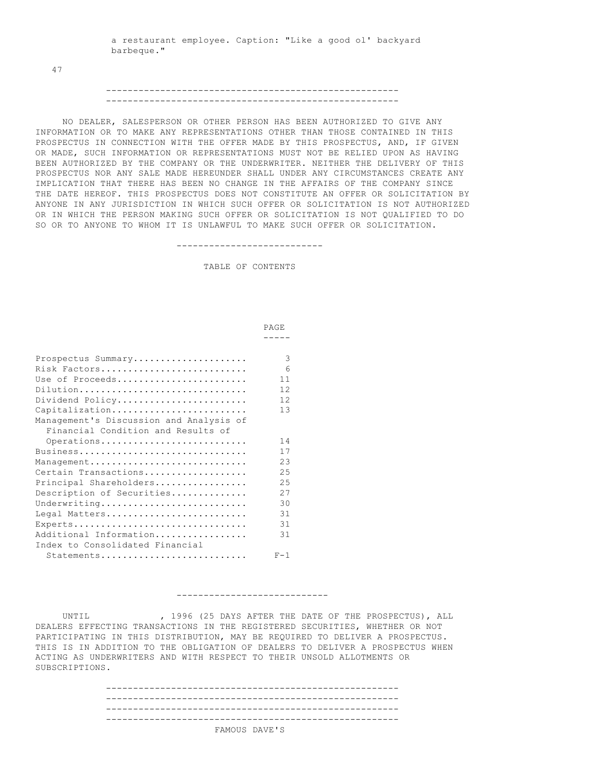a restaurant employee. Caption: "Like a good ol' backyard barbeque."

47

# ------------------------------------------------------ ------------------------------------------------------

 NO DEALER, SALESPERSON OR OTHER PERSON HAS BEEN AUTHORIZED TO GIVE ANY INFORMATION OR TO MAKE ANY REPRESENTATIONS OTHER THAN THOSE CONTAINED IN THIS PROSPECTUS IN CONNECTION WITH THE OFFER MADE BY THIS PROSPECTUS, AND, IF GIVEN OR MADE, SUCH INFORMATION OR REPRESENTATIONS MUST NOT BE RELIED UPON AS HAVING BEEN AUTHORIZED BY THE COMPANY OR THE UNDERWRITER. NEITHER THE DELIVERY OF THIS PROSPECTUS NOR ANY SALE MADE HEREUNDER SHALL UNDER ANY CIRCUMSTANCES CREATE ANY IMPLICATION THAT THERE HAS BEEN NO CHANGE IN THE AFFAIRS OF THE COMPANY SINCE THE DATE HEREOF. THIS PROSPECTUS DOES NOT CONSTITUTE AN OFFER OR SOLICITATION BY ANYONE IN ANY JURISDICTION IN WHICH SUCH OFFER OR SOLICITATION IS NOT AUTHORIZED OR IN WHICH THE PERSON MAKING SUCH OFFER OR SOLICITATION IS NOT QUALIFIED TO DO SO OR TO ANYONE TO WHOM IT IS UNLAWFUL TO MAKE SUCH OFFER OR SOLICITATION.

---------------------------

TABLE OF CONTENTS

|                                         | PAGE.      |
|-----------------------------------------|------------|
|                                         |            |
| Prospectus Summary                      | 3          |
| Risk Factors                            | $\epsilon$ |
| Use of Proceeds                         | 11         |
| Dilution                                | 12.        |
| Dividend Policy                         | 12.        |
| Capitalization                          | 1.3        |
| Management's Discussion and Analysis of |            |
| Financial Condition and Results of      |            |
| Operations                              | 14         |
| Business                                | 17         |
| Management                              | 2.3        |
| Certain Transactions                    | 25         |
| Principal Shareholders                  | 2.5        |
| Description of Securities               | 27         |
| Underwriting                            | 30         |
| Legal Matters                           | 31         |
| Experts                                 | 31         |
| Additional Information                  | 31         |
| Index to Consolidated Financial         |            |
| Statements                              | $F-1$      |

#### ----------------------------

UNTIL  $\qquad \qquad ,\quad 1996$  (25 DAYS AFTER THE DATE OF THE PROSPECTUS), ALL DEALERS EFFECTING TRANSACTIONS IN THE REGISTERED SECURITIES, WHETHER OR NOT PARTICIPATING IN THIS DISTRIBUTION, MAY BE REQUIRED TO DELIVER A PROSPECTUS. THIS IS IN ADDITION TO THE OBLIGATION OF DEALERS TO DELIVER A PROSPECTUS WHEN ACTING AS UNDERWRITERS AND WITH RESPECT TO THEIR UNSOLD ALLOTMENTS OR SUBSCRIPTIONS.

| ---------------------------------- |               |
|------------------------------------|---------------|
|                                    |               |
|                                    | FAMOUS DAVE'S |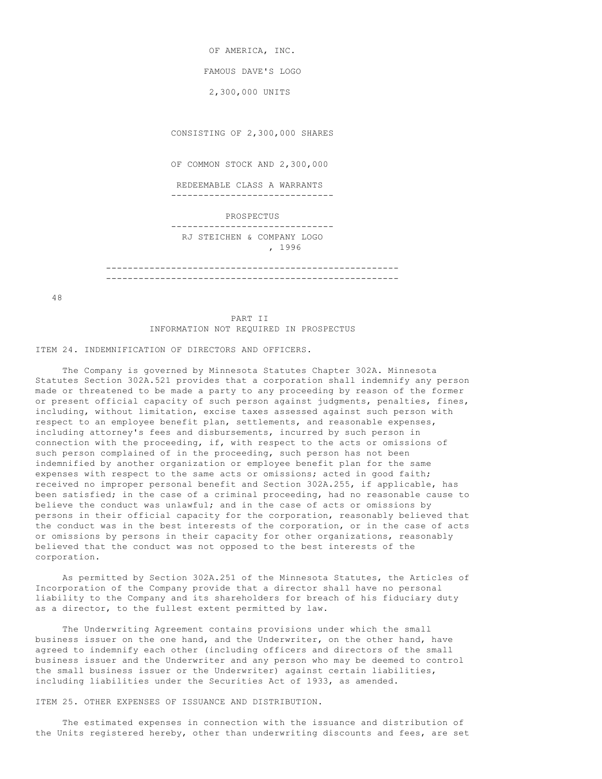OF AMERICA, INC. FAMOUS DAVE'S LOGO 2,300,000 UNITS CONSISTING OF 2,300,000 SHARES OF COMMON STOCK AND 2,300,000 REDEEMABLE CLASS A WARRANTS ------------------------------ PROSPECTUS ------------------------------ RJ STEICHEN & COMPANY LOGO , 1996 ------------------------------------------------------

48

 PART II INFORMATION NOT REQUIRED IN PROSPECTUS

------------------------------------------------------

ITEM 24. INDEMNIFICATION OF DIRECTORS AND OFFICERS.

 The Company is governed by Minnesota Statutes Chapter 302A. Minnesota Statutes Section 302A.521 provides that a corporation shall indemnify any person made or threatened to be made a party to any proceeding by reason of the former or present official capacity of such person against judgments, penalties, fines, including, without limitation, excise taxes assessed against such person with respect to an employee benefit plan, settlements, and reasonable expenses, including attorney's fees and disbursements, incurred by such person in connection with the proceeding, if, with respect to the acts or omissions of such person complained of in the proceeding, such person has not been indemnified by another organization or employee benefit plan for the same expenses with respect to the same acts or omissions; acted in good faith; received no improper personal benefit and Section 302A.255, if applicable, has been satisfied; in the case of a criminal proceeding, had no reasonable cause to believe the conduct was unlawful; and in the case of acts or omissions by persons in their official capacity for the corporation, reasonably believed that the conduct was in the best interests of the corporation, or in the case of acts or omissions by persons in their capacity for other organizations, reasonably believed that the conduct was not opposed to the best interests of the corporation.

 As permitted by Section 302A.251 of the Minnesota Statutes, the Articles of Incorporation of the Company provide that a director shall have no personal liability to the Company and its shareholders for breach of his fiduciary duty as a director, to the fullest extent permitted by law.

 The Underwriting Agreement contains provisions under which the small business issuer on the one hand, and the Underwriter, on the other hand, have agreed to indemnify each other (including officers and directors of the small business issuer and the Underwriter and any person who may be deemed to control the small business issuer or the Underwriter) against certain liabilities, including liabilities under the Securities Act of 1933, as amended.

ITEM 25. OTHER EXPENSES OF ISSUANCE AND DISTRIBUTION.

 The estimated expenses in connection with the issuance and distribution of the Units registered hereby, other than underwriting discounts and fees, are set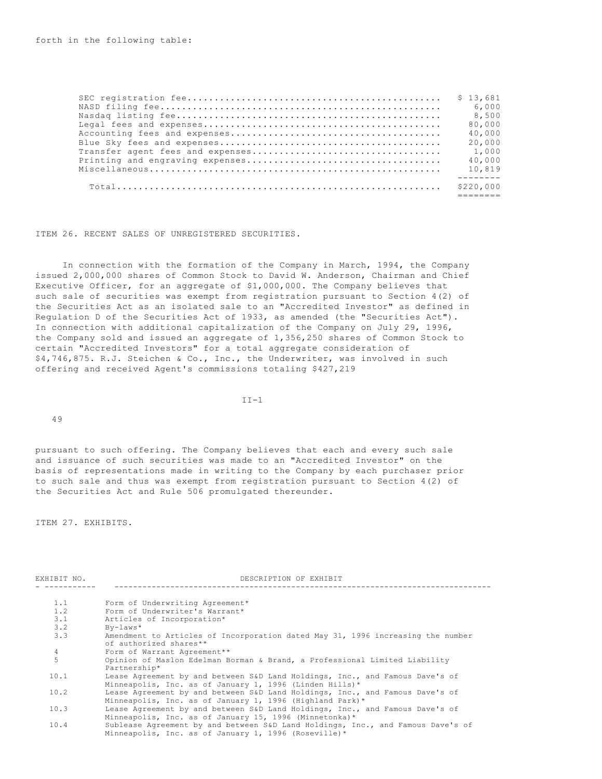| \$13.681  |
|-----------|
| 6,000     |
| 8,500     |
| 80,000    |
| 40,000    |
| 20,000    |
| 1,000     |
| 40,000    |
| 10,819    |
| \$220,000 |

ITEM 26. RECENT SALES OF UNREGISTERED SECURITIES.

 In connection with the formation of the Company in March, 1994, the Company issued 2,000,000 shares of Common Stock to David W. Anderson, Chairman and Chief Executive Officer, for an aggregate of \$1,000,000. The Company believes that such sale of securities was exempt from registration pursuant to Section 4(2) of the Securities Act as an isolated sale to an "Accredited Investor" as defined in Regulation D of the Securities Act of 1933, as amended (the "Securities Act"). In connection with additional capitalization of the Company on July 29, 1996, the Company sold and issued an aggregate of 1,356,250 shares of Common Stock to certain "Accredited Investors" for a total aggregate consideration of \$4,746,875. R.J. Steichen & Co., Inc., the Underwriter, was involved in such offering and received Agent's commissions totaling \$427,219

II-1

49

pursuant to such offering. The Company believes that each and every such sale and issuance of such securities was made to an "Accredited Investor" on the basis of representations made in writing to the Company by each purchaser prior to such sale and thus was exempt from registration pursuant to Section 4(2) of the Securities Act and Rule 506 promulgated thereunder.

ITEM 27. EXHIBITS.

| EXHIBIT NO.    | DESCRIPTION OF EXHIBIT                                                                                                                    |  |  |  |  |
|----------------|-------------------------------------------------------------------------------------------------------------------------------------------|--|--|--|--|
| 1.1            | Form of Underwriting Agreement*                                                                                                           |  |  |  |  |
| 1.2            | Form of Underwriter's Warrant*                                                                                                            |  |  |  |  |
| 3.1            | Articles of Incorporation*                                                                                                                |  |  |  |  |
| 3.2            | $By-Laws*$                                                                                                                                |  |  |  |  |
| 3.3            | Amendment to Articles of Incorporation dated May 31, 1996 increasing the number<br>of authorized shares**                                 |  |  |  |  |
| $\overline{4}$ | Form of Warrant Agreement**                                                                                                               |  |  |  |  |
| 5              | Opinion of Maslon Edelman Borman & Brand, a Professional Limited Liability<br>Partnership*                                                |  |  |  |  |
| 10.1           | Lease Agreement by and between S&D Land Holdings, Inc., and Famous Dave's of<br>Minneapolis, Inc. as of January 1, 1996 (Linden Hills)*   |  |  |  |  |
| 10.2           | Lease Agreement by and between S&D Land Holdings, Inc., and Famous Dave's of<br>Minneapolis, Inc. as of January 1, 1996 (Highland Park)*  |  |  |  |  |
| 10.3           | Lease Agreement by and between S&D Land Holdings, Inc., and Famous Dave's of<br>Minneapolis, Inc. as of January 15, 1996 (Minnetonka) $*$ |  |  |  |  |
| 10.4           | Sublease Agreement by and between S&D Land Holdings, Inc., and Famous Dave's of<br>Minneapolis, Inc. as of January 1, 1996 (Roseville)*   |  |  |  |  |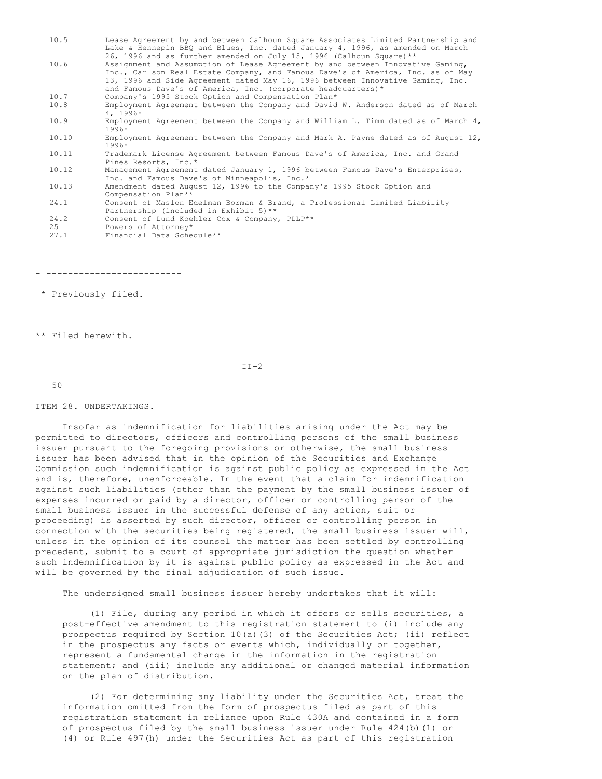| 10.5  | Lease Agreement by and between Calhoun Square Associates Limited Partnership and                                                                       |
|-------|--------------------------------------------------------------------------------------------------------------------------------------------------------|
|       | Lake & Hennepin BBO and Blues, Inc. dated January 4, 1996, as amended on March                                                                         |
| 10.6  | 26, 1996 and as further amended on July 15, 1996 (Calhoun Square) **<br>Assignment and Assumption of Lease Agreement by and between Innovative Gaming, |
|       | Inc., Carlson Real Estate Company, and Famous Dave's of America, Inc. as of May                                                                        |
|       | 13, 1996 and Side Agreement dated May 16, 1996 between Innovative Gaming, Inc.                                                                         |
|       | and Famous Dave's of America, Inc. (corporate headquarters)*                                                                                           |
| 10.7  | Company's 1995 Stock Option and Compensation Plan*                                                                                                     |
| 10.8  | Employment Agreement between the Company and David W. Anderson dated as of March<br>$4, 1996*$                                                         |
| 10.9  | Employment Agreement between the Company and William L. Timm dated as of March $4$ ,<br>1996*                                                          |
| 10.10 | Employment Agreement between the Company and Mark A. Payne dated as of August 12,<br>$1996*$                                                           |
| 10.11 | Trademark License Agreement between Famous Dave's of America, Inc. and Grand<br>Pines Resorts, Inc.*                                                   |
| 10.12 | Management Agreement dated January 1, 1996 between Famous Dave's Enterprises,<br>Inc. and Famous Dave's of Minneapolis, Inc.*                          |
| 10.13 | Amendment dated August 12, 1996 to the Company's 1995 Stock Option and<br>Compensation Plan**                                                          |
| 24.1  | Consent of Maslon Edelman Borman & Brand, a Professional Limited Liability                                                                             |
|       | Partnership (included in Exhibit 5)**                                                                                                                  |
| 24.2  | Consent of Lund Koehler Cox & Company, PLLP**                                                                                                          |
| 25    | Powers of Attorney*                                                                                                                                    |
| 27.1  | Financial Data Schedule**                                                                                                                              |
|       |                                                                                                                                                        |

- -------------------------

\* Previously filed.

\*\* Filed herewith.

 $II-2$ 

50

### ITEM 28. UNDERTAKINGS.

 Insofar as indemnification for liabilities arising under the Act may be permitted to directors, officers and controlling persons of the small business issuer pursuant to the foregoing provisions or otherwise, the small business issuer has been advised that in the opinion of the Securities and Exchange Commission such indemnification is against public policy as expressed in the Act and is, therefore, unenforceable. In the event that a claim for indemnification against such liabilities (other than the payment by the small business issuer of expenses incurred or paid by a director, officer or controlling person of the small business issuer in the successful defense of any action, suit or proceeding) is asserted by such director, officer or controlling person in connection with the securities being registered, the small business issuer will, unless in the opinion of its counsel the matter has been settled by controlling precedent, submit to a court of appropriate jurisdiction the question whether such indemnification by it is against public policy as expressed in the Act and will be governed by the final adjudication of such issue.

The undersigned small business issuer hereby undertakes that it will:

 (1) File, during any period in which it offers or sells securities, a post-effective amendment to this registration statement to (i) include any prospectus required by Section 10(a)(3) of the Securities Act; (ii) reflect in the prospectus any facts or events which, individually or together, represent a fundamental change in the information in the registration statement; and (iii) include any additional or changed material information on the plan of distribution.

 (2) For determining any liability under the Securities Act, treat the information omitted from the form of prospectus filed as part of this registration statement in reliance upon Rule 430A and contained in a form of prospectus filed by the small business issuer under Rule 424(b)(1) or (4) or Rule 497(h) under the Securities Act as part of this registration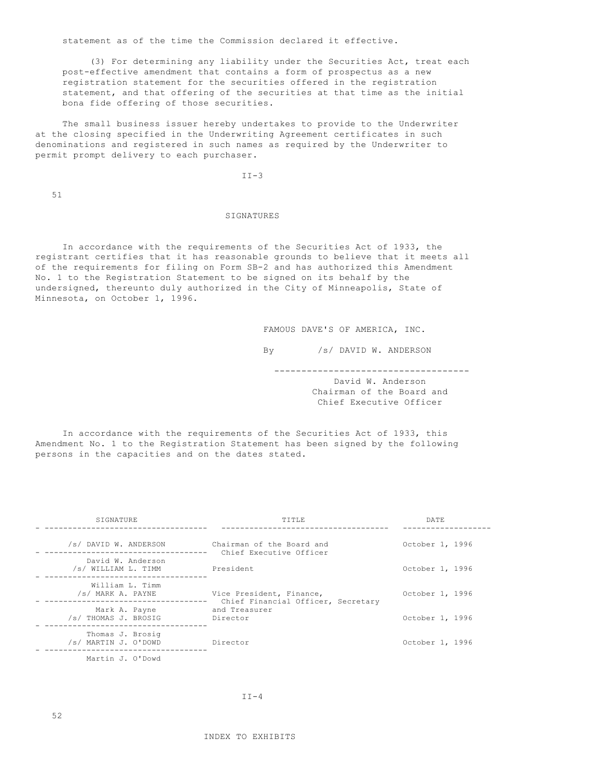statement as of the time the Commission declared it effective.

 (3) For determining any liability under the Securities Act, treat each post-effective amendment that contains a form of prospectus as a new registration statement for the securities offered in the registration statement, and that offering of the securities at that time as the initial bona fide offering of those securities.

 The small business issuer hereby undertakes to provide to the Underwriter at the closing specified in the Underwriting Agreement certificates in such denominations and registered in such names as required by the Underwriter to permit prompt delivery to each purchaser.

II-3

51

# SIGNATURES

 In accordance with the requirements of the Securities Act of 1933, the registrant certifies that it has reasonable grounds to believe that it meets all of the requirements for filing on Form SB-2 and has authorized this Amendment No. 1 to the Registration Statement to be signed on its behalf by the undersigned, thereunto duly authorized in the City of Minneapolis, State of Minnesota, on October 1, 1996.

FAMOUS DAVE'S OF AMERICA, INC.

By /s/ DAVID W. ANDERSON

------------------------------------

 David W. Anderson Chairman of the Board and Chief Executive Officer

 In accordance with the requirements of the Securities Act of 1933, this Amendment No. 1 to the Registration Statement has been signed by the following persons in the capacities and on the dates stated.

| SIGNATURE                                | TITLE                                                          | <b>DATE</b>     |
|------------------------------------------|----------------------------------------------------------------|-----------------|
| /s/ DAVID W. ANDERSON                    | Chairman of the Board and<br>Chief Executive Officer           | October 1, 1996 |
| David W. Anderson<br>/s/ WILLIAM L. TIMM | President                                                      | October 1, 1996 |
| William L. Timm<br>/s/ MARK A. PAYNE     | Vice President, Finance,<br>Chief Financial Officer, Secretary | October 1, 1996 |
| Mark A. Payne<br>/s/ THOMAS J. BROSIG    | and Treasurer<br>Director                                      | October 1, 1996 |
| Thomas J. Brosig<br>/s/ MARTIN J. O'DOWD | Director                                                       | October 1, 1996 |
| Martin J. O'Dowd                         |                                                                |                 |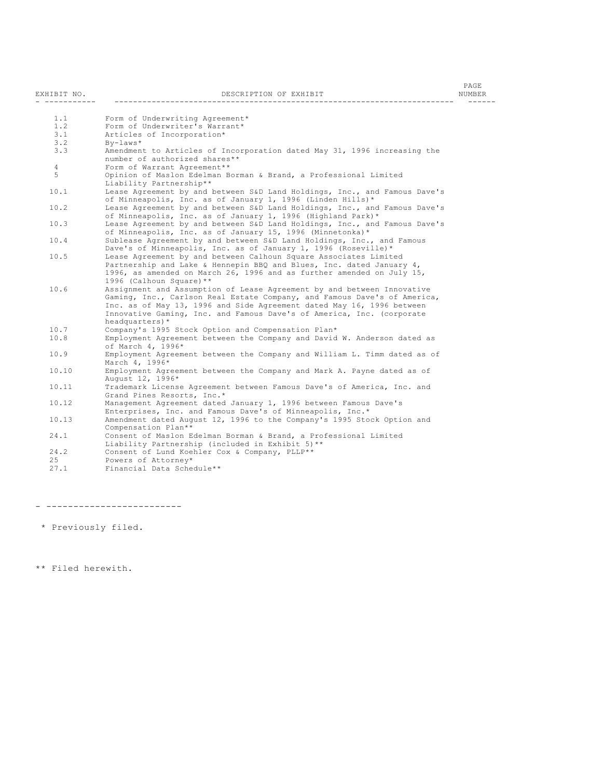| EXHIBIT NO.    | DESCRIPTION OF EXHIBIT                                                                                                                                                                                                                                                                                                  | PAGE<br>NUMBER |
|----------------|-------------------------------------------------------------------------------------------------------------------------------------------------------------------------------------------------------------------------------------------------------------------------------------------------------------------------|----------------|
|                |                                                                                                                                                                                                                                                                                                                         |                |
| 1.1            | Form of Underwriting Agreement*                                                                                                                                                                                                                                                                                         |                |
| 1.2            | Form of Underwriter's Warrant*                                                                                                                                                                                                                                                                                          |                |
| 3.1            | Articles of Incorporation*                                                                                                                                                                                                                                                                                              |                |
| 3.2            | $By-laws*$                                                                                                                                                                                                                                                                                                              |                |
| 3.3            | Amendment to Articles of Incorporation dated May 31, 1996 increasing the<br>number of authorized shares**                                                                                                                                                                                                               |                |
| $\overline{4}$ | Form of Warrant Agreement**                                                                                                                                                                                                                                                                                             |                |
| 5              | Opinion of Maslon Edelman Borman & Brand, a Professional Limited<br>Liability Partnership**                                                                                                                                                                                                                             |                |
| 10.1           | Lease Agreement by and between S&D Land Holdings, Inc., and Famous Dave's<br>of Minneapolis, Inc. as of January 1, 1996 (Linden Hills)*                                                                                                                                                                                 |                |
| 10.2           | Lease Agreement by and between S&D Land Holdings, Inc., and Famous Dave's<br>of Minneapolis, Inc. as of January 1, 1996 (Highland Park)*                                                                                                                                                                                |                |
| 10.3           | Lease Agreement by and between S&D Land Holdings, Inc., and Famous Dave's<br>of Minneapolis, Inc. as of January 15, 1996 (Minnetonka)*                                                                                                                                                                                  |                |
| 10.4           | Sublease Agreement by and between S&D Land Holdings, Inc., and Famous<br>Dave's of Minneapolis, Inc. as of January 1, 1996 (Roseville)*                                                                                                                                                                                 |                |
| 10.5           | Lease Agreement by and between Calhoun Square Associates Limited                                                                                                                                                                                                                                                        |                |
|                | Partnership and Lake & Hennepin BBQ and Blues, Inc. dated January 4,                                                                                                                                                                                                                                                    |                |
|                | 1996, as amended on March 26, 1996 and as further amended on July 15,<br>1996 (Calhoun Square) **                                                                                                                                                                                                                       |                |
| 10.6           | Assignment and Assumption of Lease Agreement by and between Innovative<br>Gaming, Inc., Carlson Real Estate Company, and Famous Dave's of America,<br>Inc. as of May 13, 1996 and Side Agreement dated May 16, 1996 between<br>Innovative Gaming, Inc. and Famous Dave's of America, Inc. (corporate<br>headquarters) * |                |
| 10.7           | Company's 1995 Stock Option and Compensation Plan*                                                                                                                                                                                                                                                                      |                |
| 10.8           | Employment Agreement between the Company and David W. Anderson dated as<br>of March 4, 1996*                                                                                                                                                                                                                            |                |
| 10.9           | Employment Agreement between the Company and William L. Timm dated as of<br>March 4, 1996*                                                                                                                                                                                                                              |                |
| 10.10          | Employment Agreement between the Company and Mark A. Payne dated as of<br>August 12, 1996*                                                                                                                                                                                                                              |                |
| 10.11          | Trademark License Agreement between Famous Dave's of America, Inc. and<br>Grand Pines Resorts, Inc.*                                                                                                                                                                                                                    |                |
| 10.12          | Management Agreement dated January 1, 1996 between Famous Dave's<br>Enterprises, Inc. and Famous Dave's of Minneapolis, Inc.*                                                                                                                                                                                           |                |
| 10.13          | Amendment dated August 12, 1996 to the Company's 1995 Stock Option and<br>Compensation Plan**                                                                                                                                                                                                                           |                |
| 24.1           | Consent of Maslon Edelman Borman & Brand, a Professional Limited<br>Liability Partnership (included in Exhibit 5)**                                                                                                                                                                                                     |                |
| 24.2           | Consent of Lund Koehler Cox & Company, PLLP**                                                                                                                                                                                                                                                                           |                |
| 25             | Powers of Attorney*                                                                                                                                                                                                                                                                                                     |                |
| 27.1           | Financial Data Schedule**                                                                                                                                                                                                                                                                                               |                |
|                |                                                                                                                                                                                                                                                                                                                         |                |

- -------------------------

\* Previously filed.

\*\* Filed herewith.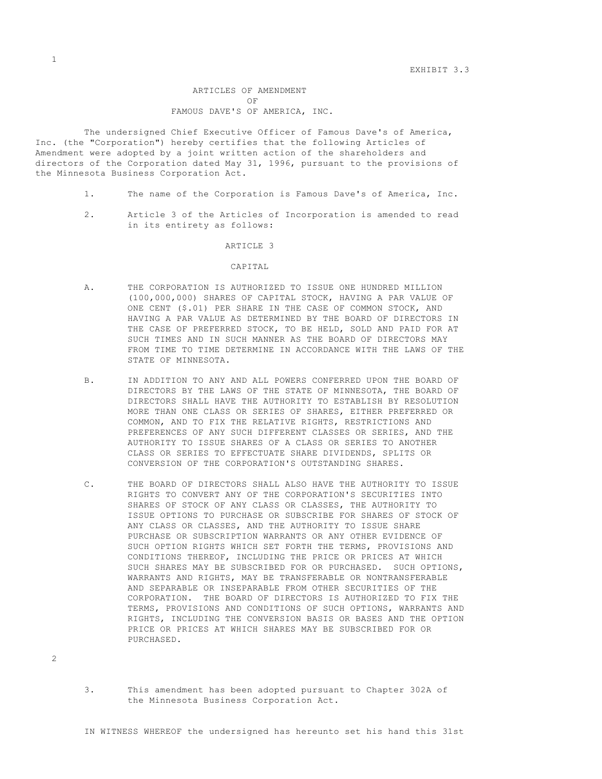EXHIBIT 3.3

 ARTICLES OF AMENDMENT OF FAMOUS DAVE'S OF AMERICA, INC.

 The undersigned Chief Executive Officer of Famous Dave's of America, Inc. (the "Corporation") hereby certifies that the following Articles of Amendment were adopted by a joint written action of the shareholders and directors of the Corporation dated May 31, 1996, pursuant to the provisions of the Minnesota Business Corporation Act.

- 1. The name of the Corporation is Famous Dave's of America, Inc.
- 2. Article 3 of the Articles of Incorporation is amended to read in its entirety as follows:

### ARTICLE 3

### CAPITAL

- A. THE CORPORATION IS AUTHORIZED TO ISSUE ONE HUNDRED MILLION (100,000,000) SHARES OF CAPITAL STOCK, HAVING A PAR VALUE OF ONE CENT (\$.01) PER SHARE IN THE CASE OF COMMON STOCK, AND HAVING A PAR VALUE AS DETERMINED BY THE BOARD OF DIRECTORS IN THE CASE OF PREFERRED STOCK, TO BE HELD, SOLD AND PAID FOR AT SUCH TIMES AND IN SUCH MANNER AS THE BOARD OF DIRECTORS MAY FROM TIME TO TIME DETERMINE IN ACCORDANCE WITH THE LAWS OF THE STATE OF MINNESOTA.
- B. IN ADDITION TO ANY AND ALL POWERS CONFERRED UPON THE BOARD OF DIRECTORS BY THE LAWS OF THE STATE OF MINNESOTA, THE BOARD OF DIRECTORS SHALL HAVE THE AUTHORITY TO ESTABLISH BY RESOLUTION MORE THAN ONE CLASS OR SERIES OF SHARES, EITHER PREFERRED OR COMMON, AND TO FIX THE RELATIVE RIGHTS, RESTRICTIONS AND PREFERENCES OF ANY SUCH DIFFERENT CLASSES OR SERIES, AND THE AUTHORITY TO ISSUE SHARES OF A CLASS OR SERIES TO ANOTHER CLASS OR SERIES TO EFFECTUATE SHARE DIVIDENDS, SPLITS OR CONVERSION OF THE CORPORATION'S OUTSTANDING SHARES.
- C. THE BOARD OF DIRECTORS SHALL ALSO HAVE THE AUTHORITY TO ISSUE RIGHTS TO CONVERT ANY OF THE CORPORATION'S SECURITIES INTO SHARES OF STOCK OF ANY CLASS OR CLASSES, THE AUTHORITY TO ISSUE OPTIONS TO PURCHASE OR SUBSCRIBE FOR SHARES OF STOCK OF ANY CLASS OR CLASSES, AND THE AUTHORITY TO ISSUE SHARE PURCHASE OR SUBSCRIPTION WARRANTS OR ANY OTHER EVIDENCE OF SUCH OPTION RIGHTS WHICH SET FORTH THE TERMS, PROVISIONS AND CONDITIONS THEREOF, INCLUDING THE PRICE OR PRICES AT WHICH SUCH SHARES MAY BE SUBSCRIBED FOR OR PURCHASED. SUCH OPTIONS, WARRANTS AND RIGHTS, MAY BE TRANSFERABLE OR NONTRANSFERABLE AND SEPARABLE OR INSEPARABLE FROM OTHER SECURITIES OF THE CORPORATION. THE BOARD OF DIRECTORS IS AUTHORIZED TO FIX THE TERMS, PROVISIONS AND CONDITIONS OF SUCH OPTIONS, WARRANTS AND RIGHTS, INCLUDING THE CONVERSION BASIS OR BASES AND THE OPTION PRICE OR PRICES AT WHICH SHARES MAY BE SUBSCRIBED FOR OR PURCHASED.
- 3. This amendment has been adopted pursuant to Chapter 302A of the Minnesota Business Corporation Act.

2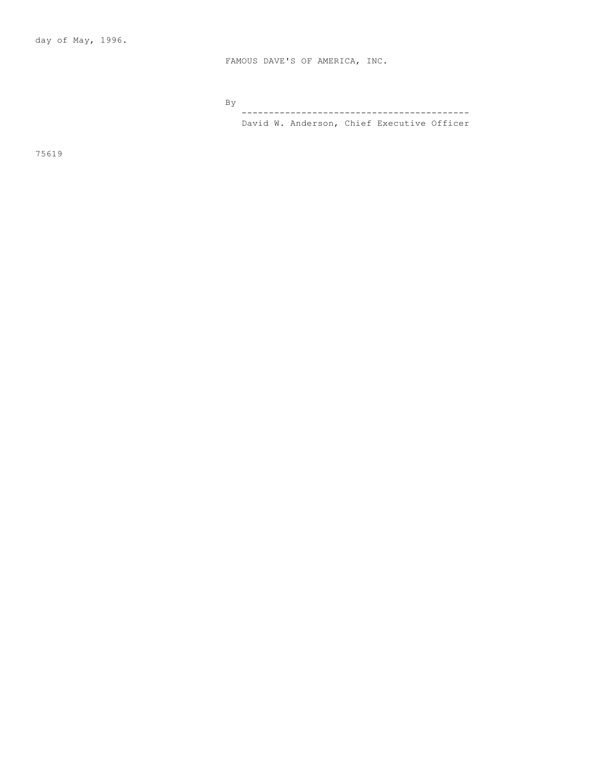FAMOUS DAVE'S OF AMERICA, INC.

By

 ------------------------------------------ David W. Anderson, Chief Executive Officer

75619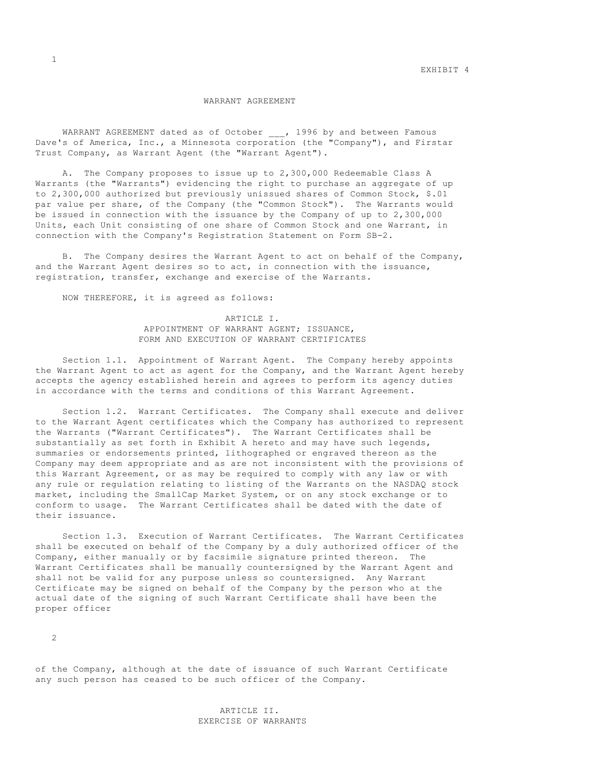### WARRANT AGREEMENT

WARRANT AGREEMENT dated as of October \_\_\_, 1996 by and between Famous Dave's of America, Inc., a Minnesota corporation (the "Company"), and Firstar Trust Company, as Warrant Agent (the "Warrant Agent").

 A. The Company proposes to issue up to 2,300,000 Redeemable Class A Warrants (the "Warrants") evidencing the right to purchase an aggregate of up to 2,300,000 authorized but previously unissued shares of Common Stock, \$.01 par value per share, of the Company (the "Common Stock"). The Warrants would be issued in connection with the issuance by the Company of up to 2,300,000 Units, each Unit consisting of one share of Common Stock and one Warrant, in connection with the Company's Registration Statement on Form SB-2.

 B. The Company desires the Warrant Agent to act on behalf of the Company, and the Warrant Agent desires so to act, in connection with the issuance, registration, transfer, exchange and exercise of the Warrants.

NOW THEREFORE, it is agreed as follows:

 ARTICLE I. APPOINTMENT OF WARRANT AGENT; ISSUANCE, FORM AND EXECUTION OF WARRANT CERTIFICATES

 Section 1.1. Appointment of Warrant Agent. The Company hereby appoints the Warrant Agent to act as agent for the Company, and the Warrant Agent hereby accepts the agency established herein and agrees to perform its agency duties in accordance with the terms and conditions of this Warrant Agreement.

 Section 1.2. Warrant Certificates. The Company shall execute and deliver to the Warrant Agent certificates which the Company has authorized to represent the Warrants ("Warrant Certificates"). The Warrant Certificates shall be substantially as set forth in Exhibit A hereto and may have such legends, summaries or endorsements printed, lithographed or engraved thereon as the Company may deem appropriate and as are not inconsistent with the provisions of this Warrant Agreement, or as may be required to comply with any law or with any rule or regulation relating to listing of the Warrants on the NASDAQ stock market, including the SmallCap Market System, or on any stock exchange or to conform to usage. The Warrant Certificates shall be dated with the date of their issuance.

 Section 1.3. Execution of Warrant Certificates. The Warrant Certificates shall be executed on behalf of the Company by a duly authorized officer of the Company, either manually or by facsimile signature printed thereon. The Warrant Certificates shall be manually countersigned by the Warrant Agent and shall not be valid for any purpose unless so countersigned. Any Warrant Certificate may be signed on behalf of the Company by the person who at the actual date of the signing of such Warrant Certificate shall have been the proper officer

2

of the Company, although at the date of issuance of such Warrant Certificate any such person has ceased to be such officer of the Company.

> ARTICLE II. EXERCISE OF WARRANTS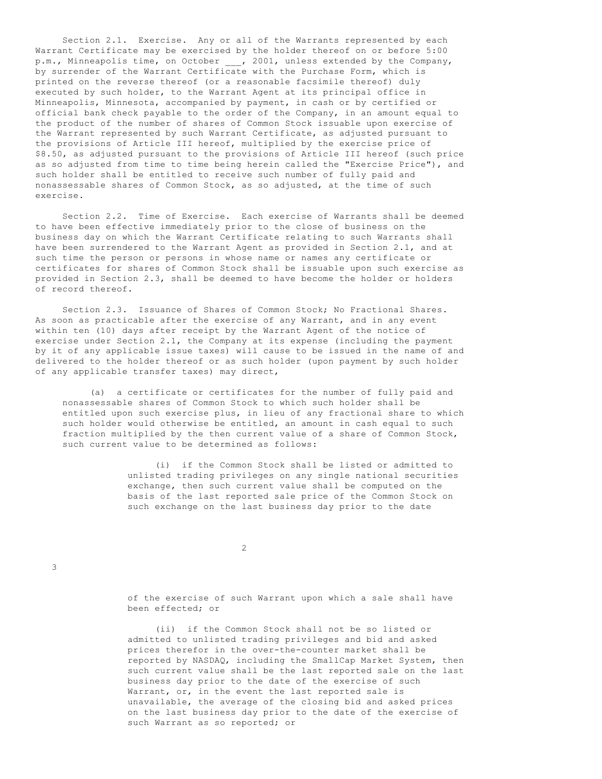Section 2.1. Exercise. Any or all of the Warrants represented by each Warrant Certificate may be exercised by the holder thereof on or before 5:00 p.m., Minneapolis time, on October \_\_\_, 2001, unless extended by the Company, by surrender of the Warrant Certificate with the Purchase Form, which is printed on the reverse thereof (or a reasonable facsimile thereof) duly executed by such holder, to the Warrant Agent at its principal office in Minneapolis, Minnesota, accompanied by payment, in cash or by certified or official bank check payable to the order of the Company, in an amount equal to the product of the number of shares of Common Stock issuable upon exercise of the Warrant represented by such Warrant Certificate, as adjusted pursuant to the provisions of Article III hereof, multiplied by the exercise price of \$8.50, as adjusted pursuant to the provisions of Article III hereof (such price as so adjusted from time to time being herein called the "Exercise Price"), and such holder shall be entitled to receive such number of fully paid and nonassessable shares of Common Stock, as so adjusted, at the time of such exercise.

 Section 2.2. Time of Exercise. Each exercise of Warrants shall be deemed to have been effective immediately prior to the close of business on the business day on which the Warrant Certificate relating to such Warrants shall have been surrendered to the Warrant Agent as provided in Section 2.1, and at such time the person or persons in whose name or names any certificate or certificates for shares of Common Stock shall be issuable upon such exercise as provided in Section 2.3, shall be deemed to have become the holder or holders of record thereof.

 Section 2.3. Issuance of Shares of Common Stock; No Fractional Shares. As soon as practicable after the exercise of any Warrant, and in any event within ten (10) days after receipt by the Warrant Agent of the notice of exercise under Section 2.1, the Company at its expense (including the payment by it of any applicable issue taxes) will cause to be issued in the name of and delivered to the holder thereof or as such holder (upon payment by such holder of any applicable transfer taxes) may direct,

 (a) a certificate or certificates for the number of fully paid and nonassessable shares of Common Stock to which such holder shall be entitled upon such exercise plus, in lieu of any fractional share to which such holder would otherwise be entitled, an amount in cash equal to such fraction multiplied by the then current value of a share of Common Stock, such current value to be determined as follows:

> (i) if the Common Stock shall be listed or admitted to unlisted trading privileges on any single national securities exchange, then such current value shall be computed on the basis of the last reported sale price of the Common Stock on such exchange on the last business day prior to the date

2

3

 of the exercise of such Warrant upon which a sale shall have been effected; or

 (ii) if the Common Stock shall not be so listed or admitted to unlisted trading privileges and bid and asked prices therefor in the over-the-counter market shall be reported by NASDAQ, including the SmallCap Market System, then such current value shall be the last reported sale on the last business day prior to the date of the exercise of such Warrant, or, in the event the last reported sale is unavailable, the average of the closing bid and asked prices on the last business day prior to the date of the exercise of such Warrant as so reported; or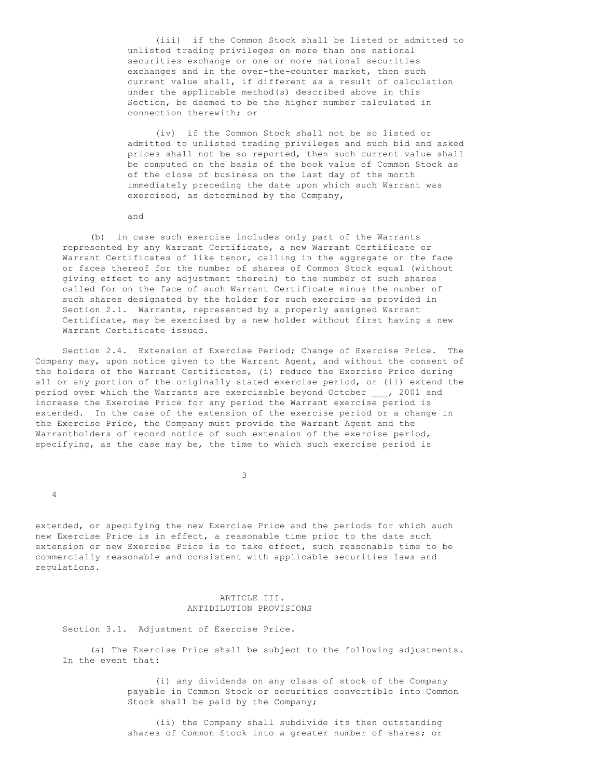(iii) if the Common Stock shall be listed or admitted to unlisted trading privileges on more than one national securities exchange or one or more national securities exchanges and in the over-the-counter market, then such current value shall, if different as a result of calculation under the applicable method(s) described above in this Section, be deemed to be the higher number calculated in connection therewith; or

 (iv) if the Common Stock shall not be so listed or admitted to unlisted trading privileges and such bid and asked prices shall not be so reported, then such current value shall be computed on the basis of the book value of Common Stock as of the close of business on the last day of the month immediately preceding the date upon which such Warrant was exercised, as determined by the Company,

and

 (b) in case such exercise includes only part of the Warrants represented by any Warrant Certificate, a new Warrant Certificate or Warrant Certificates of like tenor, calling in the aggregate on the face or faces thereof for the number of shares of Common Stock equal (without giving effect to any adjustment therein) to the number of such shares called for on the face of such Warrant Certificate minus the number of such shares designated by the holder for such exercise as provided in Section 2.1. Warrants, represented by a properly assigned Warrant Certificate, may be exercised by a new holder without first having a new Warrant Certificate issued.

 Section 2.4. Extension of Exercise Period; Change of Exercise Price. The Company may, upon notice given to the Warrant Agent, and without the consent of the holders of the Warrant Certificates, (i) reduce the Exercise Price during all or any portion of the originally stated exercise period, or (ii) extend the period over which the Warrants are exercisable beyond October \_\_\_, 2001 and increase the Exercise Price for any period the Warrant exercise period is extended. In the case of the extension of the exercise period or a change in the Exercise Price, the Company must provide the Warrant Agent and the Warrantholders of record notice of such extension of the exercise period, specifying, as the case may be, the time to which such exercise period is

3

4

extended, or specifying the new Exercise Price and the periods for which such new Exercise Price is in effect, a reasonable time prior to the date such extension or new Exercise Price is to take effect, such reasonable time to be commercially reasonable and consistent with applicable securities laws and regulations.

### ARTICLE III. ANTIDILUTION PROVISIONS

Section 3.1. Adjustment of Exercise Price.

 (a) The Exercise Price shall be subject to the following adjustments. In the event that:

> (i) any dividends on any class of stock of the Company payable in Common Stock or securities convertible into Common Stock shall be paid by the Company;

 (ii) the Company shall subdivide its then outstanding shares of Common Stock into a greater number of shares; or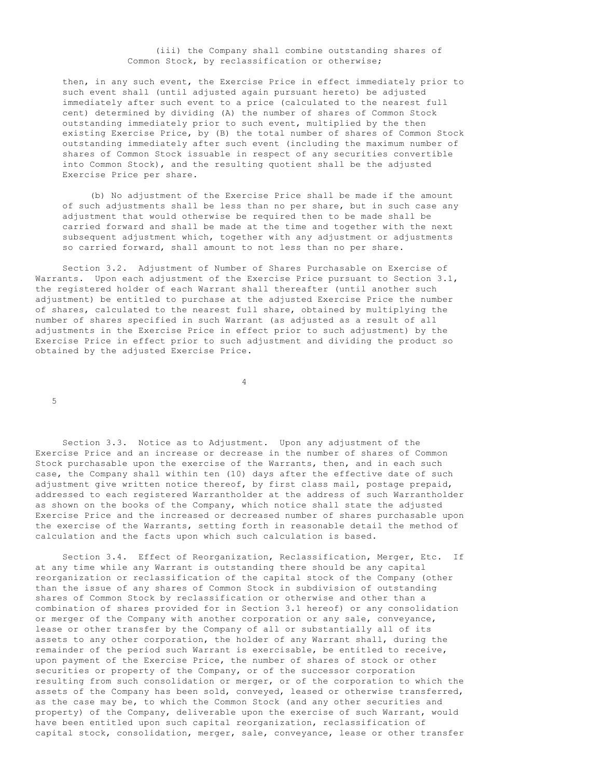# (iii) the Company shall combine outstanding shares of Common Stock, by reclassification or otherwise;

 then, in any such event, the Exercise Price in effect immediately prior to such event shall (until adjusted again pursuant hereto) be adjusted immediately after such event to a price (calculated to the nearest full cent) determined by dividing (A) the number of shares of Common Stock outstanding immediately prior to such event, multiplied by the then existing Exercise Price, by (B) the total number of shares of Common Stock outstanding immediately after such event (including the maximum number of shares of Common Stock issuable in respect of any securities convertible into Common Stock), and the resulting quotient shall be the adjusted Exercise Price per share.

 (b) No adjustment of the Exercise Price shall be made if the amount of such adjustments shall be less than no per share, but in such case any adjustment that would otherwise be required then to be made shall be carried forward and shall be made at the time and together with the next subsequent adjustment which, together with any adjustment or adjustments so carried forward, shall amount to not less than no per share.

 Section 3.2. Adjustment of Number of Shares Purchasable on Exercise of Warrants. Upon each adjustment of the Exercise Price pursuant to Section 3.1, the registered holder of each Warrant shall thereafter (until another such adjustment) be entitled to purchase at the adjusted Exercise Price the number of shares, calculated to the nearest full share, obtained by multiplying the number of shares specified in such Warrant (as adjusted as a result of all adjustments in the Exercise Price in effect prior to such adjustment) by the Exercise Price in effect prior to such adjustment and dividing the product so obtained by the adjusted Exercise Price.

4

5

 Section 3.3. Notice as to Adjustment. Upon any adjustment of the Exercise Price and an increase or decrease in the number of shares of Common Stock purchasable upon the exercise of the Warrants, then, and in each such case, the Company shall within ten (10) days after the effective date of such adjustment give written notice thereof, by first class mail, postage prepaid, addressed to each registered Warrantholder at the address of such Warrantholder as shown on the books of the Company, which notice shall state the adjusted Exercise Price and the increased or decreased number of shares purchasable upon the exercise of the Warrants, setting forth in reasonable detail the method of calculation and the facts upon which such calculation is based.

 Section 3.4. Effect of Reorganization, Reclassification, Merger, Etc. If at any time while any Warrant is outstanding there should be any capital reorganization or reclassification of the capital stock of the Company (other than the issue of any shares of Common Stock in subdivision of outstanding shares of Common Stock by reclassification or otherwise and other than a combination of shares provided for in Section 3.1 hereof) or any consolidation or merger of the Company with another corporation or any sale, conveyance, lease or other transfer by the Company of all or substantially all of its assets to any other corporation, the holder of any Warrant shall, during the remainder of the period such Warrant is exercisable, be entitled to receive, upon payment of the Exercise Price, the number of shares of stock or other securities or property of the Company, or of the successor corporation resulting from such consolidation or merger, or of the corporation to which the assets of the Company has been sold, conveyed, leased or otherwise transferred, as the case may be, to which the Common Stock (and any other securities and property) of the Company, deliverable upon the exercise of such Warrant, would have been entitled upon such capital reorganization, reclassification of capital stock, consolidation, merger, sale, conveyance, lease or other transfer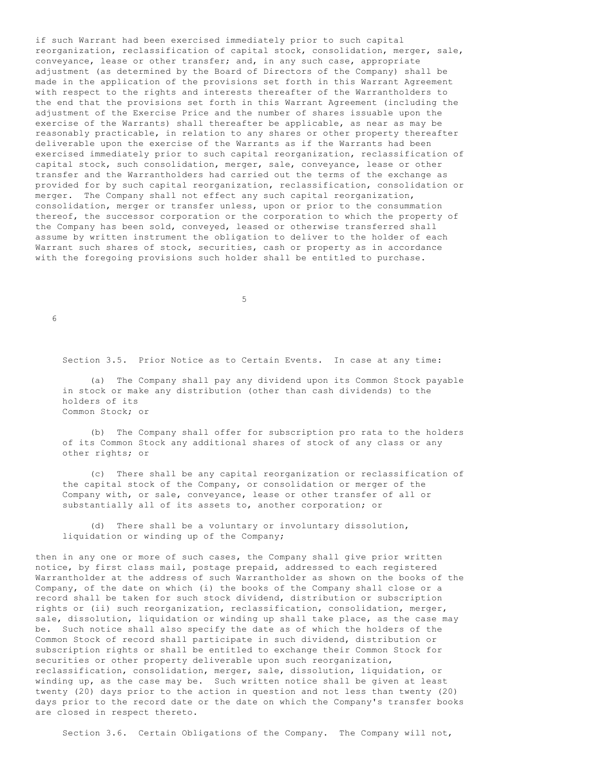if such Warrant had been exercised immediately prior to such capital reorganization, reclassification of capital stock, consolidation, merger, sale, conveyance, lease or other transfer; and, in any such case, appropriate adjustment (as determined by the Board of Directors of the Company) shall be made in the application of the provisions set forth in this Warrant Agreement with respect to the rights and interests thereafter of the Warrantholders to the end that the provisions set forth in this Warrant Agreement (including the adjustment of the Exercise Price and the number of shares issuable upon the exercise of the Warrants) shall thereafter be applicable, as near as may be reasonably practicable, in relation to any shares or other property thereafter deliverable upon the exercise of the Warrants as if the Warrants had been exercised immediately prior to such capital reorganization, reclassification of capital stock, such consolidation, merger, sale, conveyance, lease or other transfer and the Warrantholders had carried out the terms of the exchange as provided for by such capital reorganization, reclassification, consolidation or merger. The Company shall not effect any such capital reorganization, consolidation, merger or transfer unless, upon or prior to the consummation thereof, the successor corporation or the corporation to which the property of the Company has been sold, conveyed, leased or otherwise transferred shall assume by written instrument the obligation to deliver to the holder of each Warrant such shares of stock, securities, cash or property as in accordance with the foregoing provisions such holder shall be entitled to purchase.

 $5<sub>5</sub>$ 

6

Section 3.5. Prior Notice as to Certain Events. In case at any time:

 (a) The Company shall pay any dividend upon its Common Stock payable in stock or make any distribution (other than cash dividends) to the holders of its Common Stock; or

 (b) The Company shall offer for subscription pro rata to the holders of its Common Stock any additional shares of stock of any class or any other rights; or

 (c) There shall be any capital reorganization or reclassification of the capital stock of the Company, or consolidation or merger of the Company with, or sale, conveyance, lease or other transfer of all or substantially all of its assets to, another corporation; or

 (d) There shall be a voluntary or involuntary dissolution, liquidation or winding up of the Company;

then in any one or more of such cases, the Company shall give prior written notice, by first class mail, postage prepaid, addressed to each registered Warrantholder at the address of such Warrantholder as shown on the books of the Company, of the date on which (i) the books of the Company shall close or a record shall be taken for such stock dividend, distribution or subscription rights or (ii) such reorganization, reclassification, consolidation, merger, sale, dissolution, liquidation or winding up shall take place, as the case may be. Such notice shall also specify the date as of which the holders of the Common Stock of record shall participate in such dividend, distribution or subscription rights or shall be entitled to exchange their Common Stock for securities or other property deliverable upon such reorganization, reclassification, consolidation, merger, sale, dissolution, liquidation, or winding up, as the case may be. Such written notice shall be given at least twenty (20) days prior to the action in question and not less than twenty (20) days prior to the record date or the date on which the Company's transfer books are closed in respect thereto.

Section 3.6. Certain Obligations of the Company. The Company will not,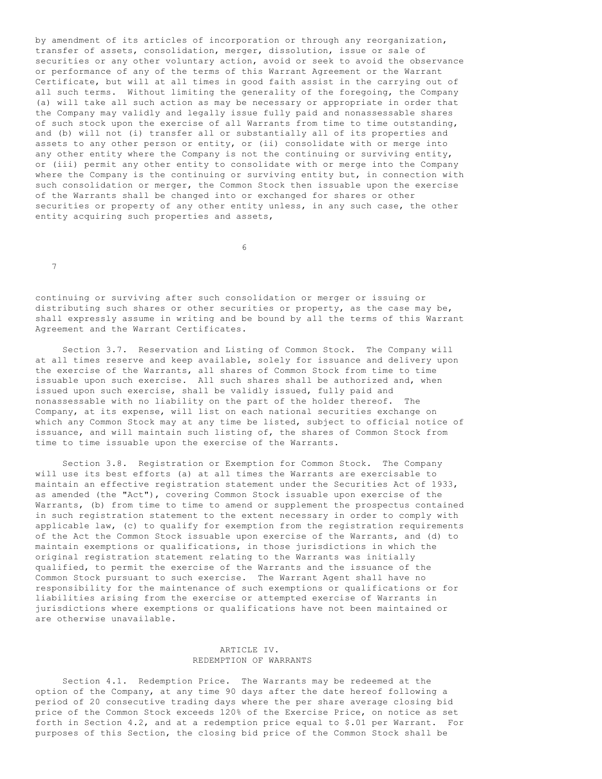by amendment of its articles of incorporation or through any reorganization, transfer of assets, consolidation, merger, dissolution, issue or sale of securities or any other voluntary action, avoid or seek to avoid the observance or performance of any of the terms of this Warrant Agreement or the Warrant Certificate, but will at all times in good faith assist in the carrying out of all such terms. Without limiting the generality of the foregoing, the Company (a) will take all such action as may be necessary or appropriate in order that the Company may validly and legally issue fully paid and nonassessable shares of such stock upon the exercise of all Warrants from time to time outstanding, and (b) will not (i) transfer all or substantially all of its properties and assets to any other person or entity, or (ii) consolidate with or merge into any other entity where the Company is not the continuing or surviving entity, or (iii) permit any other entity to consolidate with or merge into the Company where the Company is the continuing or surviving entity but, in connection with such consolidation or merger, the Common Stock then issuable upon the exercise of the Warrants shall be changed into or exchanged for shares or other securities or property of any other entity unless, in any such case, the other entity acquiring such properties and assets,

 $\sim$  6

7

continuing or surviving after such consolidation or merger or issuing or distributing such shares or other securities or property, as the case may be, shall expressly assume in writing and be bound by all the terms of this Warrant Agreement and the Warrant Certificates.

 Section 3.7. Reservation and Listing of Common Stock. The Company will at all times reserve and keep available, solely for issuance and delivery upon the exercise of the Warrants, all shares of Common Stock from time to time issuable upon such exercise. All such shares shall be authorized and, when issued upon such exercise, shall be validly issued, fully paid and nonassessable with no liability on the part of the holder thereof. The Company, at its expense, will list on each national securities exchange on which any Common Stock may at any time be listed, subject to official notice of issuance, and will maintain such listing of, the shares of Common Stock from time to time issuable upon the exercise of the Warrants.

 Section 3.8. Registration or Exemption for Common Stock. The Company will use its best efforts (a) at all times the Warrants are exercisable to maintain an effective registration statement under the Securities Act of 1933, as amended (the "Act"), covering Common Stock issuable upon exercise of the Warrants, (b) from time to time to amend or supplement the prospectus contained in such registration statement to the extent necessary in order to comply with applicable law, (c) to qualify for exemption from the registration requirements of the Act the Common Stock issuable upon exercise of the Warrants, and (d) to maintain exemptions or qualifications, in those jurisdictions in which the original registration statement relating to the Warrants was initially qualified, to permit the exercise of the Warrants and the issuance of the Common Stock pursuant to such exercise. The Warrant Agent shall have no responsibility for the maintenance of such exemptions or qualifications or for liabilities arising from the exercise or attempted exercise of Warrants in jurisdictions where exemptions or qualifications have not been maintained or are otherwise unavailable.

# ARTICLE IV. REDEMPTION OF WARRANTS

 Section 4.1. Redemption Price. The Warrants may be redeemed at the option of the Company, at any time 90 days after the date hereof following a period of 20 consecutive trading days where the per share average closing bid price of the Common Stock exceeds 120% of the Exercise Price, on notice as set forth in Section 4.2, and at a redemption price equal to \$.01 per Warrant. For purposes of this Section, the closing bid price of the Common Stock shall be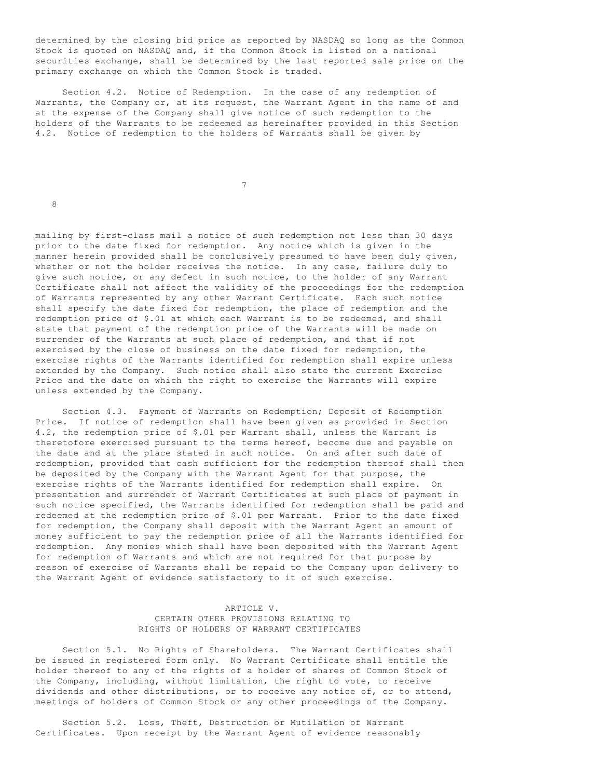determined by the closing bid price as reported by NASDAQ so long as the Common Stock is quoted on NASDAQ and, if the Common Stock is listed on a national securities exchange, shall be determined by the last reported sale price on the primary exchange on which the Common Stock is traded.

 Section 4.2. Notice of Redemption. In the case of any redemption of Warrants, the Company or, at its request, the Warrant Agent in the name of and at the expense of the Company shall give notice of such redemption to the holders of the Warrants to be redeemed as hereinafter provided in this Section 4.2. Notice of redemption to the holders of Warrants shall be given by

7

8

mailing by first-class mail a notice of such redemption not less than 30 days prior to the date fixed for redemption. Any notice which is given in the manner herein provided shall be conclusively presumed to have been duly given, whether or not the holder receives the notice. In any case, failure duly to give such notice, or any defect in such notice, to the holder of any Warrant Certificate shall not affect the validity of the proceedings for the redemption of Warrants represented by any other Warrant Certificate. Each such notice shall specify the date fixed for redemption, the place of redemption and the redemption price of \$.01 at which each Warrant is to be redeemed, and shall state that payment of the redemption price of the Warrants will be made on surrender of the Warrants at such place of redemption, and that if not exercised by the close of business on the date fixed for redemption, the exercise rights of the Warrants identified for redemption shall expire unless extended by the Company. Such notice shall also state the current Exercise Price and the date on which the right to exercise the Warrants will expire unless extended by the Company.

 Section 4.3. Payment of Warrants on Redemption; Deposit of Redemption Price. If notice of redemption shall have been given as provided in Section 4.2, the redemption price of \$.01 per Warrant shall, unless the Warrant is theretofore exercised pursuant to the terms hereof, become due and payable on the date and at the place stated in such notice. On and after such date of redemption, provided that cash sufficient for the redemption thereof shall then be deposited by the Company with the Warrant Agent for that purpose, the exercise rights of the Warrants identified for redemption shall expire. On presentation and surrender of Warrant Certificates at such place of payment in such notice specified, the Warrants identified for redemption shall be paid and redeemed at the redemption price of \$.01 per Warrant. Prior to the date fixed for redemption, the Company shall deposit with the Warrant Agent an amount of money sufficient to pay the redemption price of all the Warrants identified for redemption. Any monies which shall have been deposited with the Warrant Agent for redemption of Warrants and which are not required for that purpose by reason of exercise of Warrants shall be repaid to the Company upon delivery to the Warrant Agent of evidence satisfactory to it of such exercise.

# ARTICLE V. CERTAIN OTHER PROVISIONS RELATING TO RIGHTS OF HOLDERS OF WARRANT CERTIFICATES

 Section 5.1. No Rights of Shareholders. The Warrant Certificates shall be issued in registered form only. No Warrant Certificate shall entitle the holder thereof to any of the rights of a holder of shares of Common Stock of the Company, including, without limitation, the right to vote, to receive dividends and other distributions, or to receive any notice of, or to attend, meetings of holders of Common Stock or any other proceedings of the Company.

 Section 5.2. Loss, Theft, Destruction or Mutilation of Warrant Certificates. Upon receipt by the Warrant Agent of evidence reasonably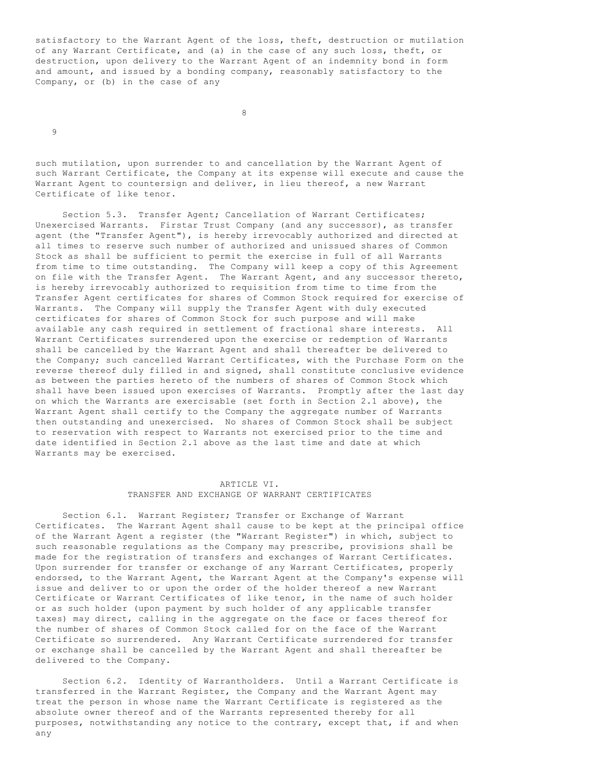satisfactory to the Warrant Agent of the loss, theft, destruction or mutilation of any Warrant Certificate, and (a) in the case of any such loss, theft, or destruction, upon delivery to the Warrant Agent of an indemnity bond in form and amount, and issued by a bonding company, reasonably satisfactory to the Company, or (b) in the case of any

8

 $\mathsf{Q}$ 

such mutilation, upon surrender to and cancellation by the Warrant Agent of such Warrant Certificate, the Company at its expense will execute and cause the Warrant Agent to countersign and deliver, in lieu thereof, a new Warrant Certificate of like tenor.

 Section 5.3. Transfer Agent; Cancellation of Warrant Certificates; Unexercised Warrants. Firstar Trust Company (and any successor), as transfer agent (the "Transfer Agent"), is hereby irrevocably authorized and directed at all times to reserve such number of authorized and unissued shares of Common Stock as shall be sufficient to permit the exercise in full of all Warrants from time to time outstanding. The Company will keep a copy of this Agreement on file with the Transfer Agent. The Warrant Agent, and any successor thereto, is hereby irrevocably authorized to requisition from time to time from the Transfer Agent certificates for shares of Common Stock required for exercise of Warrants. The Company will supply the Transfer Agent with duly executed certificates for shares of Common Stock for such purpose and will make available any cash required in settlement of fractional share interests. All Warrant Certificates surrendered upon the exercise or redemption of Warrants shall be cancelled by the Warrant Agent and shall thereafter be delivered to the Company; such cancelled Warrant Certificates, with the Purchase Form on the reverse thereof duly filled in and signed, shall constitute conclusive evidence as between the parties hereto of the numbers of shares of Common Stock which shall have been issued upon exercises of Warrants. Promptly after the last day on which the Warrants are exercisable (set forth in Section 2.1 above), the Warrant Agent shall certify to the Company the aggregate number of Warrants then outstanding and unexercised. No shares of Common Stock shall be subject to reservation with respect to Warrants not exercised prior to the time and date identified in Section 2.1 above as the last time and date at which Warrants may be exercised.

# ARTICLE VI. TRANSFER AND EXCHANGE OF WARRANT CERTIFICATES

 Section 6.1. Warrant Register; Transfer or Exchange of Warrant Certificates. The Warrant Agent shall cause to be kept at the principal office of the Warrant Agent a register (the "Warrant Register") in which, subject to such reasonable regulations as the Company may prescribe, provisions shall be made for the registration of transfers and exchanges of Warrant Certificates. Upon surrender for transfer or exchange of any Warrant Certificates, properly endorsed, to the Warrant Agent, the Warrant Agent at the Company's expense will issue and deliver to or upon the order of the holder thereof a new Warrant Certificate or Warrant Certificates of like tenor, in the name of such holder or as such holder (upon payment by such holder of any applicable transfer taxes) may direct, calling in the aggregate on the face or faces thereof for the number of shares of Common Stock called for on the face of the Warrant Certificate so surrendered. Any Warrant Certificate surrendered for transfer or exchange shall be cancelled by the Warrant Agent and shall thereafter be delivered to the Company.

 Section 6.2. Identity of Warrantholders. Until a Warrant Certificate is transferred in the Warrant Register, the Company and the Warrant Agent may treat the person in whose name the Warrant Certificate is registered as the absolute owner thereof and of the Warrants represented thereby for all purposes, notwithstanding any notice to the contrary, except that, if and when any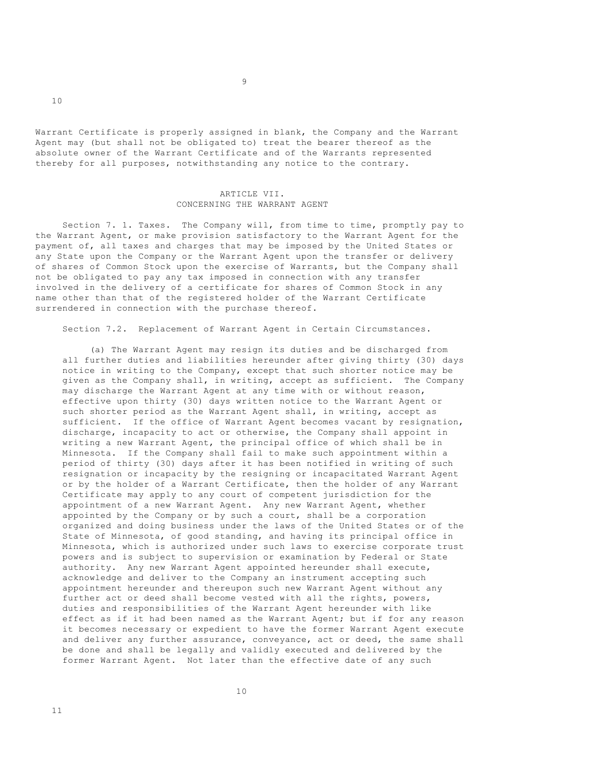Warrant Certificate is properly assigned in blank, the Company and the Warrant Agent may (but shall not be obligated to) treat the bearer thereof as the absolute owner of the Warrant Certificate and of the Warrants represented thereby for all purposes, notwithstanding any notice to the contrary.

## ARTICLE VII. CONCERNING THE WARRANT AGENT

 Section 7. 1. Taxes. The Company will, from time to time, promptly pay to the Warrant Agent, or make provision satisfactory to the Warrant Agent for the payment of, all taxes and charges that may be imposed by the United States or any State upon the Company or the Warrant Agent upon the transfer or delivery of shares of Common Stock upon the exercise of Warrants, but the Company shall not be obligated to pay any tax imposed in connection with any transfer involved in the delivery of a certificate for shares of Common Stock in any name other than that of the registered holder of the Warrant Certificate surrendered in connection with the purchase thereof.

Section 7.2. Replacement of Warrant Agent in Certain Circumstances.

 (a) The Warrant Agent may resign its duties and be discharged from all further duties and liabilities hereunder after giving thirty (30) days notice in writing to the Company, except that such shorter notice may be given as the Company shall, in writing, accept as sufficient. The Company may discharge the Warrant Agent at any time with or without reason, effective upon thirty (30) days written notice to the Warrant Agent or such shorter period as the Warrant Agent shall, in writing, accept as sufficient. If the office of Warrant Agent becomes vacant by resignation, discharge, incapacity to act or otherwise, the Company shall appoint in writing a new Warrant Agent, the principal office of which shall be in Minnesota. If the Company shall fail to make such appointment within a period of thirty (30) days after it has been notified in writing of such resignation or incapacity by the resigning or incapacitated Warrant Agent or by the holder of a Warrant Certificate, then the holder of any Warrant Certificate may apply to any court of competent jurisdiction for the appointment of a new Warrant Agent. Any new Warrant Agent, whether appointed by the Company or by such a court, shall be a corporation organized and doing business under the laws of the United States or of the State of Minnesota, of good standing, and having its principal office in Minnesota, which is authorized under such laws to exercise corporate trust powers and is subject to supervision or examination by Federal or State authority. Any new Warrant Agent appointed hereunder shall execute, acknowledge and deliver to the Company an instrument accepting such appointment hereunder and thereupon such new Warrant Agent without any further act or deed shall become vested with all the rights, powers, duties and responsibilities of the Warrant Agent hereunder with like effect as if it had been named as the Warrant Agent; but if for any reason it becomes necessary or expedient to have the former Warrant Agent execute and deliver any further assurance, conveyance, act or deed, the same shall be done and shall be legally and validly executed and delivered by the former Warrant Agent. Not later than the effective date of any such

11

10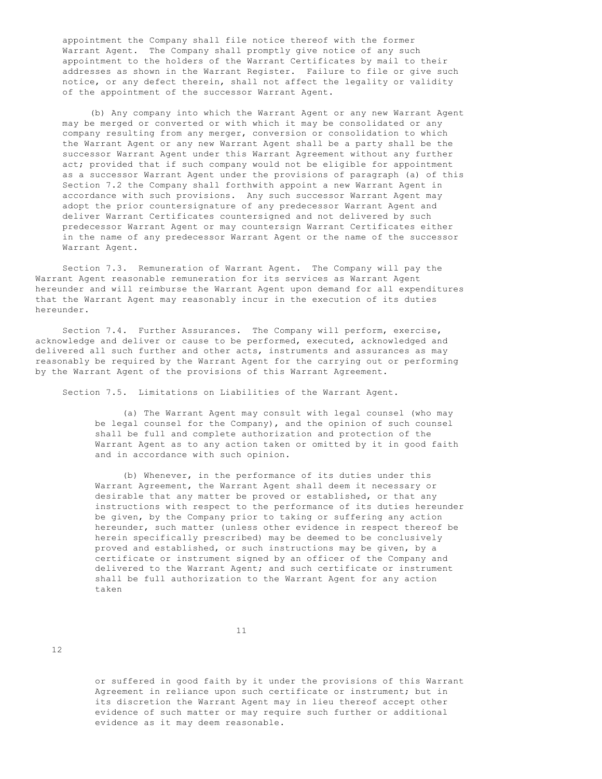appointment the Company shall file notice thereof with the former Warrant Agent. The Company shall promptly give notice of any such appointment to the holders of the Warrant Certificates by mail to their addresses as shown in the Warrant Register. Failure to file or give such notice, or any defect therein, shall not affect the legality or validity of the appointment of the successor Warrant Agent.

 (b) Any company into which the Warrant Agent or any new Warrant Agent may be merged or converted or with which it may be consolidated or any company resulting from any merger, conversion or consolidation to which the Warrant Agent or any new Warrant Agent shall be a party shall be the successor Warrant Agent under this Warrant Agreement without any further act; provided that if such company would not be eligible for appointment as a successor Warrant Agent under the provisions of paragraph (a) of this Section 7.2 the Company shall forthwith appoint a new Warrant Agent in accordance with such provisions. Any such successor Warrant Agent may adopt the prior countersignature of any predecessor Warrant Agent and deliver Warrant Certificates countersigned and not delivered by such predecessor Warrant Agent or may countersign Warrant Certificates either in the name of any predecessor Warrant Agent or the name of the successor Warrant Agent.

 Section 7.3. Remuneration of Warrant Agent. The Company will pay the Warrant Agent reasonable remuneration for its services as Warrant Agent hereunder and will reimburse the Warrant Agent upon demand for all expenditures that the Warrant Agent may reasonably incur in the execution of its duties hereunder.

Section 7.4. Further Assurances. The Company will perform, exercise, acknowledge and deliver or cause to be performed, executed, acknowledged and delivered all such further and other acts, instruments and assurances as may reasonably be required by the Warrant Agent for the carrying out or performing by the Warrant Agent of the provisions of this Warrant Agreement.

Section 7.5. Limitations on Liabilities of the Warrant Agent.

 (a) The Warrant Agent may consult with legal counsel (who may be legal counsel for the Company), and the opinion of such counsel shall be full and complete authorization and protection of the Warrant Agent as to any action taken or omitted by it in good faith and in accordance with such opinion.

 (b) Whenever, in the performance of its duties under this Warrant Agreement, the Warrant Agent shall deem it necessary or desirable that any matter be proved or established, or that any instructions with respect to the performance of its duties hereunder be given, by the Company prior to taking or suffering any action hereunder, such matter (unless other evidence in respect thereof be herein specifically prescribed) may be deemed to be conclusively proved and established, or such instructions may be given, by a certificate or instrument signed by an officer of the Company and delivered to the Warrant Agent; and such certificate or instrument shall be full authorization to the Warrant Agent for any action taken

12

 or suffered in good faith by it under the provisions of this Warrant Agreement in reliance upon such certificate or instrument; but in its discretion the Warrant Agent may in lieu thereof accept other evidence of such matter or may require such further or additional evidence as it may deem reasonable.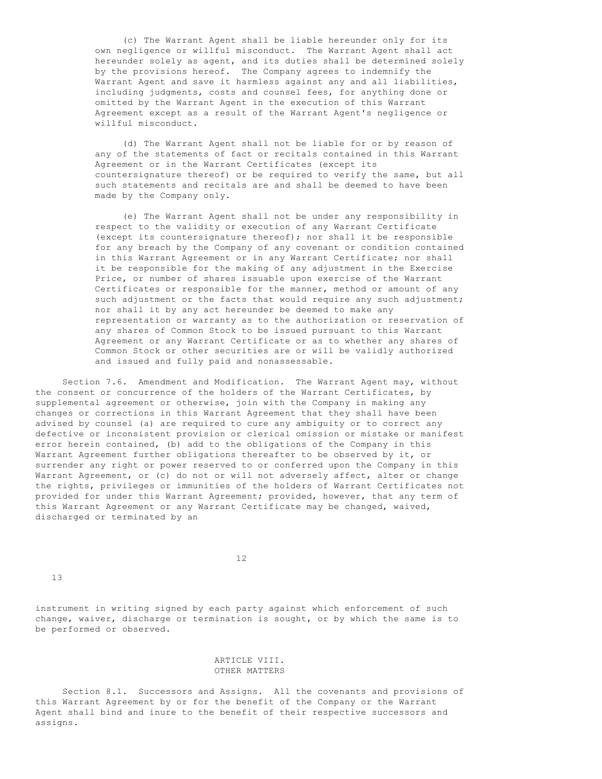(c) The Warrant Agent shall be liable hereunder only for its own negligence or willful misconduct. The Warrant Agent shall act hereunder solely as agent, and its duties shall be determined solely by the provisions hereof. The Company agrees to indemnify the Warrant Agent and save it harmless against any and all liabilities, including judgments, costs and counsel fees, for anything done or omitted by the Warrant Agent in the execution of this Warrant Agreement except as a result of the Warrant Agent's negligence or willful misconduct.

 (d) The Warrant Agent shall not be liable for or by reason of any of the statements of fact or recitals contained in this Warrant Agreement or in the Warrant Certificates (except its countersignature thereof) or be required to verify the same, but all such statements and recitals are and shall be deemed to have been made by the Company only.

 (e) The Warrant Agent shall not be under any responsibility in respect to the validity or execution of any Warrant Certificate (except its countersignature thereof); nor shall it be responsible for any breach by the Company of any covenant or condition contained in this Warrant Agreement or in any Warrant Certificate; nor shall it be responsible for the making of any adjustment in the Exercise Price, or number of shares issuable upon exercise of the Warrant Certificates or responsible for the manner, method or amount of any such adjustment or the facts that would require any such adjustment; nor shall it by any act hereunder be deemed to make any representation or warranty as to the authorization or reservation of any shares of Common Stock to be issued pursuant to this Warrant Agreement or any Warrant Certificate or as to whether any shares of Common Stock or other securities are or will be validly authorized and issued and fully paid and nonassessable.

 Section 7.6. Amendment and Modification. The Warrant Agent may, without the consent or concurrence of the holders of the Warrant Certificates, by supplemental agreement or otherwise, join with the Company in making any changes or corrections in this Warrant Agreement that they shall have been advised by counsel (a) are required to cure any ambiguity or to correct any defective or inconsistent provision or clerical omission or mistake or manifest error herein contained, (b) add to the obligations of the Company in this Warrant Agreement further obligations thereafter to be observed by it, or surrender any right or power reserved to or conferred upon the Company in this Warrant Agreement, or (c) do not or will not adversely affect, alter or change the rights, privileges or immunities of the holders of Warrant Certificates not provided for under this Warrant Agreement; provided, however, that any term of this Warrant Agreement or any Warrant Certificate may be changed, waived, discharged or terminated by an

12

13

instrument in writing signed by each party against which enforcement of such change, waiver, discharge or termination is sought, or by which the same is to be performed or observed.

# ARTICLE VIII. OTHER MATTERS

 Section 8.1. Successors and Assigns. All the covenants and provisions of this Warrant Agreement by or for the benefit of the Company or the Warrant Agent shall bind and inure to the benefit of their respective successors and assigns.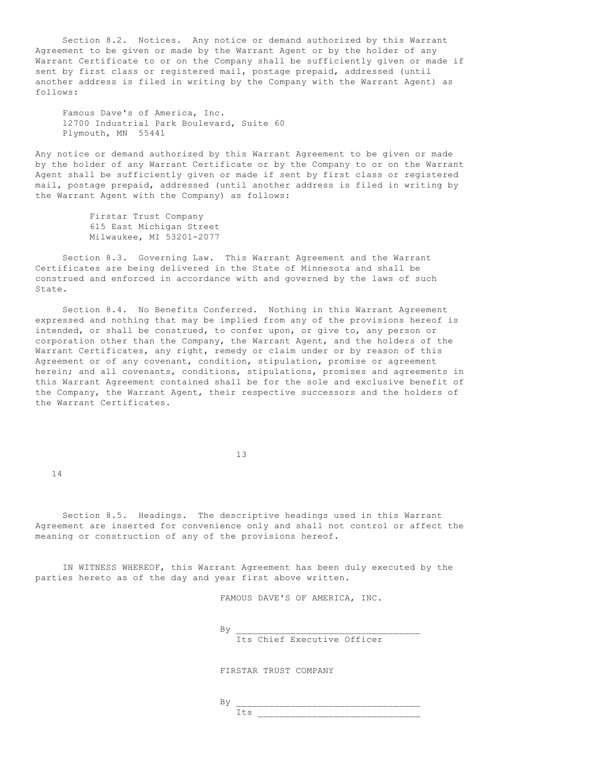Section 8.2. Notices. Any notice or demand authorized by this Warrant Agreement to be given or made by the Warrant Agent or by the holder of any Warrant Certificate to or on the Company shall be sufficiently given or made if sent by first class or registered mail, postage prepaid, addressed (until another address is filed in writing by the Company with the Warrant Agent) as follows:

 Famous Dave's of America, Inc. 12700 Industrial Park Boulevard, Suite 60 Plymouth, MN 55441

Any notice or demand authorized by this Warrant Agreement to be given or made by the holder of any Warrant Certificate or by the Company to or on the Warrant Agent shall be sufficiently given or made if sent by first class or registered mail, postage prepaid, addressed (until another address is filed in writing by the Warrant Agent with the Company) as follows:

> Firstar Trust Company 615 East Michigan Street Milwaukee, MI 53201-2077

 Section 8.3. Governing Law. This Warrant Agreement and the Warrant Certificates are being delivered in the State of Minnesota and shall be construed and enforced in accordance with and governed by the laws of such State.

 Section 8.4. No Benefits Conferred. Nothing in this Warrant Agreement expressed and nothing that may be implied from any of the provisions hereof is intended, or shall be construed, to confer upon, or give to, any person or corporation other than the Company, the Warrant Agent, and the holders of the Warrant Certificates, any right, remedy or claim under or by reason of this Agreement or of any covenant, condition, stipulation, promise or agreement herein; and all covenants, conditions, stipulations, promises and agreements in this Warrant Agreement contained shall be for the sole and exclusive benefit of the Company, the Warrant Agent, their respective successors and the holders of the Warrant Certificates.

13

14

 Section 8.5. Headings. The descriptive headings used in this Warrant Agreement are inserted for convenience only and shall not control or affect the meaning or construction of any of the provisions hereof.

 IN WITNESS WHEREOF, this Warrant Agreement has been duly executed by the parties hereto as of the day and year first above written.

FAMOUS DAVE'S OF AMERICA, INC.

By \_\_\_\_\_\_\_\_\_\_\_\_\_\_\_\_\_\_\_\_\_\_\_\_\_\_\_\_\_\_\_\_\_\_

Its Chief Executive Officer

FIRSTAR TRUST COMPANY

 $\, {\rm By} \,$ Its \_\_\_\_\_\_\_\_\_\_\_\_\_\_\_\_\_\_\_\_\_\_\_\_\_\_\_\_\_\_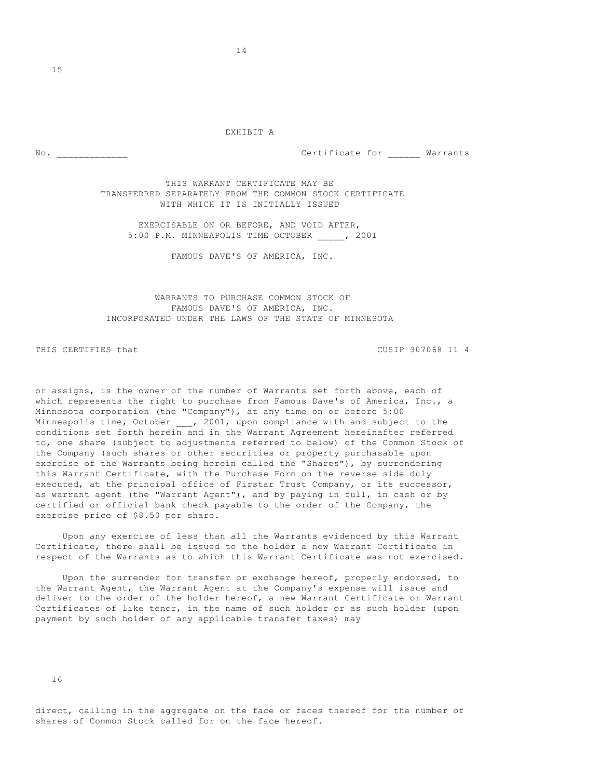#### EXHIBIT A

No.  $\blacksquare$  No.

15

 THIS WARRANT CERTIFICATE MAY BE TRANSFERRED SEPARATELY FROM THE COMMON STOCK CERTIFICATE WITH WHICH IT IS INITIALLY ISSUED

 EXERCISABLE ON OR BEFORE, AND VOID AFTER, 5:00 P.M. MINNEAPOLIS TIME OCTOBER \_\_\_\_\_, 2001

FAMOUS DAVE'S OF AMERICA, INC.

# WARRANTS TO PURCHASE COMMON STOCK OF FAMOUS DAVE'S OF AMERICA, INC. INCORPORATED UNDER THE LAWS OF THE STATE OF MINNESOTA

THIS CERTIFIES that CUSIP 307068 11 4

or assigns, is the owner of the number of Warrants set forth above, each of which represents the right to purchase from Famous Dave's of America, Inc., a Minnesota corporation (the "Company"), at any time on or before 5:00 Minneapolis time, October \_\_\_, 2001, upon compliance with and subject to the conditions set forth herein and in the Warrant Agreement hereinafter referred to, one share (subject to adjustments referred to below) of the Common Stock of the Company (such shares or other securities or property purchasable upon exercise of the Warrants being herein called the "Shares"), by surrendering this Warrant Certificate, with the Purchase Form on the reverse side duly executed, at the principal office of Firstar Trust Company, or its successor, as warrant agent (the "Warrant Agent"), and by paying in full, in cash or by certified or official bank check payable to the order of the Company, the exercise price of \$8.50 per share.

 Upon any exercise of less than all the Warrants evidenced by this Warrant Certificate, there shall be issued to the holder a new Warrant Certificate in respect of the Warrants as to which this Warrant Certificate was not exercised.

 Upon the surrender for transfer or exchange hereof, properly endorsed, to the Warrant Agent, the Warrant Agent at the Company's expense will issue and deliver to the order of the holder hereof, a new Warrant Certificate or Warrant Certificates of like tenor, in the name of such holder or as such holder (upon payment by such holder of any applicable transfer taxes) may

direct, calling in the aggregate on the face or faces thereof for the number of shares of Common Stock called for on the face hereof.

14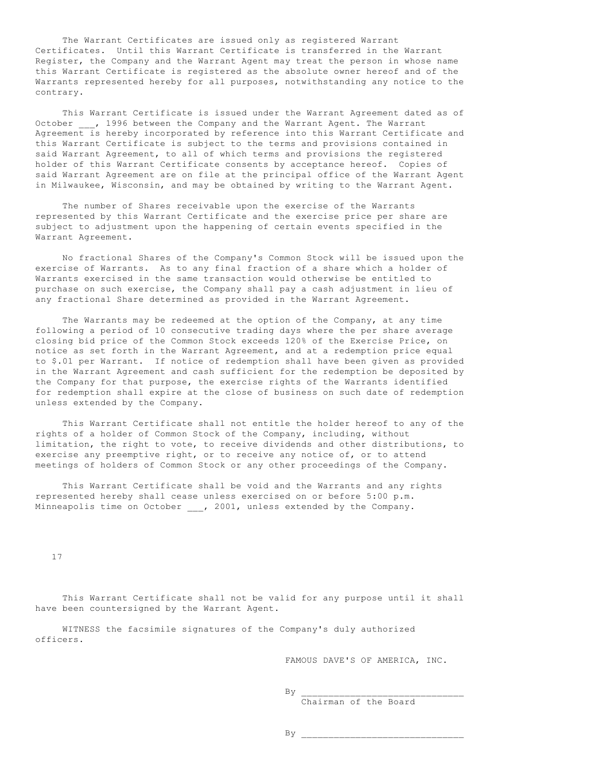The Warrant Certificates are issued only as registered Warrant Certificates. Until this Warrant Certificate is transferred in the Warrant Register, the Company and the Warrant Agent may treat the person in whose name this Warrant Certificate is registered as the absolute owner hereof and of the Warrants represented hereby for all purposes, notwithstanding any notice to the contrary.

 This Warrant Certificate is issued under the Warrant Agreement dated as of October , 1996 between the Company and the Warrant Agent. The Warrant Agreement is hereby incorporated by reference into this Warrant Certificate and this Warrant Certificate is subject to the terms and provisions contained in said Warrant Agreement, to all of which terms and provisions the registered holder of this Warrant Certificate consents by acceptance hereof. Copies of said Warrant Agreement are on file at the principal office of the Warrant Agent in Milwaukee, Wisconsin, and may be obtained by writing to the Warrant Agent.

 The number of Shares receivable upon the exercise of the Warrants represented by this Warrant Certificate and the exercise price per share are subject to adjustment upon the happening of certain events specified in the Warrant Agreement.

 No fractional Shares of the Company's Common Stock will be issued upon the exercise of Warrants. As to any final fraction of a share which a holder of Warrants exercised in the same transaction would otherwise be entitled to purchase on such exercise, the Company shall pay a cash adjustment in lieu of any fractional Share determined as provided in the Warrant Agreement.

 The Warrants may be redeemed at the option of the Company, at any time following a period of 10 consecutive trading days where the per share average closing bid price of the Common Stock exceeds 120% of the Exercise Price, on notice as set forth in the Warrant Agreement, and at a redemption price equal to \$.01 per Warrant. If notice of redemption shall have been given as provided in the Warrant Agreement and cash sufficient for the redemption be deposited by the Company for that purpose, the exercise rights of the Warrants identified for redemption shall expire at the close of business on such date of redemption unless extended by the Company.

 This Warrant Certificate shall not entitle the holder hereof to any of the rights of a holder of Common Stock of the Company, including, without limitation, the right to vote, to receive dividends and other distributions, to exercise any preemptive right, or to receive any notice of, or to attend meetings of holders of Common Stock or any other proceedings of the Company.

 This Warrant Certificate shall be void and the Warrants and any rights represented hereby shall cease unless exercised on or before 5:00 p.m. Minneapolis time on October \_\_\_, 2001, unless extended by the Company.

17

 This Warrant Certificate shall not be valid for any purpose until it shall have been countersigned by the Warrant Agent.

 WITNESS the facsimile signatures of the Company's duly authorized officers.

FAMOUS DAVE'S OF AMERICA, INC.

 $\mathbf{B} \mathbf{y}$  and  $\mathbf{y}$  and  $\mathbf{y}$  and  $\mathbf{y}$  and  $\mathbf{y}$  and  $\mathbf{y}$  and  $\mathbf{y}$  and  $\mathbf{y}$  and  $\mathbf{y}$  and  $\mathbf{y}$  and  $\mathbf{y}$  and  $\mathbf{y}$  and  $\mathbf{y}$  and  $\mathbf{y}$  and  $\mathbf{y}$  and  $\mathbf{y}$  and  $\mathbf{y}$ 

Chairman of the Board

By \_\_\_\_\_\_\_\_\_\_\_\_\_\_\_\_\_\_\_\_\_\_\_\_\_\_\_\_\_\_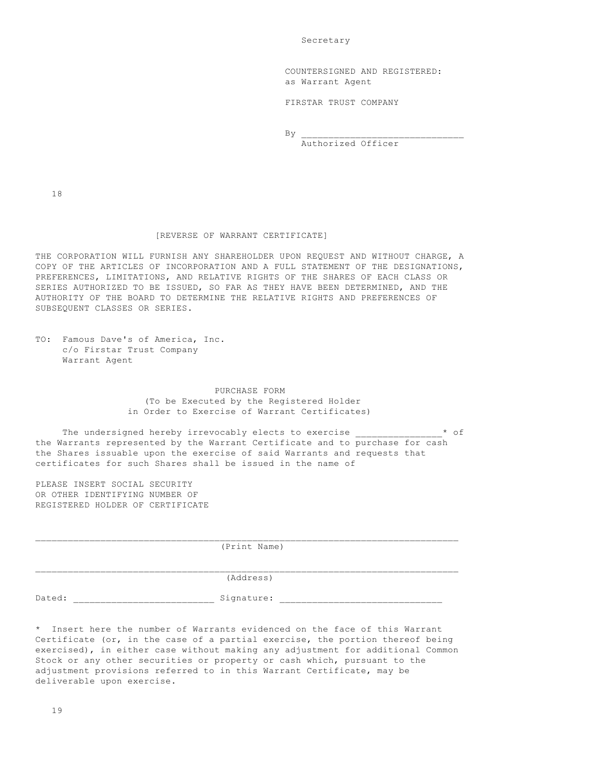Secretary

 COUNTERSIGNED AND REGISTERED: as Warrant Agent

FIRSTAR TRUST COMPANY

 $\mathbf{B} \mathbf{y}$  and  $\mathbf{y}$  and  $\mathbf{y}$  and  $\mathbf{y}$  and  $\mathbf{y}$  and  $\mathbf{y}$  and  $\mathbf{y}$  and  $\mathbf{y}$  and  $\mathbf{y}$  and  $\mathbf{y}$  and  $\mathbf{y}$  and  $\mathbf{y}$  and  $\mathbf{y}$  and  $\mathbf{y}$  and  $\mathbf{y}$  and  $\mathbf{y}$  and  $\mathbf{y}$ 

Authorized Officer

18

### [REVERSE OF WARRANT CERTIFICATE]

THE CORPORATION WILL FURNISH ANY SHAREHOLDER UPON REQUEST AND WITHOUT CHARGE, A COPY OF THE ARTICLES OF INCORPORATION AND A FULL STATEMENT OF THE DESIGNATIONS, PREFERENCES, LIMITATIONS, AND RELATIVE RIGHTS OF THE SHARES OF EACH CLASS OR SERIES AUTHORIZED TO BE ISSUED, SO FAR AS THEY HAVE BEEN DETERMINED, AND THE AUTHORITY OF THE BOARD TO DETERMINE THE RELATIVE RIGHTS AND PREFERENCES OF SUBSEQUENT CLASSES OR SERIES.

|  |               |  | TO: Famous Dave's of America, Inc. |  |
|--|---------------|--|------------------------------------|--|
|  |               |  | c/o Firstar Trust Company          |  |
|  | Warrant Agent |  |                                    |  |

 PURCHASE FORM (To be Executed by the Registered Holder in Order to Exercise of Warrant Certificates)

The undersigned hereby irrevocably elects to exercise \_\_\_\_\_\_\_\_\_\_\_\_\_\_\_\* of the Warrants represented by the Warrant Certificate and to purchase for cash the Shares issuable upon the exercise of said Warrants and requests that certificates for such Shares shall be issued in the name of

PLEASE INSERT SOCIAL SECURITY OR OTHER IDENTIFYING NUMBER OF REGISTERED HOLDER OF CERTIFICATE

|        | (Print Name)     |
|--------|------------------|
|        | (Address)        |
| Dated: | Signature:<br>__ |

\* Insert here the number of Warrants evidenced on the face of this Warrant Certificate (or, in the case of a partial exercise, the portion thereof being exercised), in either case without making any adjustment for additional Common Stock or any other securities or property or cash which, pursuant to the adjustment provisions referred to in this Warrant Certificate, may be deliverable upon exercise.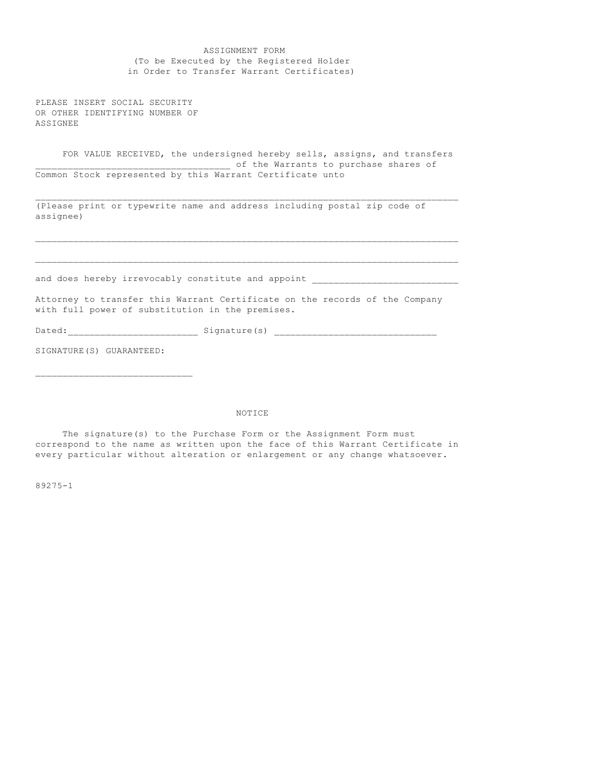| ASSIGNMENT FORM                                                                                                                                     |
|-----------------------------------------------------------------------------------------------------------------------------------------------------|
| (To be Executed by the Registered Holder                                                                                                            |
| in Order to Transfer Warrant Certificates)                                                                                                          |
| PLEASE INSERT SOCIAL SECURITY<br>OR OTHER IDENTIFYING NUMBER OF<br>ASSIGNEE                                                                         |
| FOR VALUE RECEIVED, the undersigned hereby sells, assigns, and transfers<br>--------------------------------- of the Warrants to purchase shares of |
| Common Stock represented by this Warrant Certificate unto                                                                                           |
|                                                                                                                                                     |
| (Please print or typewrite name and address including postal zip code of<br>assignee)                                                               |
|                                                                                                                                                     |
| and does hereby irrevocably constitute and appoint                                                                                                  |
| Attorney to transfer this Warrant Certificate on the records of the Company<br>with full power of substitution in the premises.                     |
|                                                                                                                                                     |
| SIGNATURE (S) GUARANTEED:                                                                                                                           |

# NOTICE

 The signature(s) to the Purchase Form or the Assignment Form must correspond to the name as written upon the face of this Warrant Certificate in every particular without alteration or enlargement or any change whatsoever.

89275-1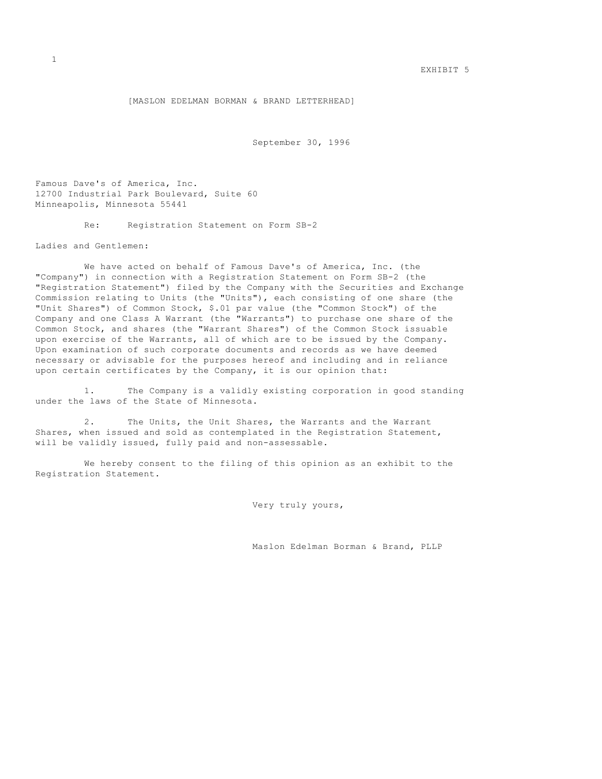[MASLON EDELMAN BORMAN & BRAND LETTERHEAD]

September 30, 1996

Famous Dave's of America, Inc. 12700 Industrial Park Boulevard, Suite 60 Minneapolis, Minnesota 55441

Re: Registration Statement on Form SB-2

Ladies and Gentlemen:

 We have acted on behalf of Famous Dave's of America, Inc. (the "Company") in connection with a Registration Statement on Form SB-2 (the "Registration Statement") filed by the Company with the Securities and Exchange Commission relating to Units (the "Units"), each consisting of one share (the "Unit Shares") of Common Stock, \$.01 par value (the "Common Stock") of the Company and one Class A Warrant (the "Warrants") to purchase one share of the Common Stock, and shares (the "Warrant Shares") of the Common Stock issuable upon exercise of the Warrants, all of which are to be issued by the Company. Upon examination of such corporate documents and records as we have deemed necessary or advisable for the purposes hereof and including and in reliance upon certain certificates by the Company, it is our opinion that:

 1. The Company is a validly existing corporation in good standing under the laws of the State of Minnesota.

 2. The Units, the Unit Shares, the Warrants and the Warrant Shares, when issued and sold as contemplated in the Registration Statement, will be validly issued, fully paid and non-assessable.

 We hereby consent to the filing of this opinion as an exhibit to the Registration Statement.

Very truly yours,

Maslon Edelman Borman & Brand, PLLP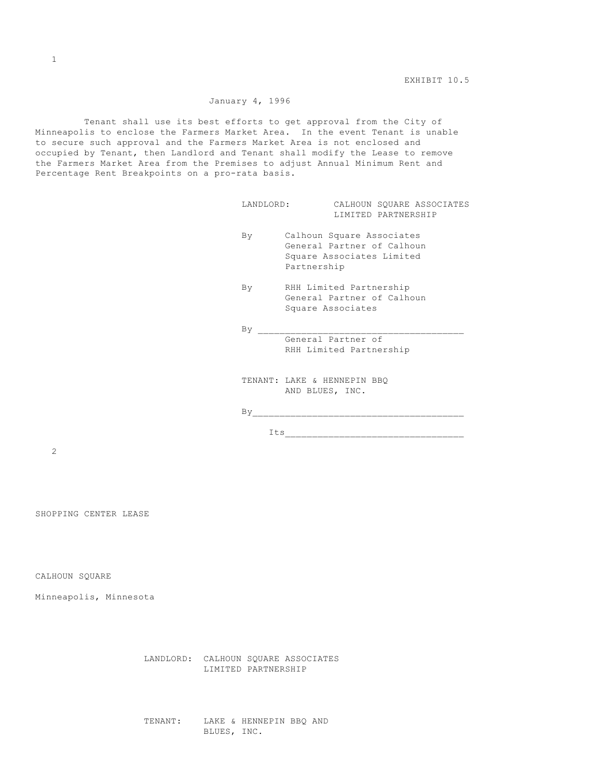# January 4, 1996

 Tenant shall use its best efforts to get approval from the City of Minneapolis to enclose the Farmers Market Area. In the event Tenant is unable to secure such approval and the Farmers Market Area is not enclosed and occupied by Tenant, then Landlord and Tenant shall modify the Lease to remove the Farmers Market Area from the Premises to adjust Annual Minimum Rent and Percentage Rent Breakpoints on a pro-rata basis.

|    | CALHOUN SQUARE ASSOCIATES<br>LANDLORD:<br>LIMITED PARTNERSHIP                                       |
|----|-----------------------------------------------------------------------------------------------------|
| By | Calhoun Square Associates<br>General Partner of Calhoun<br>Square Associates Limited<br>Partnership |
| By | RHH Limited Partnership<br>General Partner of Calhoun<br>Square Associates                          |
| By |                                                                                                     |
|    | General Partner of<br>RHH Limited Partnership                                                       |
|    | TENANT: LAKE & HENNEPIN BBQ<br>AND BLUES, INC.                                                      |
| By |                                                                                                     |
|    | Its                                                                                                 |

2

SHOPPING CENTER LEASE

CALHOUN SQUARE

Minneapolis, Minnesota

 LANDLORD: CALHOUN SQUARE ASSOCIATES LIMITED PARTNERSHIP

 TENANT: LAKE & HENNEPIN BBQ AND BLUES, INC.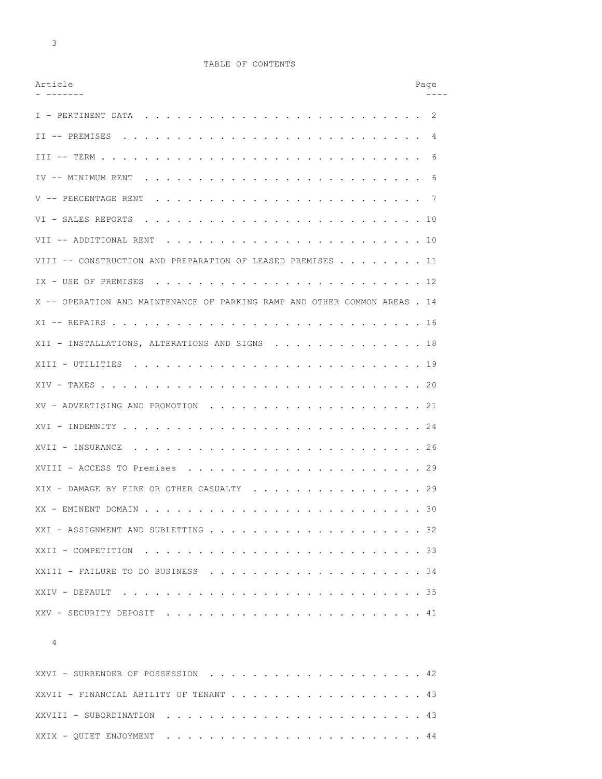3

# TABLE OF CONTENTS

| Article                                                                   | Page |
|---------------------------------------------------------------------------|------|
| I - PERTINENT DATA                                                        | -2   |
|                                                                           | 4    |
| $III -- TERN$                                                             | 6    |
| IV -- MINIMUM RENT                                                        | 6    |
| V -- PERCENTAGE RENT                                                      |      |
| VI - SALES REPORTS<br>. 10                                                |      |
| VII -- ADDITIONAL RENT<br>. 10                                            |      |
| VIII -- CONSTRUCTION AND PREPARATION OF LEASED PREMISES 11                |      |
| IX - USE OF PREMISES<br>. 12                                              |      |
| X -- OPERATION AND MAINTENANCE OF PARKING RAMP AND OTHER COMMON AREAS. 14 |      |
| XI -- REPAIRS<br>. 16                                                     |      |
| XII - INSTALLATIONS, ALTERATIONS AND SIGNS<br>. 18                        |      |
| XIII - UTILITIES<br>. 19                                                  |      |
| $XIV - TAXES$<br>. 20                                                     |      |
|                                                                           |      |
| XVI - INDEMNITY<br>. 24                                                   |      |
| XVII - INSURANCE<br>. 26                                                  |      |
| XVIII - ACCESS TO Premises                                                |      |
| XIX - DAMAGE BY FIRE OR OTHER CASUALTY 29                                 |      |
|                                                                           |      |
|                                                                           |      |
|                                                                           |      |
|                                                                           |      |
| XXIV - DEFAULT                                                            |      |
|                                                                           |      |

| XXVI - SURRENDER OF POSSESSION 42      |  |  |  |  |  |  |  |  |  |  |
|----------------------------------------|--|--|--|--|--|--|--|--|--|--|
| XXVII - FINANCIAL ABILITY OF TENANT 43 |  |  |  |  |  |  |  |  |  |  |
|                                        |  |  |  |  |  |  |  |  |  |  |
|                                        |  |  |  |  |  |  |  |  |  |  |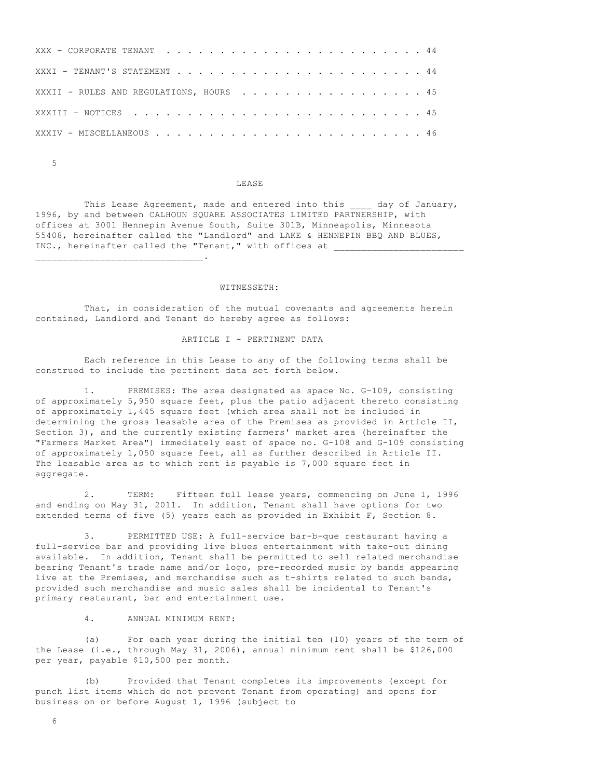| XXXII - RULES AND REGULATIONS, HOURS 45 |  |  |  |  |  |  |  |  |  |  |  |  |  |  |
|-----------------------------------------|--|--|--|--|--|--|--|--|--|--|--|--|--|--|
|                                         |  |  |  |  |  |  |  |  |  |  |  |  |  |  |
|                                         |  |  |  |  |  |  |  |  |  |  |  |  |  |  |

5

 $\overline{\phantom{a}}$  ,  $\overline{\phantom{a}}$  ,  $\overline{\phantom{a}}$  ,  $\overline{\phantom{a}}$  ,  $\overline{\phantom{a}}$  ,  $\overline{\phantom{a}}$  ,  $\overline{\phantom{a}}$  ,  $\overline{\phantom{a}}$  ,  $\overline{\phantom{a}}$  ,  $\overline{\phantom{a}}$  ,  $\overline{\phantom{a}}$  ,  $\overline{\phantom{a}}$  ,  $\overline{\phantom{a}}$  ,  $\overline{\phantom{a}}$  ,  $\overline{\phantom{a}}$  ,  $\overline{\phantom{a}}$ 

#### LEASE

This Lease Agreement, made and entered into this and  $\frac{dy}{dx}$  of January, 1996, by and between CALHOUN SQUARE ASSOCIATES LIMITED PARTNERSHIP, with offices at 3001 Hennepin Avenue South, Suite 301B, Minneapolis, Minnesota 55408, hereinafter called the "Landlord" and LAKE & HENNEPIN BBQ AND BLUES, INC., hereinafter called the "Tenant," with offices at

#### WITNESSETH:

 That, in consideration of the mutual covenants and agreements herein contained, Landlord and Tenant do hereby agree as follows:

#### ARTICLE I - PERTINENT DATA

 Each reference in this Lease to any of the following terms shall be construed to include the pertinent data set forth below.

 1. PREMISES: The area designated as space No. G-109, consisting of approximately 5,950 square feet, plus the patio adjacent thereto consisting of approximately 1,445 square feet (which area shall not be included in determining the gross leasable area of the Premises as provided in Article II, Section 3), and the currently existing farmers' market area (hereinafter the "Farmers Market Area") immediately east of space no. G-108 and G-109 consisting of approximately 1,050 square feet, all as further described in Article II. The leasable area as to which rent is payable is 7,000 square feet in aggregate.

 2. TERM: Fifteen full lease years, commencing on June 1, 1996 and ending on May 31, 2011. In addition, Tenant shall have options for two extended terms of five (5) years each as provided in Exhibit F, Section 8.

 3. PERMITTED USE: A full-service bar-b-que restaurant having a full-service bar and providing live blues entertainment with take-out dining available. In addition, Tenant shall be permitted to sell related merchandise bearing Tenant's trade name and/or logo, pre-recorded music by bands appearing live at the Premises, and merchandise such as t-shirts related to such bands, provided such merchandise and music sales shall be incidental to Tenant's primary restaurant, bar and entertainment use.

4. ANNUAL MINIMUM RENT:

 (a) For each year during the initial ten (10) years of the term of the Lease (i.e., through May 31, 2006), annual minimum rent shall be \$126,000 per year, payable \$10,500 per month.

 (b) Provided that Tenant completes its improvements (except for punch list items which do not prevent Tenant from operating) and opens for business on or before August 1, 1996 (subject to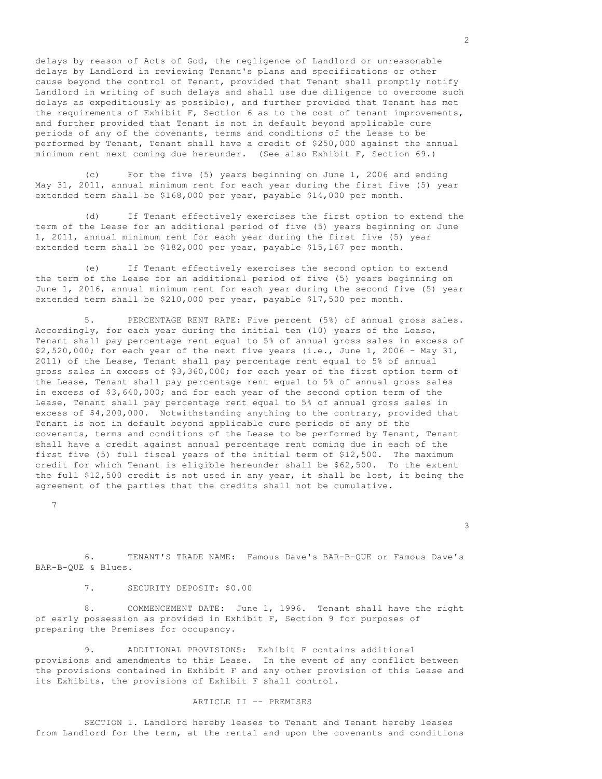delays by reason of Acts of God, the negligence of Landlord or unreasonable delays by Landlord in reviewing Tenant's plans and specifications or other cause beyond the control of Tenant, provided that Tenant shall promptly notify Landlord in writing of such delays and shall use due diligence to overcome such delays as expeditiously as possible), and further provided that Tenant has met the requirements of Exhibit F, Section 6 as to the cost of tenant improvements, and further provided that Tenant is not in default beyond applicable cure periods of any of the covenants, terms and conditions of the Lease to be performed by Tenant, Tenant shall have a credit of \$250,000 against the annual minimum rent next coming due hereunder. (See also Exhibit F, Section 69.)

 (c) For the five (5) years beginning on June 1, 2006 and ending May 31, 2011, annual minimum rent for each year during the first five (5) year extended term shall be \$168,000 per year, payable \$14,000 per month.

 (d) If Tenant effectively exercises the first option to extend the term of the Lease for an additional period of five (5) years beginning on June 1, 2011, annual minimum rent for each year during the first five (5) year extended term shall be \$182,000 per year, payable \$15,167 per month.

 (e) If Tenant effectively exercises the second option to extend the term of the Lease for an additional period of five (5) years beginning on June 1, 2016, annual minimum rent for each year during the second five (5) year extended term shall be \$210,000 per year, payable \$17,500 per month.

 5. PERCENTAGE RENT RATE: Five percent (5%) of annual gross sales. Accordingly, for each year during the initial ten (10) years of the Lease, Tenant shall pay percentage rent equal to 5% of annual gross sales in excess of \$2,520,000; for each year of the next five years (i.e., June 1, 2006 - May 31, 2011) of the Lease, Tenant shall pay percentage rent equal to 5% of annual gross sales in excess of \$3,360,000; for each year of the first option term of the Lease, Tenant shall pay percentage rent equal to 5% of annual gross sales in excess of \$3,640,000; and for each year of the second option term of the Lease, Tenant shall pay percentage rent equal to 5% of annual gross sales in excess of \$4,200,000. Notwithstanding anything to the contrary, provided that Tenant is not in default beyond applicable cure periods of any of the covenants, terms and conditions of the Lease to be performed by Tenant, Tenant shall have a credit against annual percentage rent coming due in each of the first five (5) full fiscal years of the initial term of \$12,500. The maximum credit for which Tenant is eligible hereunder shall be \$62,500. To the extent the full \$12,500 credit is not used in any year, it shall be lost, it being the agreement of the parties that the credits shall not be cumulative.

7

 6. TENANT'S TRADE NAME: Famous Dave's BAR-B-QUE or Famous Dave's BAR-B-QUE & Blues.

3

7. SECURITY DEPOSIT: \$0.00

 8. COMMENCEMENT DATE: June 1, 1996. Tenant shall have the right of early possession as provided in Exhibit F, Section 9 for purposes of preparing the Premises for occupancy.

 9. ADDITIONAL PROVISIONS: Exhibit F contains additional provisions and amendments to this Lease. In the event of any conflict between the provisions contained in Exhibit F and any other provision of this Lease and its Exhibits, the provisions of Exhibit F shall control.

#### ARTICLE II -- PREMISES

 SECTION 1. Landlord hereby leases to Tenant and Tenant hereby leases from Landlord for the term, at the rental and upon the covenants and conditions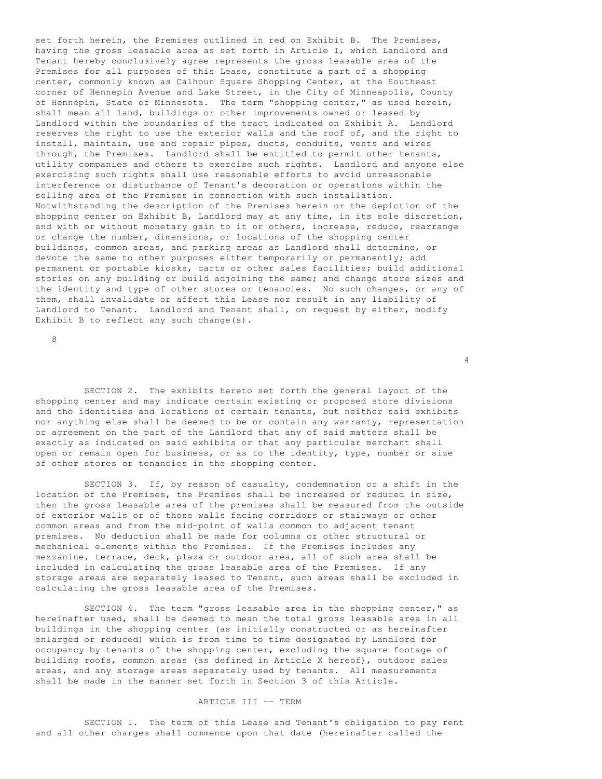set forth herein, the Premises outlined in red on Exhibit B. The Premises, having the gross leasable area as set forth in Article I, which Landlord and Tenant hereby conclusively agree represents the gross leasable area of the Premises for all purposes of this Lease, constitute a part of a shopping center, commonly known as Calhoun Square Shopping Center, at the Southeast corner of Hennepin Avenue and Lake Street, in the City of Minneapolis, County of Hennepin, State of Minnesota. The term "shopping center," as used herein, shall mean all land, buildings or other improvements owned or leased by Landlord within the boundaries of the tract indicated on Exhibit A. Landlord reserves the right to use the exterior walls and the roof of, and the right to install, maintain, use and repair pipes, ducts, conduits, vents and wires through, the Premises. Landlord shall be entitled to permit other tenants, utility companies and others to exercise such rights. Landlord and anyone else exercising such rights shall use reasonable efforts to avoid unreasonable interference or disturbance of Tenant's decoration or operations within the selling area of the Premises in connection with such installation. Notwithstanding the description of the Premises herein or the depiction of the shopping center on Exhibit B, Landlord may at any time, in its sole discretion, and with or without monetary gain to it or others, increase, reduce, rearrange or change the number, dimensions, or locations of the shopping center buildings, common areas, and parking areas as Landlord shall determine, or devote the same to other purposes either temporarily or permanently; add permanent or portable kiosks, carts or other sales facilities; build additional stories on any building or build adjoining the same; and change store sizes and the identity and type of other stores or tenancies. No such changes, or any of them, shall invalidate or affect this Lease nor result in any liability of Landlord to Tenant. Landlord and Tenant shall, on request by either, modify Exhibit B to reflect any such change(s).

8

 SECTION 2. The exhibits hereto set forth the general layout of the shopping center and may indicate certain existing or proposed store divisions and the identities and locations of certain tenants, but neither said exhibits nor anything else shall be deemed to be or contain any warranty, representation or agreement on the part of the Landlord that any of said matters shall be exactly as indicated on said exhibits or that any particular merchant shall open or remain open for business, or as to the identity, type, number or size of other stores or tenancies in the shopping center.

4

 SECTION 3. If, by reason of casualty, condemnation or a shift in the location of the Premises, the Premises shall be increased or reduced in size, then the gross leasable area of the premises shall be measured from the outside of exterior walls or of those walls facing corridors or stairways or other common areas and from the mid-point of walls common to adjacent tenant premises. No deduction shall be made for columns or other structural or mechanical elements within the Premises. If the Premises includes any mezzanine, terrace, deck, plaza or outdoor area, all of such area shall be included in calculating the gross leasable area of the Premises. If any storage areas are separately leased to Tenant, such areas shall be excluded in calculating the gross leasable area of the Premises.

 SECTION 4. The term "gross leasable area in the shopping center," as hereinafter used, shall be deemed to mean the total gross leasable area in all buildings in the shopping center (as initially constructed or as hereinafter enlarged or reduced) which is from time to time designated by Landlord for occupancy by tenants of the shopping center, excluding the square footage of building roofs, common areas (as defined in Article X hereof), outdoor sales areas, and any storage areas separately used by tenants. All measurements shall be made in the manner set forth in Section 3 of this Article.

#### ARTICLE III -- TERM

 SECTION 1. The term of this Lease and Tenant's obligation to pay rent and all other charges shall commence upon that date (hereinafter called the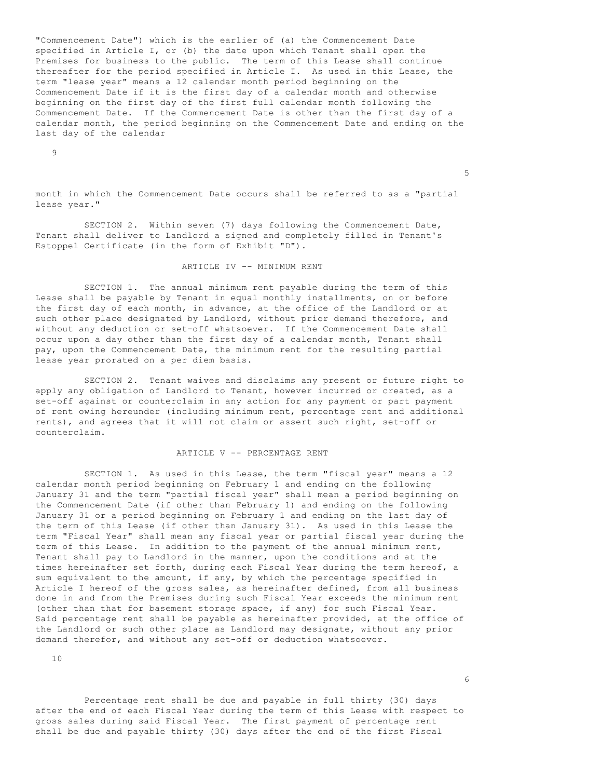"Commencement Date") which is the earlier of (a) the Commencement Date specified in Article I, or (b) the date upon which Tenant shall open the Premises for business to the public. The term of this Lease shall continue thereafter for the period specified in Article I. As used in this Lease, the term "lease year" means a 12 calendar month period beginning on the Commencement Date if it is the first day of a calendar month and otherwise beginning on the first day of the first full calendar month following the Commencement Date. If the Commencement Date is other than the first day of a calendar month, the period beginning on the Commencement Date and ending on the last day of the calendar

9

month in which the Commencement Date occurs shall be referred to as a "partial lease year."

 $\sim$  5

 SECTION 2. Within seven (7) days following the Commencement Date, Tenant shall deliver to Landlord a signed and completely filled in Tenant's Estoppel Certificate (in the form of Exhibit "D").

# ARTICLE IV -- MINIMUM RENT

 SECTION 1. The annual minimum rent payable during the term of this Lease shall be payable by Tenant in equal monthly installments, on or before the first day of each month, in advance, at the office of the Landlord or at such other place designated by Landlord, without prior demand therefore, and without any deduction or set-off whatsoever. If the Commencement Date shall occur upon a day other than the first day of a calendar month, Tenant shall pay, upon the Commencement Date, the minimum rent for the resulting partial lease year prorated on a per diem basis.

 SECTION 2. Tenant waives and disclaims any present or future right to apply any obligation of Landlord to Tenant, however incurred or created, as a set-off against or counterclaim in any action for any payment or part payment of rent owing hereunder (including minimum rent, percentage rent and additional rents), and agrees that it will not claim or assert such right, set-off or counterclaim.

### ARTICLE V -- PERCENTAGE RENT

 SECTION 1. As used in this Lease, the term "fiscal year" means a 12 calendar month period beginning on February 1 and ending on the following January 31 and the term "partial fiscal year" shall mean a period beginning on the Commencement Date (if other than February 1) and ending on the following January 31 or a period beginning on February 1 and ending on the last day of the term of this Lease (if other than January 31). As used in this Lease the term "Fiscal Year" shall mean any fiscal year or partial fiscal year during the term of this Lease. In addition to the payment of the annual minimum rent, Tenant shall pay to Landlord in the manner, upon the conditions and at the times hereinafter set forth, during each Fiscal Year during the term hereof, a sum equivalent to the amount, if any, by which the percentage specified in Article I hereof of the gross sales, as hereinafter defined, from all business done in and from the Premises during such Fiscal Year exceeds the minimum rent (other than that for basement storage space, if any) for such Fiscal Year. Said percentage rent shall be payable as hereinafter provided, at the office of the Landlord or such other place as Landlord may designate, without any prior demand therefor, and without any set-off or deduction whatsoever.

10

 Percentage rent shall be due and payable in full thirty (30) days after the end of each Fiscal Year during the term of this Lease with respect to gross sales during said Fiscal Year. The first payment of percentage rent shall be due and payable thirty (30) days after the end of the first Fiscal

 $\sim$  6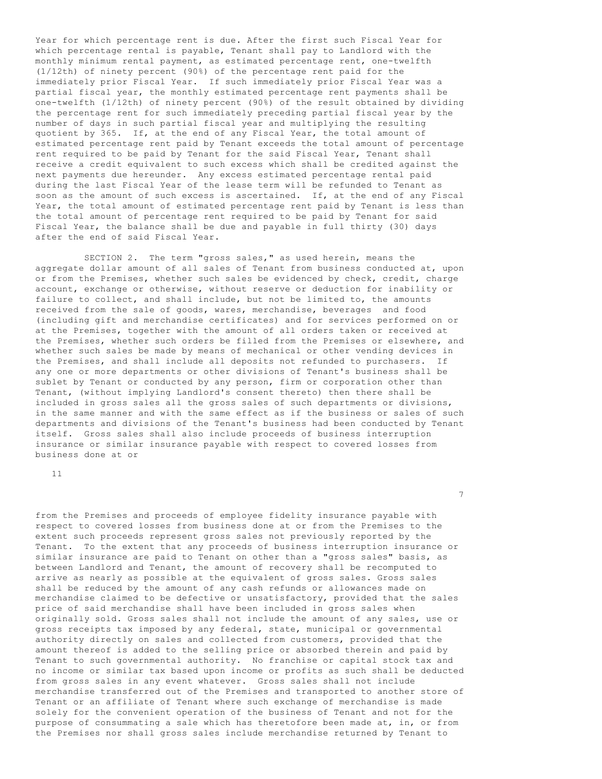Year for which percentage rent is due. After the first such Fiscal Year for which percentage rental is payable, Tenant shall pay to Landlord with the monthly minimum rental payment, as estimated percentage rent, one-twelfth (1/12th) of ninety percent (90%) of the percentage rent paid for the immediately prior Fiscal Year. If such immediately prior Fiscal Year was a partial fiscal year, the monthly estimated percentage rent payments shall be one-twelfth (1/12th) of ninety percent (90%) of the result obtained by dividing the percentage rent for such immediately preceding partial fiscal year by the number of days in such partial fiscal year and multiplying the resulting quotient by 365. If, at the end of any Fiscal Year, the total amount of estimated percentage rent paid by Tenant exceeds the total amount of percentage rent required to be paid by Tenant for the said Fiscal Year, Tenant shall receive a credit equivalent to such excess which shall be credited against the next payments due hereunder. Any excess estimated percentage rental paid during the last Fiscal Year of the lease term will be refunded to Tenant as soon as the amount of such excess is ascertained. If, at the end of any Fiscal Year, the total amount of estimated percentage rent paid by Tenant is less than the total amount of percentage rent required to be paid by Tenant for said Fiscal Year, the balance shall be due and payable in full thirty (30) days after the end of said Fiscal Year.

 SECTION 2. The term "gross sales," as used herein, means the aggregate dollar amount of all sales of Tenant from business conducted at, upon or from the Premises, whether such sales be evidenced by check, credit, charge account, exchange or otherwise, without reserve or deduction for inability or failure to collect, and shall include, but not be limited to, the amounts received from the sale of goods, wares, merchandise, beverages and food (including gift and merchandise certificates) and for services performed on or at the Premises, together with the amount of all orders taken or received at the Premises, whether such orders be filled from the Premises or elsewhere, and whether such sales be made by means of mechanical or other vending devices in the Premises, and shall include all deposits not refunded to purchasers. If any one or more departments or other divisions of Tenant's business shall be sublet by Tenant or conducted by any person, firm or corporation other than Tenant, (without implying Landlord's consent thereto) then there shall be included in gross sales all the gross sales of such departments or divisions, in the same manner and with the same effect as if the business or sales of such departments and divisions of the Tenant's business had been conducted by Tenant itself. Gross sales shall also include proceeds of business interruption insurance or similar insurance payable with respect to covered losses from business done at or

11

from the Premises and proceeds of employee fidelity insurance payable with respect to covered losses from business done at or from the Premises to the extent such proceeds represent gross sales not previously reported by the Tenant. To the extent that any proceeds of business interruption insurance or similar insurance are paid to Tenant on other than a "gross sales" basis, as between Landlord and Tenant, the amount of recovery shall be recomputed to arrive as nearly as possible at the equivalent of gross sales. Gross sales shall be reduced by the amount of any cash refunds or allowances made on merchandise claimed to be defective or unsatisfactory, provided that the sales price of said merchandise shall have been included in gross sales when originally sold. Gross sales shall not include the amount of any sales, use or gross receipts tax imposed by any federal, state, municipal or governmental authority directly on sales and collected from customers, provided that the amount thereof is added to the selling price or absorbed therein and paid by Tenant to such governmental authority. No franchise or capital stock tax and no income or similar tax based upon income or profits as such shall be deducted from gross sales in any event whatever. Gross sales shall not include merchandise transferred out of the Premises and transported to another store of Tenant or an affiliate of Tenant where such exchange of merchandise is made solely for the convenient operation of the business of Tenant and not for the purpose of consummating a sale which has theretofore been made at, in, or from the Premises nor shall gross sales include merchandise returned by Tenant to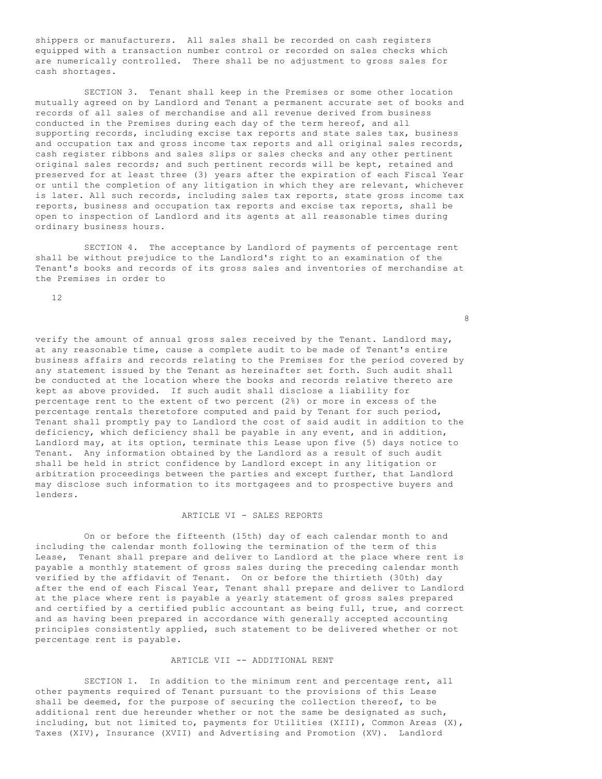shippers or manufacturers. All sales shall be recorded on cash registers equipped with a transaction number control or recorded on sales checks which are numerically controlled. There shall be no adjustment to gross sales for cash shortages.

 SECTION 3. Tenant shall keep in the Premises or some other location mutually agreed on by Landlord and Tenant a permanent accurate set of books and records of all sales of merchandise and all revenue derived from business conducted in the Premises during each day of the term hereof, and all supporting records, including excise tax reports and state sales tax, business and occupation tax and gross income tax reports and all original sales records, cash register ribbons and sales slips or sales checks and any other pertinent original sales records; and such pertinent records will be kept, retained and preserved for at least three (3) years after the expiration of each Fiscal Year or until the completion of any litigation in which they are relevant, whichever is later. All such records, including sales tax reports, state gross income tax reports, business and occupation tax reports and excise tax reports, shall be open to inspection of Landlord and its agents at all reasonable times during ordinary business hours.

 SECTION 4. The acceptance by Landlord of payments of percentage rent shall be without prejudice to the Landlord's right to an examination of the Tenant's books and records of its gross sales and inventories of merchandise at the Premises in order to

12

verify the amount of annual gross sales received by the Tenant. Landlord may, at any reasonable time, cause a complete audit to be made of Tenant's entire business affairs and records relating to the Premises for the period covered by any statement issued by the Tenant as hereinafter set forth. Such audit shall be conducted at the location where the books and records relative thereto are kept as above provided. If such audit shall disclose a liability for percentage rent to the extent of two percent (2%) or more in excess of the percentage rentals theretofore computed and paid by Tenant for such period, Tenant shall promptly pay to Landlord the cost of said audit in addition to the deficiency, which deficiency shall be payable in any event, and in addition, Landlord may, at its option, terminate this Lease upon five (5) days notice to Tenant. Any information obtained by the Landlord as a result of such audit shall be held in strict confidence by Landlord except in any litigation or arbitration proceedings between the parties and except further, that Landlord may disclose such information to its mortgagees and to prospective buyers and lenders.

# ARTICLE VI - SALES REPORTS

 On or before the fifteenth (15th) day of each calendar month to and including the calendar month following the termination of the term of this Lease, Tenant shall prepare and deliver to Landlord at the place where rent is payable a monthly statement of gross sales during the preceding calendar month verified by the affidavit of Tenant. On or before the thirtieth (30th) day after the end of each Fiscal Year, Tenant shall prepare and deliver to Landlord at the place where rent is payable a yearly statement of gross sales prepared and certified by a certified public accountant as being full, true, and correct and as having been prepared in accordance with generally accepted accounting principles consistently applied, such statement to be delivered whether or not percentage rent is payable.

## ARTICLE VII -- ADDITIONAL RENT

 SECTION 1. In addition to the minimum rent and percentage rent, all other payments required of Tenant pursuant to the provisions of this Lease shall be deemed, for the purpose of securing the collection thereof, to be additional rent due hereunder whether or not the same be designated as such, including, but not limited to, payments for Utilities (XIII), Common Areas (X), Taxes (XIV), Insurance (XVII) and Advertising and Promotion (XV). Landlord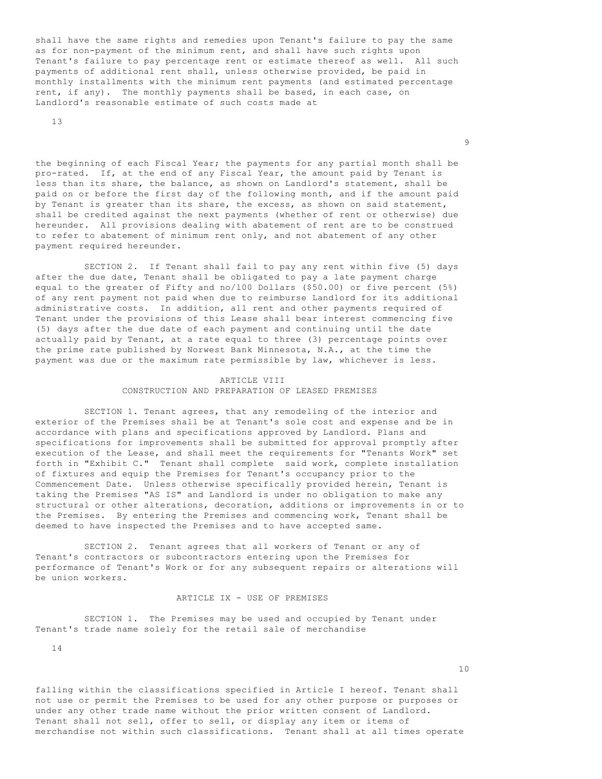shall have the same rights and remedies upon Tenant's failure to pay the same as for non-payment of the minimum rent, and shall have such rights upon Tenant's failure to pay percentage rent or estimate thereof as well. All such payments of additional rent shall, unless otherwise provided, be paid in monthly installments with the minimum rent payments (and estimated percentage rent, if any). The monthly payments shall be based, in each case, on Landlord's reasonable estimate of such costs made at

13

the beginning of each Fiscal Year; the payments for any partial month shall be pro-rated. If, at the end of any Fiscal Year, the amount paid by Tenant is less than its share, the balance, as shown on Landlord's statement, shall be paid on or before the first day of the following month, and if the amount paid by Tenant is greater than its share, the excess, as shown on said statement, shall be credited against the next payments (whether of rent or otherwise) due hereunder. All provisions dealing with abatement of rent are to be construed to refer to abatement of minimum rent only, and not abatement of any other payment required hereunder.

experience of the state of the state of the state of the state of the state of the state of the state of the s<br>The state of the state of the state of the state of the state of the state of the state of the state of the st

 SECTION 2. If Tenant shall fail to pay any rent within five (5) days after the due date, Tenant shall be obligated to pay a late payment charge equal to the greater of Fifty and no/l00 Dollars (\$50.00) or five percent (5%) of any rent payment not paid when due to reimburse Landlord for its additional administrative costs. In addition, all rent and other payments required of Tenant under the provisions of this Lease shall bear interest commencing five (5) days after the due date of each payment and continuing until the date actually paid by Tenant, at a rate equal to three (3) percentage points over the prime rate published by Norwest Bank Minnesota, N.A., at the time the payment was due or the maximum rate permissible by law, whichever is less.

# ARTICLE VIII CONSTRUCTION AND PREPARATION OF LEASED PREMISES

 SECTION 1. Tenant agrees, that any remodeling of the interior and exterior of the Premises shall be at Tenant's sole cost and expense and be in accordance with plans and specifications approved by Landlord. Plans and specifications for improvements shall be submitted for approval promptly after execution of the Lease, and shall meet the requirements for "Tenants Work" set forth in "Exhibit C." Tenant shall complete said work, complete installation of fixtures and equip the Premises for Tenant's occupancy prior to the Commencement Date. Unless otherwise specifically provided herein, Tenant is taking the Premises "AS IS" and Landlord is under no obligation to make any structural or other alterations, decoration, additions or improvements in or to the Premises. By entering the Premises and commencing work, Tenant shall be deemed to have inspected the Premises and to have accepted same.

 SECTION 2. Tenant agrees that all workers of Tenant or any of Tenant's contractors or subcontractors entering upon the Premises for performance of Tenant's Work or for any subsequent repairs or alterations will be union workers.

## ARTICLE IX - USE OF PREMISES

 SECTION 1. The Premises may be used and occupied by Tenant under Tenant's trade name solely for the retail sale of merchandise

14

10

falling within the classifications specified in Article I hereof. Tenant shall not use or permit the Premises to be used for any other purpose or purposes or under any other trade name without the prior written consent of Landlord. Tenant shall not sell, offer to sell, or display any item or items of merchandise not within such classifications. Tenant shall at all times operate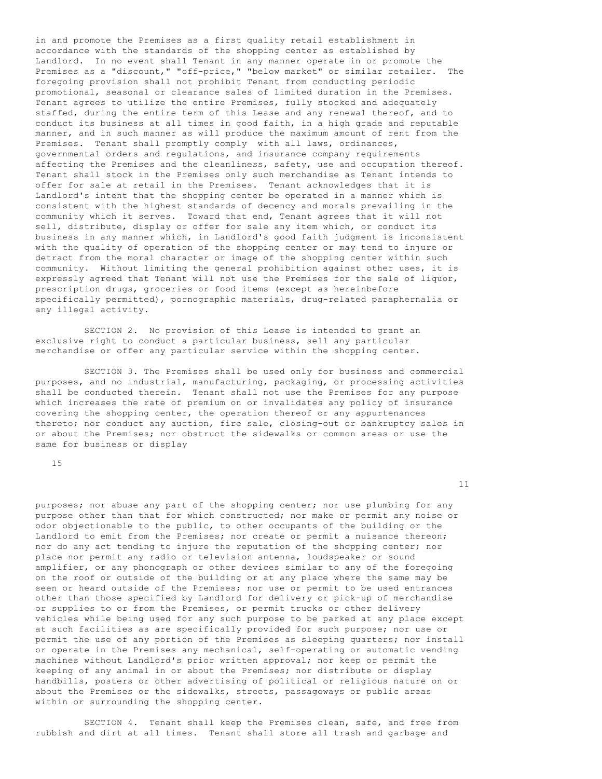in and promote the Premises as a first quality retail establishment in accordance with the standards of the shopping center as established by Landlord. In no event shall Tenant in any manner operate in or promote the Premises as a "discount," "off-price," "below market" or similar retailer. The foregoing provision shall not prohibit Tenant from conducting periodic promotional, seasonal or clearance sales of limited duration in the Premises. Tenant agrees to utilize the entire Premises, fully stocked and adequately staffed, during the entire term of this Lease and any renewal thereof, and to conduct its business at all times in good faith, in a high grade and reputable manner, and in such manner as will produce the maximum amount of rent from the Premises. Tenant shall promptly comply with all laws, ordinances, governmental orders and regulations, and insurance company requirements affecting the Premises and the cleanliness, safety, use and occupation thereof. Tenant shall stock in the Premises only such merchandise as Tenant intends to offer for sale at retail in the Premises. Tenant acknowledges that it is Landlord's intent that the shopping center be operated in a manner which is consistent with the highest standards of decency and morals prevailing in the community which it serves. Toward that end, Tenant agrees that it will not sell, distribute, display or offer for sale any item which, or conduct its business in any manner which, in Landlord's good faith judgment is inconsistent with the quality of operation of the shopping center or may tend to injure or detract from the moral character or image of the shopping center within such community. Without limiting the general prohibition against other uses, it is expressly agreed that Tenant will not use the Premises for the sale of liquor, prescription drugs, groceries or food items (except as hereinbefore specifically permitted), pornographic materials, drug-related paraphernalia or any illegal activity.

 SECTION 2. No provision of this Lease is intended to grant an exclusive right to conduct a particular business, sell any particular merchandise or offer any particular service within the shopping center.

 SECTION 3. The Premises shall be used only for business and commercial purposes, and no industrial, manufacturing, packaging, or processing activities shall be conducted therein. Tenant shall not use the Premises for any purpose which increases the rate of premium on or invalidates any policy of insurance covering the shopping center, the operation thereof or any appurtenances thereto; nor conduct any auction, fire sale, closing-out or bankruptcy sales in or about the Premises; nor obstruct the sidewalks or common areas or use the same for business or display

15

11

purposes; nor abuse any part of the shopping center; nor use plumbing for any purpose other than that for which constructed; nor make or permit any noise or odor objectionable to the public, to other occupants of the building or the Landlord to emit from the Premises; nor create or permit a nuisance thereon; nor do any act tending to injure the reputation of the shopping center; nor place nor permit any radio or television antenna, loudspeaker or sound amplifier, or any phonograph or other devices similar to any of the foregoing on the roof or outside of the building or at any place where the same may be seen or heard outside of the Premises; nor use or permit to be used entrances other than those specified by Landlord for delivery or pick-up of merchandise or supplies to or from the Premises, or permit trucks or other delivery vehicles while being used for any such purpose to be parked at any place except at such facilities as are specifically provided for such purpose; nor use or permit the use of any portion of the Premises as sleeping quarters; nor install or operate in the Premises any mechanical, self-operating or automatic vending machines without Landlord's prior written approval; nor keep or permit the keeping of any animal in or about the Premises; nor distribute or display handbills, posters or other advertising of political or religious nature on or about the Premises or the sidewalks, streets, passageways or public areas within or surrounding the shopping center.

 SECTION 4. Tenant shall keep the Premises clean, safe, and free from rubbish and dirt at all times. Tenant shall store all trash and garbage and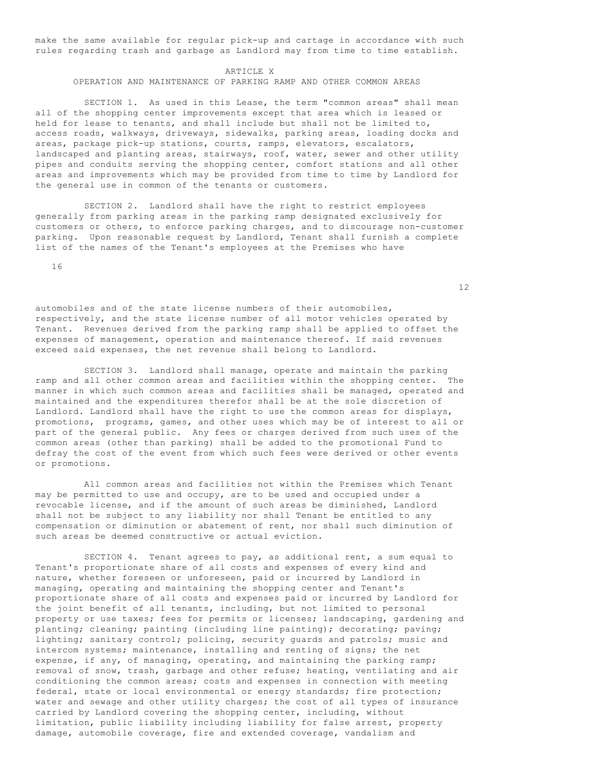make the same available for regular pick-up and cartage in accordance with such rules regarding trash and garbage as Landlord may from time to time establish.

#### ARTICLE X

OPERATION AND MAINTENANCE OF PARKING RAMP AND OTHER COMMON AREAS

 SECTION 1. As used in this Lease, the term "common areas" shall mean all of the shopping center improvements except that area which is leased or held for lease to tenants, and shall include but shall not be limited to, access roads, walkways, driveways, sidewalks, parking areas, loading docks and areas, package pick-up stations, courts, ramps, elevators, escalators, landscaped and planting areas, stairways, roof, water, sewer and other utility pipes and conduits serving the shopping center, comfort stations and all other areas and improvements which may be provided from time to time by Landlord for the general use in common of the tenants or customers.

 SECTION 2. Landlord shall have the right to restrict employees generally from parking areas in the parking ramp designated exclusively for customers or others, to enforce parking charges, and to discourage non-customer parking. Upon reasonable request by Landlord, Tenant shall furnish a complete list of the names of the Tenant's employees at the Premises who have

16

automobiles and of the state license numbers of their automobiles, respectively, and the state license number of all motor vehicles operated by Tenant. Revenues derived from the parking ramp shall be applied to offset the expenses of management, operation and maintenance thereof. If said revenues exceed said expenses, the net revenue shall belong to Landlord.

 SECTION 3. Landlord shall manage, operate and maintain the parking ramp and all other common areas and facilities within the shopping center. The manner in which such common areas and facilities shall be managed, operated and maintained and the expenditures therefor shall be at the sole discretion of Landlord. Landlord shall have the right to use the common areas for displays, promotions, programs, games, and other uses which may be of interest to all or part of the general public. Any fees or charges derived from such uses of the common areas (other than parking) shall be added to the promotional Fund to defray the cost of the event from which such fees were derived or other events or promotions.

 All common areas and facilities not within the Premises which Tenant may be permitted to use and occupy, are to be used and occupied under a revocable license, and if the amount of such areas be diminished, Landlord shall not be subject to any liability nor shall Tenant be entitled to any compensation or diminution or abatement of rent, nor shall such diminution of such areas be deemed constructive or actual eviction.

 SECTION 4. Tenant agrees to pay, as additional rent, a sum equal to Tenant's proportionate share of all costs and expenses of every kind and nature, whether foreseen or unforeseen, paid or incurred by Landlord in managing, operating and maintaining the shopping center and Tenant's proportionate share of all costs and expenses paid or incurred by Landlord for the joint benefit of all tenants, including, but not limited to personal property or use taxes; fees for permits or licenses; landscaping, gardening and planting; cleaning; painting (including line painting); decorating; paving; lighting; sanitary control; policing, security guards and patrols; music and intercom systems; maintenance, installing and renting of signs; the net expense, if any, of managing, operating, and maintaining the parking ramp; removal of snow, trash, garbage and other refuse; heating, ventilating and air conditioning the common areas; costs and expenses in connection with meeting federal, state or local environmental or energy standards; fire protection; water and sewage and other utility charges; the cost of all types of insurance carried by Landlord covering the shopping center, including, without limitation, public liability including liability for false arrest, property damage, automobile coverage, fire and extended coverage, vandalism and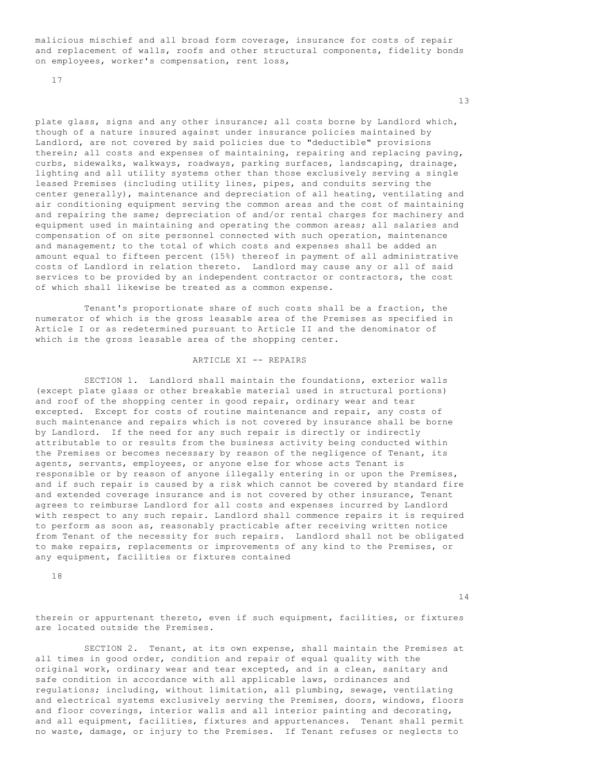malicious mischief and all broad form coverage, insurance for costs of repair and replacement of walls, roofs and other structural components, fidelity bonds on employees, worker's compensation, rent loss,

17

plate glass, signs and any other insurance; all costs borne by Landlord which, though of a nature insured against under insurance policies maintained by Landlord, are not covered by said policies due to "deductible" provisions therein; all costs and expenses of maintaining, repairing and replacing paving, curbs, sidewalks, walkways, roadways, parking surfaces, landscaping, drainage, lighting and all utility systems other than those exclusively serving a single leased Premises (including utility lines, pipes, and conduits serving the center generally), maintenance and depreciation of all heating, ventilating and air conditioning equipment serving the common areas and the cost of maintaining and repairing the same; depreciation of and/or rental charges for machinery and equipment used in maintaining and operating the common areas; all salaries and compensation of on site personnel connected with such operation, maintenance and management; to the total of which costs and expenses shall be added an amount equal to fifteen percent (15%) thereof in payment of all administrative costs of Landlord in relation thereto. Landlord may cause any or all of said services to be provided by an independent contractor or contractors, the cost of which shall likewise be treated as a common expense.

 Tenant's proportionate share of such costs shall be a fraction, the numerator of which is the gross leasable area of the Premises as specified in Article I or as redetermined pursuant to Article II and the denominator of which is the gross leasable area of the shopping center.

#### ARTICLE XI -- REPAIRS

 SECTION 1. Landlord shall maintain the foundations, exterior walls (except plate glass or other breakable material used in structural portions) and roof of the shopping center in good repair, ordinary wear and tear excepted. Except for costs of routine maintenance and repair, any costs of such maintenance and repairs which is not covered by insurance shall be borne by Landlord. If the need for any such repair is directly or indirectly attributable to or results from the business activity being conducted within the Premises or becomes necessary by reason of the negligence of Tenant, its agents, servants, employees, or anyone else for whose acts Tenant is responsible or by reason of anyone illegally entering in or upon the Premises, and if such repair is caused by a risk which cannot be covered by standard fire and extended coverage insurance and is not covered by other insurance, Tenant agrees to reimburse Landlord for all costs and expenses incurred by Landlord with respect to any such repair. Landlord shall commence repairs it is required to perform as soon as, reasonably practicable after receiving written notice from Tenant of the necessity for such repairs. Landlord shall not be obligated to make repairs, replacements or improvements of any kind to the Premises, or any equipment, facilities or fixtures contained

18

14

therein or appurtenant thereto, even if such equipment, facilities, or fixtures are located outside the Premises.

 SECTION 2. Tenant, at its own expense, shall maintain the Premises at all times in good order, condition and repair of equal quality with the original work, ordinary wear and tear excepted, and in a clean, sanitary and safe condition in accordance with all applicable laws, ordinances and regulations; including, without limitation, all plumbing, sewage, ventilating and electrical systems exclusively serving the Premises, doors, windows, floors and floor coverings, interior walls and all interior painting and decorating, and all equipment, facilities, fixtures and appurtenances. Tenant shall permit no waste, damage, or injury to the Premises. If Tenant refuses or neglects to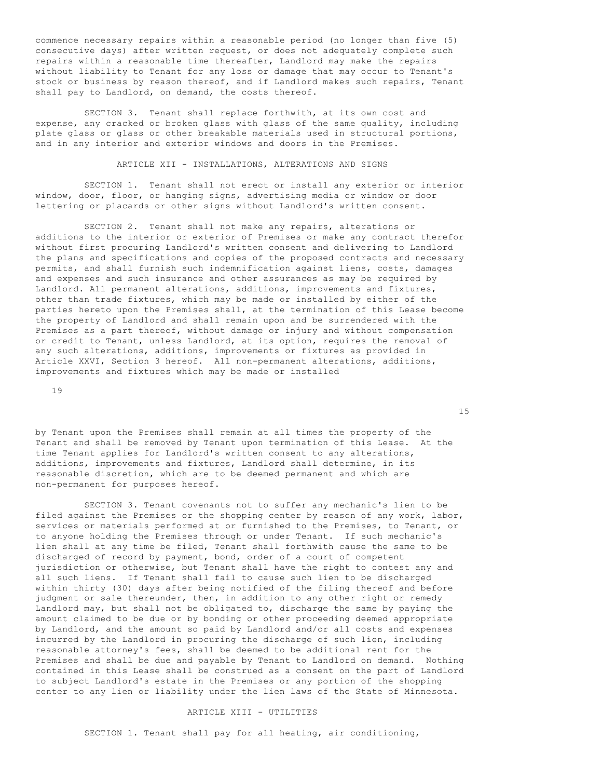commence necessary repairs within a reasonable period (no longer than five (5) consecutive days) after written request, or does not adequately complete such repairs within a reasonable time thereafter, Landlord may make the repairs without liability to Tenant for any loss or damage that may occur to Tenant's stock or business by reason thereof, and if Landlord makes such repairs, Tenant shall pay to Landlord, on demand, the costs thereof.

 SECTION 3. Tenant shall replace forthwith, at its own cost and expense, any cracked or broken glass with glass of the same quality, including plate glass or glass or other breakable materials used in structural portions, and in any interior and exterior windows and doors in the Premises.

ARTICLE XII - INSTALLATIONS, ALTERATIONS AND SIGNS

 SECTION 1. Tenant shall not erect or install any exterior or interior window, door, floor, or hanging signs, advertising media or window or door lettering or placards or other signs without Landlord's written consent.

 SECTION 2. Tenant shall not make any repairs, alterations or additions to the interior or exterior of Premises or make any contract therefor without first procuring Landlord's written consent and delivering to Landlord the plans and specifications and copies of the proposed contracts and necessary permits, and shall furnish such indemnification against liens, costs, damages and expenses and such insurance and other assurances as may be required by Landlord. All permanent alterations, additions, improvements and fixtures, other than trade fixtures, which may be made or installed by either of the parties hereto upon the Premises shall, at the termination of this Lease become the property of Landlord and shall remain upon and be surrendered with the Premises as a part thereof, without damage or injury and without compensation or credit to Tenant, unless Landlord, at its option, requires the removal of any such alterations, additions, improvements or fixtures as provided in Article XXVI, Section 3 hereof. All non-permanent alterations, additions, improvements and fixtures which may be made or installed

19

by Tenant upon the Premises shall remain at all times the property of the Tenant and shall be removed by Tenant upon termination of this Lease. At the time Tenant applies for Landlord's written consent to any alterations, additions, improvements and fixtures, Landlord shall determine, in its reasonable discretion, which are to be deemed permanent and which are non-permanent for purposes hereof.

 SECTION 3. Tenant covenants not to suffer any mechanic's lien to be filed against the Premises or the shopping center by reason of any work, labor, services or materials performed at or furnished to the Premises, to Tenant, or to anyone holding the Premises through or under Tenant. If such mechanic's lien shall at any time be filed, Tenant shall forthwith cause the same to be discharged of record by payment, bond, order of a court of competent jurisdiction or otherwise, but Tenant shall have the right to contest any and all such liens. If Tenant shall fail to cause such lien to be discharged within thirty (30) days after being notified of the filing thereof and before judgment or sale thereunder, then, in addition to any other right or remedy Landlord may, but shall not be obligated to, discharge the same by paying the amount claimed to be due or by bonding or other proceeding deemed appropriate by Landlord, and the amount so paid by Landlord and/or all costs and expenses incurred by the Landlord in procuring the discharge of such lien, including reasonable attorney's fees, shall be deemed to be additional rent for the Premises and shall be due and payable by Tenant to Landlord on demand. Nothing contained in this Lease shall be construed as a consent on the part of Landlord to subject Landlord's estate in the Premises or any portion of the shopping center to any lien or liability under the lien laws of the State of Minnesota.

#### ARTICLE XIII - UTILITIES

SECTION 1. Tenant shall pay for all heating, air conditioning,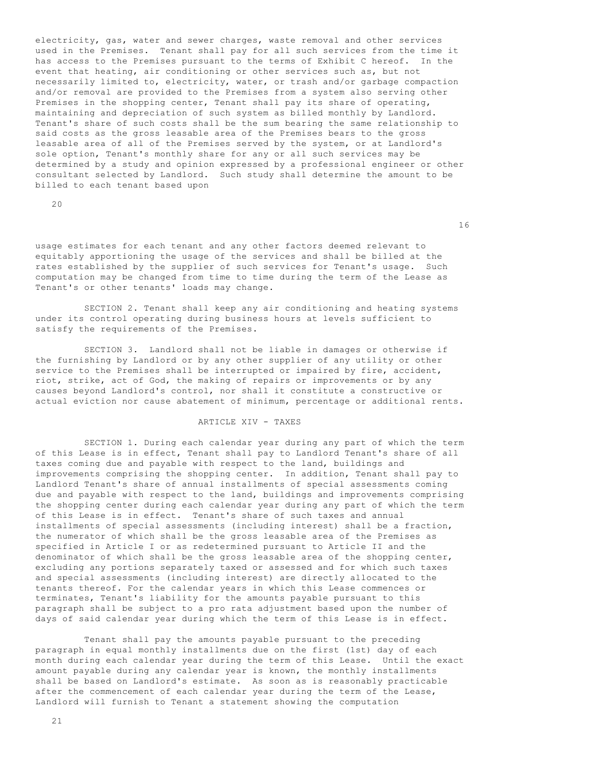electricity, gas, water and sewer charges, waste removal and other services used in the Premises. Tenant shall pay for all such services from the time it has access to the Premises pursuant to the terms of Exhibit C hereof. In the event that heating, air conditioning or other services such as, but not necessarily limited to, electricity, water, or trash and/or garbage compaction and/or removal are provided to the Premises from a system also serving other Premises in the shopping center, Tenant shall pay its share of operating, maintaining and depreciation of such system as billed monthly by Landlord. Tenant's share of such costs shall be the sum bearing the same relationship to said costs as the gross leasable area of the Premises bears to the gross leasable area of all of the Premises served by the system, or at Landlord's sole option, Tenant's monthly share for any or all such services may be determined by a study and opinion expressed by a professional engineer or other consultant selected by Landlord. Such study shall determine the amount to be billed to each tenant based upon

20

16

usage estimates for each tenant and any other factors deemed relevant to equitably apportioning the usage of the services and shall be billed at the rates established by the supplier of such services for Tenant's usage. Such computation may be changed from time to time during the term of the Lease as Tenant's or other tenants' loads may change.

 SECTION 2. Tenant shall keep any air conditioning and heating systems under its control operating during business hours at levels sufficient to satisfy the requirements of the Premises.

 SECTION 3. Landlord shall not be liable in damages or otherwise if the furnishing by Landlord or by any other supplier of any utility or other service to the Premises shall be interrupted or impaired by fire, accident, riot, strike, act of God, the making of repairs or improvements or by any causes beyond Landlord's control, nor shall it constitute a constructive or actual eviction nor cause abatement of minimum, percentage or additional rents.

# ARTICLE XIV - TAXES

 SECTION 1. During each calendar year during any part of which the term of this Lease is in effect, Tenant shall pay to Landlord Tenant's share of all taxes coming due and payable with respect to the land, buildings and improvements comprising the shopping center. In addition, Tenant shall pay to Landlord Tenant's share of annual installments of special assessments coming due and payable with respect to the land, buildings and improvements comprising the shopping center during each calendar year during any part of which the term of this Lease is in effect. Tenant's share of such taxes and annual installments of special assessments (including interest) shall be a fraction, the numerator of which shall be the gross leasable area of the Premises as specified in Article I or as redetermined pursuant to Article II and the denominator of which shall be the gross leasable area of the shopping center, excluding any portions separately taxed or assessed and for which such taxes and special assessments (including interest) are directly allocated to the tenants thereof. For the calendar years in which this Lease commences or terminates, Tenant's liability for the amounts payable pursuant to this paragraph shall be subject to a pro rata adjustment based upon the number of days of said calendar year during which the term of this Lease is in effect.

 Tenant shall pay the amounts payable pursuant to the preceding paragraph in equal monthly installments due on the first (1st) day of each month during each calendar year during the term of this Lease. Until the exact amount payable during any calendar year is known, the monthly installments shall be based on Landlord's estimate. As soon as is reasonably practicable after the commencement of each calendar year during the term of the Lease, Landlord will furnish to Tenant a statement showing the computation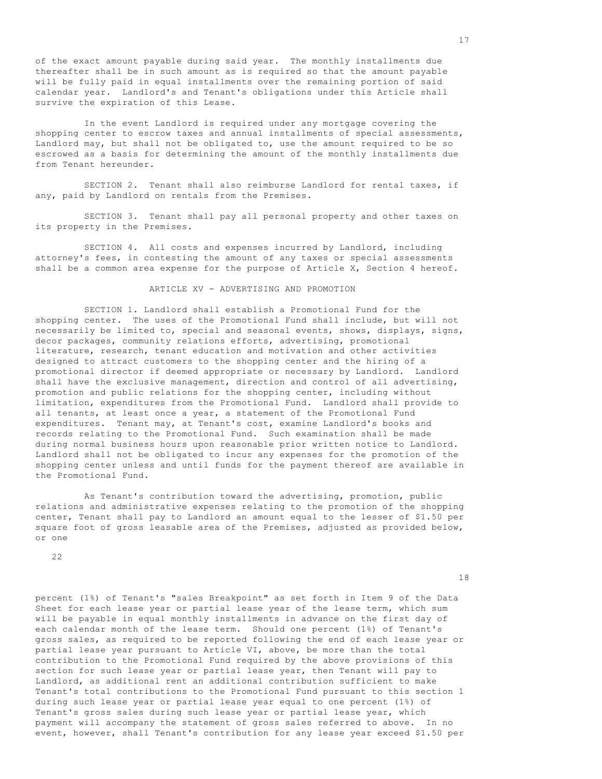of the exact amount payable during said year. The monthly installments due thereafter shall be in such amount as is required so that the amount payable will be fully paid in equal installments over the remaining portion of said calendar year. Landlord's and Tenant's obligations under this Article shall survive the expiration of this Lease.

 In the event Landlord is required under any mortgage covering the shopping center to escrow taxes and annual installments of special assessments, Landlord may, but shall not be obligated to, use the amount required to be so escrowed as a basis for determining the amount of the monthly installments due from Tenant hereunder.

 SECTION 2. Tenant shall also reimburse Landlord for rental taxes, if any, paid by Landlord on rentals from the Premises.

 SECTION 3. Tenant shall pay all personal property and other taxes on its property in the Premises.

 SECTION 4. All costs and expenses incurred by Landlord, including attorney's fees, in contesting the amount of any taxes or special assessments shall be a common area expense for the purpose of Article X, Section 4 hereof.

ARTICLE XV - ADVERTISING AND PROMOTION

 SECTION 1. Landlord shall establish a Promotional Fund for the shopping center. The uses of the Promotional Fund shall include, but will not necessarily be limited to, special and seasonal events, shows, displays, signs, decor packages, community relations efforts, advertising, promotional literature, research, tenant education and motivation and other activities designed to attract customers to the shopping center and the hiring of a promotional director if deemed appropriate or necessary by Landlord. Landlord shall have the exclusive management, direction and control of all advertising, promotion and public relations for the shopping center, including without limitation, expenditures from the Promotional Fund. Landlord shall provide to all tenants, at least once a year, a statement of the Promotional Fund expenditures. Tenant may, at Tenant's cost, examine Landlord's books and records relating to the Promotional Fund. Such examination shall be made during normal business hours upon reasonable prior written notice to Landlord. Landlord shall not be obligated to incur any expenses for the promotion of the shopping center unless and until funds for the payment thereof are available in the Promotional Fund.

 As Tenant's contribution toward the advertising, promotion, public relations and administrative expenses relating to the promotion of the shopping center, Tenant shall pay to Landlord an amount equal to the lesser of \$1.50 per square foot of gross leasable area of the Premises, adjusted as provided below, or one

22

18

percent (1%) of Tenant's "sales Breakpoint" as set forth in Item 9 of the Data Sheet for each lease year or partial lease year of the lease term, which sum will be payable in equal monthly installments in advance on the first day of each calendar month of the lease term. Should one percent (1%) of Tenant's gross sales, as required to be reported following the end of each lease year or partial lease year pursuant to Article VI, above, be more than the total contribution to the Promotional Fund required by the above provisions of this section for such lease year or partial lease year, then Tenant will pay to Landlord, as additional rent an additional contribution sufficient to make Tenant's total contributions to the Promotional Fund pursuant to this section 1 during such lease year or partial lease year equal to one percent (1%) of Tenant's gross sales during such lease year or partial lease year, which payment will accompany the statement of gross sales referred to above. In no event, however, shall Tenant's contribution for any lease year exceed \$1.50 per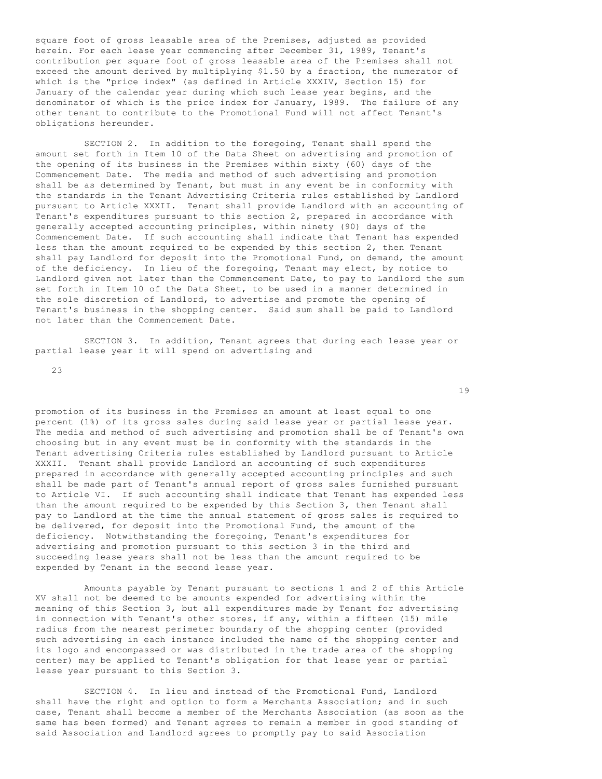square foot of gross leasable area of the Premises, adjusted as provided herein. For each lease year commencing after December 31, 1989, Tenant's contribution per square foot of gross leasable area of the Premises shall not exceed the amount derived by multiplying \$1.50 by a fraction, the numerator of which is the "price index" (as defined in Article XXXIV, Section 15) for January of the calendar year during which such lease year begins, and the denominator of which is the price index for January, 1989. The failure of any other tenant to contribute to the Promotional Fund will not affect Tenant's obligations hereunder.

 SECTION 2. In addition to the foregoing, Tenant shall spend the amount set forth in Item 10 of the Data Sheet on advertising and promotion of the opening of its business in the Premises within sixty (60) days of the Commencement Date. The media and method of such advertising and promotion shall be as determined by Tenant, but must in any event be in conformity with the standards in the Tenant Advertising Criteria rules established by Landlord pursuant to Article XXXII. Tenant shall provide Landlord with an accounting of Tenant's expenditures pursuant to this section 2, prepared in accordance with generally accepted accounting principles, within ninety (90) days of the Commencement Date. If such accounting shall indicate that Tenant has expended less than the amount required to be expended by this section 2, then Tenant shall pay Landlord for deposit into the Promotional Fund, on demand, the amount of the deficiency. In lieu of the foregoing, Tenant may elect, by notice to Landlord given not later than the Commencement Date, to pay to Landlord the sum set forth in Item 10 of the Data Sheet, to be used in a manner determined in the sole discretion of Landlord, to advertise and promote the opening of Tenant's business in the shopping center. Said sum shall be paid to Landlord not later than the Commencement Date.

 SECTION 3. In addition, Tenant agrees that during each lease year or partial lease year it will spend on advertising and

23

promotion of its business in the Premises an amount at least equal to one percent (1%) of its gross sales during said lease year or partial lease year. The media and method of such advertising and promotion shall be of Tenant's own choosing but in any event must be in conformity with the standards in the Tenant advertising Criteria rules established by Landlord pursuant to Article XXXII. Tenant shall provide Landlord an accounting of such expenditures prepared in accordance with generally accepted accounting principles and such shall be made part of Tenant's annual report of gross sales furnished pursuant to Article VI. If such accounting shall indicate that Tenant has expended less than the amount required to be expended by this Section 3, then Tenant shall pay to Landlord at the time the annual statement of gross sales is required to be delivered, for deposit into the Promotional Fund, the amount of the deficiency. Notwithstanding the foregoing, Tenant's expenditures for advertising and promotion pursuant to this section 3 in the third and succeeding lease years shall not be less than the amount required to be expended by Tenant in the second lease year.

 Amounts payable by Tenant pursuant to sections 1 and 2 of this Article XV shall not be deemed to be amounts expended for advertising within the meaning of this Section 3, but all expenditures made by Tenant for advertising in connection with Tenant's other stores, if any, within a fifteen (15) mile radius from the nearest perimeter boundary of the shopping center (provided such advertising in each instance included the name of the shopping center and its logo and encompassed or was distributed in the trade area of the shopping center) may be applied to Tenant's obligation for that lease year or partial lease year pursuant to this Section 3.

 SECTION 4. In lieu and instead of the Promotional Fund, Landlord shall have the right and option to form a Merchants Association; and in such case, Tenant shall become a member of the Merchants Association (as soon as the same has been formed) and Tenant agrees to remain a member in good standing of said Association and Landlord agrees to promptly pay to said Association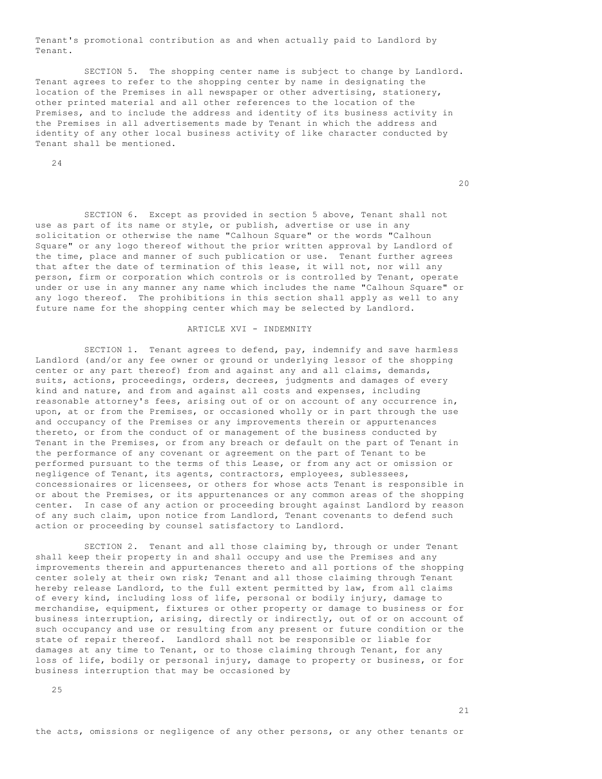Tenant's promotional contribution as and when actually paid to Landlord by Tenant.

 SECTION 5. The shopping center name is subject to change by Landlord. Tenant agrees to refer to the shopping center by name in designating the location of the Premises in all newspaper or other advertising, stationery, other printed material and all other references to the location of the Premises, and to include the address and identity of its business activity in the Premises in all advertisements made by Tenant in which the address and identity of any other local business activity of like character conducted by Tenant shall be mentioned.

24

20

 SECTION 6. Except as provided in section 5 above, Tenant shall not use as part of its name or style, or publish, advertise or use in any solicitation or otherwise the name "Calhoun Square" or the words "Calhoun Square" or any logo thereof without the prior written approval by Landlord of the time, place and manner of such publication or use. Tenant further agrees that after the date of termination of this lease, it will not, nor will any person, firm or corporation which controls or is controlled by Tenant, operate under or use in any manner any name which includes the name "Calhoun Square" or any logo thereof. The prohibitions in this section shall apply as well to any future name for the shopping center which may be selected by Landlord.

### ARTICLE XVI - INDEMNITY

 SECTION 1. Tenant agrees to defend, pay, indemnify and save harmless Landlord (and/or any fee owner or ground or underlying lessor of the shopping center or any part thereof) from and against any and all claims, demands, suits, actions, proceedings, orders, decrees, judgments and damages of every kind and nature, and from and against all costs and expenses, including reasonable attorney's fees, arising out of or on account of any occurrence in, upon, at or from the Premises, or occasioned wholly or in part through the use and occupancy of the Premises or any improvements therein or appurtenances thereto, or from the conduct of or management of the business conducted by Tenant in the Premises, or from any breach or default on the part of Tenant in the performance of any covenant or agreement on the part of Tenant to be performed pursuant to the terms of this Lease, or from any act or omission or negligence of Tenant, its agents, contractors, employees, sublessees, concessionaires or licensees, or others for whose acts Tenant is responsible in or about the Premises, or its appurtenances or any common areas of the shopping center. In case of any action or proceeding brought against Landlord by reason of any such claim, upon notice from Landlord, Tenant covenants to defend such action or proceeding by counsel satisfactory to Landlord.

SECTION 2. Tenant and all those claiming by, through or under Tenant shall keep their property in and shall occupy and use the Premises and any improvements therein and appurtenances thereto and all portions of the shopping center solely at their own risk; Tenant and all those claiming through Tenant hereby release Landlord, to the full extent permitted by law, from all claims of every kind, including loss of life, personal or bodily injury, damage to merchandise, equipment, fixtures or other property or damage to business or for business interruption, arising, directly or indirectly, out of or on account of such occupancy and use or resulting from any present or future condition or the state of repair thereof. Landlord shall not be responsible or liable for damages at any time to Tenant, or to those claiming through Tenant, for any loss of life, bodily or personal injury, damage to property or business, or for business interruption that may be occasioned by

25

the acts, omissions or negligence of any other persons, or any other tenants or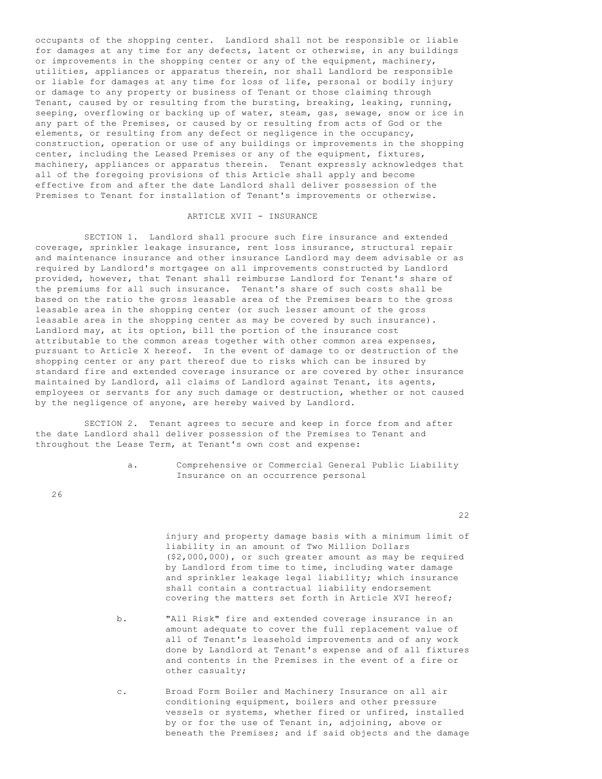occupants of the shopping center. Landlord shall not be responsible or liable for damages at any time for any defects, latent or otherwise, in any buildings or improvements in the shopping center or any of the equipment, machinery, utilities, appliances or apparatus therein, nor shall Landlord be responsible or liable for damages at any time for loss of life, personal or bodily injury or damage to any property or business of Tenant or those claiming through Tenant, caused by or resulting from the bursting, breaking, leaking, running, seeping, overflowing or backing up of water, steam, gas, sewage, snow or ice in any part of the Premises, or caused by or resulting from acts of God or the elements, or resulting from any defect or negligence in the occupancy, construction, operation or use of any buildings or improvements in the shopping center, including the Leased Premises or any of the equipment, fixtures, machinery, appliances or apparatus therein. Tenant expressly acknowledges that all of the foregoing provisions of this Article shall apply and become effective from and after the date Landlord shall deliver possession of the Premises to Tenant for installation of Tenant's improvements or otherwise.

#### ARTICLE XVII - INSURANCE

 SECTION 1. Landlord shall procure such fire insurance and extended coverage, sprinkler leakage insurance, rent loss insurance, structural repair and maintenance insurance and other insurance Landlord may deem advisable or as required by Landlord's mortgagee on all improvements constructed by Landlord provided, however, that Tenant shall reimburse Landlord for Tenant's share of the premiums for all such insurance. Tenant's share of such costs shall be based on the ratio the gross leasable area of the Premises bears to the gross leasable area in the shopping center (or such lesser amount of the gross leasable area in the shopping center as may be covered by such insurance). Landlord may, at its option, bill the portion of the insurance cost attributable to the common areas together with other common area expenses, pursuant to Article X hereof. In the event of damage to or destruction of the shopping center or any part thereof due to risks which can be insured by standard fire and extended coverage insurance or are covered by other insurance maintained by Landlord, all claims of Landlord against Tenant, its agents, employees or servants for any such damage or destruction, whether or not caused by the negligence of anyone, are hereby waived by Landlord.

 SECTION 2. Tenant agrees to secure and keep in force from and after the date Landlord shall deliver possession of the Premises to Tenant and throughout the Lease Term, at Tenant's own cost and expense:

> a. Comprehensive or Commercial General Public Liability Insurance on an occurrence personal

26

- injury and property damage basis with a minimum limit of liability in an amount of Two Million Dollars (\$2,000,000), or such greater amount as may be required by Landlord from time to time, including water damage and sprinkler leakage legal liability; which insurance shall contain a contractual liability endorsement covering the matters set forth in Article XVI hereof;
- b. "All Risk" fire and extended coverage insurance in an amount adequate to cover the full replacement value of all of Tenant's leasehold improvements and of any work done by Landlord at Tenant's expense and of all fixtures and contents in the Premises in the event of a fire or other casualty;
- c. Broad Form Boiler and Machinery Insurance on all air conditioning equipment, boilers and other pressure vessels or systems, whether fired or unfired, installed by or for the use of Tenant in, adjoining, above or beneath the Premises; and if said objects and the damage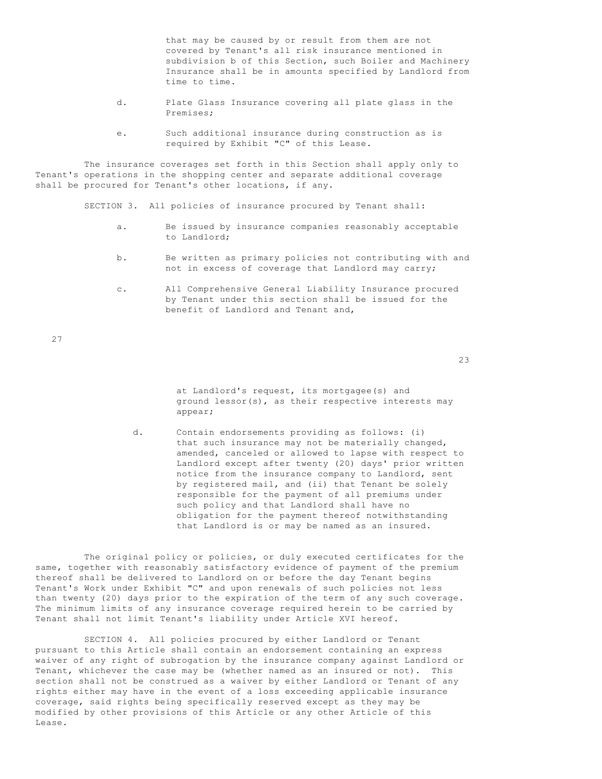that may be caused by or result from them are not covered by Tenant's all risk insurance mentioned in subdivision b of this Section, such Boiler and Machinery Insurance shall be in amounts specified by Landlord from time to time.

- d. Plate Glass Insurance covering all plate glass in the Premises;
- e. Such additional insurance during construction as is required by Exhibit "C" of this Lease.

 The insurance coverages set forth in this Section shall apply only to Tenant's operations in the shopping center and separate additional coverage shall be procured for Tenant's other locations, if any.

SECTION 3. All policies of insurance procured by Tenant shall:

- a. Be issued by insurance companies reasonably acceptable to Landlord;
- b. Be written as primary policies not contributing with and not in excess of coverage that Landlord may carry;
- c. All Comprehensive General Liability Insurance procured by Tenant under this section shall be issued for the benefit of Landlord and Tenant and,

27

23

 at Landlord's request, its mortgagee(s) and ground lessor(s), as their respective interests may appear;

 d. Contain endorsements providing as follows: (i) that such insurance may not be materially changed, amended, canceled or allowed to lapse with respect to Landlord except after twenty (20) days' prior written notice from the insurance company to Landlord, sent by registered mail, and (ii) that Tenant be solely responsible for the payment of all premiums under such policy and that Landlord shall have no obligation for the payment thereof notwithstanding that Landlord is or may be named as an insured.

 The original policy or policies, or duly executed certificates for the same, together with reasonably satisfactory evidence of payment of the premium thereof shall be delivered to Landlord on or before the day Tenant begins Tenant's Work under Exhibit "C" and upon renewals of such policies not less than twenty (20) days prior to the expiration of the term of any such coverage. The minimum limits of any insurance coverage required herein to be carried by Tenant shall not limit Tenant's liability under Article XVI hereof.

 SECTION 4. All policies procured by either Landlord or Tenant pursuant to this Article shall contain an endorsement containing an express waiver of any right of subrogation by the insurance company against Landlord or Tenant, whichever the case may be (whether named as an insured or not). This section shall not be construed as a waiver by either Landlord or Tenant of any rights either may have in the event of a loss exceeding applicable insurance coverage, said rights being specifically reserved except as they may be modified by other provisions of this Article or any other Article of this Lease.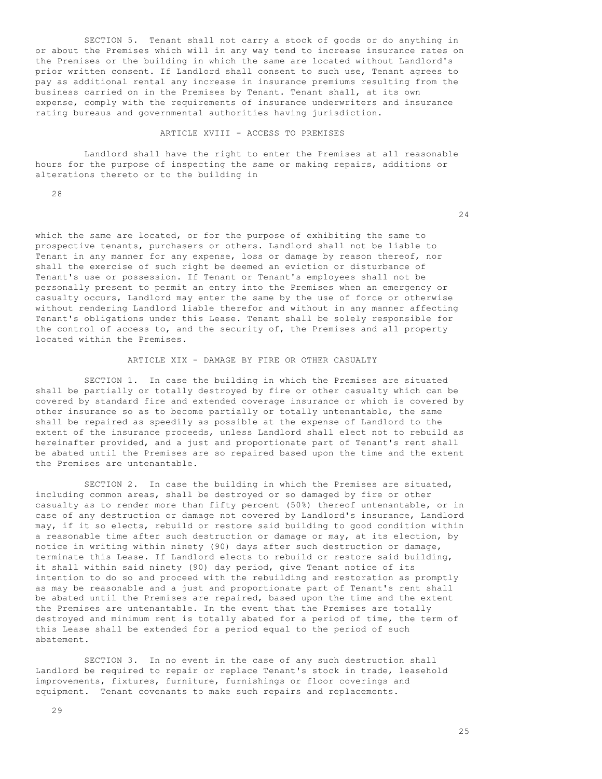SECTION 5. Tenant shall not carry a stock of goods or do anything in or about the Premises which will in any way tend to increase insurance rates on the Premises or the building in which the same are located without Landlord's prior written consent. If Landlord shall consent to such use, Tenant agrees to pay as additional rental any increase in insurance premiums resulting from the business carried on in the Premises by Tenant. Tenant shall, at its own expense, comply with the requirements of insurance underwriters and insurance rating bureaus and governmental authorities having jurisdiction.

## ARTICLE XVIII - ACCESS TO PREMISES

 Landlord shall have the right to enter the Premises at all reasonable hours for the purpose of inspecting the same or making repairs, additions or alterations thereto or to the building in

28

24

which the same are located, or for the purpose of exhibiting the same to prospective tenants, purchasers or others. Landlord shall not be liable to Tenant in any manner for any expense, loss or damage by reason thereof, nor shall the exercise of such right be deemed an eviction or disturbance of Tenant's use or possession. If Tenant or Tenant's employees shall not be personally present to permit an entry into the Premises when an emergency or casualty occurs, Landlord may enter the same by the use of force or otherwise without rendering Landlord liable therefor and without in any manner affecting Tenant's obligations under this Lease. Tenant shall be solely responsible for the control of access to, and the security of, the Premises and all property located within the Premises.

#### ARTICLE XIX - DAMAGE BY FIRE OR OTHER CASUALTY

 SECTION 1. In case the building in which the Premises are situated shall be partially or totally destroyed by fire or other casualty which can be covered by standard fire and extended coverage insurance or which is covered by other insurance so as to become partially or totally untenantable, the same shall be repaired as speedily as possible at the expense of Landlord to the extent of the insurance proceeds, unless Landlord shall elect not to rebuild as hereinafter provided, and a just and proportionate part of Tenant's rent shall be abated until the Premises are so repaired based upon the time and the extent the Premises are untenantable.

 SECTION 2. In case the building in which the Premises are situated, including common areas, shall be destroyed or so damaged by fire or other casualty as to render more than fifty percent (50%) thereof untenantable, or in case of any destruction or damage not covered by Landlord's insurance, Landlord may, if it so elects, rebuild or restore said building to good condition within a reasonable time after such destruction or damage or may, at its election, by notice in writing within ninety (90) days after such destruction or damage, terminate this Lease. If Landlord elects to rebuild or restore said building, it shall within said ninety (90) day period, give Tenant notice of its intention to do so and proceed with the rebuilding and restoration as promptly as may be reasonable and a just and proportionate part of Tenant's rent shall be abated until the Premises are repaired, based upon the time and the extent the Premises are untenantable. In the event that the Premises are totally destroyed and minimum rent is totally abated for a period of time, the term of this Lease shall be extended for a period equal to the period of such abatement.

 SECTION 3. In no event in the case of any such destruction shall Landlord be required to repair or replace Tenant's stock in trade, leasehold improvements, fixtures, furniture, furnishings or floor coverings and equipment. Tenant covenants to make such repairs and replacements.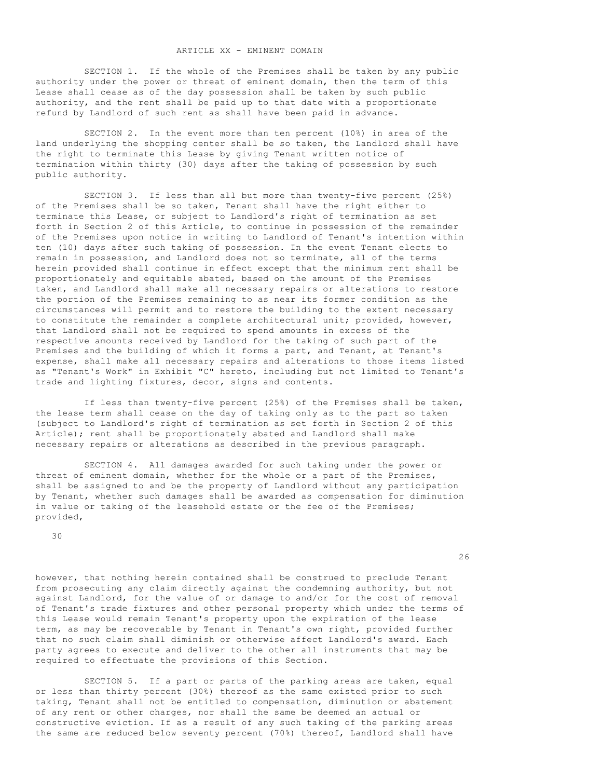SECTION 1. If the whole of the Premises shall be taken by any public authority under the power or threat of eminent domain, then the term of this Lease shall cease as of the day possession shall be taken by such public authority, and the rent shall be paid up to that date with a proportionate refund by Landlord of such rent as shall have been paid in advance.

 SECTION 2. In the event more than ten percent (10%) in area of the land underlying the shopping center shall be so taken, the Landlord shall have the right to terminate this Lease by giving Tenant written notice of termination within thirty (30) days after the taking of possession by such public authority.

 SECTION 3. If less than all but more than twenty-five percent (25%) of the Premises shall be so taken, Tenant shall have the right either to terminate this Lease, or subject to Landlord's right of termination as set forth in Section 2 of this Article, to continue in possession of the remainder of the Premises upon notice in writing to Landlord of Tenant's intention within ten (10) days after such taking of possession. In the event Tenant elects to remain in possession, and Landlord does not so terminate, all of the terms herein provided shall continue in effect except that the minimum rent shall be proportionately and equitable abated, based on the amount of the Premises taken, and Landlord shall make all necessary repairs or alterations to restore the portion of the Premises remaining to as near its former condition as the circumstances will permit and to restore the building to the extent necessary to constitute the remainder a complete architectural unit; provided, however, that Landlord shall not be required to spend amounts in excess of the respective amounts received by Landlord for the taking of such part of the Premises and the building of which it forms a part, and Tenant, at Tenant's expense, shall make all necessary repairs and alterations to those items listed as "Tenant's Work" in Exhibit "C" hereto, including but not limited to Tenant's trade and lighting fixtures, decor, signs and contents.

 If less than twenty-five percent (25%) of the Premises shall be taken, the lease term shall cease on the day of taking only as to the part so taken (subject to Landlord's right of termination as set forth in Section 2 of this Article); rent shall be proportionately abated and Landlord shall make necessary repairs or alterations as described in the previous paragraph.

 SECTION 4. All damages awarded for such taking under the power or threat of eminent domain, whether for the whole or a part of the Premises, shall be assigned to and be the property of Landlord without any participation by Tenant, whether such damages shall be awarded as compensation for diminution in value or taking of the leasehold estate or the fee of the Premises; provided,

30

<u>26 маја и податници се податници се податници се податници се податници се податници се податници се податниц</u>

however, that nothing herein contained shall be construed to preclude Tenant from prosecuting any claim directly against the condemning authority, but not against Landlord, for the value of or damage to and/or for the cost of removal of Tenant's trade fixtures and other personal property which under the terms of this Lease would remain Tenant's property upon the expiration of the lease term, as may be recoverable by Tenant in Tenant's own right, provided further that no such claim shall diminish or otherwise affect Landlord's award. Each party agrees to execute and deliver to the other all instruments that may be required to effectuate the provisions of this Section.

 SECTION 5. If a part or parts of the parking areas are taken, equal or less than thirty percent (30%) thereof as the same existed prior to such taking, Tenant shall not be entitled to compensation, diminution or abatement of any rent or other charges, nor shall the same be deemed an actual or constructive eviction. If as a result of any such taking of the parking areas the same are reduced below seventy percent (70%) thereof, Landlord shall have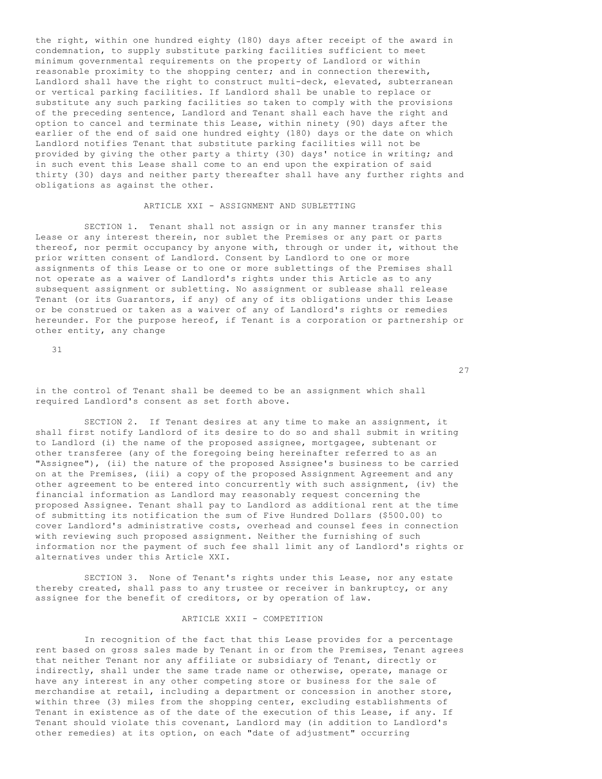the right, within one hundred eighty (180) days after receipt of the award in condemnation, to supply substitute parking facilities sufficient to meet minimum governmental requirements on the property of Landlord or within reasonable proximity to the shopping center; and in connection therewith, Landlord shall have the right to construct multi-deck, elevated, subterranean or vertical parking facilities. If Landlord shall be unable to replace or substitute any such parking facilities so taken to comply with the provisions of the preceding sentence, Landlord and Tenant shall each have the right and option to cancel and terminate this Lease, within ninety (90) days after the earlier of the end of said one hundred eighty (180) days or the date on which Landlord notifies Tenant that substitute parking facilities will not be provided by giving the other party a thirty (30) days' notice in writing; and in such event this Lease shall come to an end upon the expiration of said thirty (30) days and neither party thereafter shall have any further rights and obligations as against the other.

### ARTICLE XXI - ASSIGNMENT AND SUBLETTING

 SECTION 1. Tenant shall not assign or in any manner transfer this Lease or any interest therein, nor sublet the Premises or any part or parts thereof, nor permit occupancy by anyone with, through or under it, without the prior written consent of Landlord. Consent by Landlord to one or more assignments of this Lease or to one or more sublettings of the Premises shall not operate as a waiver of Landlord's rights under this Article as to any subsequent assignment or subletting. No assignment or sublease shall release Tenant (or its Guarantors, if any) of any of its obligations under this Lease or be construed or taken as a waiver of any of Landlord's rights or remedies hereunder. For the purpose hereof, if Tenant is a corporation or partnership or other entity, any change

31

27<sup>2</sup>

in the control of Tenant shall be deemed to be an assignment which shall required Landlord's consent as set forth above.

 SECTION 2. If Tenant desires at any time to make an assignment, it shall first notify Landlord of its desire to do so and shall submit in writing to Landlord (i) the name of the proposed assignee, mortgagee, subtenant or other transferee (any of the foregoing being hereinafter referred to as an "Assignee"), (ii) the nature of the proposed Assignee's business to be carried on at the Premises, (iii) a copy of the proposed Assignment Agreement and any other agreement to be entered into concurrently with such assignment, (iv) the financial information as Landlord may reasonably request concerning the proposed Assignee. Tenant shall pay to Landlord as additional rent at the time of submitting its notification the sum of Five Hundred Dollars (\$500.00) to cover Landlord's administrative costs, overhead and counsel fees in connection with reviewing such proposed assignment. Neither the furnishing of such information nor the payment of such fee shall limit any of Landlord's rights or alternatives under this Article XXI.

 SECTION 3. None of Tenant's rights under this Lease, nor any estate thereby created, shall pass to any trustee or receiver in bankruptcy, or any assignee for the benefit of creditors, or by operation of law.

### ARTICLE XXII - COMPETITION

 In recognition of the fact that this Lease provides for a percentage rent based on gross sales made by Tenant in or from the Premises, Tenant agrees that neither Tenant nor any affiliate or subsidiary of Tenant, directly or indirectly, shall under the same trade name or otherwise, operate, manage or have any interest in any other competing store or business for the sale of merchandise at retail, including a department or concession in another store, within three (3) miles from the shopping center, excluding establishments of Tenant in existence as of the date of the execution of this Lease, if any. If Tenant should violate this covenant, Landlord may (in addition to Landlord's other remedies) at its option, on each "date of adjustment" occurring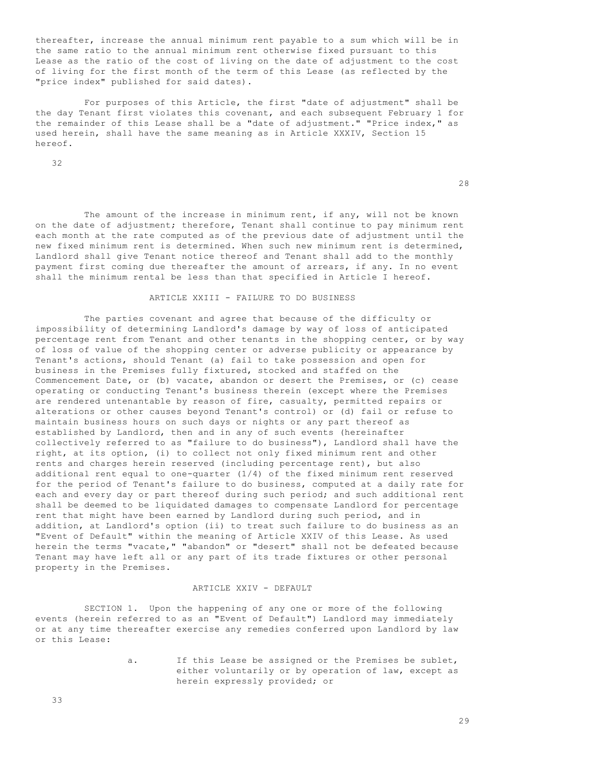thereafter, increase the annual minimum rent payable to a sum which will be in the same ratio to the annual minimum rent otherwise fixed pursuant to this Lease as the ratio of the cost of living on the date of adjustment to the cost of living for the first month of the term of this Lease (as reflected by the "price index" published for said dates).

 For purposes of this Article, the first "date of adjustment" shall be the day Tenant first violates this covenant, and each subsequent February 1 for the remainder of this Lease shall be a "date of adjustment." "Price index," as used herein, shall have the same meaning as in Article XXXIV, Section 15 hereof.

32

28

The amount of the increase in minimum rent, if any, will not be known on the date of adjustment; therefore, Tenant shall continue to pay minimum rent each month at the rate computed as of the previous date of adjustment until the new fixed minimum rent is determined. When such new minimum rent is determined, Landlord shall give Tenant notice thereof and Tenant shall add to the monthly payment first coming due thereafter the amount of arrears, if any. In no event shall the minimum rental be less than that specified in Article I hereof.

# ARTICLE XXIII - FAILURE TO DO BUSINESS

 The parties covenant and agree that because of the difficulty or impossibility of determining Landlord's damage by way of loss of anticipated percentage rent from Tenant and other tenants in the shopping center, or by way of loss of value of the shopping center or adverse publicity or appearance by Tenant's actions, should Tenant (a) fail to take possession and open for business in the Premises fully fixtured, stocked and staffed on the Commencement Date, or (b) vacate, abandon or desert the Premises, or (c) cease operating or conducting Tenant's business therein (except where the Premises are rendered untenantable by reason of fire, casualty, permitted repairs or alterations or other causes beyond Tenant's control) or (d) fail or refuse to maintain business hours on such days or nights or any part thereof as established by Landlord, then and in any of such events (hereinafter collectively referred to as "failure to do business"), Landlord shall have the right, at its option, (i) to collect not only fixed minimum rent and other rents and charges herein reserved (including percentage rent), but also additional rent equal to one-quarter (1/4) of the fixed minimum rent reserved for the period of Tenant's failure to do business, computed at a daily rate for each and every day or part thereof during such period; and such additional rent shall be deemed to be liquidated damages to compensate Landlord for percentage rent that might have been earned by Landlord during such period, and in addition, at Landlord's option (ii) to treat such failure to do business as an "Event of Default" within the meaning of Article XXIV of this Lease. As used herein the terms "vacate," "abandon" or "desert" shall not be defeated because Tenant may have left all or any part of its trade fixtures or other personal property in the Premises.

### ARTICLE XXIV - DEFAULT

 SECTION 1. Upon the happening of any one or more of the following events (herein referred to as an "Event of Default") Landlord may immediately or at any time thereafter exercise any remedies conferred upon Landlord by law or this Lease:

> a. If this Lease be assigned or the Premises be sublet, either voluntarily or by operation of law, except as herein expressly provided; or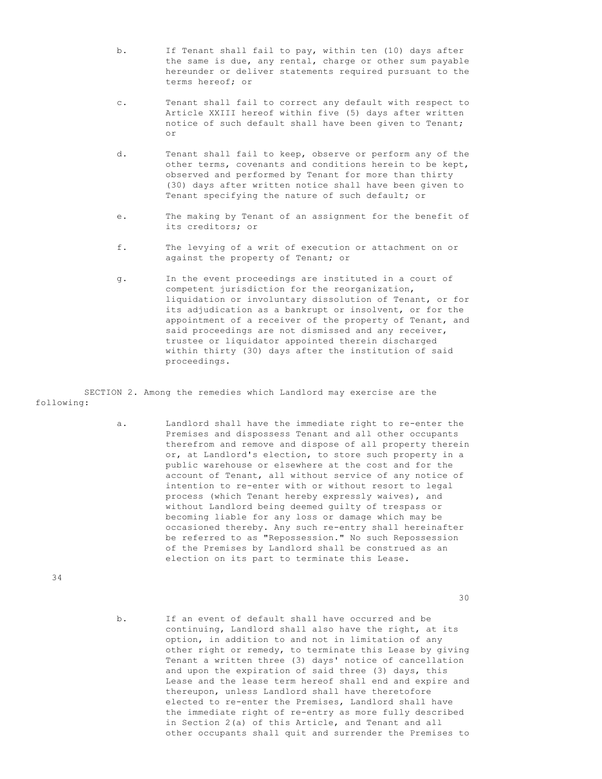- b. If Tenant shall fail to pay, within ten (10) days after the same is due, any rental, charge or other sum payable hereunder or deliver statements required pursuant to the terms hereof; or
- c. Tenant shall fail to correct any default with respect to Article XXIII hereof within five (5) days after written notice of such default shall have been given to Tenant; or
	- d. Tenant shall fail to keep, observe or perform any of the other terms, covenants and conditions herein to be kept, observed and performed by Tenant for more than thirty (30) days after written notice shall have been given to Tenant specifying the nature of such default; or
	- e. The making by Tenant of an assignment for the benefit of its creditors; or
	- f. The levying of a writ of execution or attachment on or against the property of Tenant; or
	- g. In the event proceedings are instituted in a court of competent jurisdiction for the reorganization, liquidation or involuntary dissolution of Tenant, or for its adjudication as a bankrupt or insolvent, or for the appointment of a receiver of the property of Tenant, and said proceedings are not dismissed and any receiver, trustee or liquidator appointed therein discharged within thirty (30) days after the institution of said proceedings.

 SECTION 2. Among the remedies which Landlord may exercise are the following:

> a. Landlord shall have the immediate right to re-enter the Premises and dispossess Tenant and all other occupants therefrom and remove and dispose of all property therein or, at Landlord's election, to store such property in a public warehouse or elsewhere at the cost and for the account of Tenant, all without service of any notice of intention to re-enter with or without resort to legal process (which Tenant hereby expressly waives), and without Landlord being deemed guilty of trespass or becoming liable for any loss or damage which may be occasioned thereby. Any such re-entry shall hereinafter be referred to as "Repossession." No such Repossession of the Premises by Landlord shall be construed as an election on its part to terminate this Lease.

34

30

 b. If an event of default shall have occurred and be continuing, Landlord shall also have the right, at its option, in addition to and not in limitation of any other right or remedy, to terminate this Lease by giving Tenant a written three (3) days' notice of cancellation and upon the expiration of said three (3) days, this Lease and the lease term hereof shall end and expire and thereupon, unless Landlord shall have theretofore elected to re-enter the Premises, Landlord shall have the immediate right of re-entry as more fully described in Section 2(a) of this Article, and Tenant and all other occupants shall quit and surrender the Premises to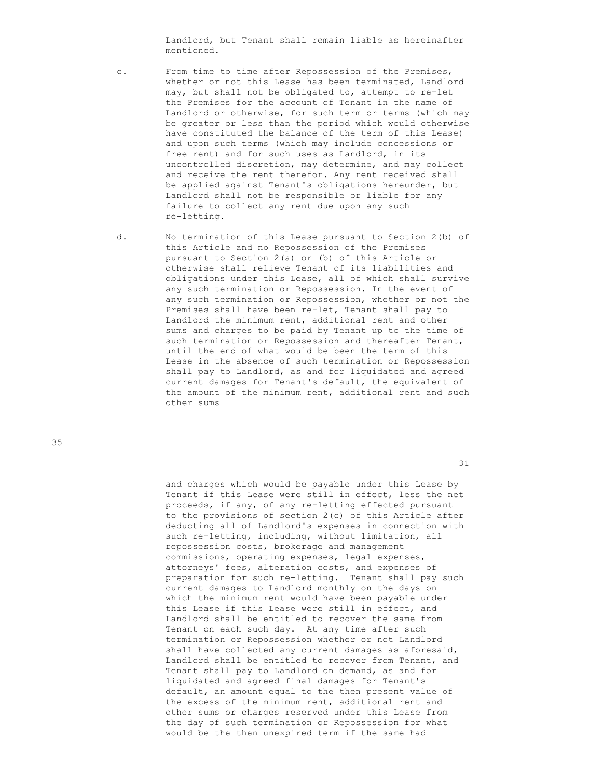Landlord, but Tenant shall remain liable as hereinafter mentioned.

- c. From time to time after Repossession of the Premises, whether or not this Lease has been terminated, Landlord may, but shall not be obligated to, attempt to re-let the Premises for the account of Tenant in the name of Landlord or otherwise, for such term or terms (which may be greater or less than the period which would otherwise have constituted the balance of the term of this Lease) and upon such terms (which may include concessions or free rent) and for such uses as Landlord, in its uncontrolled discretion, may determine, and may collect and receive the rent therefor. Any rent received shall be applied against Tenant's obligations hereunder, but Landlord shall not be responsible or liable for any failure to collect any rent due upon any such re-letting.
- d. No termination of this Lease pursuant to Section 2(b) of this Article and no Repossession of the Premises pursuant to Section 2(a) or (b) of this Article or otherwise shall relieve Tenant of its liabilities and obligations under this Lease, all of which shall survive any such termination or Repossession. In the event of any such termination or Repossession, whether or not the Premises shall have been re-let, Tenant shall pay to Landlord the minimum rent, additional rent and other sums and charges to be paid by Tenant up to the time of such termination or Repossession and thereafter Tenant, until the end of what would be been the term of this Lease in the absence of such termination or Repossession shall pay to Landlord, as and for liquidated and agreed current damages for Tenant's default, the equivalent of the amount of the minimum rent, additional rent and such other sums

35

31

 and charges which would be payable under this Lease by Tenant if this Lease were still in effect, less the net proceeds, if any, of any re-letting effected pursuant to the provisions of section 2(c) of this Article after deducting all of Landlord's expenses in connection with such re-letting, including, without limitation, all repossession costs, brokerage and management commissions, operating expenses, legal expenses, attorneys' fees, alteration costs, and expenses of preparation for such re-letting. Tenant shall pay such current damages to Landlord monthly on the days on which the minimum rent would have been payable under this Lease if this Lease were still in effect, and Landlord shall be entitled to recover the same from Tenant on each such day. At any time after such termination or Repossession whether or not Landlord shall have collected any current damages as aforesaid, Landlord shall be entitled to recover from Tenant, and Tenant shall pay to Landlord on demand, as and for liquidated and agreed final damages for Tenant's default, an amount equal to the then present value of the excess of the minimum rent, additional rent and other sums or charges reserved under this Lease from the day of such termination or Repossession for what would be the then unexpired term if the same had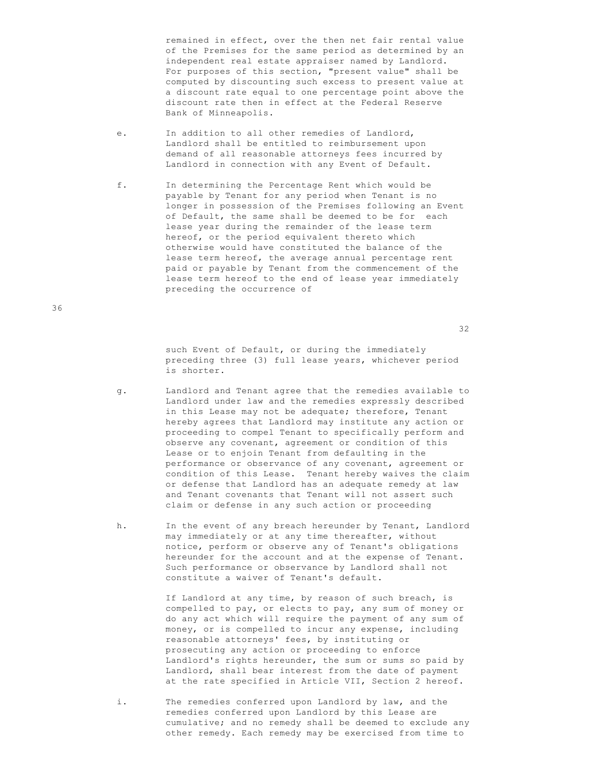remained in effect, over the then net fair rental value of the Premises for the same period as determined by an independent real estate appraiser named by Landlord. For purposes of this section, "present value" shall be computed by discounting such excess to present value at a discount rate equal to one percentage point above the discount rate then in effect at the Federal Reserve Bank of Minneapolis.

- e. In addition to all other remedies of Landlord, Landlord shall be entitled to reimbursement upon demand of all reasonable attorneys fees incurred by Landlord in connection with any Event of Default.
- f. In determining the Percentage Rent which would be payable by Tenant for any period when Tenant is no longer in possession of the Premises following an Event of Default, the same shall be deemed to be for each lease year during the remainder of the lease term hereof, or the period equivalent thereto which otherwise would have constituted the balance of the lease term hereof, the average annual percentage rent paid or payable by Tenant from the commencement of the lease term hereof to the end of lease year immediately preceding the occurrence of

32

 such Event of Default, or during the immediately preceding three (3) full lease years, whichever period is shorter.

- g. Landlord and Tenant agree that the remedies available to Landlord under law and the remedies expressly described in this Lease may not be adequate; therefore, Tenant hereby agrees that Landlord may institute any action or proceeding to compel Tenant to specifically perform and observe any covenant, agreement or condition of this Lease or to enjoin Tenant from defaulting in the performance or observance of any covenant, agreement or condition of this Lease. Tenant hereby waives the claim or defense that Landlord has an adequate remedy at law and Tenant covenants that Tenant will not assert such claim or defense in any such action or proceeding
- h. In the event of any breach hereunder by Tenant, Landlord may immediately or at any time thereafter, without notice, perform or observe any of Tenant's obligations hereunder for the account and at the expense of Tenant. Such performance or observance by Landlord shall not constitute a waiver of Tenant's default.

 If Landlord at any time, by reason of such breach, is compelled to pay, or elects to pay, any sum of money or do any act which will require the payment of any sum of money, or is compelled to incur any expense, including reasonable attorneys' fees, by instituting or prosecuting any action or proceeding to enforce Landlord's rights hereunder, the sum or sums so paid by Landlord, shall bear interest from the date of payment at the rate specified in Article VII, Section 2 hereof.

 i. The remedies conferred upon Landlord by law, and the remedies conferred upon Landlord by this Lease are cumulative; and no remedy shall be deemed to exclude any other remedy. Each remedy may be exercised from time to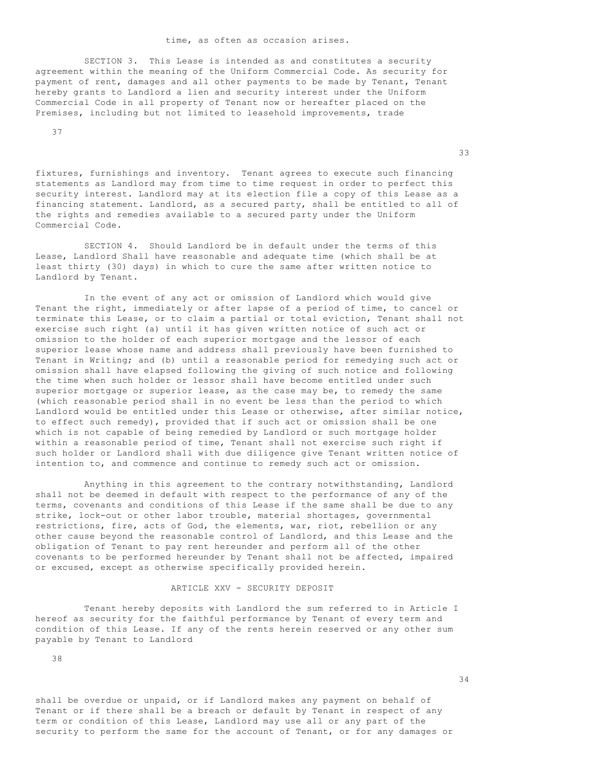#### time, as often as occasion arises.

 SECTION 3. This Lease is intended as and constitutes a security agreement within the meaning of the Uniform Commercial Code. As security for payment of rent, damages and all other payments to be made by Tenant, Tenant hereby grants to Landlord a lien and security interest under the Uniform Commercial Code in all property of Tenant now or hereafter placed on the Premises, including but not limited to leasehold improvements, trade

37

fixtures, furnishings and inventory. Tenant agrees to execute such financing statements as Landlord may from time to time request in order to perfect this security interest. Landlord may at its election file a copy of this Lease as a financing statement. Landlord, as a secured party, shall be entitled to all of the rights and remedies available to a secured party under the Uniform Commercial Code.

<u>33</u>

 SECTION 4. Should Landlord be in default under the terms of this Lease, Landlord Shall have reasonable and adequate time (which shall be at least thirty (30) days) in which to cure the same after written notice to Landlord by Tenant.

 In the event of any act or omission of Landlord which would give Tenant the right, immediately or after lapse of a period of time, to cancel or terminate this Lease, or to claim a partial or total eviction, Tenant shall not exercise such right (a) until it has given written notice of such act or omission to the holder of each superior mortgage and the lessor of each superior lease whose name and address shall previously have been furnished to Tenant in Writing; and (b) until a reasonable period for remedying such act or omission shall have elapsed following the giving of such notice and following the time when such holder or lessor shall have become entitled under such superior mortgage or superior lease, as the case may be, to remedy the same (which reasonable period shall in no event be less than the period to which Landlord would be entitled under this Lease or otherwise, after similar notice, to effect such remedy), provided that if such act or omission shall be one which is not capable of being remedied by Landlord or such mortgage holder within a reasonable period of time, Tenant shall not exercise such right if such holder or Landlord shall with due diligence give Tenant written notice of intention to, and commence and continue to remedy such act or omission.

 Anything in this agreement to the contrary notwithstanding, Landlord shall not be deemed in default with respect to the performance of any of the terms, covenants and conditions of this Lease if the same shall be due to any strike, lock-out or other labor trouble, material shortages, governmental restrictions, fire, acts of God, the elements, war, riot, rebellion or any other cause beyond the reasonable control of Landlord, and this Lease and the obligation of Tenant to pay rent hereunder and perform all of the other covenants to be performed hereunder by Tenant shall not be affected, impaired or excused, except as otherwise specifically provided herein.

### ARTICLE XXV - SECURITY DEPOSIT

 Tenant hereby deposits with Landlord the sum referred to in Article I hereof as security for the faithful performance by Tenant of every term and condition of this Lease. If any of the rents herein reserved or any other sum payable by Tenant to Landlord

38

34

shall be overdue or unpaid, or if Landlord makes any payment on behalf of Tenant or if there shall be a breach or default by Tenant in respect of any term or condition of this Lease, Landlord may use all or any part of the security to perform the same for the account of Tenant, or for any damages or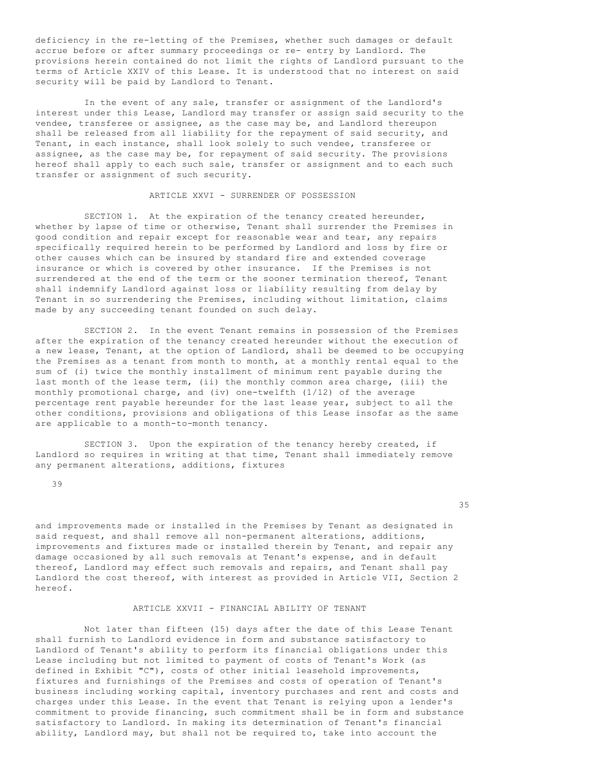deficiency in the re-letting of the Premises, whether such damages or default accrue before or after summary proceedings or re- entry by Landlord. The provisions herein contained do not limit the rights of Landlord pursuant to the terms of Article XXIV of this Lease. It is understood that no interest on said security will be paid by Landlord to Tenant.

 In the event of any sale, transfer or assignment of the Landlord's interest under this Lease, Landlord may transfer or assign said security to the vendee, transferee or assignee, as the case may be, and Landlord thereupon shall be released from all liability for the repayment of said security, and Tenant, in each instance, shall look solely to such vendee, transferee or assignee, as the case may be, for repayment of said security. The provisions hereof shall apply to each such sale, transfer or assignment and to each such transfer or assignment of such security.

# ARTICLE XXVI - SURRENDER OF POSSESSION

SECTION 1. At the expiration of the tenancy created hereunder, whether by lapse of time or otherwise, Tenant shall surrender the Premises in good condition and repair except for reasonable wear and tear, any repairs specifically required herein to be performed by Landlord and loss by fire or other causes which can be insured by standard fire and extended coverage insurance or which is covered by other insurance. If the Premises is not surrendered at the end of the term or the sooner termination thereof, Tenant shall indemnify Landlord against loss or liability resulting from delay by Tenant in so surrendering the Premises, including without limitation, claims made by any succeeding tenant founded on such delay.

 SECTION 2. In the event Tenant remains in possession of the Premises after the expiration of the tenancy created hereunder without the execution of a new lease, Tenant, at the option of Landlord, shall be deemed to be occupying the Premises as a tenant from month to month, at a monthly rental equal to the sum of (i) twice the monthly installment of minimum rent payable during the last month of the lease term, (ii) the monthly common area charge, (iii) the monthly promotional charge, and (iv) one-twelfth (1/12) of the average percentage rent payable hereunder for the last lease year, subject to all the other conditions, provisions and obligations of this Lease insofar as the same are applicable to a month-to-month tenancy.

 SECTION 3. Upon the expiration of the tenancy hereby created, if Landlord so requires in writing at that time, Tenant shall immediately remove any permanent alterations, additions, fixtures

39

35

and improvements made or installed in the Premises by Tenant as designated in said request, and shall remove all non-permanent alterations, additions, improvements and fixtures made or installed therein by Tenant, and repair any damage occasioned by all such removals at Tenant's expense, and in default thereof, Landlord may effect such removals and repairs, and Tenant shall pay Landlord the cost thereof, with interest as provided in Article VII, Section 2 hereof.

#### ARTICLE XXVII - FINANCIAL ABILITY OF TENANT

 Not later than fifteen (15) days after the date of this Lease Tenant shall furnish to Landlord evidence in form and substance satisfactory to Landlord of Tenant's ability to perform its financial obligations under this Lease including but not limited to payment of costs of Tenant's Work (as defined in Exhibit "C"), costs of other initial leasehold improvements, fixtures and furnishings of the Premises and costs of operation of Tenant's business including working capital, inventory purchases and rent and costs and charges under this Lease. In the event that Tenant is relying upon a lender's commitment to provide financing, such commitment shall be in form and substance satisfactory to Landlord. In making its determination of Tenant's financial ability, Landlord may, but shall not be required to, take into account the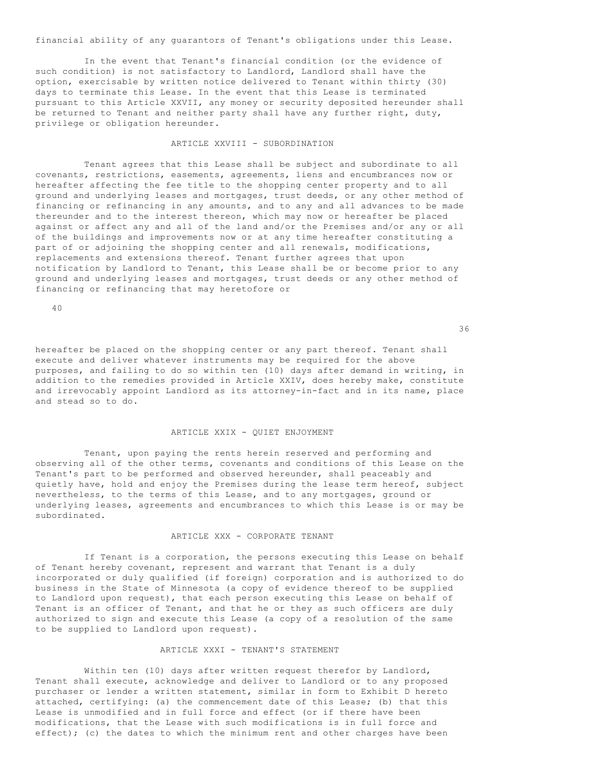financial ability of any guarantors of Tenant's obligations under this Lease.

 In the event that Tenant's financial condition (or the evidence of such condition) is not satisfactory to Landlord, Landlord shall have the option, exercisable by written notice delivered to Tenant within thirty (30) days to terminate this Lease. In the event that this Lease is terminated pursuant to this Article XXVII, any money or security deposited hereunder shall be returned to Tenant and neither party shall have any further right, duty, privilege or obligation hereunder.

#### ARTICLE XXVIII - SUBORDINATION

 Tenant agrees that this Lease shall be subject and subordinate to all covenants, restrictions, easements, agreements, liens and encumbrances now or hereafter affecting the fee title to the shopping center property and to all ground and underlying leases and mortgages, trust deeds, or any other method of financing or refinancing in any amounts, and to any and all advances to be made thereunder and to the interest thereon, which may now or hereafter be placed against or affect any and all of the land and/or the Premises and/or any or all of the buildings and improvements now or at any time hereafter constituting a part of or adjoining the shopping center and all renewals, modifications, replacements and extensions thereof. Tenant further agrees that upon notification by Landlord to Tenant, this Lease shall be or become prior to any ground and underlying leases and mortgages, trust deeds or any other method of financing or refinancing that may heretofore or

 $40$ 

 $36<sup>2</sup>$ 

hereafter be placed on the shopping center or any part thereof. Tenant shall execute and deliver whatever instruments may be required for the above purposes, and failing to do so within ten (10) days after demand in writing, in addition to the remedies provided in Article XXIV, does hereby make, constitute and irrevocably appoint Landlord as its attorney-in-fact and in its name, place and stead so to do.

### ARTICLE XXIX - QUIET ENJOYMENT

 Tenant, upon paying the rents herein reserved and performing and observing all of the other terms, covenants and conditions of this Lease on the Tenant's part to be performed and observed hereunder, shall peaceably and quietly have, hold and enjoy the Premises during the lease term hereof, subject nevertheless, to the terms of this Lease, and to any mortgages, ground or underlying leases, agreements and encumbrances to which this Lease is or may be subordinated.

#### ARTICLE XXX - CORPORATE TENANT

 If Tenant is a corporation, the persons executing this Lease on behalf of Tenant hereby covenant, represent and warrant that Tenant is a duly incorporated or duly qualified (if foreign) corporation and is authorized to do business in the State of Minnesota (a copy of evidence thereof to be supplied to Landlord upon request), that each person executing this Lease on behalf of Tenant is an officer of Tenant, and that he or they as such officers are duly authorized to sign and execute this Lease (a copy of a resolution of the same to be supplied to Landlord upon request).

# ARTICLE XXXI - TENANT'S STATEMENT

 Within ten (10) days after written request therefor by Landlord, Tenant shall execute, acknowledge and deliver to Landlord or to any proposed purchaser or lender a written statement, similar in form to Exhibit D hereto attached, certifying: (a) the commencement date of this Lease; (b) that this Lease is unmodified and in full force and effect (or if there have been modifications, that the Lease with such modifications is in full force and effect); (c) the dates to which the minimum rent and other charges have been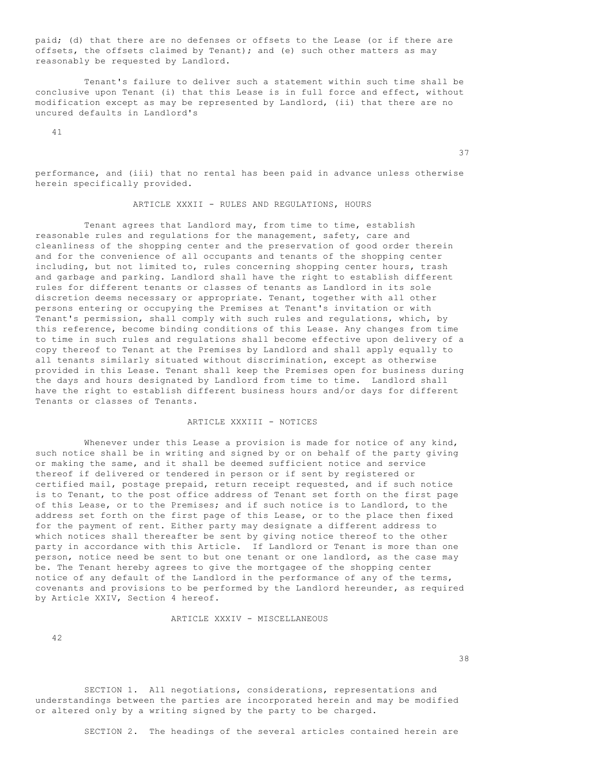paid; (d) that there are no defenses or offsets to the Lease (or if there are offsets, the offsets claimed by Tenant); and (e) such other matters as may reasonably be requested by Landlord.

 Tenant's failure to deliver such a statement within such time shall be conclusive upon Tenant (i) that this Lease is in full force and effect, without modification except as may be represented by Landlord, (ii) that there are no uncured defaults in Landlord's

 $11$ 

performance, and (iii) that no rental has been paid in advance unless otherwise herein specifically provided.

37

#### ARTICLE XXXII - RULES AND REGULATIONS, HOURS

 Tenant agrees that Landlord may, from time to time, establish reasonable rules and regulations for the management, safety, care and cleanliness of the shopping center and the preservation of good order therein and for the convenience of all occupants and tenants of the shopping center including, but not limited to, rules concerning shopping center hours, trash and garbage and parking. Landlord shall have the right to establish different rules for different tenants or classes of tenants as Landlord in its sole discretion deems necessary or appropriate. Tenant, together with all other persons entering or occupying the Premises at Tenant's invitation or with Tenant's permission, shall comply with such rules and regulations, which, by this reference, become binding conditions of this Lease. Any changes from time to time in such rules and regulations shall become effective upon delivery of a copy thereof to Tenant at the Premises by Landlord and shall apply equally to all tenants similarly situated without discrimination, except as otherwise provided in this Lease. Tenant shall keep the Premises open for business during the days and hours designated by Landlord from time to time. Landlord shall have the right to establish different business hours and/or days for different Tenants or classes of Tenants.

# ARTICLE XXXIII - NOTICES

Whenever under this Lease a provision is made for notice of any kind, such notice shall be in writing and signed by or on behalf of the party giving or making the same, and it shall be deemed sufficient notice and service thereof if delivered or tendered in person or if sent by registered or certified mail, postage prepaid, return receipt requested, and if such notice is to Tenant, to the post office address of Tenant set forth on the first page of this Lease, or to the Premises; and if such notice is to Landlord, to the address set forth on the first page of this Lease, or to the place then fixed for the payment of rent. Either party may designate a different address to which notices shall thereafter be sent by giving notice thereof to the other party in accordance with this Article. If Landlord or Tenant is more than one person, notice need be sent to but one tenant or one landlord, as the case may be. The Tenant hereby agrees to give the mortgagee of the shopping center notice of any default of the Landlord in the performance of any of the terms, covenants and provisions to be performed by the Landlord hereunder, as required by Article XXIV, Section 4 hereof.

#### ARTICLE XXXIV - MISCELLANEOUS

42

<u>38</u>

 SECTION 1. All negotiations, considerations, representations and understandings between the parties are incorporated herein and may be modified or altered only by a writing signed by the party to be charged.

SECTION 2. The headings of the several articles contained herein are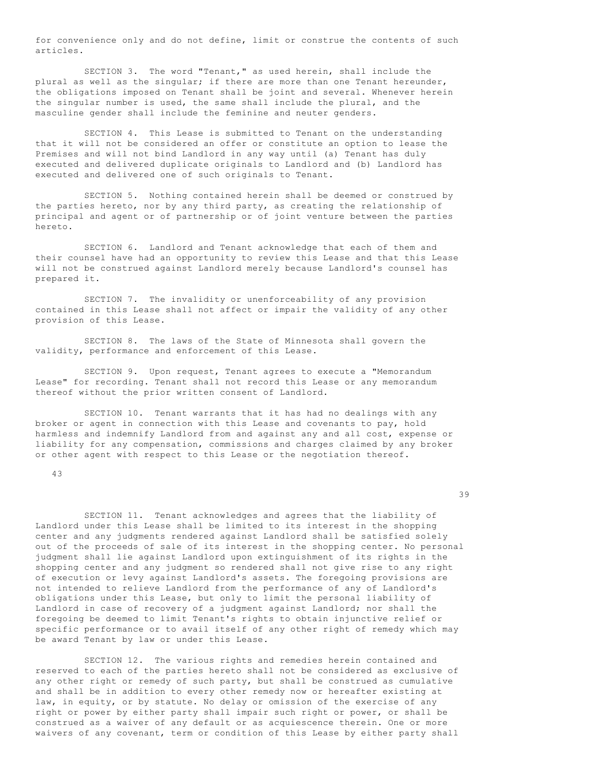for convenience only and do not define, limit or construe the contents of such articles.

 SECTION 3. The word "Tenant," as used herein, shall include the plural as well as the singular; if there are more than one Tenant hereunder, the obligations imposed on Tenant shall be joint and several. Whenever herein the singular number is used, the same shall include the plural, and the masculine gender shall include the feminine and neuter genders.

 SECTION 4. This Lease is submitted to Tenant on the understanding that it will not be considered an offer or constitute an option to lease the Premises and will not bind Landlord in any way until (a) Tenant has duly executed and delivered duplicate originals to Landlord and (b) Landlord has executed and delivered one of such originals to Tenant.

 SECTION 5. Nothing contained herein shall be deemed or construed by the parties hereto, nor by any third party, as creating the relationship of principal and agent or of partnership or of joint venture between the parties hereto.

 SECTION 6. Landlord and Tenant acknowledge that each of them and their counsel have had an opportunity to review this Lease and that this Lease will not be construed against Landlord merely because Landlord's counsel has prepared it.

 SECTION 7. The invalidity or unenforceability of any provision contained in this Lease shall not affect or impair the validity of any other provision of this Lease.

 SECTION 8. The laws of the State of Minnesota shall govern the validity, performance and enforcement of this Lease.

 SECTION 9. Upon request, Tenant agrees to execute a "Memorandum Lease" for recording. Tenant shall not record this Lease or any memorandum thereof without the prior written consent of Landlord.

 SECTION 10. Tenant warrants that it has had no dealings with any broker or agent in connection with this Lease and covenants to pay, hold harmless and indemnify Landlord from and against any and all cost, expense or liability for any compensation, commissions and charges claimed by any broker or other agent with respect to this Lease or the negotiation thereof.

43

39

 SECTION 11. Tenant acknowledges and agrees that the liability of Landlord under this Lease shall be limited to its interest in the shopping center and any judgments rendered against Landlord shall be satisfied solely out of the proceeds of sale of its interest in the shopping center. No personal judgment shall lie against Landlord upon extinguishment of its rights in the shopping center and any judgment so rendered shall not give rise to any right of execution or levy against Landlord's assets. The foregoing provisions are not intended to relieve Landlord from the performance of any of Landlord's obligations under this Lease, but only to limit the personal liability of Landlord in case of recovery of a judgment against Landlord; nor shall the foregoing be deemed to limit Tenant's rights to obtain injunctive relief or specific performance or to avail itself of any other right of remedy which may be award Tenant by law or under this Lease.

 SECTION 12. The various rights and remedies herein contained and reserved to each of the parties hereto shall not be considered as exclusive of any other right or remedy of such party, but shall be construed as cumulative and shall be in addition to every other remedy now or hereafter existing at law, in equity, or by statute. No delay or omission of the exercise of any right or power by either party shall impair such right or power, or shall be construed as a waiver of any default or as acquiescence therein. One or more waivers of any covenant, term or condition of this Lease by either party shall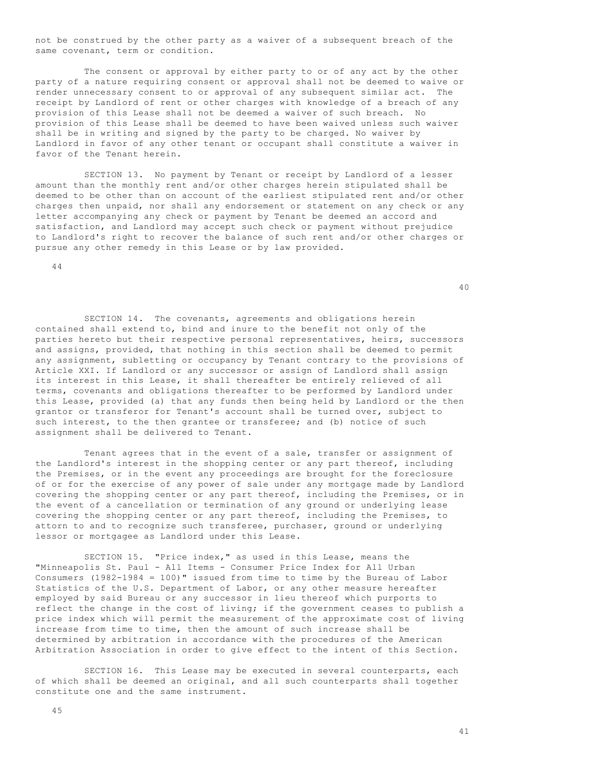not be construed by the other party as a waiver of a subsequent breach of the same covenant, term or condition.

 The consent or approval by either party to or of any act by the other party of a nature requiring consent or approval shall not be deemed to waive or render unnecessary consent to or approval of any subsequent similar act. The receipt by Landlord of rent or other charges with knowledge of a breach of any provision of this Lease shall not be deemed a waiver of such breach. No provision of this Lease shall be deemed to have been waived unless such waiver shall be in writing and signed by the party to be charged. No waiver by Landlord in favor of any other tenant or occupant shall constitute a waiver in favor of the Tenant herein.

 SECTION 13. No payment by Tenant or receipt by Landlord of a lesser amount than the monthly rent and/or other charges herein stipulated shall be deemed to be other than on account of the earliest stipulated rent and/or other charges then unpaid, nor shall any endorsement or statement on any check or any letter accompanying any check or payment by Tenant be deemed an accord and satisfaction, and Landlord may accept such check or payment without prejudice to Landlord's right to recover the balance of such rent and/or other charges or pursue any other remedy in this Lease or by law provided.

44

40

 SECTION 14. The covenants, agreements and obligations herein contained shall extend to, bind and inure to the benefit not only of the parties hereto but their respective personal representatives, heirs, successors and assigns, provided, that nothing in this section shall be deemed to permit any assignment, subletting or occupancy by Tenant contrary to the provisions of Article XXI. If Landlord or any successor or assign of Landlord shall assign its interest in this Lease, it shall thereafter be entirely relieved of all terms, covenants and obligations thereafter to be performed by Landlord under this Lease, provided (a) that any funds then being held by Landlord or the then grantor or transferor for Tenant's account shall be turned over, subject to such interest, to the then grantee or transferee; and (b) notice of such assignment shall be delivered to Tenant.

 Tenant agrees that in the event of a sale, transfer or assignment of the Landlord's interest in the shopping center or any part thereof, including the Premises, or in the event any proceedings are brought for the foreclosure of or for the exercise of any power of sale under any mortgage made by Landlord covering the shopping center or any part thereof, including the Premises, or in the event of a cancellation or termination of any ground or underlying lease covering the shopping center or any part thereof, including the Premises, to attorn to and to recognize such transferee, purchaser, ground or underlying lessor or mortgagee as Landlord under this Lease.

 SECTION 15. "Price index," as used in this Lease, means the "Minneapolis St. Paul - All Items - Consumer Price Index for All Urban Consumers (1982-1984 = 100)" issued from time to time by the Bureau of Labor Statistics of the U.S. Department of Labor, or any other measure hereafter employed by said Bureau or any successor in lieu thereof which purports to reflect the change in the cost of living; if the government ceases to publish a price index which will permit the measurement of the approximate cost of living increase from time to time, then the amount of such increase shall be determined by arbitration in accordance with the procedures of the American Arbitration Association in order to give effect to the intent of this Section.

 SECTION 16. This Lease may be executed in several counterparts, each of which shall be deemed an original, and all such counterparts shall together constitute one and the same instrument.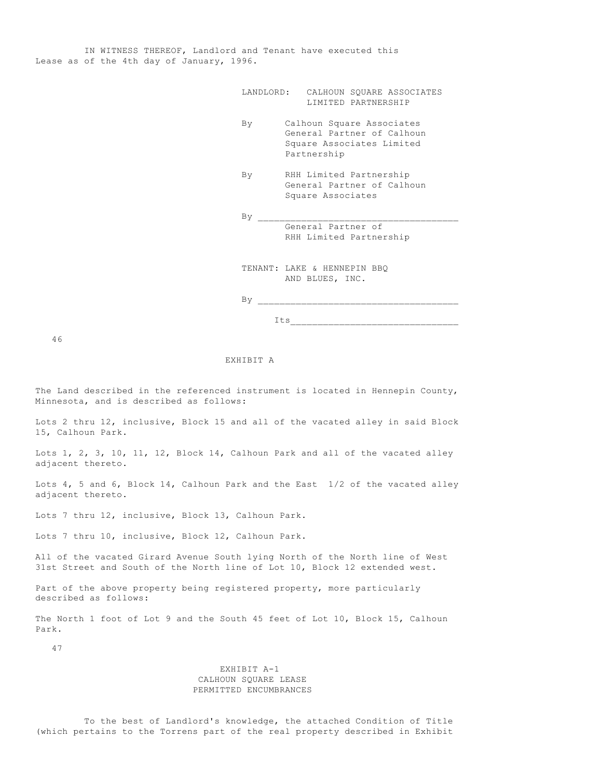IN WITNESS THEREOF, Landlord and Tenant have executed this Lease as of the 4th day of January, 1996.

|    | LANDLORD: CALHOUN SQUARE ASSOCIATES<br>LIMITED PARTNERSHIP                                          |
|----|-----------------------------------------------------------------------------------------------------|
| By | Calhoun Square Associates<br>General Partner of Calhoun<br>Square Associates Limited<br>Partnership |
| By | RHH Limited Partnership<br>General Partner of Calhoun<br>Square Associates                          |
| By |                                                                                                     |
|    | General Partner of<br>RHH Limited Partnership                                                       |
|    |                                                                                                     |
|    | TENANT: LAKE & HENNEPIN BBQ                                                                         |
|    | AND BLUES, INC.                                                                                     |
| By |                                                                                                     |
|    | Its                                                                                                 |

46

#### EXHIBIT A

The Land described in the referenced instrument is located in Hennepin County, Minnesota, and is described as follows:

Lots 2 thru 12, inclusive, Block 15 and all of the vacated alley in said Block 15, Calhoun Park.

Lots 1, 2, 3, 10, 11, 12, Block 14, Calhoun Park and all of the vacated alley adjacent thereto.

Lots 4, 5 and 6, Block 14, Calhoun Park and the East 1/2 of the vacated alley adjacent thereto.

Lots 7 thru 12, inclusive, Block 13, Calhoun Park.

Lots 7 thru 10, inclusive, Block 12, Calhoun Park.

All of the vacated Girard Avenue South lying North of the North line of West 31st Street and South of the North line of Lot 10, Block 12 extended west.

Part of the above property being registered property, more particularly described as follows:

The North 1 foot of Lot 9 and the South 45 feet of Lot 10, Block 15, Calhoun Park.

47

### EXHIBIT A-1 CALHOUN SQUARE LEASE PERMITTED ENCUMBRANCES

 To the best of Landlord's knowledge, the attached Condition of Title (which pertains to the Torrens part of the real property described in Exhibit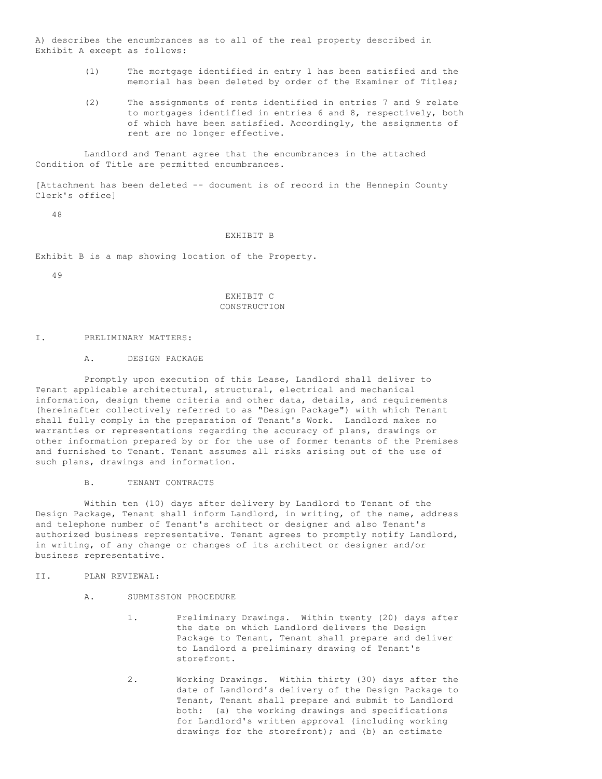A) describes the encumbrances as to all of the real property described in Exhibit A except as follows:

- (1) The mortgage identified in entry 1 has been satisfied and the memorial has been deleted by order of the Examiner of Titles;
- (2) The assignments of rents identified in entries 7 and 9 relate to mortgages identified in entries 6 and 8, respectively, both of which have been satisfied. Accordingly, the assignments of rent are no longer effective.

 Landlord and Tenant agree that the encumbrances in the attached Condition of Title are permitted encumbrances.

[Attachment has been deleted -- document is of record in the Hennepin County Clerk's office]

48

#### EXHIBIT B

Exhibit B is a map showing location of the Property.

49

### EXHIBIT C CONSTRUCTION

#### I. PRELIMINARY MATTERS:

#### A. DESIGN PACKAGE

 Promptly upon execution of this Lease, Landlord shall deliver to Tenant applicable architectural, structural, electrical and mechanical information, design theme criteria and other data, details, and requirements (hereinafter collectively referred to as "Design Package") with which Tenant shall fully comply in the preparation of Tenant's Work. Landlord makes no warranties or representations regarding the accuracy of plans, drawings or other information prepared by or for the use of former tenants of the Premises and furnished to Tenant. Tenant assumes all risks arising out of the use of such plans, drawings and information.

#### B. TENANT CONTRACTS

 Within ten (10) days after delivery by Landlord to Tenant of the Design Package, Tenant shall inform Landlord, in writing, of the name, address and telephone number of Tenant's architect or designer and also Tenant's authorized business representative. Tenant agrees to promptly notify Landlord, in writing, of any change or changes of its architect or designer and/or business representative.

#### II. PLAN REVIEWAL:

- A. SUBMISSION PROCEDURE
	- 1. Preliminary Drawings. Within twenty (20) days after the date on which Landlord delivers the Design Package to Tenant, Tenant shall prepare and deliver to Landlord a preliminary drawing of Tenant's storefront.
	- 2. Working Drawings. Within thirty (30) days after the date of Landlord's delivery of the Design Package to Tenant, Tenant shall prepare and submit to Landlord both: (a) the working drawings and specifications for Landlord's written approval (including working drawings for the storefront); and (b) an estimate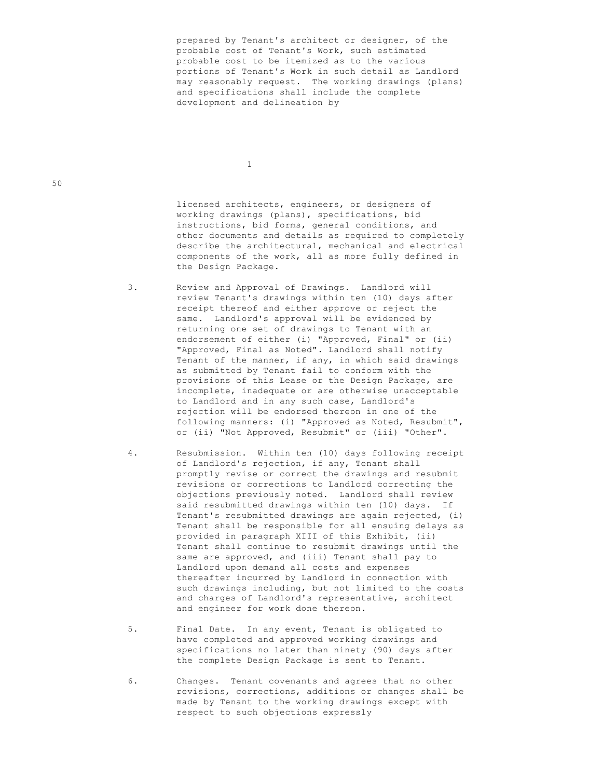prepared by Tenant's architect or designer, of the probable cost of Tenant's Work, such estimated probable cost to be itemized as to the various portions of Tenant's Work in such detail as Landlord may reasonably request. The working drawings (plans) and specifications shall include the complete development and delineation by

1

 licensed architects, engineers, or designers of working drawings (plans), specifications, bid instructions, bid forms, general conditions, and other documents and details as required to completely describe the architectural, mechanical and electrical components of the work, all as more fully defined in the Design Package.

 3. Review and Approval of Drawings. Landlord will review Tenant's drawings within ten (10) days after receipt thereof and either approve or reject the same. Landlord's approval will be evidenced by returning one set of drawings to Tenant with an endorsement of either (i) "Approved, Final" or (ii) "Approved, Final as Noted". Landlord shall notify Tenant of the manner, if any, in which said drawings as submitted by Tenant fail to conform with the provisions of this Lease or the Design Package, are incomplete, inadequate or are otherwise unacceptable to Landlord and in any such case, Landlord's rejection will be endorsed thereon in one of the following manners: (i) "Approved as Noted, Resubmit", or (ii) "Not Approved, Resubmit" or (iii) "Other".

- 4. Resubmission. Within ten (10) days following receipt of Landlord's rejection, if any, Tenant shall promptly revise or correct the drawings and resubmit revisions or corrections to Landlord correcting the objections previously noted. Landlord shall review said resubmitted drawings within ten (10) days. If Tenant's resubmitted drawings are again rejected, (i) Tenant shall be responsible for all ensuing delays as provided in paragraph XIII of this Exhibit, (ii) Tenant shall continue to resubmit drawings until the same are approved, and (iii) Tenant shall pay to Landlord upon demand all costs and expenses thereafter incurred by Landlord in connection with such drawings including, but not limited to the costs and charges of Landlord's representative, architect and engineer for work done thereon.
- 5. Final Date. In any event, Tenant is obligated to have completed and approved working drawings and specifications no later than ninety (90) days after the complete Design Package is sent to Tenant.
- 6. Changes. Tenant covenants and agrees that no other revisions, corrections, additions or changes shall be made by Tenant to the working drawings except with respect to such objections expressly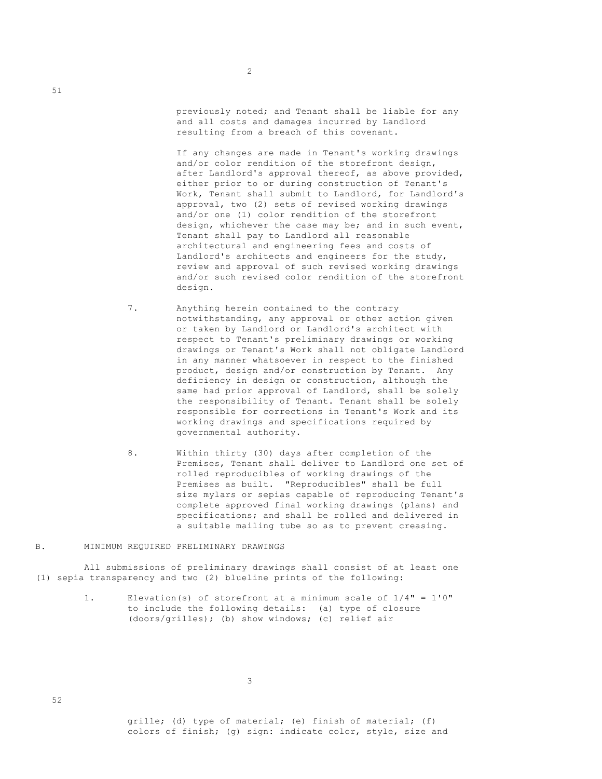previously noted; and Tenant shall be liable for any and all costs and damages incurred by Landlord resulting from a breach of this covenant.

 If any changes are made in Tenant's working drawings and/or color rendition of the storefront design, after Landlord's approval thereof, as above provided, either prior to or during construction of Tenant's Work, Tenant shall submit to Landlord, for Landlord's approval, two (2) sets of revised working drawings and/or one (1) color rendition of the storefront design, whichever the case may be; and in such event, Tenant shall pay to Landlord all reasonable architectural and engineering fees and costs of Landlord's architects and engineers for the study, review and approval of such revised working drawings and/or such revised color rendition of the storefront design.

- 7. Anything herein contained to the contrary notwithstanding, any approval or other action given or taken by Landlord or Landlord's architect with respect to Tenant's preliminary drawings or working drawings or Tenant's Work shall not obligate Landlord in any manner whatsoever in respect to the finished product, design and/or construction by Tenant. Any deficiency in design or construction, although the same had prior approval of Landlord, shall be solely the responsibility of Tenant. Tenant shall be solely responsible for corrections in Tenant's Work and its working drawings and specifications required by governmental authority.
- 8. Within thirty (30) days after completion of the Premises, Tenant shall deliver to Landlord one set of rolled reproducibles of working drawings of the Premises as built. "Reproducibles" shall be full size mylars or sepias capable of reproducing Tenant's complete approved final working drawings (plans) and specifications; and shall be rolled and delivered in a suitable mailing tube so as to prevent creasing.

# B. MINIMUM REQUIRED PRELIMINARY DRAWINGS

 All submissions of preliminary drawings shall consist of at least one (1) sepia transparency and two (2) blueline prints of the following:

> 1. Elevation(s) of storefront at a minimum scale of 1/4" = 1'0" to include the following details: (a) type of closure (doors/grilles); (b) show windows; (c) relief air

3

 grille; (d) type of material; (e) finish of material; (f) colors of finish; (g) sign: indicate color, style, size and

51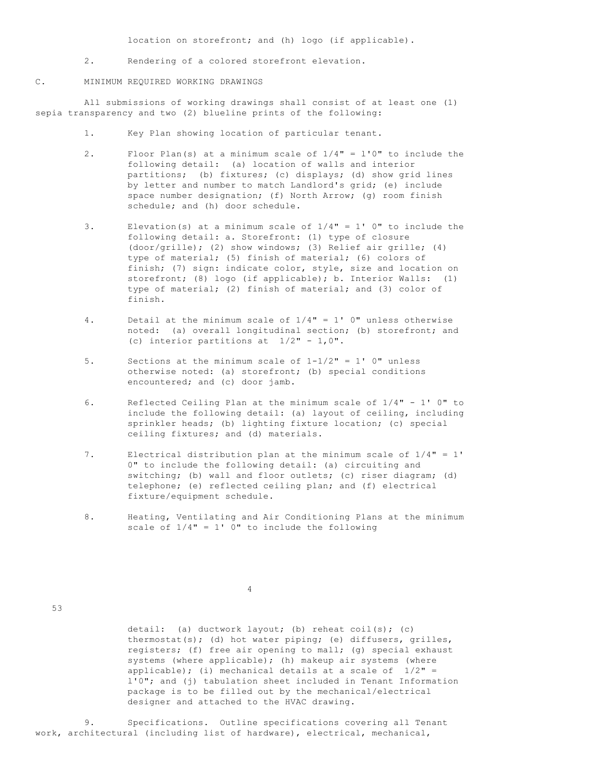location on storefront; and (h) logo (if applicable).

2. Rendering of a colored storefront elevation.

### C. MINIMUM REQUIRED WORKING DRAWINGS

 All submissions of working drawings shall consist of at least one (1) sepia transparency and two (2) blueline prints of the following:

- 1. Key Plan showing location of particular tenant.
- 2. Floor Plan(s) at a minimum scale of 1/4" = l'0" to include the following detail: (a) location of walls and interior partitions; (b) fixtures; (c) displays; (d) show grid lines by letter and number to match Landlord's grid; (e) include space number designation; (f) North Arrow; (g) room finish schedule; and (h) door schedule.
- 3. Elevation(s) at a minimum scale of  $1/4" = 1'$  0" to include the following detail: a. Storefront: (1) type of closure (door/grille); (2) show windows; (3) Relief air grille; (4) type of material; (5) finish of material; (6) colors of finish; (7) sign: indicate color, style, size and location on storefront; (8) logo (if applicable); b. Interior Walls: (1) type of material; (2) finish of material; and (3) color of finish.
- 4. Detail at the minimum scale of 1/4" = 1' 0" unless otherwise noted: (a) overall longitudinal section; (b) storefront; and (c) interior partitions at  $1/2" - 1,0".$
- 5. Sections at the minimum scale of 1-1/2" = 1' 0" unless otherwise noted: (a) storefront; (b) special conditions encountered; and (c) door jamb.
- 6. Reflected Ceiling Plan at the minimum scale of 1/4" 1' 0" to include the following detail: (a) layout of ceiling, including sprinkler heads; (b) lighting fixture location; (c) special ceiling fixtures; and (d) materials.
- 7. Electrical distribution plan at the minimum scale of 1/4" = 1' 0" to include the following detail: (a) circuiting and switching; (b) wall and floor outlets; (c) riser diagram; (d) telephone; (e) reflected ceiling plan; and (f) electrical fixture/equipment schedule.
- 8. Heating, Ventilating and Air Conditioning Plans at the minimum scale of  $1/4" = 1'$  0" to include the following

4

53

 detail: (a) ductwork layout; (b) reheat coil(s); (c) thermostat(s); (d) hot water piping; (e) diffusers, grilles, registers; (f) free air opening to mall; (g) special exhaust systems (where applicable); (h) makeup air systems (where applicable); (i) mechanical details at a scale of  $1/2"$  = l'0"; and (j) tabulation sheet included in Tenant Information package is to be filled out by the mechanical/electrical designer and attached to the HVAC drawing.

 9. Specifications. Outline specifications covering all Tenant work, architectural (including list of hardware), electrical, mechanical,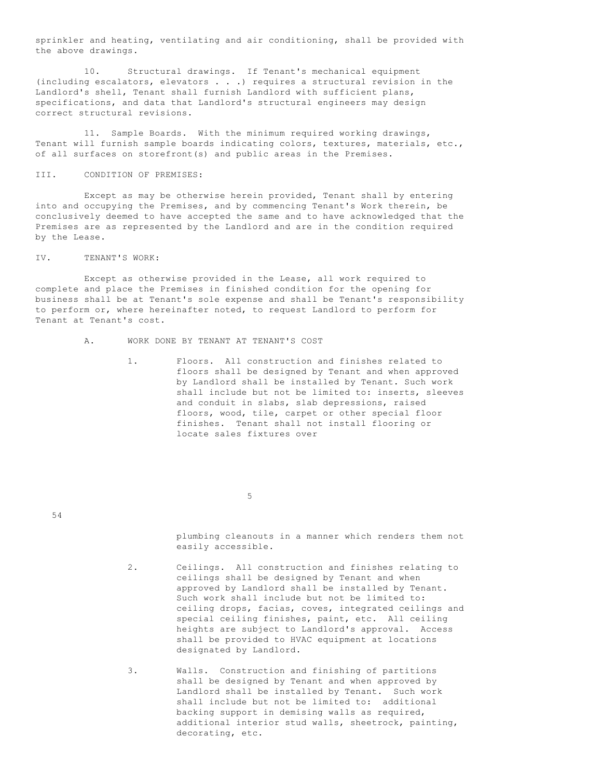sprinkler and heating, ventilating and air conditioning, shall be provided with the above drawings.

 10. Structural drawings. If Tenant's mechanical equipment (including escalators, elevators . . .) requires a structural revision in the Landlord's shell, Tenant shall furnish Landlord with sufficient plans, specifications, and data that Landlord's structural engineers may design correct structural revisions.

 11. Sample Boards. With the minimum required working drawings, Tenant will furnish sample boards indicating colors, textures, materials, etc., of all surfaces on storefront(s) and public areas in the Premises.

### III. CONDITION OF PREMISES:

 Except as may be otherwise herein provided, Tenant shall by entering into and occupying the Premises, and by commencing Tenant's Work therein, be conclusively deemed to have accepted the same and to have acknowledged that the Premises are as represented by the Landlord and are in the condition required by the Lease.

#### IV. TENANT'S WORK:

 Except as otherwise provided in the Lease, all work required to complete and place the Premises in finished condition for the opening for business shall be at Tenant's sole expense and shall be Tenant's responsibility to perform or, where hereinafter noted, to request Landlord to perform for Tenant at Tenant's cost.

- A. WORK DONE BY TENANT AT TENANT'S COST
	- 1. Floors. All construction and finishes related to floors shall be designed by Tenant and when approved by Landlord shall be installed by Tenant. Such work shall include but not be limited to: inserts, sleeves and conduit in slabs, slab depressions, raised floors, wood, tile, carpet or other special floor finishes. Tenant shall not install flooring or locate sales fixtures over

 $\sim$  5

54

 plumbing cleanouts in a manner which renders them not easily accessible.

- 2. Ceilings. All construction and finishes relating to ceilings shall be designed by Tenant and when approved by Landlord shall be installed by Tenant. Such work shall include but not be limited to: ceiling drops, facias, coves, integrated ceilings and special ceiling finishes, paint, etc. All ceiling heights are subject to Landlord's approval. Access shall be provided to HVAC equipment at locations designated by Landlord.
- 3. Walls. Construction and finishing of partitions shall be designed by Tenant and when approved by Landlord shall be installed by Tenant. Such work shall include but not be limited to: additional backing support in demising walls as required, additional interior stud walls, sheetrock, painting, decorating, etc.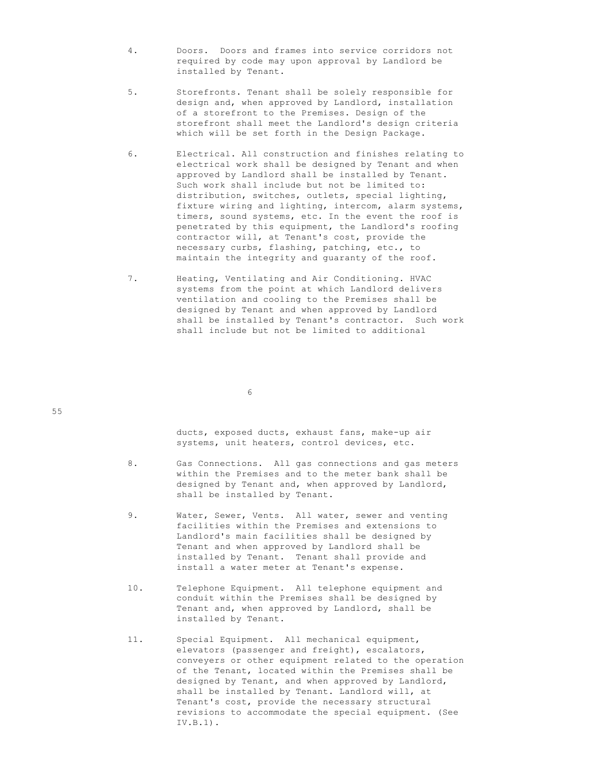- 4. Doors. Doors and frames into service corridors not required by code may upon approval by Landlord be installed by Tenant.
- 5. Storefronts. Tenant shall be solely responsible for design and, when approved by Landlord, installation of a storefront to the Premises. Design of the storefront shall meet the Landlord's design criteria which will be set forth in the Design Package.
- 6. Electrical. All construction and finishes relating to electrical work shall be designed by Tenant and when approved by Landlord shall be installed by Tenant. Such work shall include but not be limited to: distribution, switches, outlets, special lighting, fixture wiring and lighting, intercom, alarm systems, timers, sound systems, etc. In the event the roof is penetrated by this equipment, the Landlord's roofing contractor will, at Tenant's cost, provide the necessary curbs, flashing, patching, etc., to maintain the integrity and guaranty of the roof.
- 7. Heating, Ventilating and Air Conditioning. HVAC systems from the point at which Landlord delivers ventilation and cooling to the Premises shall be designed by Tenant and when approved by Landlord shall be installed by Tenant's contractor. Such work shall include but not be limited to additional

 $\sim$  6

 ducts, exposed ducts, exhaust fans, make-up air systems, unit heaters, control devices, etc.

- 8. Gas Connections. All gas connections and gas meters within the Premises and to the meter bank shall be designed by Tenant and, when approved by Landlord, shall be installed by Tenant.
- 9. Water, Sewer, Vents. All water, sewer and venting facilities within the Premises and extensions to Landlord's main facilities shall be designed by Tenant and when approved by Landlord shall be installed by Tenant. Tenant shall provide and install a water meter at Tenant's expense.
- 10. Telephone Equipment. All telephone equipment and conduit within the Premises shall be designed by Tenant and, when approved by Landlord, shall be installed by Tenant.
- 11. Special Equipment. All mechanical equipment, elevators (passenger and freight), escalators, conveyers or other equipment related to the operation of the Tenant, located within the Premises shall be designed by Tenant, and when approved by Landlord, shall be installed by Tenant. Landlord will, at Tenant's cost, provide the necessary structural revisions to accommodate the special equipment. (See IV.B.1).

55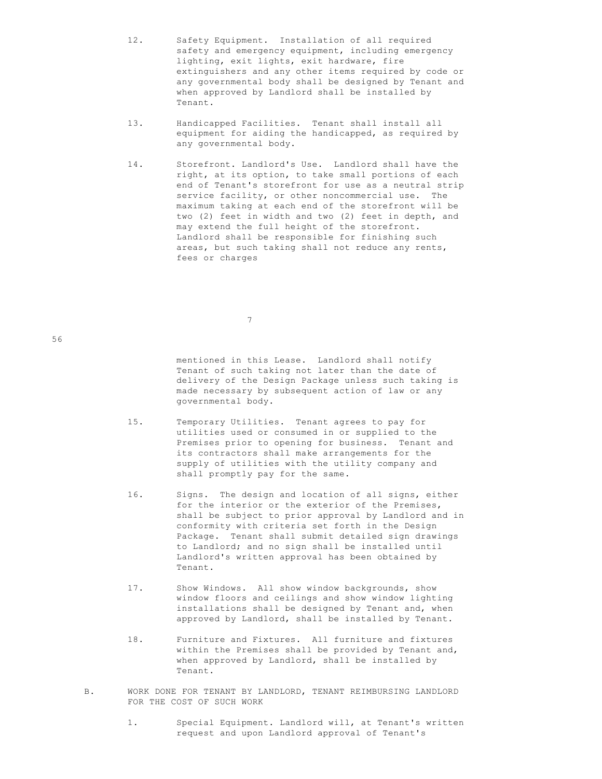- 12. Safety Equipment. Installation of all required safety and emergency equipment, including emergency lighting, exit lights, exit hardware, fire extinguishers and any other items required by code or any governmental body shall be designed by Tenant and when approved by Landlord shall be installed by Tenant.
- 13. Handicapped Facilities. Tenant shall install all equipment for aiding the handicapped, as required by any governmental body.
- 14. Storefront. Landlord's Use. Landlord shall have the right, at its option, to take small portions of each end of Tenant's storefront for use as a neutral strip service facility, or other noncommercial use. The maximum taking at each end of the storefront will be two (2) feet in width and two (2) feet in depth, and may extend the full height of the storefront. Landlord shall be responsible for finishing such areas, but such taking shall not reduce any rents, fees or charges

7

 mentioned in this Lease. Landlord shall notify Tenant of such taking not later than the date of delivery of the Design Package unless such taking is made necessary by subsequent action of law or any governmental body.

- 15. Temporary Utilities. Tenant agrees to pay for utilities used or consumed in or supplied to the Premises prior to opening for business. Tenant and its contractors shall make arrangements for the supply of utilities with the utility company and shall promptly pay for the same.
- 16. Signs. The design and location of all signs, either for the interior or the exterior of the Premises, shall be subject to prior approval by Landlord and in conformity with criteria set forth in the Design Package. Tenant shall submit detailed sign drawings to Landlord; and no sign shall be installed until Landlord's written approval has been obtained by Tenant.
- 17. Show Windows. All show window backgrounds, show window floors and ceilings and show window lighting installations shall be designed by Tenant and, when approved by Landlord, shall be installed by Tenant.
- 18. Furniture and Fixtures. All furniture and fixtures within the Premises shall be provided by Tenant and, when approved by Landlord, shall be installed by Tenant.
- B. WORK DONE FOR TENANT BY LANDLORD, TENANT REIMBURSING LANDLORD FOR THE COST OF SUCH WORK
	- 1. Special Equipment. Landlord will, at Tenant's written request and upon Landlord approval of Tenant's

56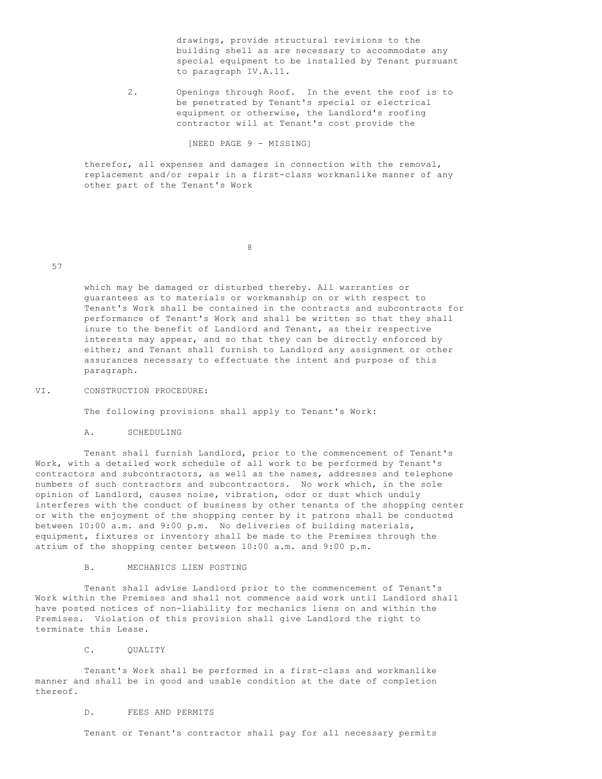drawings, provide structural revisions to the building shell as are necessary to accommodate any special equipment to be installed by Tenant pursuant to paragraph IV.A.11.

 2. Openings through Roof. In the event the roof is to be penetrated by Tenant's special or electrical equipment or otherwise, the Landlord's roofing contractor will at Tenant's cost provide the

[NEED PAGE 9 - MISSING]

 therefor, all expenses and damages in connection with the removal, replacement and/or repair in a first-class workmanlike manner of any other part of the Tenant's Work

8

### 57

 which may be damaged or disturbed thereby. All warranties or guarantees as to materials or workmanship on or with respect to Tenant's Work shall be contained in the contracts and subcontracts for performance of Tenant's Work and shall be written so that they shall inure to the benefit of Landlord and Tenant, as their respective interests may appear, and so that they can be directly enforced by either; and Tenant shall furnish to Landlord any assignment or other assurances necessary to effectuate the intent and purpose of this paragraph.

### VI. CONSTRUCTION PROCEDURE:

The following provisions shall apply to Tenant's Work:

A. SCHEDULING

 Tenant shall furnish Landlord, prior to the commencement of Tenant's Work, with a detailed work schedule of all work to be performed by Tenant's contractors and subcontractors, as well as the names, addresses and telephone numbers of such contractors and subcontractors. No work which, in the sole opinion of Landlord, causes noise, vibration, odor or dust which unduly interferes with the conduct of business by other tenants of the shopping center or with the enjoyment of the shopping center by it patrons shall be conducted between 10:00 a.m. and 9:00 p.m. No deliveries of building materials, equipment, fixtures or inventory shall be made to the Premises through the atrium of the shopping center between 10:00 a.m. and 9:00 p.m.

B. MECHANICS LIEN POSTING

 Tenant shall advise Landlord prior to the commencement of Tenant's Work within the Premises and shall not commence said work until Landlord shall have posted notices of non-liability for mechanics liens on and within the Premises. Violation of this provision shall give Landlord the right to terminate this Lease.

# C. OUALITY

 Tenant's Work shall be performed in a first-class and workmanlike manner and shall be in good and usable condition at the date of completion thereof.

# D. FEES AND PERMITS

Tenant or Tenant's contractor shall pay for all necessary permits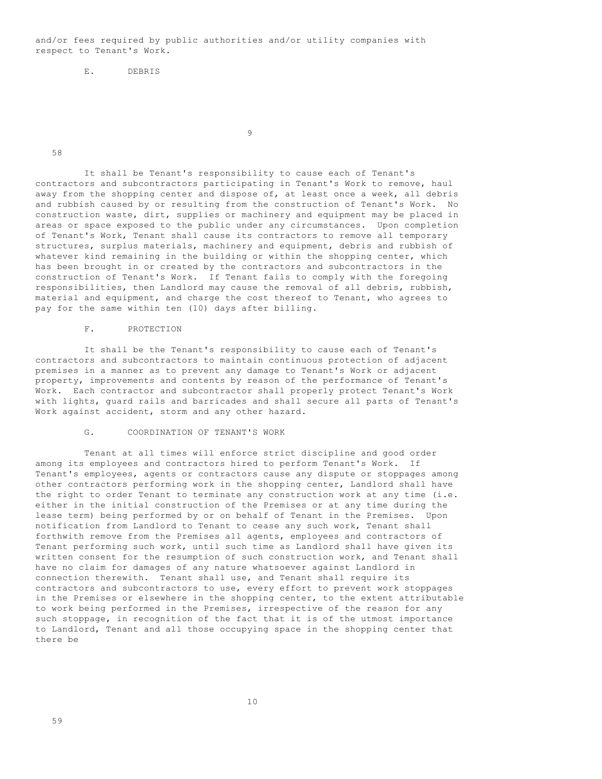and/or fees required by public authorities and/or utility companies with respect to Tenant's Work.

E. DEBRIS

9

58

 It shall be Tenant's responsibility to cause each of Tenant's contractors and subcontractors participating in Tenant's Work to remove, haul away from the shopping center and dispose of, at least once a week, all debris and rubbish caused by or resulting from the construction of Tenant's Work. No construction waste, dirt, supplies or machinery and equipment may be placed in areas or space exposed to the public under any circumstances. Upon completion of Tenant's Work, Tenant shall cause its contractors to remove all temporary structures, surplus materials, machinery and equipment, debris and rubbish of whatever kind remaining in the building or within the shopping center, which has been brought in or created by the contractors and subcontractors in the construction of Tenant's Work. If Tenant fails to comply with the foregoing responsibilities, then Landlord may cause the removal of all debris, rubbish, material and equipment, and charge the cost thereof to Tenant, who agrees to pay for the same within ten (10) days after billing.

### F. PROTECTION

 It shall be the Tenant's responsibility to cause each of Tenant's contractors and subcontractors to maintain continuous protection of adjacent premises in a manner as to prevent any damage to Tenant's Work or adjacent property, improvements and contents by reason of the performance of Tenant's Work. Each contractor and subcontractor shall properly protect Tenant's Work with lights, guard rails and barricades and shall secure all parts of Tenant's Work against accident, storm and any other hazard.

# G. COORDINATION OF TENANT'S WORK

 Tenant at all times will enforce strict discipline and good order among its employees and contractors hired to perform Tenant's Work. If Tenant's employees, agents or contractors cause any dispute or stoppages among other contractors performing work in the shopping center, Landlord shall have the right to order Tenant to terminate any construction work at any time (i.e. either in the initial construction of the Premises or at any time during the lease term) being performed by or on behalf of Tenant in the Premises. Upon notification from Landlord to Tenant to cease any such work, Tenant shall forthwith remove from the Premises all agents, employees and contractors of Tenant performing such work, until such time as Landlord shall have given its written consent for the resumption of such construction work, and Tenant shall have no claim for damages of any nature whatsoever against Landlord in connection therewith. Tenant shall use, and Tenant shall require its contractors and subcontractors to use, every effort to prevent work stoppages in the Premises or elsewhere in the shopping center, to the extent attributable to work being performed in the Premises, irrespective of the reason for any such stoppage, in recognition of the fact that it is of the utmost importance to Landlord, Tenant and all those occupying space in the shopping center that there be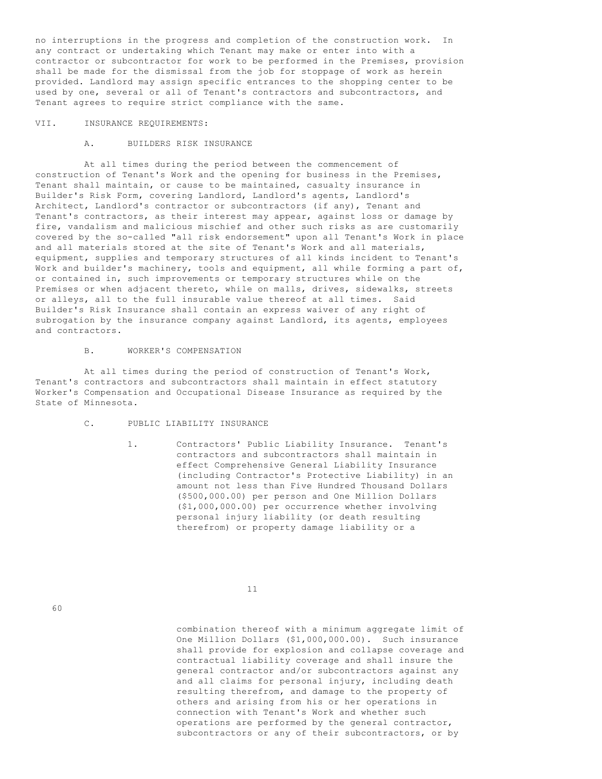no interruptions in the progress and completion of the construction work. In any contract or undertaking which Tenant may make or enter into with a contractor or subcontractor for work to be performed in the Premises, provision shall be made for the dismissal from the job for stoppage of work as herein provided. Landlord may assign specific entrances to the shopping center to be used by one, several or all of Tenant's contractors and subcontractors, and Tenant agrees to require strict compliance with the same.

#### VII. INSURANCE REQUIREMENTS:

#### A. BUILDERS RISK INSURANCE

 At all times during the period between the commencement of construction of Tenant's Work and the opening for business in the Premises, Tenant shall maintain, or cause to be maintained, casualty insurance in Builder's Risk Form, covering Landlord, Landlord's agents, Landlord's Architect, Landlord's contractor or subcontractors (if any), Tenant and Tenant's contractors, as their interest may appear, against loss or damage by fire, vandalism and malicious mischief and other such risks as are customarily covered by the so-called "all risk endorsement" upon all Tenant's Work in place and all materials stored at the site of Tenant's Work and all materials, equipment, supplies and temporary structures of all kinds incident to Tenant's Work and builder's machinery, tools and equipment, all while forming a part of, or contained in, such improvements or temporary structures while on the Premises or when adjacent thereto, while on malls, drives, sidewalks, streets or alleys, all to the full insurable value thereof at all times. Said Builder's Risk Insurance shall contain an express waiver of any right of subrogation by the insurance company against Landlord, its agents, employees and contractors.

## B. WORKER'S COMPENSATION

 At all times during the period of construction of Tenant's Work, Tenant's contractors and subcontractors shall maintain in effect statutory Worker's Compensation and Occupational Disease Insurance as required by the State of Minnesota.

- C. PUBLIC LIABILITY INSURANCE
	- 1. Contractors' Public Liability Insurance. Tenant's contractors and subcontractors shall maintain in effect Comprehensive General Liability Insurance (including Contractor's Protective Liability) in an amount not less than Five Hundred Thousand Dollars (\$500,000.00) per person and One Million Dollars (\$1,000,000.00) per occurrence whether involving personal injury liability (or death resulting therefrom) or property damage liability or a

11

 combination thereof with a minimum aggregate limit of One Million Dollars (\$1,000,000.00). Such insurance shall provide for explosion and collapse coverage and contractual liability coverage and shall insure the general contractor and/or subcontractors against any and all claims for personal injury, including death resulting therefrom, and damage to the property of others and arising from his or her operations in connection with Tenant's Work and whether such operations are performed by the general contractor, subcontractors or any of their subcontractors, or by

60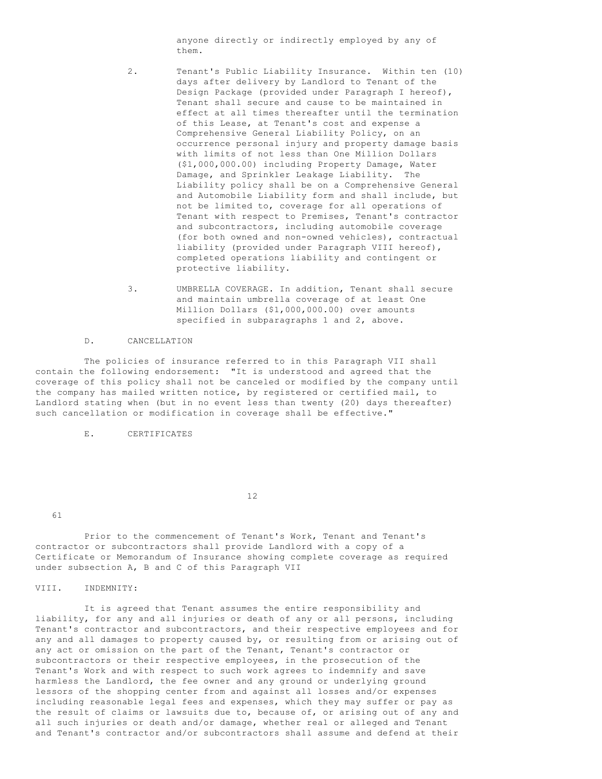anyone directly or indirectly employed by any of them.

- 2. Tenant's Public Liability Insurance. Within ten (10) days after delivery by Landlord to Tenant of the Design Package (provided under Paragraph I hereof), Tenant shall secure and cause to be maintained in effect at all times thereafter until the termination of this Lease, at Tenant's cost and expense a Comprehensive General Liability Policy, on an occurrence personal injury and property damage basis with limits of not less than One Million Dollars (\$1,000,000.00) including Property Damage, Water Damage, and Sprinkler Leakage Liability. The Liability policy shall be on a Comprehensive General and Automobile Liability form and shall include, but not be limited to, coverage for all operations of Tenant with respect to Premises, Tenant's contractor and subcontractors, including automobile coverage (for both owned and non-owned vehicles), contractual liability (provided under Paragraph VIII hereof), completed operations liability and contingent or protective liability.
- 3. UMBRELLA COVERAGE. In addition, Tenant shall secure and maintain umbrella coverage of at least One Million Dollars (\$1,000,000.00) over amounts specified in subparagraphs 1 and 2, above.

#### D. CANCELLATION

 The policies of insurance referred to in this Paragraph VII shall contain the following endorsement: "It is understood and agreed that the coverage of this policy shall not be canceled or modified by the company until the company has mailed written notice, by registered or certified mail, to Landlord stating when (but in no event less than twenty (20) days thereafter) such cancellation or modification in coverage shall be effective."

E. CERTIFICATES

12

61

 Prior to the commencement of Tenant's Work, Tenant and Tenant's contractor or subcontractors shall provide Landlord with a copy of a Certificate or Memorandum of Insurance showing complete coverage as required under subsection A, B and C of this Paragraph VII

VIII. INDEMNITY:

 It is agreed that Tenant assumes the entire responsibility and liability, for any and all injuries or death of any or all persons, including Tenant's contractor and subcontractors, and their respective employees and for any and all damages to property caused by, or resulting from or arising out of any act or omission on the part of the Tenant, Tenant's contractor or subcontractors or their respective employees, in the prosecution of the Tenant's Work and with respect to such work agrees to indemnify and save harmless the Landlord, the fee owner and any ground or underlying ground lessors of the shopping center from and against all losses and/or expenses including reasonable legal fees and expenses, which they may suffer or pay as the result of claims or lawsuits due to, because of, or arising out of any and all such injuries or death and/or damage, whether real or alleged and Tenant and Tenant's contractor and/or subcontractors shall assume and defend at their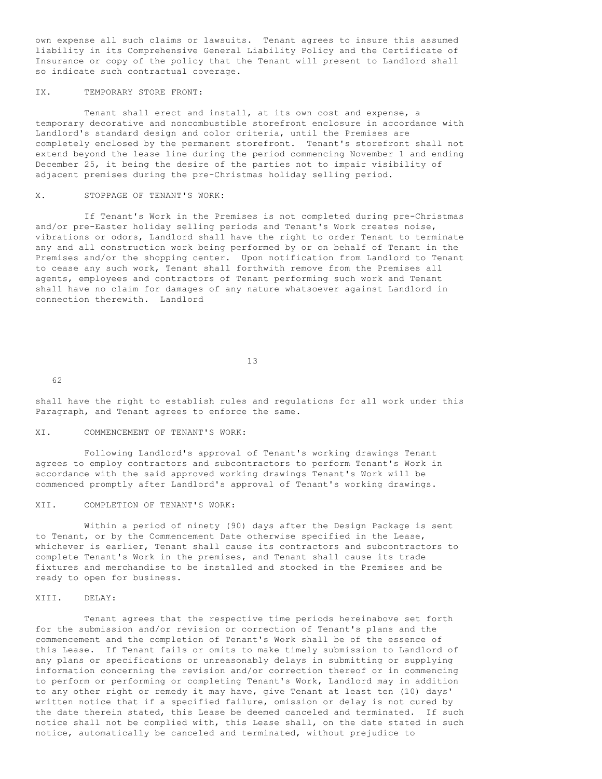own expense all such claims or lawsuits. Tenant agrees to insure this assumed liability in its Comprehensive General Liability Policy and the Certificate of Insurance or copy of the policy that the Tenant will present to Landlord shall so indicate such contractual coverage.

# IX. TEMPORARY STORE FRONT:

 Tenant shall erect and install, at its own cost and expense, a temporary decorative and noncombustible storefront enclosure in accordance with Landlord's standard design and color criteria, until the Premises are completely enclosed by the permanent storefront. Tenant's storefront shall not extend beyond the lease line during the period commencing November 1 and ending December 25, it being the desire of the parties not to impair visibility of adjacent premises during the pre-Christmas holiday selling period.

## X. STOPPAGE OF TENANT'S WORK:

 If Tenant's Work in the Premises is not completed during pre-Christmas and/or pre-Easter holiday selling periods and Tenant's Work creates noise, vibrations or odors, Landlord shall have the right to order Tenant to terminate any and all construction work being performed by or on behalf of Tenant in the Premises and/or the shopping center. Upon notification from Landlord to Tenant to cease any such work, Tenant shall forthwith remove from the Premises all agents, employees and contractors of Tenant performing such work and Tenant shall have no claim for damages of any nature whatsoever against Landlord in connection therewith. Landlord

13

62

shall have the right to establish rules and regulations for all work under this Paragraph, and Tenant agrees to enforce the same.

# XI. COMMENCEMENT OF TENANT'S WORK:

 Following Landlord's approval of Tenant's working drawings Tenant agrees to employ contractors and subcontractors to perform Tenant's Work in accordance with the said approved working drawings Tenant's Work will be commenced promptly after Landlord's approval of Tenant's working drawings.

# XII. COMPLETION OF TENANT'S WORK:

 Within a period of ninety (90) days after the Design Package is sent to Tenant, or by the Commencement Date otherwise specified in the Lease, whichever is earlier, Tenant shall cause its contractors and subcontractors to complete Tenant's Work in the premises, and Tenant shall cause its trade fixtures and merchandise to be installed and stocked in the Premises and be ready to open for business.

### XIII. DELAY:

 Tenant agrees that the respective time periods hereinabove set forth for the submission and/or revision or correction of Tenant's plans and the commencement and the completion of Tenant's Work shall be of the essence of this Lease. If Tenant fails or omits to make timely submission to Landlord of any plans or specifications or unreasonably delays in submitting or supplying information concerning the revision and/or correction thereof or in commencing to perform or performing or completing Tenant's Work, Landlord may in addition to any other right or remedy it may have, give Tenant at least ten (10) days' written notice that if a specified failure, omission or delay is not cured by the date therein stated, this Lease be deemed canceled and terminated. If such notice shall not be complied with, this Lease shall, on the date stated in such notice, automatically be canceled and terminated, without prejudice to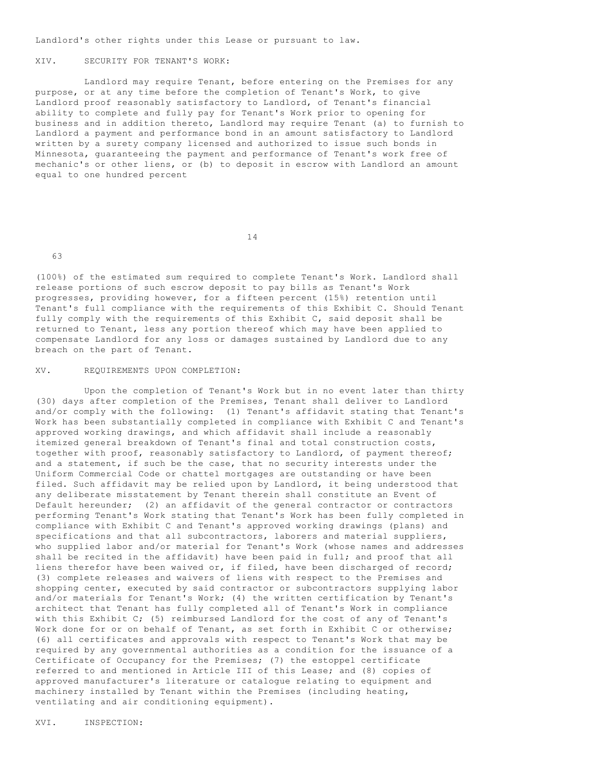Landlord's other rights under this Lease or pursuant to law.

### XIV. SECURITY FOR TENANT'S WORK:

 Landlord may require Tenant, before entering on the Premises for any purpose, or at any time before the completion of Tenant's Work, to give Landlord proof reasonably satisfactory to Landlord, of Tenant's financial ability to complete and fully pay for Tenant's Work prior to opening for business and in addition thereto, Landlord may require Tenant (a) to furnish to Landlord a payment and performance bond in an amount satisfactory to Landlord written by a surety company licensed and authorized to issue such bonds in Minnesota, guaranteeing the payment and performance of Tenant's work free of mechanic's or other liens, or (b) to deposit in escrow with Landlord an amount equal to one hundred percent

14

63

(100%) of the estimated sum required to complete Tenant's Work. Landlord shall release portions of such escrow deposit to pay bills as Tenant's Work progresses, providing however, for a fifteen percent (15%) retention until Tenant's full compliance with the requirements of this Exhibit C. Should Tenant fully comply with the requirements of this Exhibit C, said deposit shall be returned to Tenant, less any portion thereof which may have been applied to compensate Landlord for any loss or damages sustained by Landlord due to any breach on the part of Tenant.

### XV. REQUIREMENTS UPON COMPLETION:

 Upon the completion of Tenant's Work but in no event later than thirty (30) days after completion of the Premises, Tenant shall deliver to Landlord and/or comply with the following: (1) Tenant's affidavit stating that Tenant's Work has been substantially completed in compliance with Exhibit C and Tenant's approved working drawings, and which affidavit shall include a reasonably itemized general breakdown of Tenant's final and total construction costs, together with proof, reasonably satisfactory to Landlord, of payment thereof; and a statement, if such be the case, that no security interests under the Uniform Commercial Code or chattel mortgages are outstanding or have been filed. Such affidavit may be relied upon by Landlord, it being understood that any deliberate misstatement by Tenant therein shall constitute an Event of Default hereunder; (2) an affidavit of the general contractor or contractors performing Tenant's Work stating that Tenant's Work has been fully completed in compliance with Exhibit C and Tenant's approved working drawings (plans) and specifications and that all subcontractors, laborers and material suppliers, who supplied labor and/or material for Tenant's Work (whose names and addresses shall be recited in the affidavit) have been paid in full; and proof that all liens therefor have been waived or, if filed, have been discharged of record; (3) complete releases and waivers of liens with respect to the Premises and shopping center, executed by said contractor or subcontractors supplying labor and/or materials for Tenant's Work; (4) the written certification by Tenant's architect that Tenant has fully completed all of Tenant's Work in compliance with this Exhibit C; (5) reimbursed Landlord for the cost of any of Tenant's Work done for or on behalf of Tenant, as set forth in Exhibit C or otherwise; (6) all certificates and approvals with respect to Tenant's Work that may be required by any governmental authorities as a condition for the issuance of a Certificate of Occupancy for the Premises; (7) the estoppel certificate referred to and mentioned in Article III of this Lease; and (8) copies of approved manufacturer's literature or catalogue relating to equipment and machinery installed by Tenant within the Premises (including heating, ventilating and air conditioning equipment).

XVI. INSPECTION: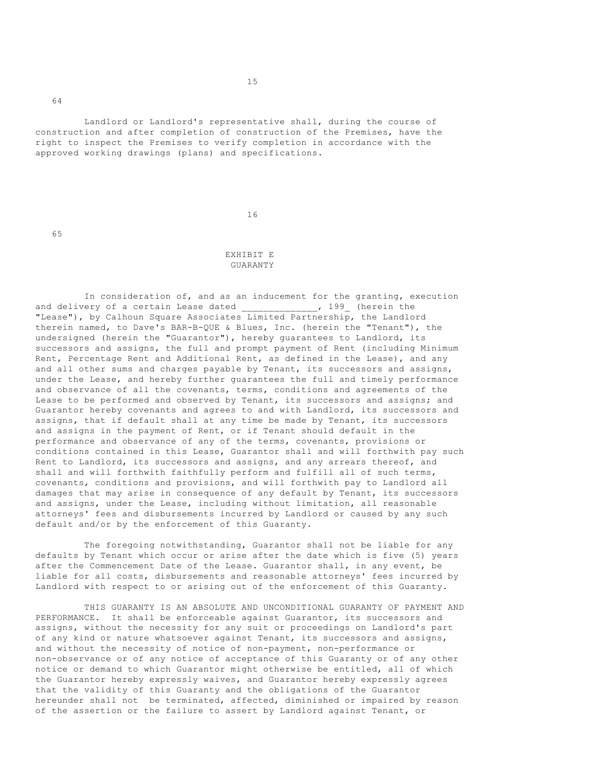Landlord or Landlord's representative shall, during the course of construction and after completion of construction of the Premises, have the right to inspect the Premises to verify completion in accordance with the approved working drawings (plans) and specifications.

16

### EXHIBIT E GUARANTY

In consideration of, and as an inducement for the granting, execution ery of a certain Lease dated  $\frac{1}{\frac{1}{2}}$ , 199 (herein the and delivery of a certain Lease dated \_\_\_\_\_\_\_\_\_\_\_\_\_\_, 199\_ (herein the "Lease"), by Calhoun Square Associates Limited Partnership, the Landlord therein named, to Dave's BAR-B-QUE & Blues, Inc. (herein the "Tenant"), the undersigned (herein the "Guarantor"), hereby guarantees to Landlord, its successors and assigns, the full and prompt payment of Rent (including Minimum Rent, Percentage Rent and Additional Rent, as defined in the Lease), and any and all other sums and charges payable by Tenant, its successors and assigns, under the Lease, and hereby further guarantees the full and timely performance and observance of all the covenants, terms, conditions and agreements of the Lease to be performed and observed by Tenant, its successors and assigns; and Guarantor hereby covenants and agrees to and with Landlord, its successors and assigns, that if default shall at any time be made by Tenant, its successors and assigns in the payment of Rent, or if Tenant should default in the performance and observance of any of the terms, covenants, provisions or conditions contained in this Lease, Guarantor shall and will forthwith pay such Rent to Landlord, its successors and assigns, and any arrears thereof, and shall and will forthwith faithfully perform and fulfill all of such terms, covenants, conditions and provisions, and will forthwith pay to Landlord all damages that may arise in consequence of any default by Tenant, its successors and assigns, under the Lease, including without limitation, all reasonable attorneys' fees and disbursements incurred by Landlord or caused by any such default and/or by the enforcement of this Guaranty.

 The foregoing notwithstanding, Guarantor shall not be liable for any defaults by Tenant which occur or arise after the date which is five (5) years after the Commencement Date of the Lease. Guarantor shall, in any event, be liable for all costs, disbursements and reasonable attorneys' fees incurred by Landlord with respect to or arising out of the enforcement of this Guaranty.

 THIS GUARANTY IS AN ABSOLUTE AND UNCONDITIONAL GUARANTY OF PAYMENT AND PERFORMANCE. It shall be enforceable against Guarantor, its successors and assigns, without the necessity for any suit or proceedings on Landlord's part of any kind or nature whatsoever against Tenant, its successors and assigns, and without the necessity of notice of non-payment, non-performance or non-observance or of any notice of acceptance of this Guaranty or of any other notice or demand to which Guarantor might otherwise be entitled, all of which the Guarantor hereby expressly waives, and Guarantor hereby expressly agrees that the validity of this Guaranty and the obligations of the Guarantor hereunder shall not be terminated, affected, diminished or impaired by reason of the assertion or the failure to assert by Landlord against Tenant, or

64

65

15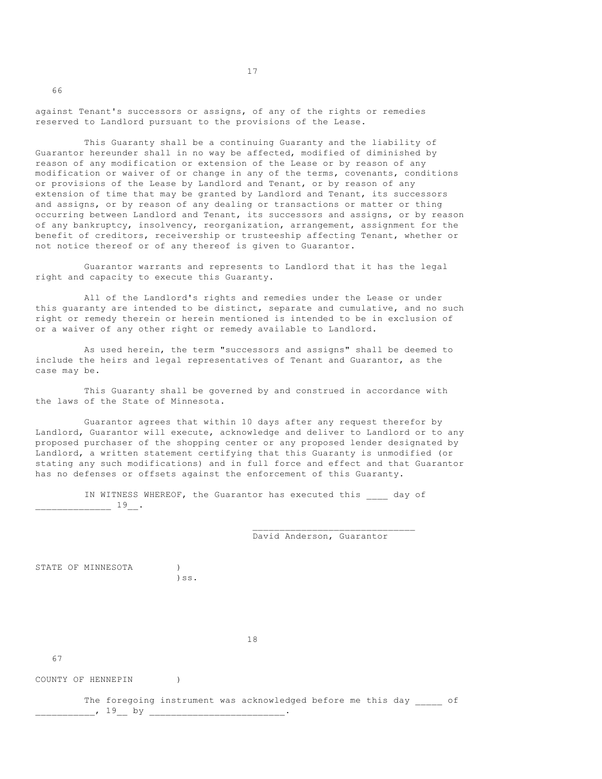against Tenant's successors or assigns, of any of the rights or remedies reserved to Landlord pursuant to the provisions of the Lease.

 This Guaranty shall be a continuing Guaranty and the liability of Guarantor hereunder shall in no way be affected, modified of diminished by reason of any modification or extension of the Lease or by reason of any modification or waiver of or change in any of the terms, covenants, conditions or provisions of the Lease by Landlord and Tenant, or by reason of any extension of time that may be granted by Landlord and Tenant, its successors and assigns, or by reason of any dealing or transactions or matter or thing occurring between Landlord and Tenant, its successors and assigns, or by reason of any bankruptcy, insolvency, reorganization, arrangement, assignment for the benefit of creditors, receivership or trusteeship affecting Tenant, whether or not notice thereof or of any thereof is given to Guarantor.

 Guarantor warrants and represents to Landlord that it has the legal right and capacity to execute this Guaranty.

 All of the Landlord's rights and remedies under the Lease or under this guaranty are intended to be distinct, separate and cumulative, and no such right or remedy therein or herein mentioned is intended to be in exclusion of or a waiver of any other right or remedy available to Landlord.

 As used herein, the term "successors and assigns" shall be deemed to include the heirs and legal representatives of Tenant and Guarantor, as the case may be.

 This Guaranty shall be governed by and construed in accordance with the laws of the State of Minnesota.

 Guarantor agrees that within 10 days after any request therefor by Landlord, Guarantor will execute, acknowledge and deliver to Landlord or to any proposed purchaser of the shopping center or any proposed lender designated by Landlord, a written statement certifying that this Guaranty is unmodified (or stating any such modifications) and in full force and effect and that Guarantor has no defenses or offsets against the enforcement of this Guaranty.

 IN WITNESS WHEREOF, the Guarantor has executed this \_\_\_\_ day of  $\frac{19}{1}$ .

 $\_$ 

David Anderson, Guarantor

STATE OF MINNESOTA (1) )ss.

18

67

66

COUNTY OF HENNEPIN )

The foregoing instrument was acknowledged before me this day of \_\_, 19\_\_ by \_\_\_\_\_\_\_\_\_\_\_\_\_\_\_\_\_\_\_\_\_\_\_\_\_\_\_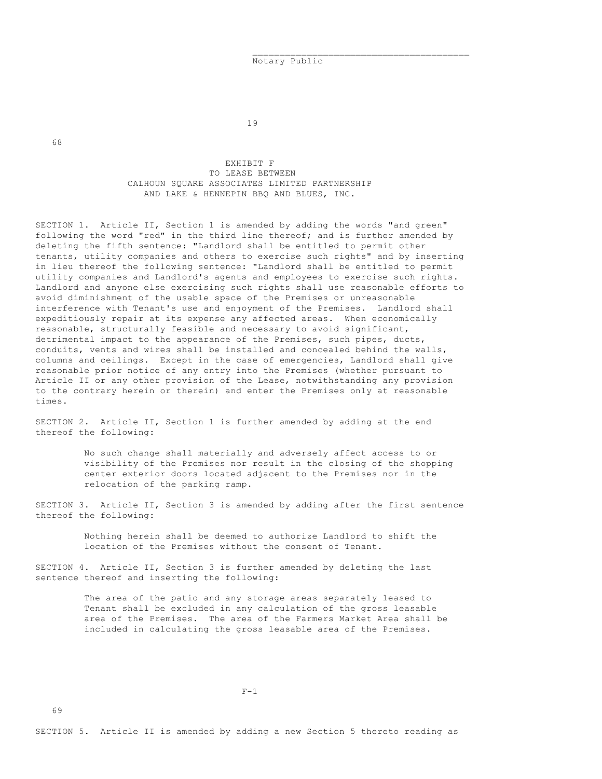Notary Public

68

19

 $\_$ 

 EXHIBIT F TO LEASE BETWEEN CALHOUN SQUARE ASSOCIATES LIMITED PARTNERSHIP AND LAKE & HENNEPIN BBQ AND BLUES, INC.

SECTION 1. Article II, Section 1 is amended by adding the words "and green" following the word "red" in the third line thereof; and is further amended by deleting the fifth sentence: "Landlord shall be entitled to permit other tenants, utility companies and others to exercise such rights" and by inserting in lieu thereof the following sentence: "Landlord shall be entitled to permit utility companies and Landlord's agents and employees to exercise such rights. Landlord and anyone else exercising such rights shall use reasonable efforts to avoid diminishment of the usable space of the Premises or unreasonable interference with Tenant's use and enjoyment of the Premises. Landlord shall expeditiously repair at its expense any affected areas. When economically reasonable, structurally feasible and necessary to avoid significant, detrimental impact to the appearance of the Premises, such pipes, ducts, conduits, vents and wires shall be installed and concealed behind the walls, columns and ceilings. Except in the case of emergencies, Landlord shall give reasonable prior notice of any entry into the Premises (whether pursuant to Article II or any other provision of the Lease, notwithstanding any provision to the contrary herein or therein) and enter the Premises only at reasonable times.

SECTION 2. Article II, Section 1 is further amended by adding at the end thereof the following:

> No such change shall materially and adversely affect access to or visibility of the Premises nor result in the closing of the shopping center exterior doors located adjacent to the Premises nor in the relocation of the parking ramp.

SECTION 3. Article II, Section 3 is amended by adding after the first sentence thereof the following:

> Nothing herein shall be deemed to authorize Landlord to shift the location of the Premises without the consent of Tenant.

SECTION 4. Article II, Section 3 is further amended by deleting the last sentence thereof and inserting the following:

> The area of the patio and any storage areas separately leased to Tenant shall be excluded in any calculation of the gross leasable area of the Premises. The area of the Farmers Market Area shall be included in calculating the gross leasable area of the Premises.

 $F-1$ 

69

SECTION 5. Article II is amended by adding a new Section 5 thereto reading as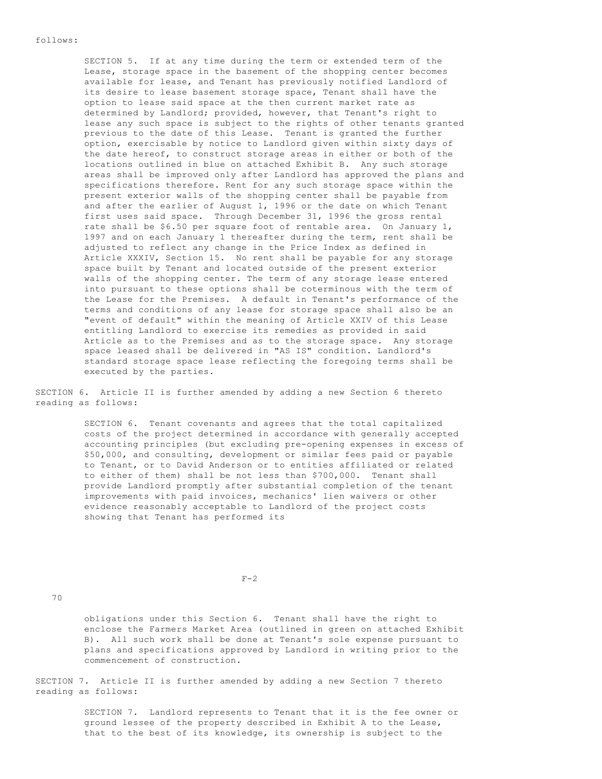SECTION 5. If at any time during the term or extended term of the Lease, storage space in the basement of the shopping center becomes available for lease, and Tenant has previously notified Landlord of its desire to lease basement storage space, Tenant shall have the option to lease said space at the then current market rate as determined by Landlord; provided, however, that Tenant's right to lease any such space is subject to the rights of other tenants granted previous to the date of this Lease. Tenant is granted the further option, exercisable by notice to Landlord given within sixty days of the date hereof, to construct storage areas in either or both of the locations outlined in blue on attached Exhibit B. Any such storage areas shall be improved only after Landlord has approved the plans and specifications therefore. Rent for any such storage space within the present exterior walls of the shopping center shall be payable from and after the earlier of August 1, 1996 or the date on which Tenant first uses said space. Through December 31, 1996 the gross rental rate shall be \$6.50 per square foot of rentable area. On January 1, 1997 and on each January 1 thereafter during the term, rent shall be adjusted to reflect any change in the Price Index as defined in Article XXXIV, Section 15. No rent shall be payable for any storage space built by Tenant and located outside of the present exterior walls of the shopping center. The term of any storage lease entered into pursuant to these options shall be coterminous with the term of the Lease for the Premises. A default in Tenant's performance of the terms and conditions of any lease for storage space shall also be an "event of default" within the meaning of Article XXIV of this Lease entitling Landlord to exercise its remedies as provided in said Article as to the Premises and as to the storage space. Any storage space leased shall be delivered in "AS IS" condition. Landlord's standard storage space lease reflecting the foregoing terms shall be executed by the parties.

SECTION 6. Article II is further amended by adding a new Section 6 thereto reading as follows:

> SECTION 6. Tenant covenants and agrees that the total capitalized costs of the project determined in accordance with generally accepted accounting principles (but excluding pre-opening expenses in excess of \$50,000, and consulting, development or similar fees paid or payable to Tenant, or to David Anderson or to entities affiliated or related to either of them) shall be not less than \$700,000. Tenant shall provide Landlord promptly after substantial completion of the tenant improvements with paid invoices, mechanics' lien waivers or other evidence reasonably acceptable to Landlord of the project costs showing that Tenant has performed its

 $F-2$ 

70

 obligations under this Section 6. Tenant shall have the right to enclose the Farmers Market Area (outlined in green on attached Exhibit B). All such work shall be done at Tenant's sole expense pursuant to plans and specifications approved by Landlord in writing prior to the commencement of construction.

SECTION 7. Article II is further amended by adding a new Section 7 thereto reading as follows:

> SECTION 7. Landlord represents to Tenant that it is the fee owner or ground lessee of the property described in Exhibit A to the Lease, that to the best of its knowledge, its ownership is subject to the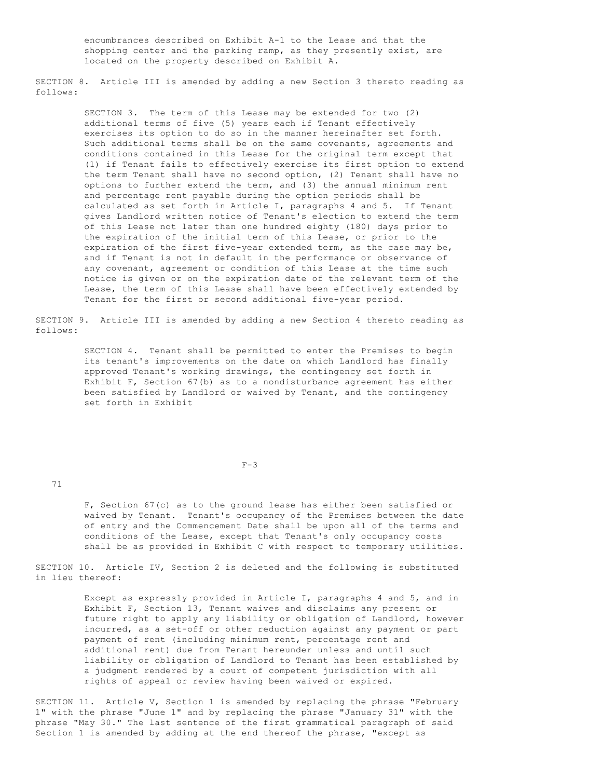encumbrances described on Exhibit A-1 to the Lease and that the shopping center and the parking ramp, as they presently exist, are located on the property described on Exhibit A.

SECTION 8. Article III is amended by adding a new Section 3 thereto reading as follows:

> SECTION 3. The term of this Lease may be extended for two (2) additional terms of five (5) years each if Tenant effectively exercises its option to do so in the manner hereinafter set forth. Such additional terms shall be on the same covenants, agreements and conditions contained in this Lease for the original term except that (1) if Tenant fails to effectively exercise its first option to extend the term Tenant shall have no second option, (2) Tenant shall have no options to further extend the term, and (3) the annual minimum rent and percentage rent payable during the option periods shall be calculated as set forth in Article I, paragraphs 4 and 5. If Tenant gives Landlord written notice of Tenant's election to extend the term of this Lease not later than one hundred eighty (180) days prior to the expiration of the initial term of this Lease, or prior to the expiration of the first five-year extended term, as the case may be, and if Tenant is not in default in the performance or observance of any covenant, agreement or condition of this Lease at the time such notice is given or on the expiration date of the relevant term of the Lease, the term of this Lease shall have been effectively extended by Tenant for the first or second additional five-year period.

SECTION 9. Article III is amended by adding a new Section 4 thereto reading as follows:

> SECTION 4. Tenant shall be permitted to enter the Premises to begin its tenant's improvements on the date on which Landlord has finally approved Tenant's working drawings, the contingency set forth in Exhibit F, Section 67(b) as to a nondisturbance agreement has either been satisfied by Landlord or waived by Tenant, and the contingency set forth in Exhibit

 $F-3$ 

71

 F, Section 67(c) as to the ground lease has either been satisfied or waived by Tenant. Tenant's occupancy of the Premises between the date of entry and the Commencement Date shall be upon all of the terms and conditions of the Lease, except that Tenant's only occupancy costs shall be as provided in Exhibit C with respect to temporary utilities.

SECTION 10. Article IV, Section 2 is deleted and the following is substituted in lieu thereof:

> Except as expressly provided in Article I, paragraphs 4 and 5, and in Exhibit F, Section 13, Tenant waives and disclaims any present or future right to apply any liability or obligation of Landlord, however incurred, as a set-off or other reduction against any payment or part payment of rent (including minimum rent, percentage rent and additional rent) due from Tenant hereunder unless and until such liability or obligation of Landlord to Tenant has been established by a judgment rendered by a court of competent jurisdiction with all rights of appeal or review having been waived or expired.

SECTION 11. Article V, Section 1 is amended by replacing the phrase "February 1" with the phrase "June 1" and by replacing the phrase "January 31" with the phrase "May 30." The last sentence of the first grammatical paragraph of said Section 1 is amended by adding at the end thereof the phrase, "except as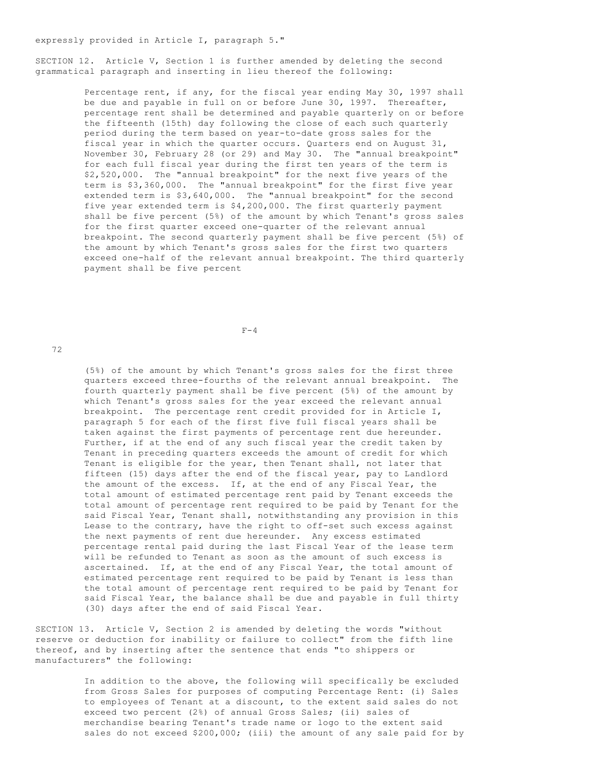expressly provided in Article I, paragraph 5."

SECTION 12. Article V, Section 1 is further amended by deleting the second grammatical paragraph and inserting in lieu thereof the following:

> Percentage rent, if any, for the fiscal year ending May 30, 1997 shall be due and payable in full on or before June 30, 1997. Thereafter, percentage rent shall be determined and payable quarterly on or before the fifteenth (15th) day following the close of each such quarterly period during the term based on year-to-date gross sales for the fiscal year in which the quarter occurs. Quarters end on August 31, November 30, February 28 (or 29) and May 30. The "annual breakpoint" for each full fiscal year during the first ten years of the term is \$2,520,000. The "annual breakpoint" for the next five years of the term is \$3,360,000. The "annual breakpoint" for the first five year extended term is \$3,640,000. The "annual breakpoint" for the second five year extended term is \$4,200,000. The first quarterly payment shall be five percent (5%) of the amount by which Tenant's gross sales for the first quarter exceed one-quarter of the relevant annual breakpoint. The second quarterly payment shall be five percent (5%) of the amount by which Tenant's gross sales for the first two quarters exceed one-half of the relevant annual breakpoint. The third quarterly payment shall be five percent

 $F-4$ 

72

 (5%) of the amount by which Tenant's gross sales for the first three quarters exceed three-fourths of the relevant annual breakpoint. The fourth quarterly payment shall be five percent (5%) of the amount by which Tenant's gross sales for the year exceed the relevant annual breakpoint. The percentage rent credit provided for in Article I, paragraph 5 for each of the first five full fiscal years shall be taken against the first payments of percentage rent due hereunder. Further, if at the end of any such fiscal year the credit taken by Tenant in preceding quarters exceeds the amount of credit for which Tenant is eligible for the year, then Tenant shall, not later that fifteen (15) days after the end of the fiscal year, pay to Landlord the amount of the excess. If, at the end of any Fiscal Year, the total amount of estimated percentage rent paid by Tenant exceeds the total amount of percentage rent required to be paid by Tenant for the said Fiscal Year, Tenant shall, notwithstanding any provision in this Lease to the contrary, have the right to off-set such excess against the next payments of rent due hereunder. Any excess estimated percentage rental paid during the last Fiscal Year of the lease term will be refunded to Tenant as soon as the amount of such excess is ascertained. If, at the end of any Fiscal Year, the total amount of estimated percentage rent required to be paid by Tenant is less than the total amount of percentage rent required to be paid by Tenant for said Fiscal Year, the balance shall be due and payable in full thirty (30) days after the end of said Fiscal Year.

SECTION 13. Article V, Section 2 is amended by deleting the words "without reserve or deduction for inability or failure to collect" from the fifth line thereof, and by inserting after the sentence that ends "to shippers or manufacturers" the following:

> In addition to the above, the following will specifically be excluded from Gross Sales for purposes of computing Percentage Rent: (i) Sales to employees of Tenant at a discount, to the extent said sales do not exceed two percent (2%) of annual Gross Sales; (ii) sales of merchandise bearing Tenant's trade name or logo to the extent said sales do not exceed \$200,000; (iii) the amount of any sale paid for by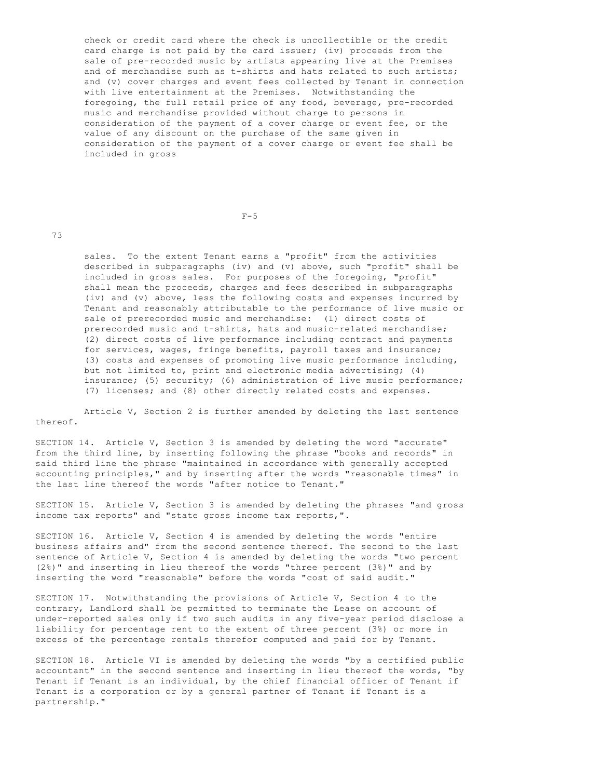check or credit card where the check is uncollectible or the credit card charge is not paid by the card issuer; (iv) proceeds from the sale of pre-recorded music by artists appearing live at the Premises and of merchandise such as t-shirts and hats related to such artists; and (v) cover charges and event fees collected by Tenant in connection with live entertainment at the Premises. Notwithstanding the foregoing, the full retail price of any food, beverage, pre-recorded music and merchandise provided without charge to persons in consideration of the payment of a cover charge or event fee, or the value of any discount on the purchase of the same given in consideration of the payment of a cover charge or event fee shall be included in gross

 $F-5$ 

73

 sales. To the extent Tenant earns a "profit" from the activities described in subparagraphs (iv) and (v) above, such "profit" shall be included in gross sales. For purposes of the foregoing, "profit" shall mean the proceeds, charges and fees described in subparagraphs (iv) and (v) above, less the following costs and expenses incurred by Tenant and reasonably attributable to the performance of live music or sale of prerecorded music and merchandise: (1) direct costs of prerecorded music and t-shirts, hats and music-related merchandise; (2) direct costs of live performance including contract and payments for services, wages, fringe benefits, payroll taxes and insurance; (3) costs and expenses of promoting live music performance including, but not limited to, print and electronic media advertising; (4) insurance; (5) security; (6) administration of live music performance; (7) licenses; and (8) other directly related costs and expenses.

 Article V, Section 2 is further amended by deleting the last sentence thereof.

SECTION 14. Article V, Section 3 is amended by deleting the word "accurate" from the third line, by inserting following the phrase "books and records" in said third line the phrase "maintained in accordance with generally accepted accounting principles," and by inserting after the words "reasonable times" in the last line thereof the words "after notice to Tenant."

SECTION 15. Article V, Section 3 is amended by deleting the phrases "and gross income tax reports" and "state gross income tax reports,".

SECTION 16. Article V, Section 4 is amended by deleting the words "entire business affairs and" from the second sentence thereof. The second to the last sentence of Article V, Section 4 is amended by deleting the words "two percent (2%)" and inserting in lieu thereof the words "three percent (3%)" and by inserting the word "reasonable" before the words "cost of said audit."

SECTION 17. Notwithstanding the provisions of Article V, Section 4 to the contrary, Landlord shall be permitted to terminate the Lease on account of under-reported sales only if two such audits in any five-year period disclose a liability for percentage rent to the extent of three percent (3%) or more in excess of the percentage rentals therefor computed and paid for by Tenant.

SECTION 18. Article VI is amended by deleting the words "by a certified public accountant" in the second sentence and inserting in lieu thereof the words, "by Tenant if Tenant is an individual, by the chief financial officer of Tenant if Tenant is a corporation or by a general partner of Tenant if Tenant is a partnership."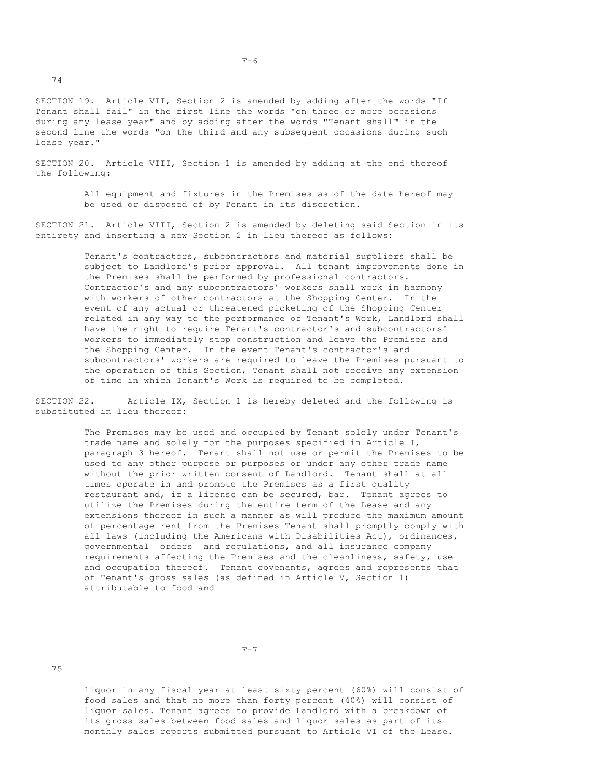SECTION 19. Article VII, Section 2 is amended by adding after the words "If Tenant shall fail" in the first line the words "on three or more occasions during any lease year" and by adding after the words "Tenant shall" in the second line the words "on the third and any subsequent occasions during such lease year."

SECTION 20. Article VIII, Section 1 is amended by adding at the end thereof the following:

> All equipment and fixtures in the Premises as of the date hereof may be used or disposed of by Tenant in its discretion.

SECTION 21. Article VIII, Section 2 is amended by deleting said Section in its entirety and inserting a new Section 2 in lieu thereof as follows:

> Tenant's contractors, subcontractors and material suppliers shall be subject to Landlord's prior approval. All tenant improvements done in the Premises shall be performed by professional contractors. Contractor's and any subcontractors' workers shall work in harmony with workers of other contractors at the Shopping Center. In the event of any actual or threatened picketing of the Shopping Center related in any way to the performance of Tenant's Work, Landlord shall have the right to require Tenant's contractor's and subcontractors' workers to immediately stop construction and leave the Premises and the Shopping Center. In the event Tenant's contractor's and subcontractors' workers are required to leave the Premises pursuant to the operation of this Section, Tenant shall not receive any extension of time in which Tenant's Work is required to be completed.

SECTION 22. Article IX, Section 1 is hereby deleted and the following is substituted in lieu thereof:

> The Premises may be used and occupied by Tenant solely under Tenant's trade name and solely for the purposes specified in Article I, paragraph 3 hereof. Tenant shall not use or permit the Premises to be used to any other purpose or purposes or under any other trade name without the prior written consent of Landlord. Tenant shall at all times operate in and promote the Premises as a first quality restaurant and, if a license can be secured, bar. Tenant agrees to utilize the Premises during the entire term of the Lease and any extensions thereof in such a manner as will produce the maximum amount of percentage rent from the Premises Tenant shall promptly comply with all laws (including the Americans with Disabilities Act), ordinances, governmental orders and regulations, and all insurance company requirements affecting the Premises and the cleanliness, safety, use and occupation thereof. Tenant covenants, agrees and represents that of Tenant's gross sales (as defined in Article V, Section 1) attributable to food and

 liquor in any fiscal year at least sixty percent (60%) will consist of food sales and that no more than forty percent (40%) will consist of liquor sales. Tenant agrees to provide Landlord with a breakdown of its gross sales between food sales and liquor sales as part of its monthly sales reports submitted pursuant to Article VI of the Lease.

74

 $F-6$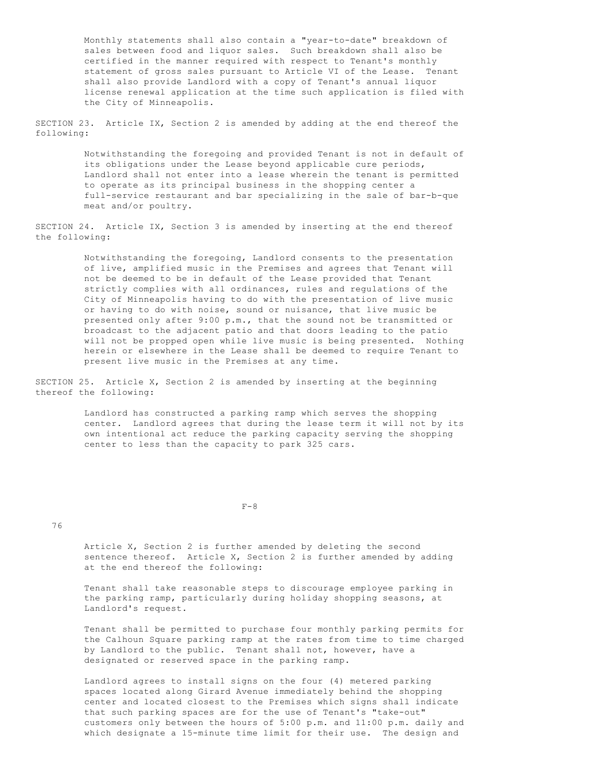Monthly statements shall also contain a "year-to-date" breakdown of sales between food and liquor sales. Such breakdown shall also be certified in the manner required with respect to Tenant's monthly statement of gross sales pursuant to Article VI of the Lease. Tenant shall also provide Landlord with a copy of Tenant's annual liquor license renewal application at the time such application is filed with the City of Minneapolis.

SECTION 23. Article IX, Section 2 is amended by adding at the end thereof the following:

> Notwithstanding the foregoing and provided Tenant is not in default of its obligations under the Lease beyond applicable cure periods, Landlord shall not enter into a lease wherein the tenant is permitted to operate as its principal business in the shopping center a full-service restaurant and bar specializing in the sale of bar-b-que meat and/or poultry.

SECTION 24. Article IX, Section 3 is amended by inserting at the end thereof the following:

> Notwithstanding the foregoing, Landlord consents to the presentation of live, amplified music in the Premises and agrees that Tenant will not be deemed to be in default of the Lease provided that Tenant strictly complies with all ordinances, rules and regulations of the City of Minneapolis having to do with the presentation of live music or having to do with noise, sound or nuisance, that live music be presented only after 9:00 p.m., that the sound not be transmitted or broadcast to the adjacent patio and that doors leading to the patio will not be propped open while live music is being presented. Nothing herein or elsewhere in the Lease shall be deemed to require Tenant to present live music in the Premises at any time.

SECTION 25. Article X, Section 2 is amended by inserting at the beginning thereof the following:

> Landlord has constructed a parking ramp which serves the shopping center. Landlord agrees that during the lease term it will not by its own intentional act reduce the parking capacity serving the shopping center to less than the capacity to park 325 cars.

 $F-8$ 

## 76

 Article X, Section 2 is further amended by deleting the second sentence thereof. Article X, Section 2 is further amended by adding at the end thereof the following:

 Tenant shall take reasonable steps to discourage employee parking in the parking ramp, particularly during holiday shopping seasons, at Landlord's request.

 Tenant shall be permitted to purchase four monthly parking permits for the Calhoun Square parking ramp at the rates from time to time charged by Landlord to the public. Tenant shall not, however, have a designated or reserved space in the parking ramp.

 Landlord agrees to install signs on the four (4) metered parking spaces located along Girard Avenue immediately behind the shopping center and located closest to the Premises which signs shall indicate that such parking spaces are for the use of Tenant's "take-out" customers only between the hours of 5:00 p.m. and 11:00 p.m. daily and which designate a 15-minute time limit for their use. The design and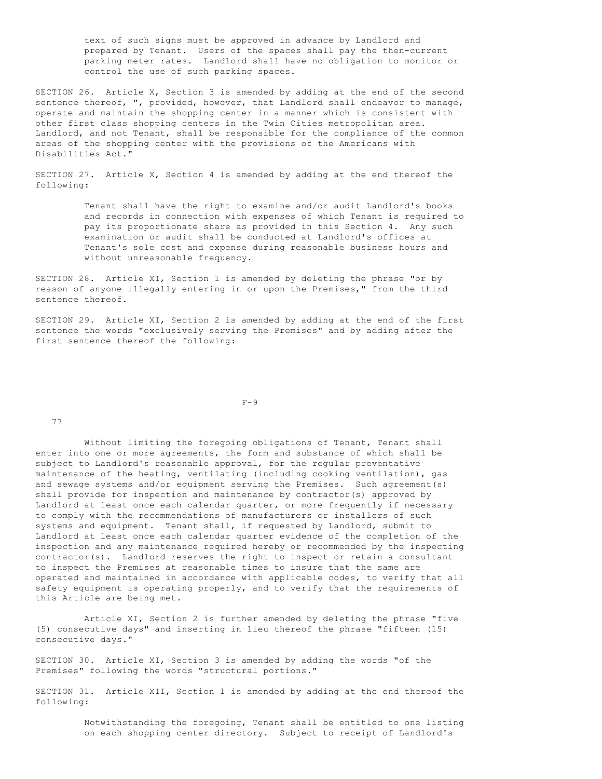text of such signs must be approved in advance by Landlord and prepared by Tenant. Users of the spaces shall pay the then-current parking meter rates. Landlord shall have no obligation to monitor or control the use of such parking spaces.

SECTION 26. Article X, Section 3 is amended by adding at the end of the second sentence thereof, ", provided, however, that Landlord shall endeavor to manage, operate and maintain the shopping center in a manner which is consistent with other first class shopping centers in the Twin Cities metropolitan area. Landlord, and not Tenant, shall be responsible for the compliance of the common areas of the shopping center with the provisions of the Americans with Disabilities Act."

SECTION 27. Article X, Section 4 is amended by adding at the end thereof the following:

> Tenant shall have the right to examine and/or audit Landlord's books and records in connection with expenses of which Tenant is required to pay its proportionate share as provided in this Section 4. Any such examination or audit shall be conducted at Landlord's offices at Tenant's sole cost and expense during reasonable business hours and without unreasonable frequency.

SECTION 28. Article XI, Section 1 is amended by deleting the phrase "or by reason of anyone illegally entering in or upon the Premises," from the third sentence thereof.

SECTION 29. Article XI, Section 2 is amended by adding at the end of the first sentence the words "exclusively serving the Premises" and by adding after the first sentence thereof the following:

 $F-9$ 

77

 Without limiting the foregoing obligations of Tenant, Tenant shall enter into one or more agreements, the form and substance of which shall be subject to Landlord's reasonable approval, for the regular preventative maintenance of the heating, ventilating (including cooking ventilation), gas and sewage systems and/or equipment serving the Premises. Such agreement(s) shall provide for inspection and maintenance by contractor(s) approved by Landlord at least once each calendar quarter, or more frequently if necessary to comply with the recommendations of manufacturers or installers of such systems and equipment. Tenant shall, if requested by Landlord, submit to Landlord at least once each calendar quarter evidence of the completion of the inspection and any maintenance required hereby or recommended by the inspecting contractor(s). Landlord reserves the right to inspect or retain a consultant to inspect the Premises at reasonable times to insure that the same are operated and maintained in accordance with applicable codes, to verify that all safety equipment is operating properly, and to verify that the requirements of this Article are being met.

 Article XI, Section 2 is further amended by deleting the phrase "five (5) consecutive days" and inserting in lieu thereof the phrase "fifteen (15) consecutive days."

SECTION 30. Article XI, Section 3 is amended by adding the words "of the Premises" following the words "structural portions."

SECTION 31. Article XII, Section 1 is amended by adding at the end thereof the following:

> Notwithstanding the foregoing, Tenant shall be entitled to one listing on each shopping center directory. Subject to receipt of Landlord's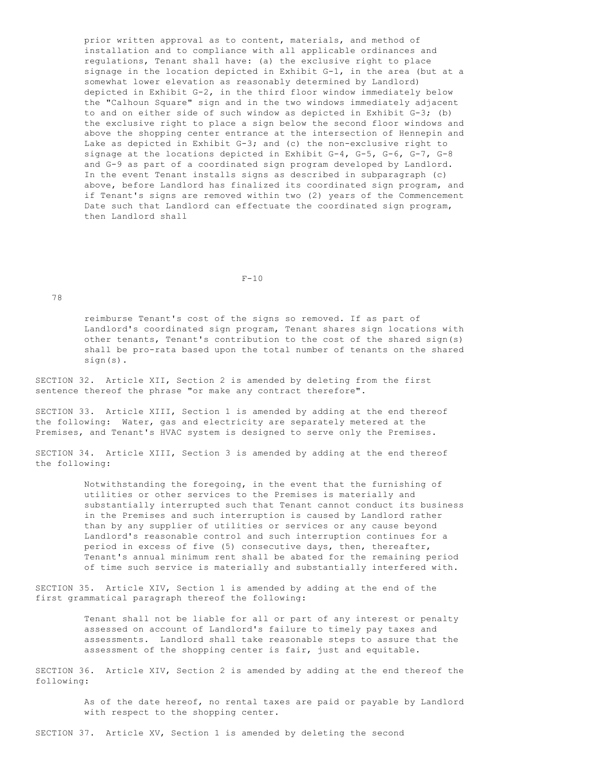prior written approval as to content, materials, and method of installation and to compliance with all applicable ordinances and regulations, Tenant shall have: (a) the exclusive right to place signage in the location depicted in Exhibit G-1, in the area (but at a somewhat lower elevation as reasonably determined by Landlord) depicted in Exhibit G-2, in the third floor window immediately below the "Calhoun Square" sign and in the two windows immediately adjacent to and on either side of such window as depicted in Exhibit G-3; (b) the exclusive right to place a sign below the second floor windows and above the shopping center entrance at the intersection of Hennepin and Lake as depicted in Exhibit G-3; and (c) the non-exclusive right to signage at the locations depicted in Exhibit G-4, G-5, G-6, G-7, G-8 and G-9 as part of a coordinated sign program developed by Landlord. In the event Tenant installs signs as described in subparagraph (c) above, before Landlord has finalized its coordinated sign program, and if Tenant's signs are removed within two (2) years of the Commencement Date such that Landlord can effectuate the coordinated sign program, then Landlord shall

#### $F-10$

78

 reimburse Tenant's cost of the signs so removed. If as part of Landlord's coordinated sign program, Tenant shares sign locations with other tenants, Tenant's contribution to the cost of the shared sign(s) shall be pro-rata based upon the total number of tenants on the shared sign(s).

SECTION 32. Article XII, Section 2 is amended by deleting from the first sentence thereof the phrase "or make any contract therefore".

SECTION 33. Article XIII, Section 1 is amended by adding at the end thereof the following: Water, gas and electricity are separately metered at the Premises, and Tenant's HVAC system is designed to serve only the Premises.

SECTION 34. Article XIII, Section 3 is amended by adding at the end thereof the following:

> Notwithstanding the foregoing, in the event that the furnishing of utilities or other services to the Premises is materially and substantially interrupted such that Tenant cannot conduct its business in the Premises and such interruption is caused by Landlord rather than by any supplier of utilities or services or any cause beyond Landlord's reasonable control and such interruption continues for a period in excess of five (5) consecutive days, then, thereafter, Tenant's annual minimum rent shall be abated for the remaining period of time such service is materially and substantially interfered with.

SECTION 35. Article XIV, Section 1 is amended by adding at the end of the first grammatical paragraph thereof the following:

> Tenant shall not be liable for all or part of any interest or penalty assessed on account of Landlord's failure to timely pay taxes and assessments. Landlord shall take reasonable steps to assure that the assessment of the shopping center is fair, just and equitable.

SECTION 36. Article XIV, Section 2 is amended by adding at the end thereof the following:

> As of the date hereof, no rental taxes are paid or payable by Landlord with respect to the shopping center.

SECTION 37. Article XV, Section 1 is amended by deleting the second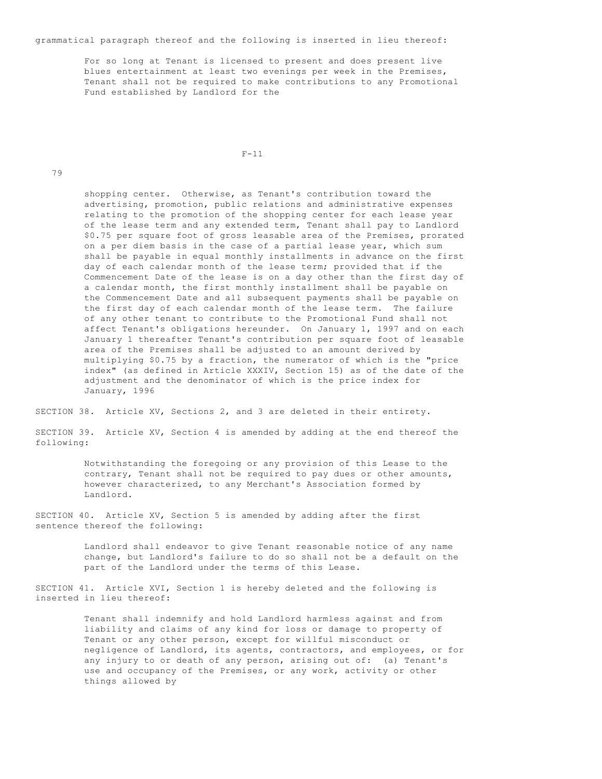grammatical paragraph thereof and the following is inserted in lieu thereof:

 For so long at Tenant is licensed to present and does present live blues entertainment at least two evenings per week in the Premises, Tenant shall not be required to make contributions to any Promotional Fund established by Landlord for the

 $F-11$ 

79

 shopping center. Otherwise, as Tenant's contribution toward the advertising, promotion, public relations and administrative expenses relating to the promotion of the shopping center for each lease year of the lease term and any extended term, Tenant shall pay to Landlord \$0.75 per square foot of gross leasable area of the Premises, prorated on a per diem basis in the case of a partial lease year, which sum shall be payable in equal monthly installments in advance on the first day of each calendar month of the lease term; provided that if the Commencement Date of the lease is on a day other than the first day of a calendar month, the first monthly installment shall be payable on the Commencement Date and all subsequent payments shall be payable on the first day of each calendar month of the lease term. The failure of any other tenant to contribute to the Promotional Fund shall not affect Tenant's obligations hereunder. On January 1, 1997 and on each January 1 thereafter Tenant's contribution per square foot of leasable area of the Premises shall be adjusted to an amount derived by multiplying \$0.75 by a fraction, the numerator of which is the "price index" (as defined in Article XXXIV, Section 15) as of the date of the adjustment and the denominator of which is the price index for January, 1996

SECTION 38. Article XV, Sections 2, and 3 are deleted in their entirety.

SECTION 39. Article XV, Section 4 is amended by adding at the end thereof the following:

> Notwithstanding the foregoing or any provision of this Lease to the contrary, Tenant shall not be required to pay dues or other amounts, however characterized, to any Merchant's Association formed by Landlord.

SECTION 40. Article XV, Section 5 is amended by adding after the first sentence thereof the following:

> Landlord shall endeavor to give Tenant reasonable notice of any name change, but Landlord's failure to do so shall not be a default on the part of the Landlord under the terms of this Lease.

SECTION 41. Article XVI, Section 1 is hereby deleted and the following is inserted in lieu thereof:

> Tenant shall indemnify and hold Landlord harmless against and from liability and claims of any kind for loss or damage to property of Tenant or any other person, except for willful misconduct or negligence of Landlord, its agents, contractors, and employees, or for any injury to or death of any person, arising out of: (a) Tenant's use and occupancy of the Premises, or any work, activity or other things allowed by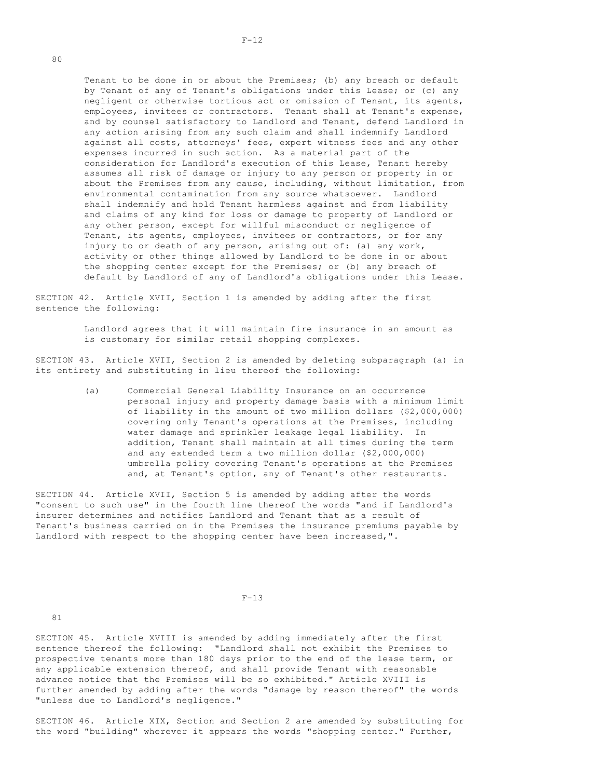Tenant to be done in or about the Premises; (b) any breach or default by Tenant of any of Tenant's obligations under this Lease; or (c) any negligent or otherwise tortious act or omission of Tenant, its agents, employees, invitees or contractors. Tenant shall at Tenant's expense, and by counsel satisfactory to Landlord and Tenant, defend Landlord in any action arising from any such claim and shall indemnify Landlord against all costs, attorneys' fees, expert witness fees and any other expenses incurred in such action. As a material part of the consideration for Landlord's execution of this Lease, Tenant hereby assumes all risk of damage or injury to any person or property in or about the Premises from any cause, including, without limitation, from environmental contamination from any source whatsoever. Landlord shall indemnify and hold Tenant harmless against and from liability and claims of any kind for loss or damage to property of Landlord or any other person, except for willful misconduct or negligence of Tenant, its agents, employees, invitees or contractors, or for any injury to or death of any person, arising out of: (a) any work, activity or other things allowed by Landlord to be done in or about the shopping center except for the Premises; or (b) any breach of default by Landlord of any of Landlord's obligations under this Lease.

SECTION 42. Article XVII, Section 1 is amended by adding after the first sentence the following:

> Landlord agrees that it will maintain fire insurance in an amount as is customary for similar retail shopping complexes.

SECTION 43. Article XVII, Section 2 is amended by deleting subparagraph (a) in its entirety and substituting in lieu thereof the following:

> (a) Commercial General Liability Insurance on an occurrence personal injury and property damage basis with a minimum limit of liability in the amount of two million dollars (\$2,000,000) covering only Tenant's operations at the Premises, including water damage and sprinkler leakage legal liability. In addition, Tenant shall maintain at all times during the term and any extended term a two million dollar (\$2,000,000) umbrella policy covering Tenant's operations at the Premises and, at Tenant's option, any of Tenant's other restaurants.

SECTION 44. Article XVII, Section 5 is amended by adding after the words "consent to such use" in the fourth line thereof the words "and if Landlord's insurer determines and notifies Landlord and Tenant that as a result of Tenant's business carried on in the Premises the insurance premiums payable by Landlord with respect to the shopping center have been increased,".

 $F-13$ 

81

SECTION 45. Article XVIII is amended by adding immediately after the first sentence thereof the following: "Landlord shall not exhibit the Premises to prospective tenants more than 180 days prior to the end of the lease term, or any applicable extension thereof, and shall provide Tenant with reasonable advance notice that the Premises will be so exhibited." Article XVIII is further amended by adding after the words "damage by reason thereof" the words "unless due to Landlord's negligence."

SECTION 46. Article XIX, Section and Section 2 are amended by substituting for the word "building" wherever it appears the words "shopping center." Further,

80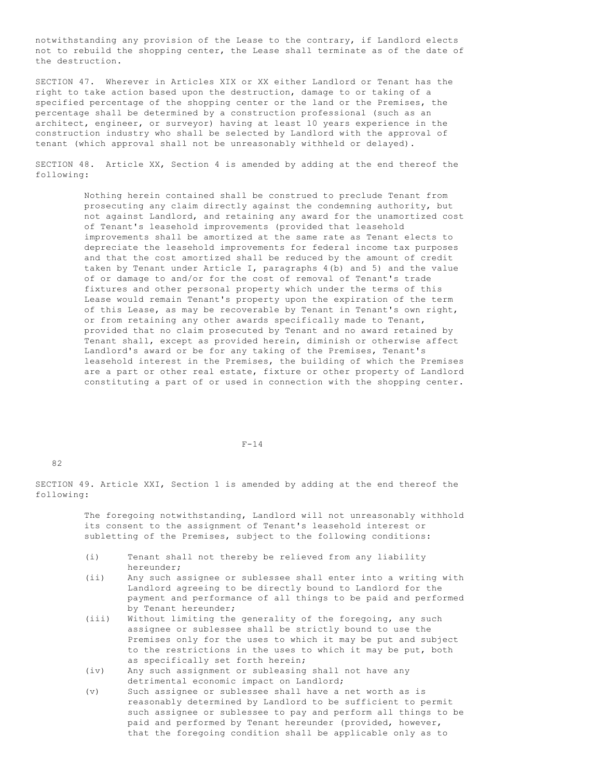notwithstanding any provision of the Lease to the contrary, if Landlord elects not to rebuild the shopping center, the Lease shall terminate as of the date of the destruction.

SECTION 47. Wherever in Articles XIX or XX either Landlord or Tenant has the right to take action based upon the destruction, damage to or taking of a specified percentage of the shopping center or the land or the Premises, the percentage shall be determined by a construction professional (such as an architect, engineer, or surveyor) having at least 10 years experience in the construction industry who shall be selected by Landlord with the approval of tenant (which approval shall not be unreasonably withheld or delayed).

SECTION 48. Article XX, Section 4 is amended by adding at the end thereof the following:

> Nothing herein contained shall be construed to preclude Tenant from prosecuting any claim directly against the condemning authority, but not against Landlord, and retaining any award for the unamortized cost of Tenant's leasehold improvements (provided that leasehold improvements shall be amortized at the same rate as Tenant elects to depreciate the leasehold improvements for federal income tax purposes and that the cost amortized shall be reduced by the amount of credit taken by Tenant under Article I, paragraphs 4(b) and 5) and the value of or damage to and/or for the cost of removal of Tenant's trade fixtures and other personal property which under the terms of this Lease would remain Tenant's property upon the expiration of the term of this Lease, as may be recoverable by Tenant in Tenant's own right, or from retaining any other awards specifically made to Tenant, provided that no claim prosecuted by Tenant and no award retained by Tenant shall, except as provided herein, diminish or otherwise affect Landlord's award or be for any taking of the Premises, Tenant's leasehold interest in the Premises, the building of which the Premises are a part or other real estate, fixture or other property of Landlord constituting a part of or used in connection with the shopping center.

#### $F-14$

82

SECTION 49. Article XXI, Section 1 is amended by adding at the end thereof the following:

> The foregoing notwithstanding, Landlord will not unreasonably withhold its consent to the assignment of Tenant's leasehold interest or subletting of the Premises, subject to the following conditions:

- (i) Tenant shall not thereby be relieved from any liability hereunder;
- (ii) Any such assignee or sublessee shall enter into a writing with Landlord agreeing to be directly bound to Landlord for the payment and performance of all things to be paid and performed by Tenant hereunder;
- (iii) Without limiting the generality of the foregoing, any such assignee or sublessee shall be strictly bound to use the Premises only for the uses to which it may be put and subject to the restrictions in the uses to which it may be put, both as specifically set forth herein;
- (iv) Any such assignment or subleasing shall not have any detrimental economic impact on Landlord;
- (v) Such assignee or sublessee shall have a net worth as is reasonably determined by Landlord to be sufficient to permit such assignee or sublessee to pay and perform all things to be paid and performed by Tenant hereunder (provided, however, that the foregoing condition shall be applicable only as to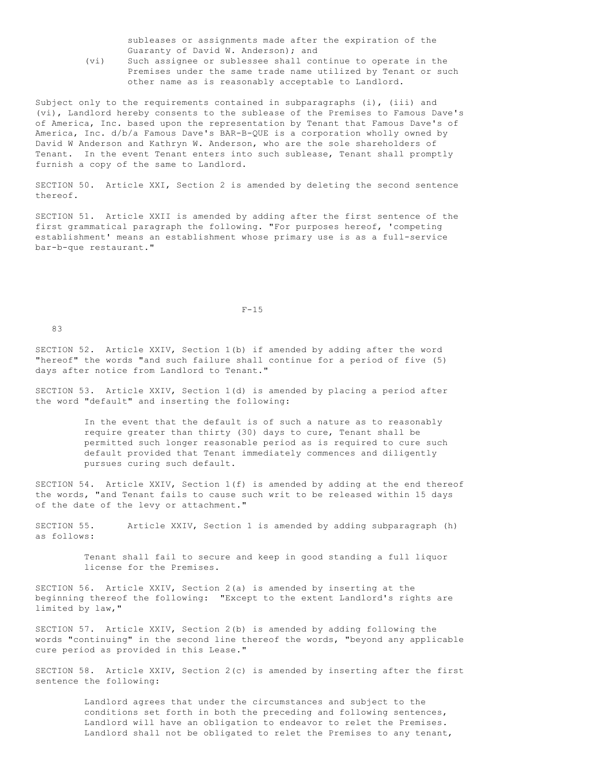subleases or assignments made after the expiration of the Guaranty of David W. Anderson); and

 (vi) Such assignee or sublessee shall continue to operate in the Premises under the same trade name utilized by Tenant or such other name as is reasonably acceptable to Landlord.

Subject only to the requirements contained in subparagraphs (i), (iii) and (vi), Landlord hereby consents to the sublease of the Premises to Famous Dave's of America, Inc. based upon the representation by Tenant that Famous Dave's of America, Inc. d/b/a Famous Dave's BAR-B-QUE is a corporation wholly owned by David W Anderson and Kathryn W. Anderson, who are the sole shareholders of Tenant. In the event Tenant enters into such sublease, Tenant shall promptly furnish a copy of the same to Landlord.

SECTION 50. Article XXI, Section 2 is amended by deleting the second sentence thereof.

SECTION 51. Article XXII is amended by adding after the first sentence of the first grammatical paragraph the following. "For purposes hereof, 'competing establishment' means an establishment whose primary use is as a full-service bar-b-que restaurant."

 $F-15$ 

 $83$ 

SECTION 52. Article XXIV, Section 1(b) if amended by adding after the word "hereof" the words "and such failure shall continue for a period of five (5) days after notice from Landlord to Tenant."

SECTION 53. Article XXIV, Section 1(d) is amended by placing a period after the word "default" and inserting the following:

> In the event that the default is of such a nature as to reasonably require greater than thirty (30) days to cure, Tenant shall be permitted such longer reasonable period as is required to cure such default provided that Tenant immediately commences and diligently pursues curing such default.

SECTION 54. Article XXIV, Section 1(f) is amended by adding at the end thereof the words, "and Tenant fails to cause such writ to be released within 15 days of the date of the levy or attachment."

SECTION 55. Article XXIV, Section 1 is amended by adding subparagraph (h) as follows:

> Tenant shall fail to secure and keep in good standing a full liquor license for the Premises.

SECTION 56. Article XXIV, Section 2(a) is amended by inserting at the beginning thereof the following: "Except to the extent Landlord's rights are limited by law,"

SECTION 57. Article XXIV, Section 2(b) is amended by adding following the words "continuing" in the second line thereof the words, "beyond any applicable cure period as provided in this Lease."

SECTION 58. Article XXIV, Section 2(c) is amended by inserting after the first sentence the following:

> Landlord agrees that under the circumstances and subject to the conditions set forth in both the preceding and following sentences, Landlord will have an obligation to endeavor to relet the Premises. Landlord shall not be obligated to relet the Premises to any tenant,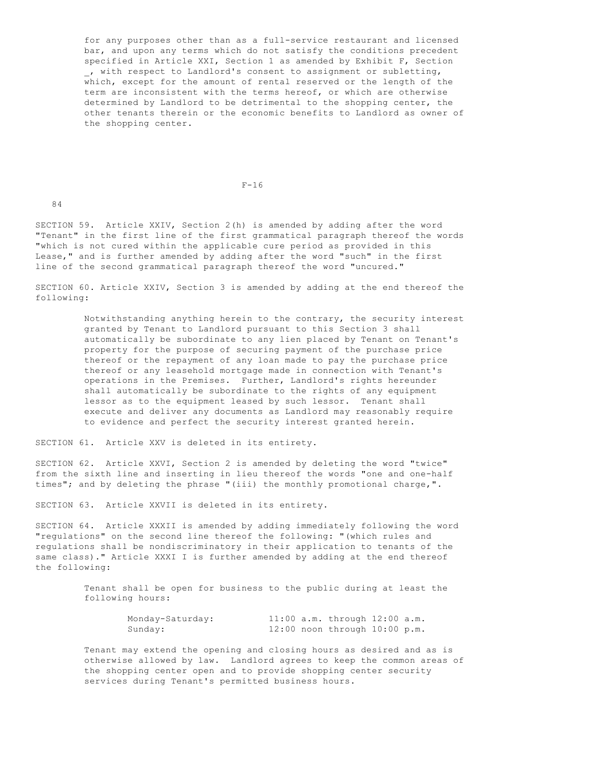for any purposes other than as a full-service restaurant and licensed bar, and upon any terms which do not satisfy the conditions precedent specified in Article XXI, Section 1 as amended by Exhibit F, Section \_, with respect to Landlord's consent to assignment or subletting, which, except for the amount of rental reserved or the length of the term are inconsistent with the terms hereof, or which are otherwise determined by Landlord to be detrimental to the shopping center, the other tenants therein or the economic benefits to Landlord as owner of the shopping center.

#### $F-16$

84

SECTION 59. Article XXIV, Section 2(h) is amended by adding after the word "Tenant" in the first line of the first grammatical paragraph thereof the words "which is not cured within the applicable cure period as provided in this Lease," and is further amended by adding after the word "such" in the first line of the second grammatical paragraph thereof the word "uncured."

SECTION 60. Article XXIV, Section 3 is amended by adding at the end thereof the following:

> Notwithstanding anything herein to the contrary, the security interest granted by Tenant to Landlord pursuant to this Section 3 shall automatically be subordinate to any lien placed by Tenant on Tenant's property for the purpose of securing payment of the purchase price thereof or the repayment of any loan made to pay the purchase price thereof or any leasehold mortgage made in connection with Tenant's operations in the Premises. Further, Landlord's rights hereunder shall automatically be subordinate to the rights of any equipment lessor as to the equipment leased by such lessor. Tenant shall execute and deliver any documents as Landlord may reasonably require to evidence and perfect the security interest granted herein.

SECTION 61. Article XXV is deleted in its entirety.

SECTION 62. Article XXVI, Section 2 is amended by deleting the word "twice" from the sixth line and inserting in lieu thereof the words "one and one-half times"; and by deleting the phrase "(iii) the monthly promotional charge,".

SECTION 63. Article XXVII is deleted in its entirety.

SECTION 64. Article XXXII is amended by adding immediately following the word "regulations" on the second line thereof the following: "(which rules and regulations shall be nondiscriminatory in their application to tenants of the same class)." Article XXXI I is further amended by adding at the end thereof the following:

> Tenant shall be open for business to the public during at least the following hours:

| Monday-Saturday: |  | $11:00$ a.m. through $12:00$ a.m. |  |
|------------------|--|-----------------------------------|--|
| Sunday:          |  | $12:00$ noon through $10:00$ p.m. |  |

 Tenant may extend the opening and closing hours as desired and as is otherwise allowed by law. Landlord agrees to keep the common areas of the shopping center open and to provide shopping center security services during Tenant's permitted business hours.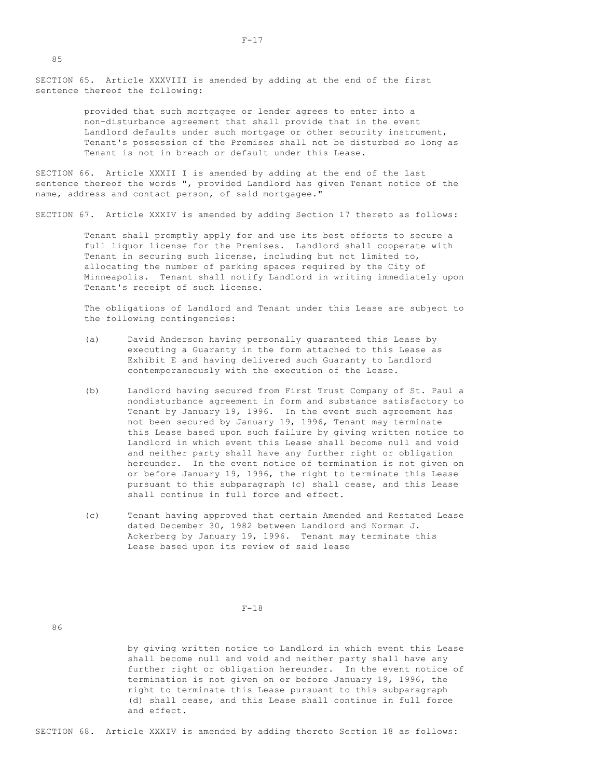SECTION 65. Article XXXVIII is amended by adding at the end of the first sentence thereof the following:

> provided that such mortgagee or lender agrees to enter into a non-disturbance agreement that shall provide that in the event Landlord defaults under such mortgage or other security instrument, Tenant's possession of the Premises shall not be disturbed so long as Tenant is not in breach or default under this Lease.

SECTION 66. Article XXXII I is amended by adding at the end of the last sentence thereof the words ", provided Landlord has given Tenant notice of the name, address and contact person, of said mortgagee."

SECTION 67. Article XXXIV is amended by adding Section 17 thereto as follows:

 Tenant shall promptly apply for and use its best efforts to secure a full liquor license for the Premises. Landlord shall cooperate with Tenant in securing such license, including but not limited to, allocating the number of parking spaces required by the City of Minneapolis. Tenant shall notify Landlord in writing immediately upon Tenant's receipt of such license.

 The obligations of Landlord and Tenant under this Lease are subject to the following contingencies:

- (a) David Anderson having personally guaranteed this Lease by executing a Guaranty in the form attached to this Lease as Exhibit E and having delivered such Guaranty to Landlord contemporaneously with the execution of the Lease.
- (b) Landlord having secured from First Trust Company of St. Paul a nondisturbance agreement in form and substance satisfactory to Tenant by January 19, 1996. In the event such agreement has not been secured by January 19, 1996, Tenant may terminate this Lease based upon such failure by giving written notice to Landlord in which event this Lease shall become null and void and neither party shall have any further right or obligation hereunder. In the event notice of termination is not given on or before January 19, 1996, the right to terminate this Lease pursuant to this subparagraph (c) shall cease, and this Lease shall continue in full force and effect.
- (c) Tenant having approved that certain Amended and Restated Lease dated December 30, 1982 between Landlord and Norman J. Ackerberg by January 19, 1996. Tenant may terminate this Lease based upon its review of said lease

#### $F-18$

86

 by giving written notice to Landlord in which event this Lease shall become null and void and neither party shall have any further right or obligation hereunder. In the event notice of termination is not given on or before January 19, 1996, the right to terminate this Lease pursuant to this subparagraph (d) shall cease, and this Lease shall continue in full force and effect.

SECTION 68. Article XXXIV is amended by adding thereto Section 18 as follows: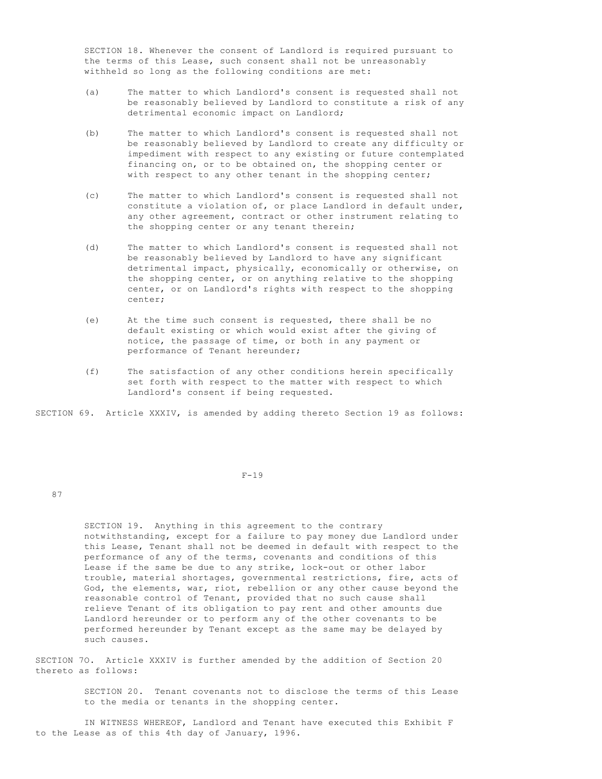SECTION 18. Whenever the consent of Landlord is required pursuant to the terms of this Lease, such consent shall not be unreasonably withheld so long as the following conditions are met:

- (a) The matter to which Landlord's consent is requested shall not be reasonably believed by Landlord to constitute a risk of any detrimental economic impact on Landlord;
- (b) The matter to which Landlord's consent is requested shall not be reasonably believed by Landlord to create any difficulty or impediment with respect to any existing or future contemplated financing on, or to be obtained on, the shopping center or with respect to any other tenant in the shopping center;
- (c) The matter to which Landlord's consent is requested shall not constitute a violation of, or place Landlord in default under, any other agreement, contract or other instrument relating to the shopping center or any tenant therein;
- (d) The matter to which Landlord's consent is requested shall not be reasonably believed by Landlord to have any significant detrimental impact, physically, economically or otherwise, on the shopping center, or on anything relative to the shopping center, or on Landlord's rights with respect to the shopping center;
- (e) At the time such consent is requested, there shall be no default existing or which would exist after the giving of notice, the passage of time, or both in any payment or performance of Tenant hereunder;
- (f) The satisfaction of any other conditions herein specifically set forth with respect to the matter with respect to which Landlord's consent if being requested.

SECTION 69. Article XXXIV, is amended by adding thereto Section 19 as follows:

#### $F-19$

# 87

 SECTION 19. Anything in this agreement to the contrary notwithstanding, except for a failure to pay money due Landlord under this Lease, Tenant shall not be deemed in default with respect to the performance of any of the terms, covenants and conditions of this Lease if the same be due to any strike, lock-out or other labor trouble, material shortages, governmental restrictions, fire, acts of God, the elements, war, riot, rebellion or any other cause beyond the reasonable control of Tenant, provided that no such cause shall relieve Tenant of its obligation to pay rent and other amounts due Landlord hereunder or to perform any of the other covenants to be performed hereunder by Tenant except as the same may be delayed by such causes.

SECTION 7O. Article XXXIV is further amended by the addition of Section 20 thereto as follows:

> SECTION 20. Tenant covenants not to disclose the terms of this Lease to the media or tenants in the shopping center.

 IN WITNESS WHEREOF, Landlord and Tenant have executed this Exhibit F to the Lease as of this 4th day of January, 1996.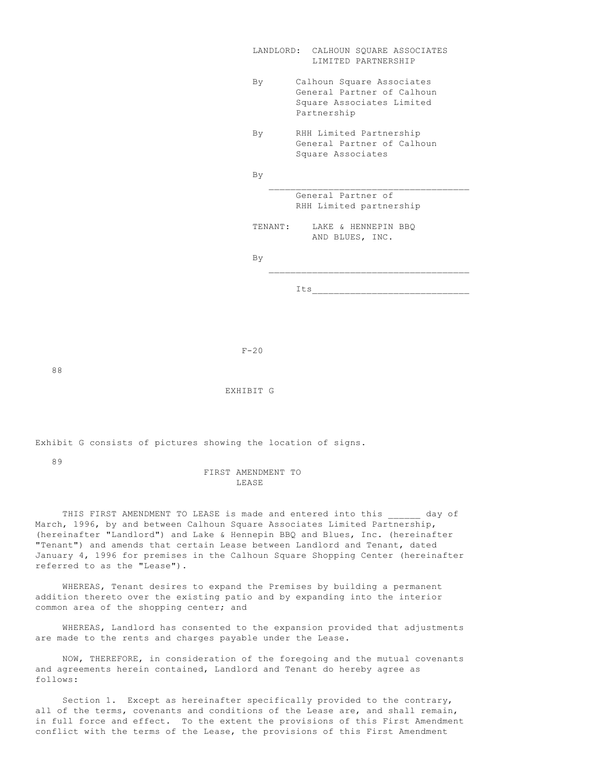|         | LANDLORD: CALHOUN SQUARE ASSOCIATES<br>LIMITED PARTNERSHIP                                          |
|---------|-----------------------------------------------------------------------------------------------------|
| By      | Calhoun Square Associates<br>General Partner of Calhoun<br>Square Associates Limited<br>Partnership |
| By      | RHH Limited Partnership<br>General Partner of Calhoun<br>Square Associates                          |
| By      |                                                                                                     |
|         | General Partner of<br>RHH Limited partnership                                                       |
| TENANT: | LAKE & HENNEPIN BBQ<br>AND BLUES, INC.                                                              |
| By      |                                                                                                     |
|         | Its                                                                                                 |

 $F-20$ 

88

EXHIBIT G

Exhibit G consists of pictures showing the location of signs.

89

### FIRST AMENDMENT TO LEASE

THIS FIRST AMENDMENT TO LEASE is made and entered into this \_\_\_\_\_\_ day of March, 1996, by and between Calhoun Square Associates Limited Partnership, (hereinafter "Landlord") and Lake & Hennepin BBQ and Blues, Inc. (hereinafter "Tenant") and amends that certain Lease between Landlord and Tenant, dated January 4, 1996 for premises in the Calhoun Square Shopping Center (hereinafter referred to as the "Lease").

 WHEREAS, Tenant desires to expand the Premises by building a permanent addition thereto over the existing patio and by expanding into the interior common area of the shopping center; and

 WHEREAS, Landlord has consented to the expansion provided that adjustments are made to the rents and charges payable under the Lease.

 NOW, THEREFORE, in consideration of the foregoing and the mutual covenants and agreements herein contained, Landlord and Tenant do hereby agree as follows:

 Section 1. Except as hereinafter specifically provided to the contrary, all of the terms, covenants and conditions of the Lease are, and shall remain, in full force and effect. To the extent the provisions of this First Amendment conflict with the terms of the Lease, the provisions of this First Amendment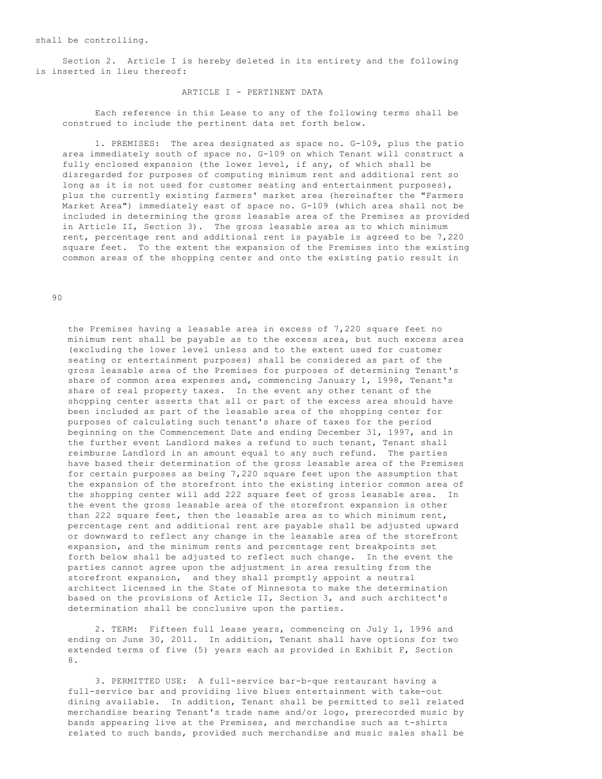shall be controlling.

 Section 2. Article I is hereby deleted in its entirety and the following is inserted in lieu thereof:

# ARTICLE I - PERTINENT DATA

 Each reference in this Lease to any of the following terms shall be construed to include the pertinent data set forth below.

 1. PREMISES: The area designated as space no. G-109, plus the patio area immediately south of space no. G-109 on which Tenant will construct a fully enclosed expansion (the lower level, if any, of which shall be disregarded for purposes of computing minimum rent and additional rent so long as it is not used for customer seating and entertainment purposes), plus the currently existing farmers' market area (hereinafter the "Farmers Market Area") immediately east of space no. G-109 (which area shall not be included in determining the gross leasable area of the Premises as provided in Article II, Section 3). The gross leasable area as to which minimum rent, percentage rent and additional rent is payable is agreed to be 7,220 square feet. To the extent the expansion of the Premises into the existing common areas of the shopping center and onto the existing patio result in

90

 the Premises having a leasable area in excess of 7,220 square feet no minimum rent shall be payable as to the excess area, but such excess area (excluding the lower level unless and to the extent used for customer seating or entertainment purposes) shall be considered as part of the gross leasable area of the Premises for purposes of determining Tenant's share of common area expenses and, commencing January 1, 1998, Tenant's share of real property taxes. In the event any other tenant of the shopping center asserts that all or part of the excess area should have been included as part of the leasable area of the shopping center for purposes of calculating such tenant's share of taxes for the period beginning on the Commencement Date and ending December 31, 1997, and in the further event Landlord makes a refund to such tenant, Tenant shall reimburse Landlord in an amount equal to any such refund. The parties have based their determination of the gross leasable area of the Premises for certain purposes as being 7,220 square feet upon the assumption that the expansion of the storefront into the existing interior common area of the shopping center will add 222 square feet of gross leasable area. In the event the gross leasable area of the storefront expansion is other than 222 square feet, then the leasable area as to which minimum rent, percentage rent and additional rent are payable shall be adjusted upward or downward to reflect any change in the leasable area of the storefront expansion, and the minimum rents and percentage rent breakpoints set forth below shall be adjusted to reflect such change. In the event the parties cannot agree upon the adjustment in area resulting from the storefront expansion, and they shall promptly appoint a neutral architect licensed in the State of Minnesota to make the determination based on the provisions of Article II, Section 3, and such architect's determination shall be conclusive upon the parties.

 2. TERM: Fifteen full lease years, commencing on July 1, 1996 and ending on June 30, 2011. In addition, Tenant shall have options for two extended terms of five (5) years each as provided in Exhibit F, Section 8.

 3. PERMITTED USE: A full-service bar-b-que restaurant having a full-service bar and providing live blues entertainment with take-out dining available. In addition, Tenant shall be permitted to sell related merchandise bearing Tenant's trade name and/or logo, prerecorded music by bands appearing live at the Premises, and merchandise such as t-shirts related to such bands, provided such merchandise and music sales shall be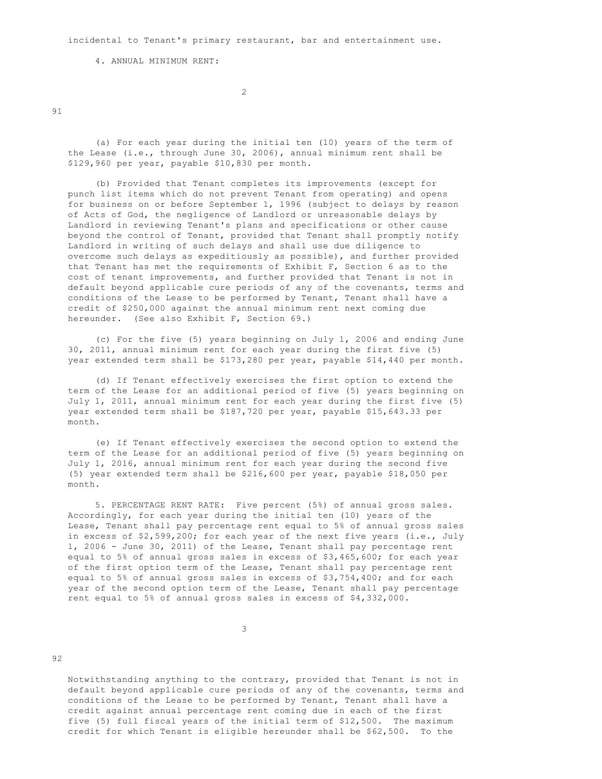incidental to Tenant's primary restaurant, bar and entertainment use.

4. ANNUAL MINIMUM RENT:

2

91

 (a) For each year during the initial ten (10) years of the term of the Lease (i.e., through June 30, 2006), annual minimum rent shall be \$129,960 per year, payable \$10,830 per month.

 (b) Provided that Tenant completes its improvements (except for punch list items which do not prevent Tenant from operating) and opens for business on or before September 1, 1996 (subject to delays by reason of Acts of God, the negligence of Landlord or unreasonable delays by Landlord in reviewing Tenant's plans and specifications or other cause beyond the control of Tenant, provided that Tenant shall promptly notify Landlord in writing of such delays and shall use due diligence to overcome such delays as expeditiously as possible), and further provided that Tenant has met the requirements of Exhibit F, Section 6 as to the cost of tenant improvements, and further provided that Tenant is not in default beyond applicable cure periods of any of the covenants, terms and conditions of the Lease to be performed by Tenant, Tenant shall have a credit of \$250,000 against the annual minimum rent next coming due hereunder. (See also Exhibit F, Section 69.)

 (c) For the five (5) years beginning on July 1, 2006 and ending June 30, 2011, annual minimum rent for each year during the first five (5) year extended term shall be \$173,280 per year, payable \$14,440 per month.

 (d) If Tenant effectively exercises the first option to extend the term of the Lease for an additional period of five (5) years beginning on July 1, 2011, annual minimum rent for each year during the first five (5) year extended term shall be \$187,720 per year, payable \$15,643.33 per month.

 (e) If Tenant effectively exercises the second option to extend the term of the Lease for an additional period of five (5) years beginning on July 1, 2016, annual minimum rent for each year during the second five (5) year extended term shall be \$216,600 per year, payable \$18,050 per month.

 5. PERCENTAGE RENT RATE: Five percent (5%) of annual gross sales. Accordingly, for each year during the initial ten (10) years of the Lease, Tenant shall pay percentage rent equal to 5% of annual gross sales in excess of \$2,599,200; for each year of the next five years (i.e., July 1, 2006 - June 30, 2011) of the Lease, Tenant shall pay percentage rent equal to 5% of annual gross sales in excess of \$3,465,600; for each year of the first option term of the Lease, Tenant shall pay percentage rent equal to 5% of annual gross sales in excess of \$3,754,400; and for each year of the second option term of the Lease, Tenant shall pay percentage rent equal to 5% of annual gross sales in excess of \$4,332,000.

92

 Notwithstanding anything to the contrary, provided that Tenant is not in default beyond applicable cure periods of any of the covenants, terms and conditions of the Lease to be performed by Tenant, Tenant shall have a credit against annual percentage rent coming due in each of the first five (5) full fiscal years of the initial term of \$12,500. The maximum credit for which Tenant is eligible hereunder shall be \$62,500. To the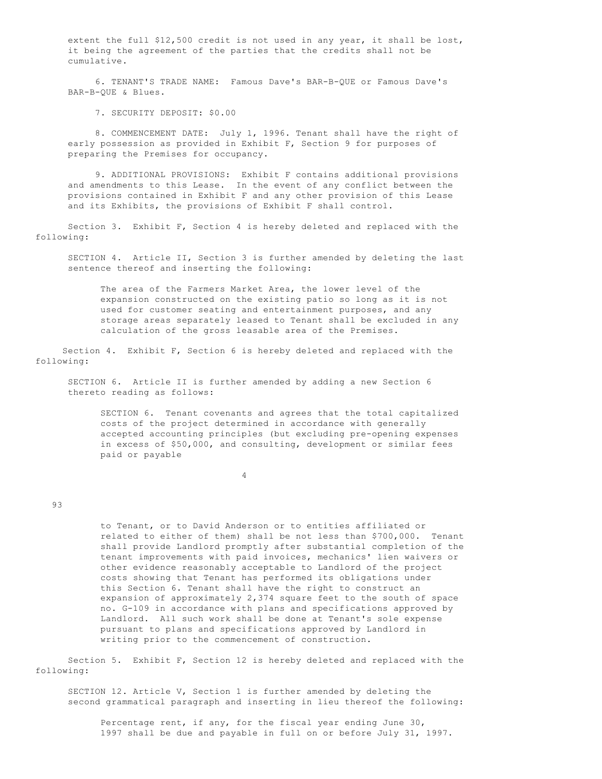extent the full \$12,500 credit is not used in any year, it shall be lost, it being the agreement of the parties that the credits shall not be cumulative.

 6. TENANT'S TRADE NAME: Famous Dave's BAR-B-QUE or Famous Dave's BAR-B-QUE & Blues.

7. SECURITY DEPOSIT: \$0.00

 8. COMMENCEMENT DATE: July 1, 1996. Tenant shall have the right of early possession as provided in Exhibit F, Section 9 for purposes of preparing the Premises for occupancy.

 9. ADDITIONAL PROVISIONS: Exhibit F contains additional provisions and amendments to this Lease. In the event of any conflict between the provisions contained in Exhibit F and any other provision of this Lease and its Exhibits, the provisions of Exhibit F shall control.

 Section 3. Exhibit F, Section 4 is hereby deleted and replaced with the following:

 SECTION 4. Article II, Section 3 is further amended by deleting the last sentence thereof and inserting the following:

 The area of the Farmers Market Area, the lower level of the expansion constructed on the existing patio so long as it is not used for customer seating and entertainment purposes, and any storage areas separately leased to Tenant shall be excluded in any calculation of the gross leasable area of the Premises.

 Section 4. Exhibit F, Section 6 is hereby deleted and replaced with the following:

 SECTION 6. Article II is further amended by adding a new Section 6 thereto reading as follows:

 SECTION 6. Tenant covenants and agrees that the total capitalized costs of the project determined in accordance with generally accepted accounting principles (but excluding pre-opening expenses in excess of \$50,000, and consulting, development or similar fees paid or payable

4

### 93

 to Tenant, or to David Anderson or to entities affiliated or related to either of them) shall be not less than \$700,000. Tenant shall provide Landlord promptly after substantial completion of the tenant improvements with paid invoices, mechanics' lien waivers or other evidence reasonably acceptable to Landlord of the project costs showing that Tenant has performed its obligations under this Section 6. Tenant shall have the right to construct an expansion of approximately 2,374 square feet to the south of space no. G-109 in accordance with plans and specifications approved by Landlord. All such work shall be done at Tenant's sole expense pursuant to plans and specifications approved by Landlord in writing prior to the commencement of construction.

 Section 5. Exhibit F, Section 12 is hereby deleted and replaced with the following:

 SECTION 12. Article V, Section 1 is further amended by deleting the second grammatical paragraph and inserting in lieu thereof the following:

 Percentage rent, if any, for the fiscal year ending June 30, 1997 shall be due and payable in full on or before July 31, 1997.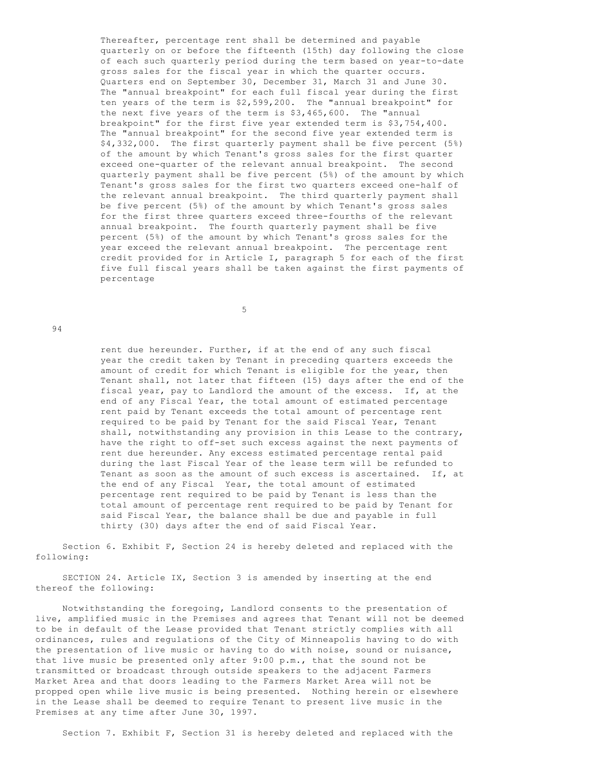Thereafter, percentage rent shall be determined and payable quarterly on or before the fifteenth (15th) day following the close of each such quarterly period during the term based on year-to-date gross sales for the fiscal year in which the quarter occurs. Quarters end on September 30, December 31, March 31 and June 30. The "annual breakpoint" for each full fiscal year during the first ten years of the term is \$2,599,200. The "annual breakpoint" for the next five years of the term is \$3,465,600. The "annual breakpoint" for the first five year extended term is \$3,754,400. The "annual breakpoint" for the second five year extended term is \$4,332,000. The first quarterly payment shall be five percent (5%) of the amount by which Tenant's gross sales for the first quarter exceed one-quarter of the relevant annual breakpoint. The second quarterly payment shall be five percent (5%) of the amount by which Tenant's gross sales for the first two quarters exceed one-half of the relevant annual breakpoint. The third quarterly payment shall be five percent (5%) of the amount by which Tenant's gross sales for the first three quarters exceed three-fourths of the relevant annual breakpoint. The fourth quarterly payment shall be five percent (5%) of the amount by which Tenant's gross sales for the year exceed the relevant annual breakpoint. The percentage rent credit provided for in Article I, paragraph 5 for each of the first five full fiscal years shall be taken against the first payments of percentage

 $5<sub>5</sub>$ 

 $94$ 

 rent due hereunder. Further, if at the end of any such fiscal year the credit taken by Tenant in preceding quarters exceeds the amount of credit for which Tenant is eligible for the year, then Tenant shall, not later that fifteen (15) days after the end of the fiscal year, pay to Landlord the amount of the excess. If, at the end of any Fiscal Year, the total amount of estimated percentage rent paid by Tenant exceeds the total amount of percentage rent required to be paid by Tenant for the said Fiscal Year, Tenant shall, notwithstanding any provision in this Lease to the contrary, have the right to off-set such excess against the next payments of rent due hereunder. Any excess estimated percentage rental paid during the last Fiscal Year of the lease term will be refunded to Tenant as soon as the amount of such excess is ascertained. If, at the end of any Fiscal Year, the total amount of estimated percentage rent required to be paid by Tenant is less than the total amount of percentage rent required to be paid by Tenant for said Fiscal Year, the balance shall be due and payable in full thirty (30) days after the end of said Fiscal Year.

 Section 6. Exhibit F, Section 24 is hereby deleted and replaced with the following:

 SECTION 24. Article IX, Section 3 is amended by inserting at the end thereof the following:

 Notwithstanding the foregoing, Landlord consents to the presentation of live, amplified music in the Premises and agrees that Tenant will not be deemed to be in default of the Lease provided that Tenant strictly complies with all ordinances, rules and regulations of the City of Minneapolis having to do with the presentation of live music or having to do with noise, sound or nuisance, that live music be presented only after 9:00 p.m., that the sound not be transmitted or broadcast through outside speakers to the adjacent Farmers Market Area and that doors leading to the Farmers Market Area will not be propped open while live music is being presented. Nothing herein or elsewhere in the Lease shall be deemed to require Tenant to present live music in the Premises at any time after June 30, 1997.

Section 7. Exhibit F, Section 31 is hereby deleted and replaced with the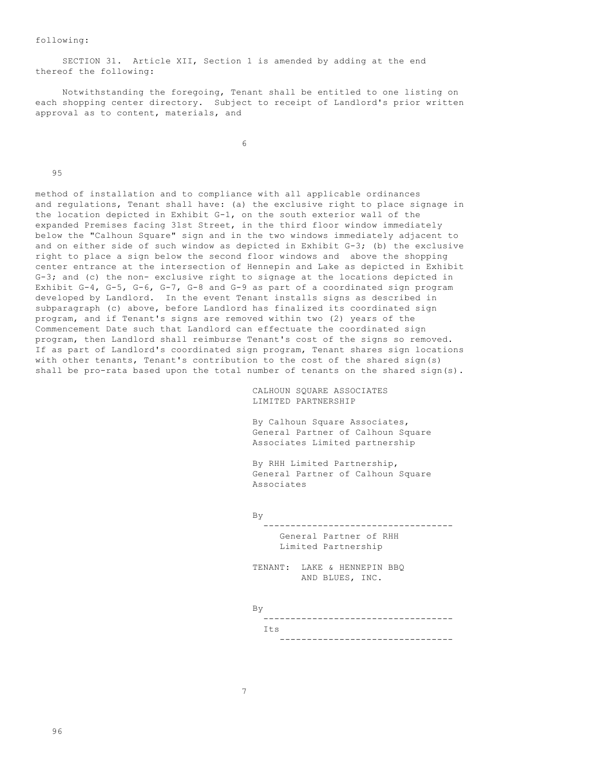following:

 SECTION 31. Article XII, Section 1 is amended by adding at the end thereof the following:

 Notwithstanding the foregoing, Tenant shall be entitled to one listing on each shopping center directory. Subject to receipt of Landlord's prior written approval as to content, materials, and

 $\sim$  6

95

method of installation and to compliance with all applicable ordinances and regulations, Tenant shall have: (a) the exclusive right to place signage in the location depicted in Exhibit G-1, on the south exterior wall of the expanded Premises facing 31st Street, in the third floor window immediately below the "Calhoun Square" sign and in the two windows immediately adjacent to and on either side of such window as depicted in Exhibit G-3; (b) the exclusive right to place a sign below the second floor windows and above the shopping center entrance at the intersection of Hennepin and Lake as depicted in Exhibit G-3; and (c) the non- exclusive right to signage at the locations depicted in Exhibit G-4, G-5, G-6, G-7, G-8 and G-9 as part of a coordinated sign program developed by Landlord. In the event Tenant installs signs as described in subparagraph (c) above, before Landlord has finalized its coordinated sign program, and if Tenant's signs are removed within two (2) years of the Commencement Date such that Landlord can effectuate the coordinated sign program, then Landlord shall reimburse Tenant's cost of the signs so removed. If as part of Landlord's coordinated sign program, Tenant shares sign locations with other tenants, Tenant's contribution to the cost of the shared sign(s) shall be pro-rata based upon the total number of tenants on the shared sign(s).

> CALHOUN SQUARE ASSOCIATES LIMITED PARTNERSHIP

 By Calhoun Square Associates, General Partner of Calhoun Square Associates Limited partnership

 By RHH Limited Partnership, General Partner of Calhoun Square Associates

By

 ----------------------------------- General Partner of RHH Limited Partnership

 TENANT: LAKE & HENNEPIN BBQ AND BLUES, INC.

By

 ----------------------------------- Its **I** --------------------------------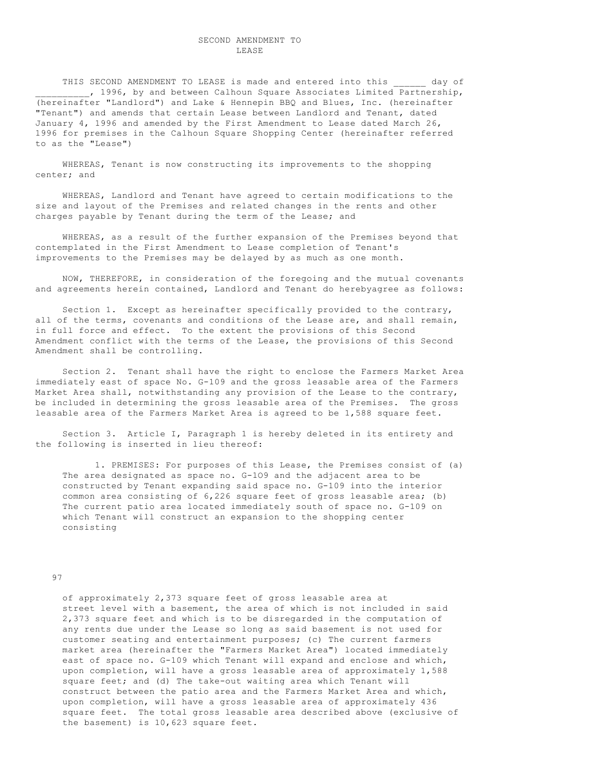# SECOND AMENDMENT TO LEASE

THIS SECOND AMENDMENT TO LEASE is made and entered into this ally of , 1996, by and between Calhoun Square Associates Limited Partnership, (hereinafter "Landlord") and Lake & Hennepin BBQ and Blues, Inc. (hereinafter "Tenant") and amends that certain Lease between Landlord and Tenant, dated January 4, 1996 and amended by the First Amendment to Lease dated March 26, 1996 for premises in the Calhoun Square Shopping Center (hereinafter referred to as the "Lease")

 WHEREAS, Tenant is now constructing its improvements to the shopping center; and

 WHEREAS, Landlord and Tenant have agreed to certain modifications to the size and layout of the Premises and related changes in the rents and other charges payable by Tenant during the term of the Lease; and

 WHEREAS, as a result of the further expansion of the Premises beyond that contemplated in the First Amendment to Lease completion of Tenant's improvements to the Premises may be delayed by as much as one month.

 NOW, THEREFORE, in consideration of the foregoing and the mutual covenants and agreements herein contained, Landlord and Tenant do herebyagree as follows:

 Section 1. Except as hereinafter specifically provided to the contrary, all of the terms, covenants and conditions of the Lease are, and shall remain, in full force and effect. To the extent the provisions of this Second Amendment conflict with the terms of the Lease, the provisions of this Second Amendment shall be controlling.

 Section 2. Tenant shall have the right to enclose the Farmers Market Area immediately east of space No. G-109 and the gross leasable area of the Farmers Market Area shall, notwithstanding any provision of the Lease to the contrary, be included in determining the gross leasable area of the Premises. The gross leasable area of the Farmers Market Area is agreed to be 1,588 square feet.

 Section 3. Article I, Paragraph 1 is hereby deleted in its entirety and the following is inserted in lieu thereof:

 1. PREMISES: For purposes of this Lease, the Premises consist of (a) The area designated as space no. G-1O9 and the adjacent area to be constructed by Tenant expanding said space no. G-109 into the interior common area consisting of 6,226 square feet of gross leasable area; (b) The current patio area located immediately south of space no. G-109 on which Tenant will construct an expansion to the shopping center consisting

#### 97

 of approximately 2,373 square feet of gross leasable area at street level with a basement, the area of which is not included in said 2,373 square feet and which is to be disregarded in the computation of any rents due under the Lease so long as said basement is not used for customer seating and entertainment purposes; (c) The current farmers market area (hereinafter the "Farmers Market Area") located immediately east of space no. G-109 which Tenant will expand and enclose and which, upon completion, will have a gross leasable area of approximately 1,588 square feet; and (d) The take-out waiting area which Tenant will construct between the patio area and the Farmers Market Area and which, upon completion, will have a gross leasable area of approximately 436 square feet. The total gross leasable area described above (exclusive of the basement) is 10,623 square feet.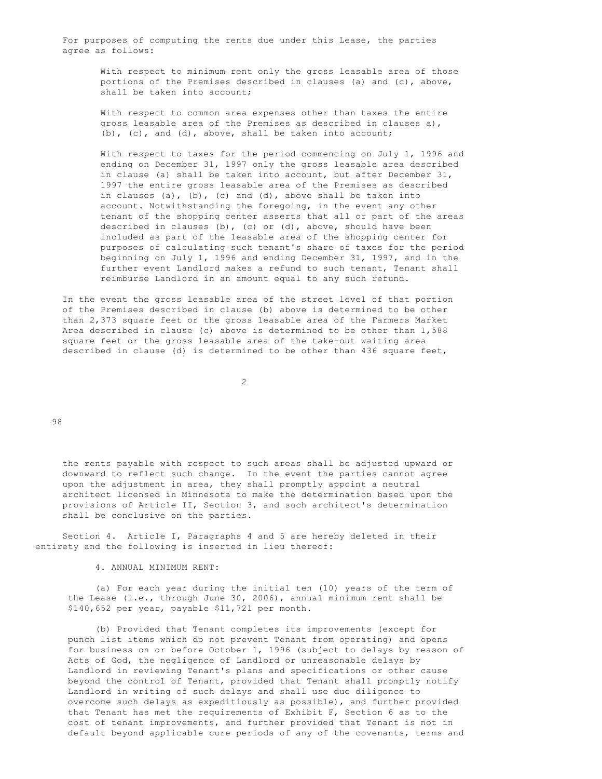For purposes of computing the rents due under this Lease, the parties agree as follows:

 With respect to minimum rent only the gross leasable area of those portions of the Premises described in clauses (a) and (c), above, shall be taken into account;

 With respect to common area expenses other than taxes the entire gross leasable area of the Premises as described in clauses a), (b), (c), and (d), above, shall be taken into account;

 With respect to taxes for the period commencing on July 1, 1996 and ending on December 31, 1997 only the gross leasable area described in clause (a) shall be taken into account, but after December 31, 1997 the entire gross leasable area of the Premises as described in clauses (a), (b), (c) and (d), above shall be taken into account. Notwithstanding the foregoing, in the event any other tenant of the shopping center asserts that all or part of the areas described in clauses (b), (c) or (d), above, should have been included as part of the leasable area of the shopping center for purposes of calculating such tenant's share of taxes for the period beginning on July 1, 1996 and ending December 31, 1997, and in the further event Landlord makes a refund to such tenant, Tenant shall reimburse Landlord in an amount equal to any such refund.

 In the event the gross leasable area of the street level of that portion of the Premises described in clause (b) above is determined to be other than 2,373 square feet or the gross leasable area of the Farmers Market Area described in clause (c) above is determined to be other than 1,588 square feet or the gross leasable area of the take-out waiting area described in clause (d) is determined to be other than 436 square feet,

2

98

 the rents payable with respect to such areas shall be adjusted upward or downward to reflect such change. In the event the parties cannot agree upon the adjustment in area, they shall promptly appoint a neutral architect licensed in Minnesota to make the determination based upon the provisions of Article II, Section 3, and such architect's determination shall be conclusive on the parties.

 Section 4. Article I, Paragraphs 4 and 5 are hereby deleted in their entirety and the following is inserted in lieu thereof:

4. ANNUAL MINIMUM RENT:

 (a) For each year during the initial ten (10) years of the term of the Lease (i.e., through June 30, 2006), annual minimum rent shall be \$140,652 per year, payable \$11,721 per month.

 (b) Provided that Tenant completes its improvements (except for punch list items which do not prevent Tenant from operating) and opens for business on or before October 1, 1996 (subject to delays by reason of Acts of God, the negligence of Landlord or unreasonable delays by Landlord in reviewing Tenant's plans and specifications or other cause beyond the control of Tenant, provided that Tenant shall promptly notify Landlord in writing of such delays and shall use due diligence to overcome such delays as expeditiously as possible), and further provided that Tenant has met the requirements of Exhibit F, Section 6 as to the cost of tenant improvements, and further provided that Tenant is not in default beyond applicable cure periods of any of the covenants, terms and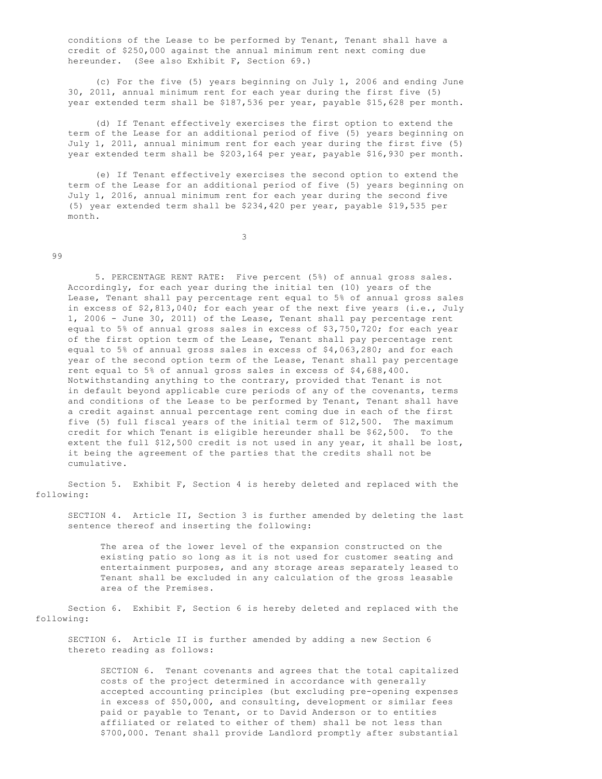conditions of the Lease to be performed by Tenant, Tenant shall have a credit of \$250,000 against the annual minimum rent next coming due hereunder. (See also Exhibit F, Section 69.)

 (c) For the five (5) years beginning on July 1, 2006 and ending June 30, 2011, annual minimum rent for each year during the first five (5) year extended term shall be \$187,536 per year, payable \$15,628 per month.

 (d) If Tenant effectively exercises the first option to extend the term of the Lease for an additional period of five (5) years beginning on July 1, 2011, annual minimum rent for each year during the first five (5) year extended term shall be \$203,164 per year, payable \$16,930 per month.

 (e) If Tenant effectively exercises the second option to extend the term of the Lease for an additional period of five (5) years beginning on July 1, 2016, annual minimum rent for each year during the second five (5) year extended term shall be \$234,420 per year, payable \$19,535 per month.

3

## 99

 5. PERCENTAGE RENT RATE: Five percent (5%) of annual gross sales. Accordingly, for each year during the initial ten (10) years of the Lease, Tenant shall pay percentage rent equal to 5% of annual gross sales in excess of \$2,813,040; for each year of the next five years (i.e., July 1, 2006 - June 30, 2011) of the Lease, Tenant shall pay percentage rent equal to 5% of annual gross sales in excess of \$3,750,720; for each year of the first option term of the Lease, Tenant shall pay percentage rent equal to 5% of annual gross sales in excess of \$4,063,280; and for each year of the second option term of the Lease, Tenant shall pay percentage rent equal to 5% of annual gross sales in excess of \$4,688,400. Notwithstanding anything to the contrary, provided that Tenant is not in default beyond applicable cure periods of any of the covenants, terms and conditions of the Lease to be performed by Tenant, Tenant shall have a credit against annual percentage rent coming due in each of the first five (5) full fiscal years of the initial term of \$12,500. The maximum credit for which Tenant is eligible hereunder shall be \$62,500. To the extent the full \$12,500 credit is not used in any year, it shall be lost, it being the agreement of the parties that the credits shall not be cumulative.

 Section 5. Exhibit F, Section 4 is hereby deleted and replaced with the following:

 SECTION 4. Article II, Section 3 is further amended by deleting the last sentence thereof and inserting the following:

 The area of the lower level of the expansion constructed on the existing patio so long as it is not used for customer seating and entertainment purposes, and any storage areas separately leased to Tenant shall be excluded in any calculation of the gross leasable area of the Premises.

 Section 6. Exhibit F, Section 6 is hereby deleted and replaced with the following:

 SECTION 6. Article II is further amended by adding a new Section 6 thereto reading as follows:

 SECTION 6. Tenant covenants and agrees that the total capitalized costs of the project determined in accordance with generally accepted accounting principles (but excluding pre-opening expenses in excess of \$50,000, and consulting, development or similar fees paid or payable to Tenant, or to David Anderson or to entities affiliated or related to either of them) shall be not less than \$700,000. Tenant shall provide Landlord promptly after substantial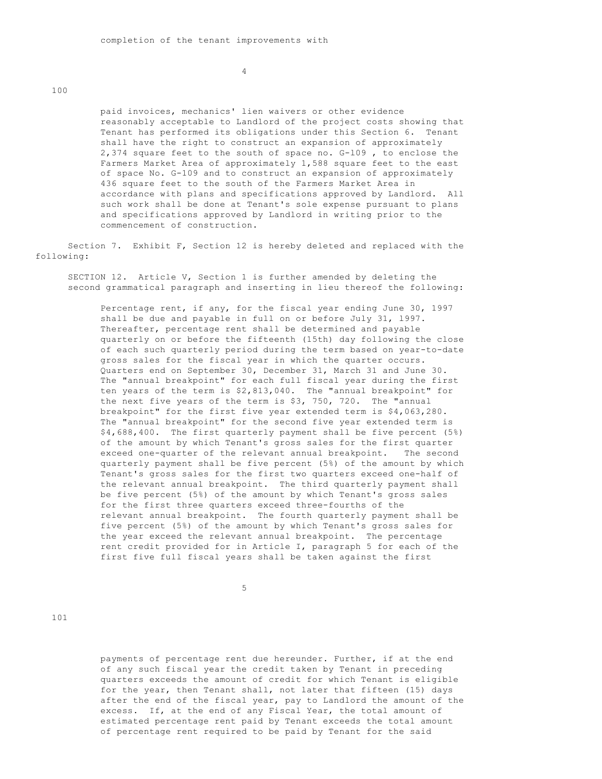4

100

 paid invoices, mechanics' lien waivers or other evidence reasonably acceptable to Landlord of the project costs showing that Tenant has performed its obligations under this Section 6. Tenant shall have the right to construct an expansion of approximately 2,374 square feet to the south of space no. G-l09 , to enclose the Farmers Market Area of approximately 1,588 square feet to the east of space No. G-109 and to construct an expansion of approximately 436 square feet to the south of the Farmers Market Area in accordance with plans and specifications approved by Landlord. All such work shall be done at Tenant's sole expense pursuant to plans and specifications approved by Landlord in writing prior to the commencement of construction.

 Section 7. Exhibit F, Section 12 is hereby deleted and replaced with the following:

 SECTION 12. Article V, Section 1 is further amended by deleting the second grammatical paragraph and inserting in lieu thereof the following:

 Percentage rent, if any, for the fiscal year ending June 30, 1997 shall be due and payable in full on or before July 31, l997. Thereafter, percentage rent shall be determined and payable quarterly on or before the fifteenth (15th) day following the close of each such quarterly period during the term based on year-to-date gross sales for the fiscal year in which the quarter occurs. Quarters end on September 30, December 31, March 31 and June 30. The "annual breakpoint" for each full fiscal year during the first ten years of the term is \$2,813,040. The "annual breakpoint" for the next five years of the term is \$3, 750, 720. The "annual breakpoint" for the first five year extended term is \$4,063,280. The "annual breakpoint" for the second five year extended term is \$4,688,400. The first quarterly payment shall be five percent (5%) of the amount by which Tenant's gross sales for the first quarter exceed one-quarter of the relevant annual breakpoint. The second quarterly payment shall be five percent (5%) of the amount by which Tenant's gross sales for the first two quarters exceed one-half of the relevant annual breakpoint. The third quarterly payment shall be five percent (5%) of the amount by which Tenant's gross sales for the first three quarters exceed three-fourths of the relevant annual breakpoint. The fourth quarterly payment shall be five percent (5%) of the amount by which Tenant's gross sales for the year exceed the relevant annual breakpoint. The percentage rent credit provided for in Article I, paragraph 5 for each of the first five full fiscal years shall be taken against the first

 $5<sup>h</sup>$ 

101

 payments of percentage rent due hereunder. Further, if at the end of any such fiscal year the credit taken by Tenant in preceding quarters exceeds the amount of credit for which Tenant is eligible for the year, then Tenant shall, not later that fifteen (15) days after the end of the fiscal year, pay to Landlord the amount of the excess. If, at the end of any Fiscal Year, the total amount of estimated percentage rent paid by Tenant exceeds the total amount of percentage rent required to be paid by Tenant for the said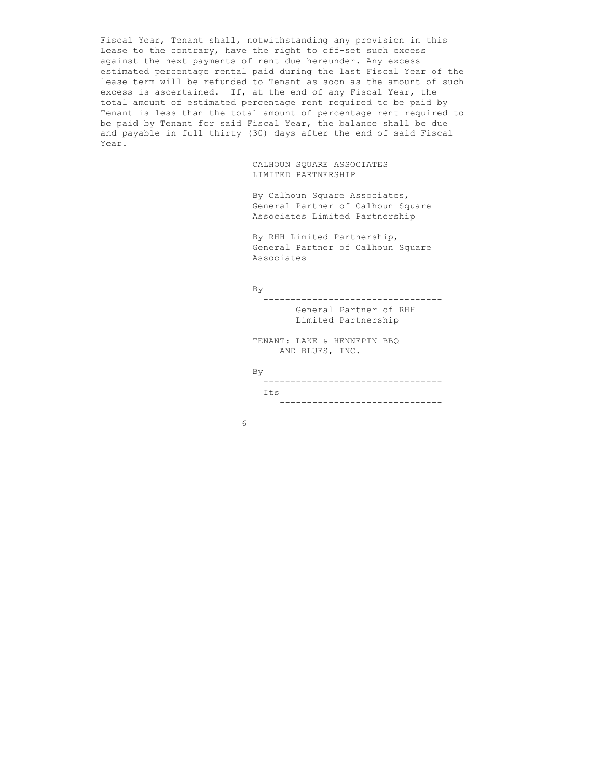Fiscal Year, Tenant shall, notwithstanding any provision in this Lease to the contrary, have the right to off-set such excess against the next payments of rent due hereunder. Any excess estimated percentage rental paid during the last Fiscal Year of the lease term will be refunded to Tenant as soon as the amount of such excess is ascertained. If, at the end of any Fiscal Year, the total amount of estimated percentage rent required to be paid by Tenant is less than the total amount of percentage rent required to be paid by Tenant for said Fiscal Year, the balance shall be due and payable in full thirty (30) days after the end of said Fiscal Year.

> CALHOUN SQUARE ASSOCIATES LIMITED PARTNERSHIP

 By Calhoun Square Associates, General Partner of Calhoun Square Associates Limited Partnership

 By RHH Limited Partnership, General Partner of Calhoun Square Associates

## By

 --------------------------------- General Partner of RHH

Limited Partnership

 TENANT: LAKE & HENNEPIN BBQ AND BLUES, INC.

## By

 --------------------------------- Its **I** ------------------------------

 $\sim$  6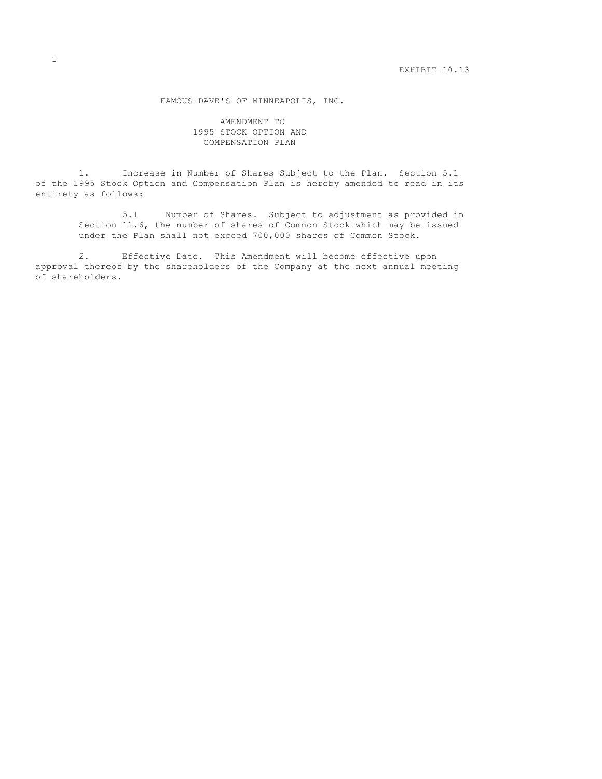FAMOUS DAVE'S OF MINNEAPOLIS, INC.

 AMENDMENT TO 1995 STOCK OPTION AND COMPENSATION PLAN

 1. Increase in Number of Shares Subject to the Plan. Section 5.1 of the 1995 Stock Option and Compensation Plan is hereby amended to read in its entirety as follows:

> 5.1 Number of Shares. Subject to adjustment as provided in Section 11.6, the number of shares of Common Stock which may be issued under the Plan shall not exceed 700,000 shares of Common Stock.

 2. Effective Date. This Amendment will become effective upon approval thereof by the shareholders of the Company at the next annual meeting of shareholders.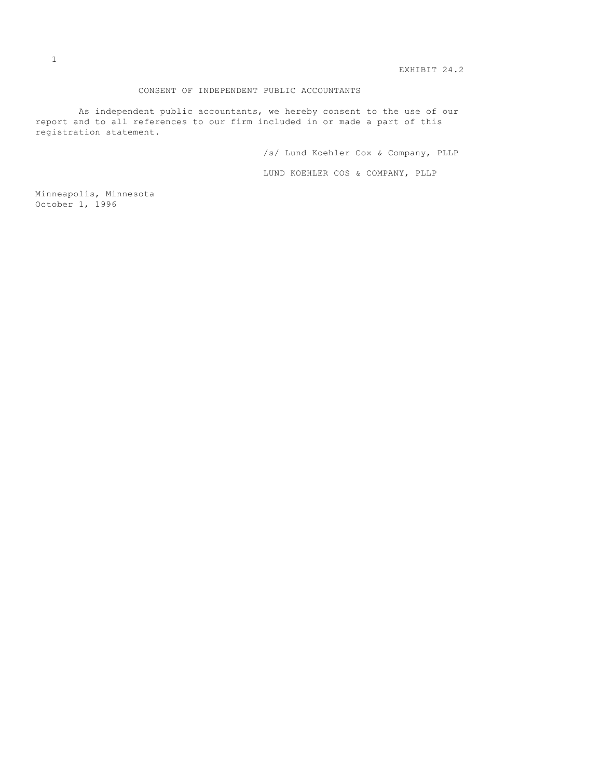EXHIBIT 24.2

## CONSENT OF INDEPENDENT PUBLIC ACCOUNTANTS

 As independent public accountants, we hereby consent to the use of our report and to all references to our firm included in or made a part of this registration statement.

/s/ Lund Koehler Cox & Company, PLLP

LUND KOEHLER COS & COMPANY, PLLP

Minneapolis, Minnesota October 1, 1996